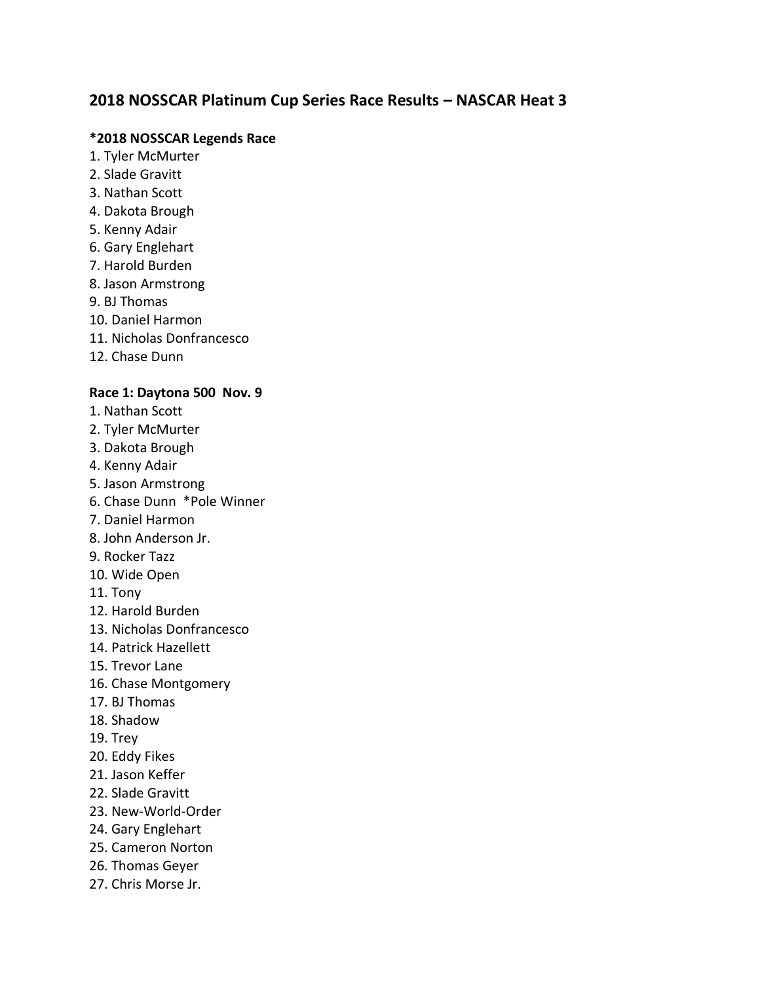# **2018 NOSSCAR Platinum Cup Series Race Results – NASCAR Heat 3**

#### **\*2018 NOSSCAR Legends Race**

- 1. Tyler McMurter
- 2. Slade Gravitt
- 3. Nathan Scott
- 4. Dakota Brough
- 5. Kenny Adair
- 6. Gary Englehart
- 7. Harold Burden
- 8. Jason Armstrong
- 9. BJ Thomas
- 10. Daniel Harmon
- 11. Nicholas Donfrancesco
- 12. Chase Dunn

## **Race 1: Daytona 500 Nov. 9**

- 1. Nathan Scott
- 2. Tyler McMurter
- 3. Dakota Brough
- 4. Kenny Adair
- 5. Jason Armstrong
- 6. Chase Dunn \*Pole Winner
- 7. Daniel Harmon
- 8. John Anderson Jr.
- 9. Rocker Tazz
- 10. Wide Open
- 11. Tony
- 12. Harold Burden
- 13. Nicholas Donfrancesco
- 14. Patrick Hazellett
- 15. Trevor Lane
- 16. Chase Montgomery
- 17. BJ Thomas
- 18. Shadow
- 19. Trey
- 20. Eddy Fikes
- 21. Jason Keffer
- 22. Slade Gravitt
- 23. New-World-Order
- 24. Gary Englehart
- 25. Cameron Norton
- 26. Thomas Geyer
- 27. Chris Morse Jr.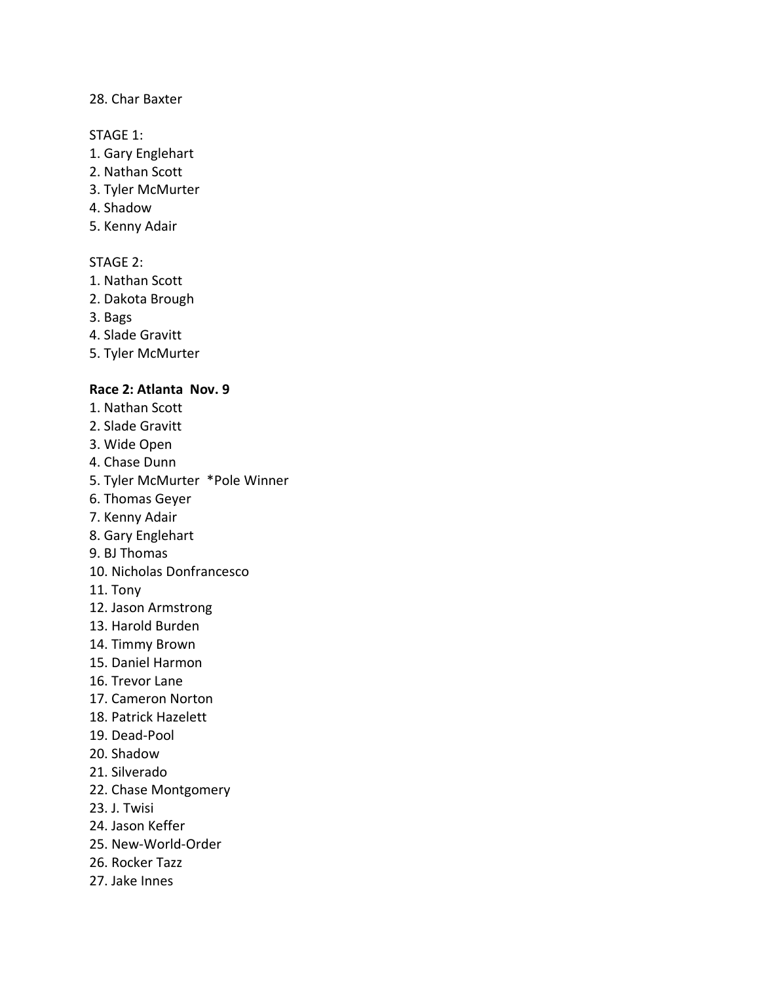## 28. Char Baxter

#### STAGE 1:

- 1. Gary Englehart
- 2. Nathan Scott
- 3. Tyler McMurter
- 4. Shadow
- 5. Kenny Adair

## STAGE 2:

- 1. Nathan Scott
- 2. Dakota Brough
- 3. Bags
- 4. Slade Gravitt
- 5. Tyler McMurter

## **Race 2: Atlanta Nov. 9**

- 1. Nathan Scott
- 2. Slade Gravitt
- 3. Wide Open
- 4. Chase Dunn
- 5. Tyler McMurter \*Pole Winner
- 6. Thomas Geyer
- 7. Kenny Adair
- 8. Gary Englehart
- 9. BJ Thomas
- 10. Nicholas Donfrancesco
- 11. Tony
- 12. Jason Armstrong
- 13. Harold Burden
- 14. Timmy Brown
- 15. Daniel Harmon
- 16. Trevor Lane
- 17. Cameron Norton
- 18. Patrick Hazelett
- 19. Dead-Pool
- 20. Shadow
- 21. Silverado
- 22. Chase Montgomery
- 23. J. Twisi
- 24. Jason Keffer
- 25. New-World-Order
- 26. Rocker Tazz
- 27. Jake Innes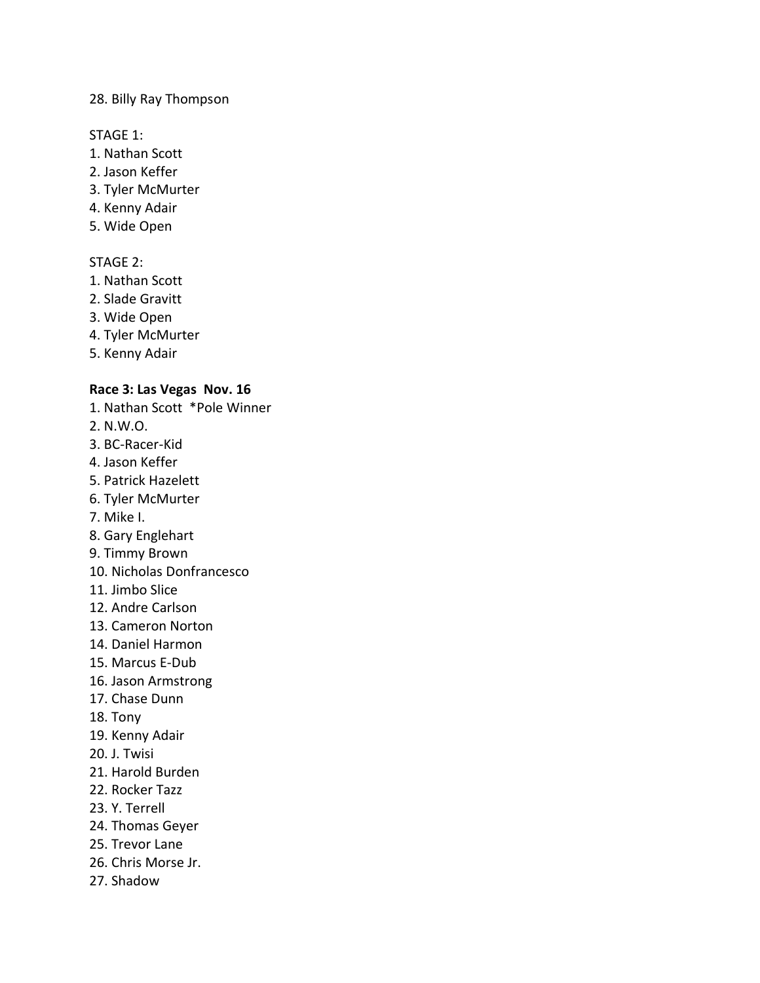#### 28. Billy Ray Thompson

#### STAGE 1:

- 1. Nathan Scott
- 2. Jason Keffer
- 3. Tyler McMurter
- 4. Kenny Adair
- 5. Wide Open

## STAGE 2:

- 1. Nathan Scott
- 2. Slade Gravitt
- 3. Wide Open
- 4. Tyler McMurter
- 5. Kenny Adair

## **Race 3: Las Vegas Nov. 16**

- 1. Nathan Scott \*Pole Winner
- 2. N.W.O.
- 3. BC-Racer-Kid
- 4. Jason Keffer
- 5. Patrick Hazelett
- 6. Tyler McMurter
- 7. Mike I.
- 8. Gary Englehart
- 9. Timmy Brown
- 10. Nicholas Donfrancesco
- 11. Jimbo Slice
- 12. Andre Carlson
- 13. Cameron Norton
- 14. Daniel Harmon
- 15. Marcus E-Dub
- 16. Jason Armstrong
- 17. Chase Dunn
- 18. Tony
- 19. Kenny Adair
- 20. J. Twisi
- 21. Harold Burden
- 22. Rocker Tazz
- 23. Y. Terrell
- 24. Thomas Geyer
- 25. Trevor Lane
- 26. Chris Morse Jr.
- 27. Shadow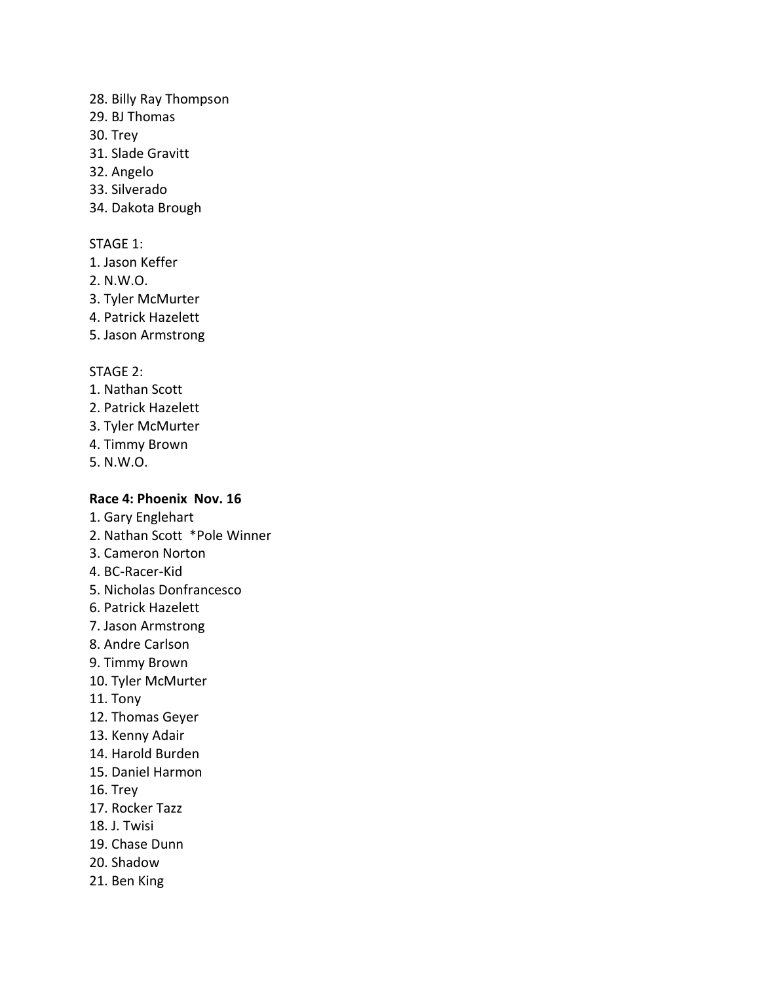#### 28. Billy Ray Thompson

- 29. BJ Thomas
- 30. Trey
- 31. Slade Gravitt
- 32. Angelo
- 33. Silverado
- 34. Dakota Brough

## STAGE 1:

- 1. Jason Keffer
- 2. N.W.O.
- 3. Tyler McMurter
- 4. Patrick Hazelett
- 5. Jason Armstrong

## STAGE 2:

- 1. Nathan Scott
- 2. Patrick Hazelett
- 3. Tyler McMurter
- 4. Timmy Brown
- 5. N.W.O.

## **Race 4: Phoenix Nov. 16**

- 1. Gary Englehart
- 2. Nathan Scott \*Pole Winner
- 3. Cameron Norton
- 4. BC-Racer-Kid
- 5. Nicholas Donfrancesco
- 6. Patrick Hazelett
- 7. Jason Armstrong
- 8. Andre Carlson
- 9. Timmy Brown
- 10. Tyler McMurter
- 11. Tony
- 12. Thomas Geyer
- 13. Kenny Adair
- 14. Harold Burden
- 15. Daniel Harmon
- 16. Trey
- 17. Rocker Tazz
- 18. J. Twisi
- 19. Chase Dunn
- 20. Shadow
- 21. Ben King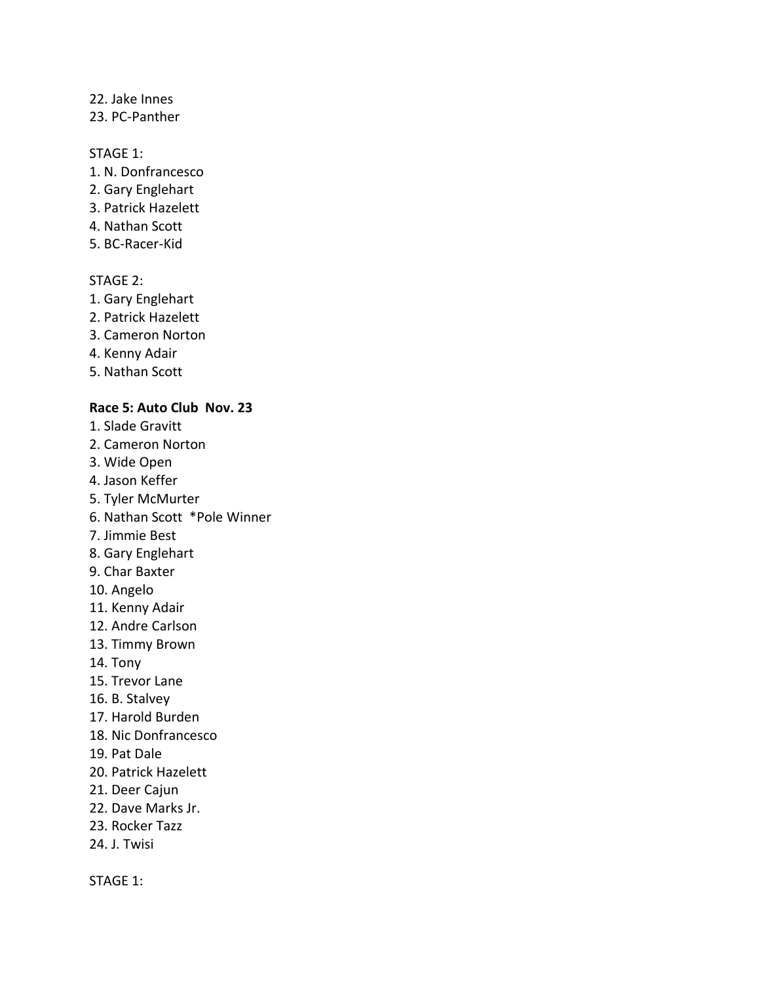#### 22. Jake Innes

23. PC-Panther

## STAGE 1:

- 1. N. Donfrancesco
- 2. Gary Englehart
- 3. Patrick Hazelett
- 4. Nathan Scott
- 5. BC-Racer-Kid

## STAGE 2:

- 1. Gary Englehart
- 2. Patrick Hazelett
- 3. Cameron Norton
- 4. Kenny Adair
- 5. Nathan Scott

#### **Race 5: Auto Club Nov. 23**

- 1. Slade Gravitt
- 2. Cameron Norton
- 3. Wide Open
- 4. Jason Keffer
- 5. Tyler McMurter
- 6. Nathan Scott \*Pole Winner
- 7. Jimmie Best
- 8. Gary Englehart
- 9. Char Baxter
- 10. Angelo
- 11. Kenny Adair
- 12. Andre Carlson
- 13. Timmy Brown
- 14. Tony
- 15. Trevor Lane
- 16. B. Stalvey
- 17. Harold Burden
- 18. Nic Donfrancesco
- 19. Pat Dale
- 20. Patrick Hazelett
- 21. Deer Cajun
- 22. Dave Marks Jr.
- 23. Rocker Tazz
- 24. J. Twisi

STAGE 1: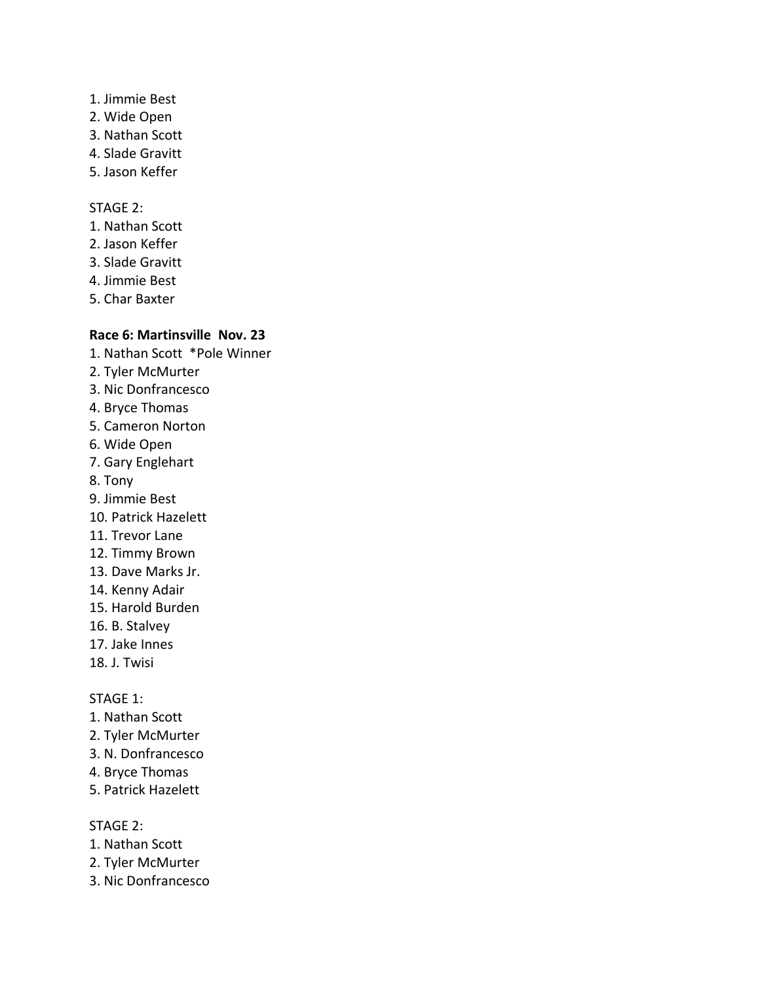- 1. Jimmie Best
- 2. Wide Open
- 3. Nathan Scott
- 4. Slade Gravitt
- 5. Jason Keffer

## STAGE 2:

- 1. Nathan Scott
- 2. Jason Keffer
- 3. Slade Gravitt
- 4. Jimmie Best
- 5. Char Baxter

## **Race 6: Martinsville Nov. 23**

1. Nathan Scott \*Pole Winner 2. Tyler McMurter 3. Nic Donfrancesco 4. Bryce Thomas 5. Cameron Norton 6. Wide Open 7. Gary Englehart 8. Tony 9. Jimmie Best 10. Patrick Hazelett 11. Trevor Lane 12. Timmy Brown 13. Dave Marks Jr. 14. Kenny Adair 15. Harold Burden 16. B. Stalvey 17. Jake Innes 18. J. Twisi

### STAGE 1:

- 1. Nathan Scott
- 2. Tyler McMurter
- 3. N. Donfrancesco
- 4. Bryce Thomas
- 5. Patrick Hazelett

- 1. Nathan Scott
- 2. Tyler McMurter
- 3. Nic Donfrancesco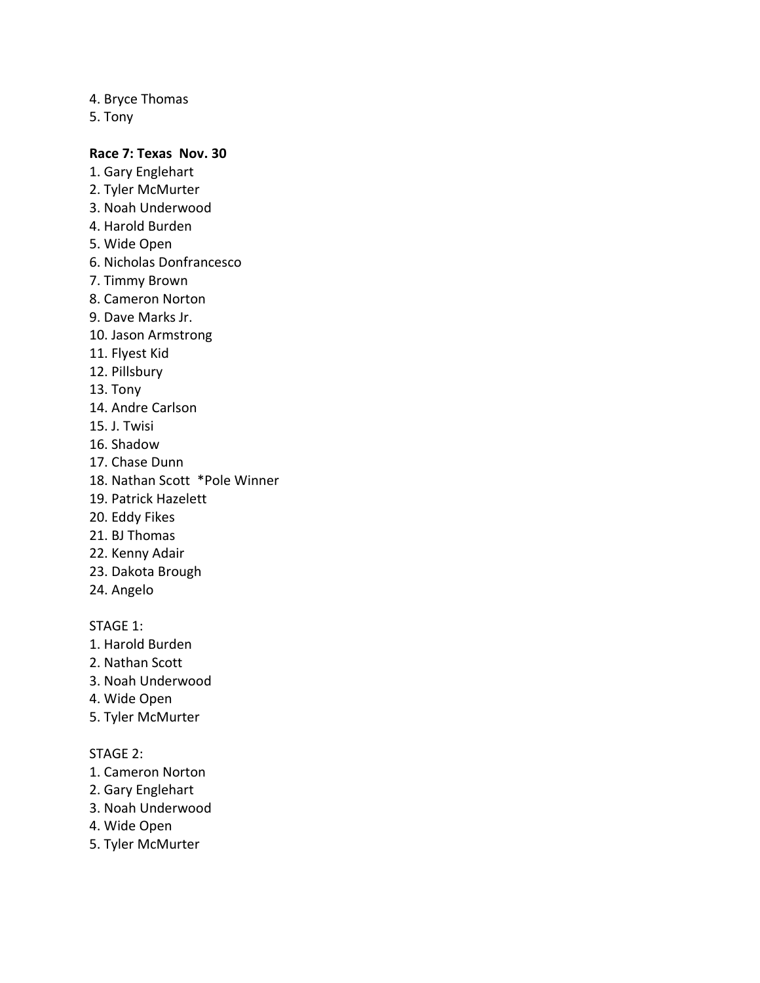4. Bryce Thomas

5. Tony

## **Race 7: Texas Nov. 30**

- 1. Gary Englehart
- 2. Tyler McMurter
- 3. Noah Underwood
- 4. Harold Burden
- 5. Wide Open
- 6. Nicholas Donfrancesco
- 7. Timmy Brown
- 8. Cameron Norton
- 9. Dave Marks Jr.
- 10. Jason Armstrong
- 11. Flyest Kid
- 12. Pillsbury
- 13. Tony
- 14. Andre Carlson
- 15. J. Twisi
- 16. Shadow
- 17. Chase Dunn
- 18. Nathan Scott \*Pole Winner
- 19. Patrick Hazelett
- 20. Eddy Fikes
- 21. BJ Thomas
- 22. Kenny Adair
- 23. Dakota Brough
- 24. Angelo

STAGE 1:

- 1. Harold Burden
- 2. Nathan Scott
- 3. Noah Underwood
- 4. Wide Open
- 5. Tyler McMurter

- 1. Cameron Norton
- 2. Gary Englehart
- 3. Noah Underwood
- 4. Wide Open
- 5. Tyler McMurter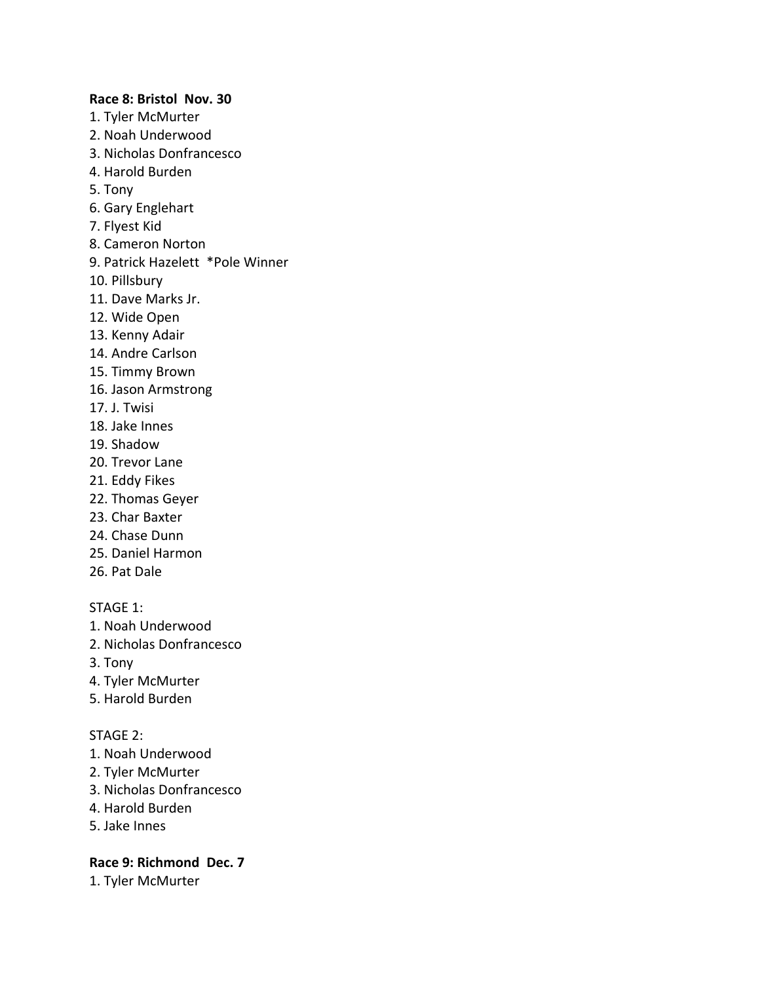#### **Race 8: Bristol Nov. 30**

- 1. Tyler McMurter
- 2. Noah Underwood
- 3. Nicholas Donfrancesco
- 4. Harold Burden
- 5. Tony
- 6. Gary Englehart
- 7. Flyest Kid
- 8. Cameron Norton
- 9. Patrick Hazelett \*Pole Winner
- 10. Pillsbury
- 11. Dave Marks Jr.
- 12. Wide Open
- 13. Kenny Adair
- 14. Andre Carlson
- 15. Timmy Brown
- 16. Jason Armstrong
- 17. J. Twisi
- 18. Jake Innes
- 19. Shadow
- 20. Trevor Lane
- 21. Eddy Fikes
- 22. Thomas Geyer
- 23. Char Baxter
- 24. Chase Dunn
- 25. Daniel Harmon
- 26. Pat Dale

STAGE 1:

- 1. Noah Underwood
- 2. Nicholas Donfrancesco
- 3. Tony
- 4. Tyler McMurter
- 5. Harold Burden

#### STAGE 2:

- 1. Noah Underwood
- 2. Tyler McMurter
- 3. Nicholas Donfrancesco
- 4. Harold Burden
- 5. Jake Innes

## **Race 9: Richmond Dec. 7**

1. Tyler McMurter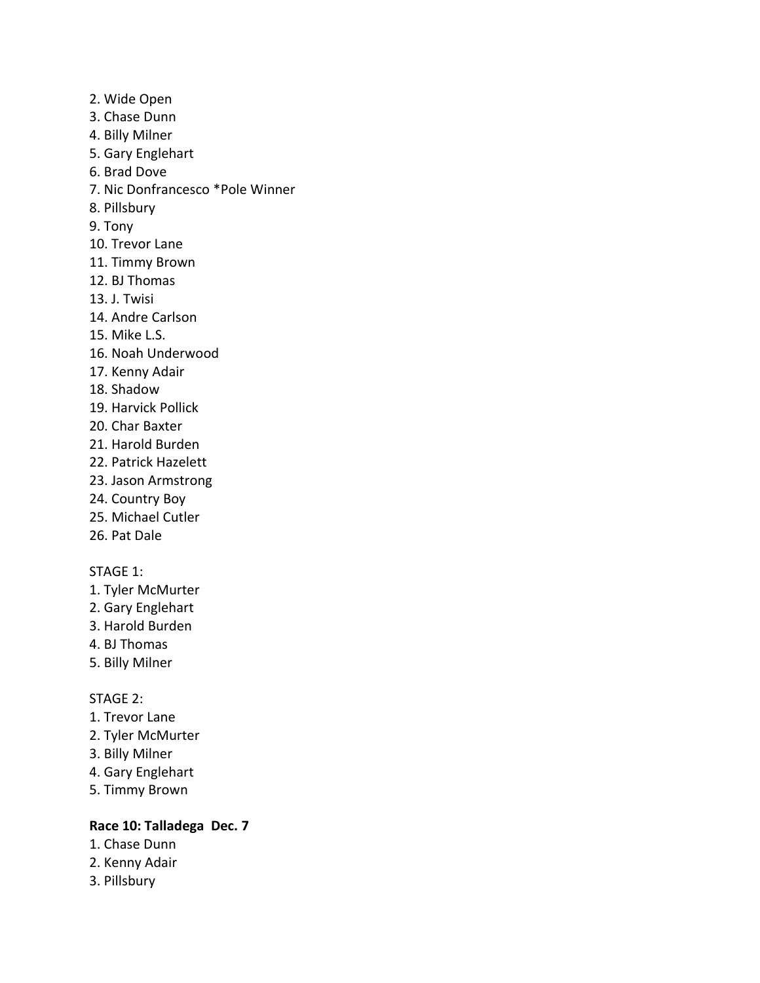2. Wide Open 3. Chase Dunn 4. Billy Milner 5. Gary Englehart 6. Brad Dove 7. Nic Donfrancesco \*Pole Winner 8. Pillsbury 9. Tony 10. Trevor Lane 11. Timmy Brown 12. BJ Thomas 13. J. Twisi 14. Andre Carlson 15. Mike L.S. 16. Noah Underwood 17. Kenny Adair 18. Shadow 19. Harvick Pollick 20. Char Baxter 21. Harold Burden 22. Patrick Hazelett 23. Jason Armstrong 24. Country Boy 25. Michael Cutler

26. Pat Dale

#### STAGE 1:

- 1. Tyler McMurter
- 2. Gary Englehart
- 3. Harold Burden
- 4. BJ Thomas
- 5. Billy Milner

#### STAGE 2:

- 1. Trevor Lane
- 2. Tyler McMurter
- 3. Billy Milner
- 4. Gary Englehart
- 5. Timmy Brown

## **Race 10: Talladega Dec. 7**

- 1. Chase Dunn
- 2. Kenny Adair
- 3. Pillsbury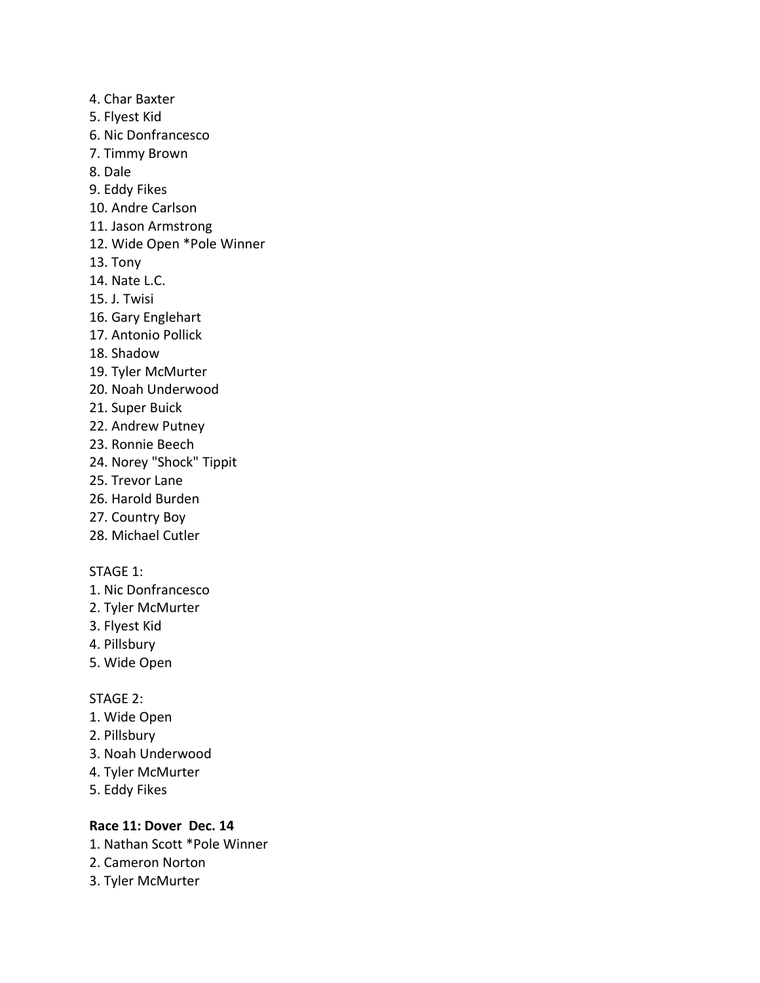4. Char Baxter 5. Flyest Kid 6. Nic Donfrancesco 7. Timmy Brown 8. Dale 9. Eddy Fikes 10. Andre Carlson 11. Jason Armstrong 12. Wide Open \*Pole Winner 13. Tony 14. Nate L.C. 15. J. Twisi 16. Gary Englehart 17. Antonio Pollick 18. Shadow 19. Tyler McMurter 20. Noah Underwood 21. Super Buick 22. Andrew Putney 23. Ronnie Beech 24. Norey "Shock" Tippit 25. Trevor Lane 26. Harold Burden

- 27. Country Boy
- 28. Michael Cutler

## STAGE 1:

- 1. Nic Donfrancesco
- 2. Tyler McMurter
- 3. Flyest Kid
- 4. Pillsbury
- 5. Wide Open

### STAGE 2:

- 1. Wide Open
- 2. Pillsbury
- 3. Noah Underwood
- 4. Tyler McMurter
- 5. Eddy Fikes

## **Race 11: Dover Dec. 14**

- 1. Nathan Scott \*Pole Winner
- 2. Cameron Norton
- 3. Tyler McMurter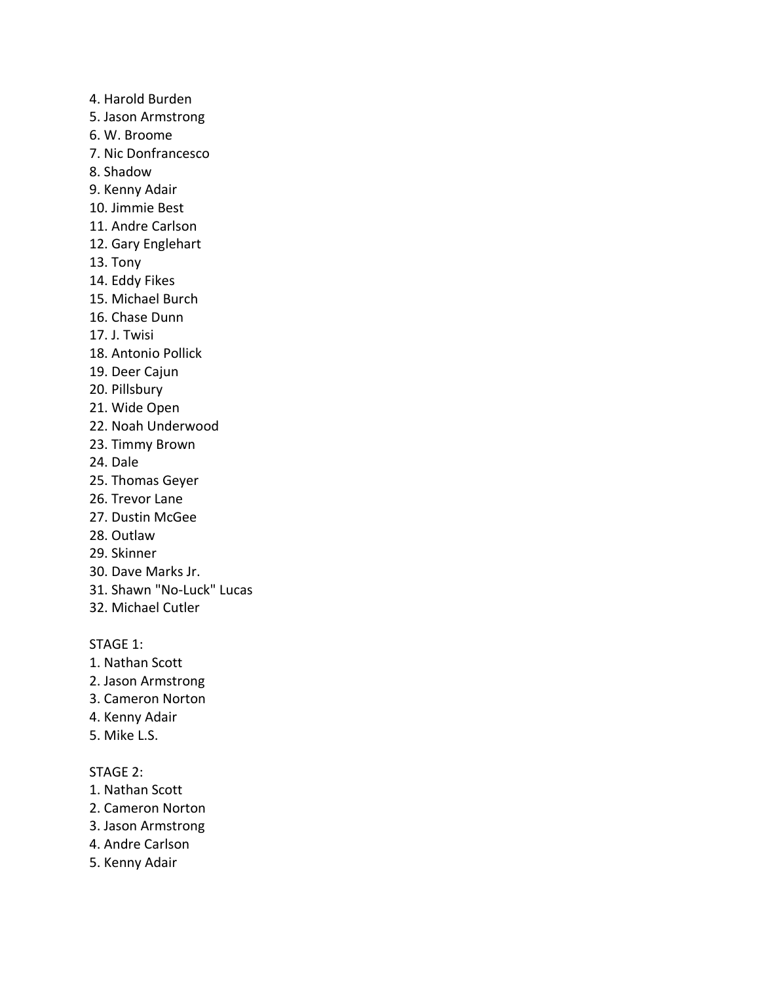- 4. Harold Burden
- 5. Jason Armstrong
- 6. W. Broome
- 7. Nic Donfrancesco
- 8. Shadow
- 9. Kenny Adair
- 10. Jimmie Best
- 11. Andre Carlson
- 12. Gary Englehart
- 13. Tony
- 14. Eddy Fikes
- 15. Michael Burch
- 16. Chase Dunn
- 17. J. Twisi
- 18. Antonio Pollick
- 19. Deer Cajun
- 20. Pillsbury
- 21. Wide Open
- 22. Noah Underwood
- 23. Timmy Brown
- 24. Dale
- 25. Thomas Geyer
- 26. Trevor Lane
- 27. Dustin McGee
- 28. Outlaw
- 29. Skinner
- 30. Dave Marks Jr.
- 31. Shawn "No-Luck" Lucas
- 32. Michael Cutler

- 1. Nathan Scott
- 2. Jason Armstrong
- 3. Cameron Norton
- 4. Kenny Adair
- 5. Mike L.S.

- 1. Nathan Scott
- 2. Cameron Norton
- 3. Jason Armstrong
- 4. Andre Carlson
- 5. Kenny Adair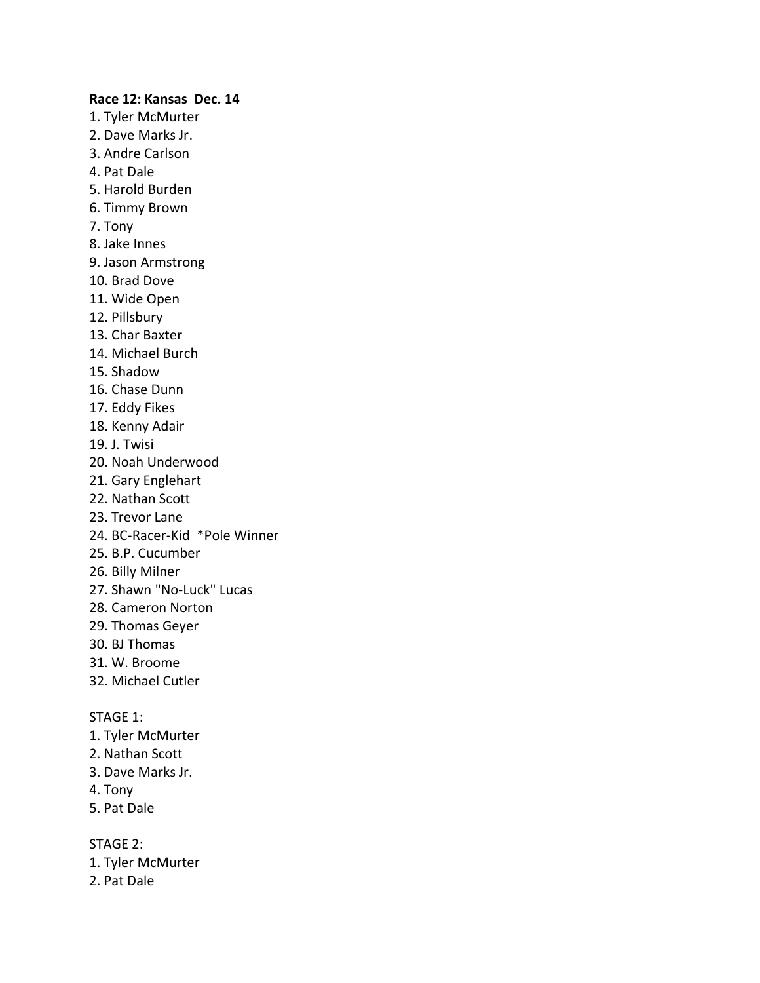#### **Race 12: Kansas Dec. 14**

- 1. Tyler McMurter 2. Dave Marks Jr.
- 3. Andre Carlson
- 4. Pat Dale
- 5. Harold Burden
- 6. Timmy Brown
- 7. Tony
- 8. Jake Innes
- 9. Jason Armstrong
- 10. Brad Dove
- 11. Wide Open
- 12. Pillsbury
- 13. Char Baxter
- 14. Michael Burch
- 15. Shadow
- 16. Chase Dunn
- 17. Eddy Fikes
- 18. Kenny Adair
- 19. J. Twisi
- 20. Noah Underwood
- 21. Gary Englehart
- 22. Nathan Scott
- 23. Trevor Lane
- 24. BC-Racer-Kid \*Pole Winner
- 25. B.P. Cucumber
- 26. Billy Milner
- 27. Shawn "No-Luck" Lucas
- 28. Cameron Norton
- 29. Thomas Geyer
- 30. BJ Thomas
- 31. W. Broome
- 32. Michael Cutler

STAGE 1:

- 1. Tyler McMurter
- 2. Nathan Scott
- 3. Dave Marks Jr.
- 4. Tony
- 5. Pat Dale

- 1. Tyler McMurter
- 2. Pat Dale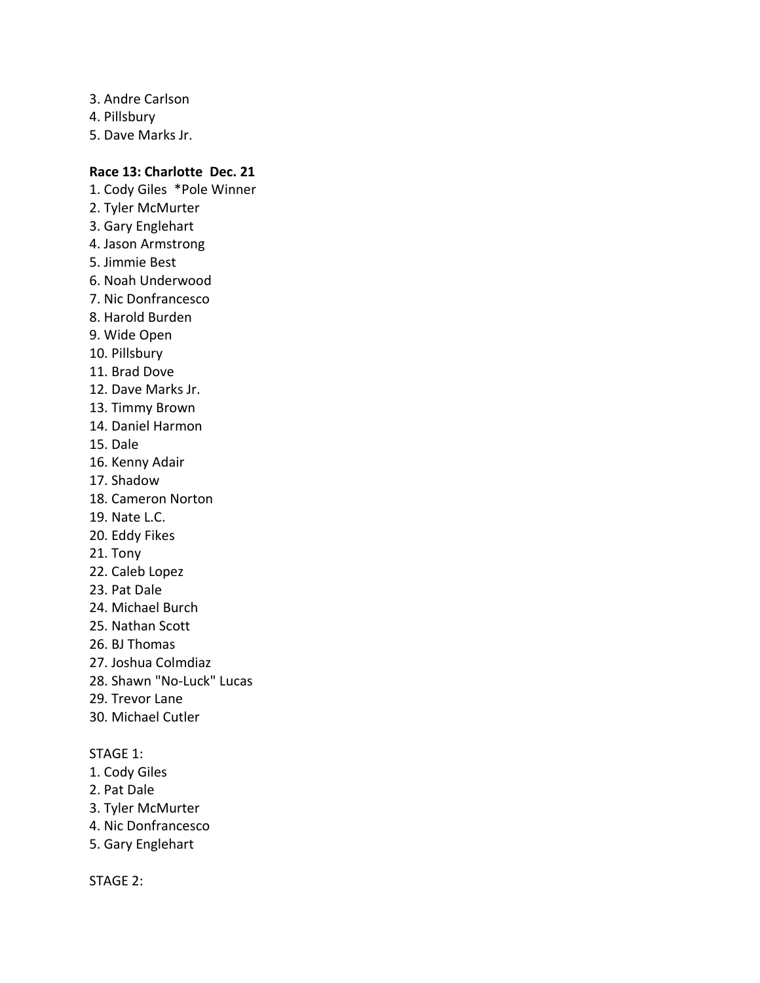- 3. Andre Carlson
- 4. Pillsbury
- 5. Dave Marks Jr.

## **Race 13: Charlotte Dec. 21**

- 1. Cody Giles \*Pole Winner 2. Tyler McMurter 3. Gary Englehart 4. Jason Armstrong 5. Jimmie Best 6. Noah Underwood 7. Nic Donfrancesco 8. Harold Burden
- 9. Wide Open
- 10. Pillsbury
- 11. Brad Dove
- 12. Dave Marks Jr.
- 13. Timmy Brown
- 14. Daniel Harmon
- 15. Dale
- 16. Kenny Adair
- 17. Shadow
- 18. Cameron Norton
- 19. Nate L.C.
- 20. Eddy Fikes
- 21. Tony
- 22. Caleb Lopez
- 23. Pat Dale
- 24. Michael Burch
- 25. Nathan Scott
- 26. BJ Thomas
- 27. Joshua Colmdiaz
- 28. Shawn "No-Luck" Lucas
- 29. Trevor Lane
- 30. Michael Cutler

## STAGE 1:

- 1. Cody Giles
- 2. Pat Dale
- 3. Tyler McMurter
- 4. Nic Donfrancesco
- 5. Gary Englehart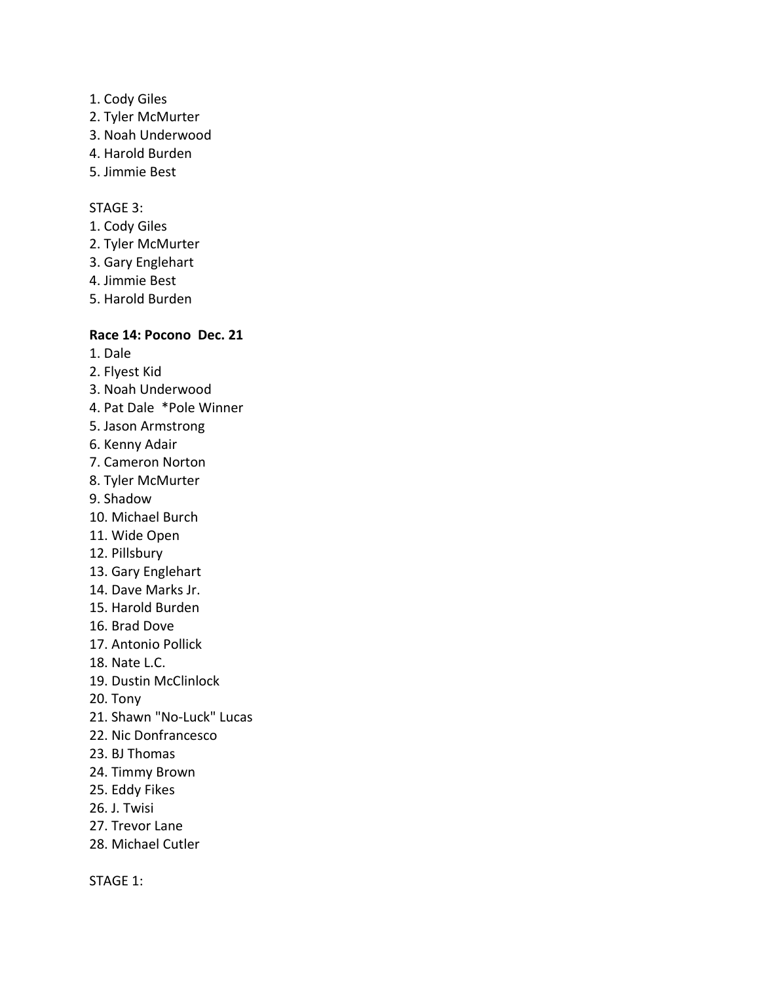- 1. Cody Giles
- 2. Tyler McMurter
- 3. Noah Underwood
- 4. Harold Burden
- 5. Jimmie Best

#### STAGE 3:

- 1. Cody Giles
- 2. Tyler McMurter
- 3. Gary Englehart
- 4. Jimmie Best
- 5. Harold Burden

## **Race 14: Pocono Dec. 21**

- 1. Dale
- 2. Flyest Kid
- 3. Noah Underwood
- 4. Pat Dale \*Pole Winner
- 5. Jason Armstrong
- 6. Kenny Adair
- 7. Cameron Norton
- 8. Tyler McMurter
- 9. Shadow
- 10. Michael Burch
- 11. Wide Open
- 12. Pillsbury
- 13. Gary Englehart
- 14. Dave Marks Jr.
- 15. Harold Burden
- 16. Brad Dove
- 17. Antonio Pollick
- 18. Nate L.C.
- 19. Dustin McClinlock
- 20. Tony
- 21. Shawn "No-Luck" Lucas
- 22. Nic Donfrancesco
- 23. BJ Thomas
- 24. Timmy Brown
- 25. Eddy Fikes
- 26. J. Twisi
- 27. Trevor Lane
- 28. Michael Cutler

STAGE 1: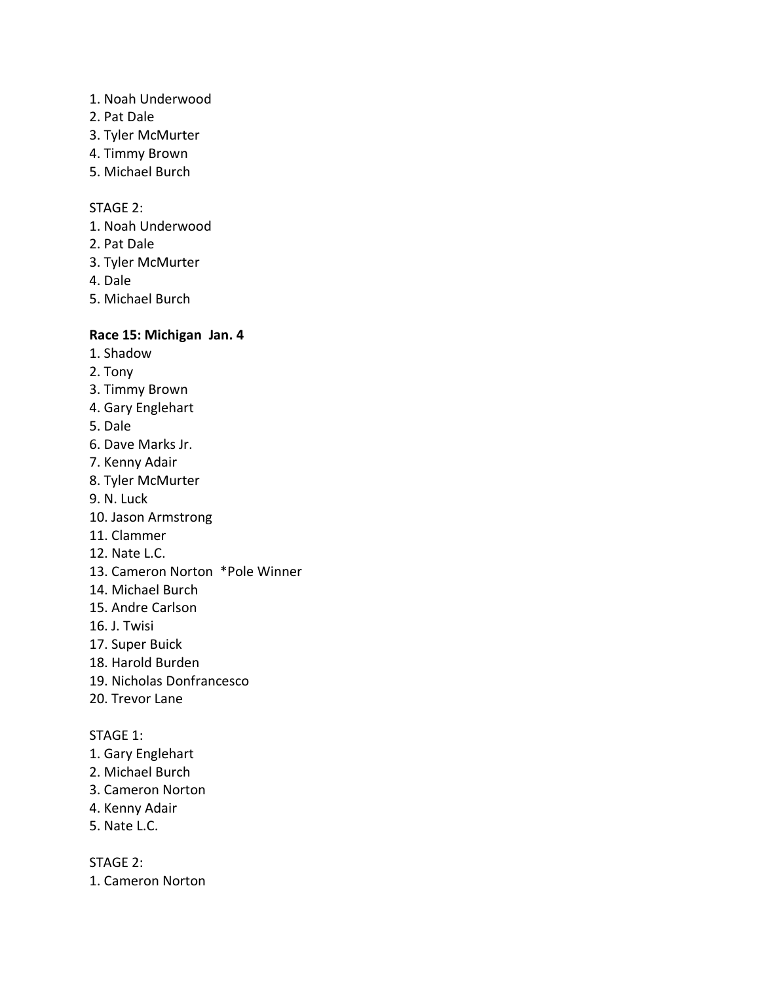- 1. Noah Underwood
- 2. Pat Dale
- 3. Tyler McMurter
- 4. Timmy Brown
- 5. Michael Burch

## STAGE 2:

- 1. Noah Underwood
- 2. Pat Dale
- 3. Tyler McMurter
- 4. Dale
- 5. Michael Burch

## **Race 15: Michigan Jan. 4**

- 1. Shadow
- 2. Tony
- 3. Timmy Brown
- 4. Gary Englehart
- 5. Dale
- 6. Dave Marks Jr.
- 7. Kenny Adair
- 8. Tyler McMurter
- 9. N. Luck
- 10. Jason Armstrong
- 11. Clammer
- 12. Nate L.C.
- 13. Cameron Norton \*Pole Winner
- 14. Michael Burch
- 15. Andre Carlson
- 16. J. Twisi
- 17. Super Buick
- 18. Harold Burden
- 19. Nicholas Donfrancesco
- 20. Trevor Lane

#### STAGE 1:

- 1. Gary Englehart
- 2. Michael Burch
- 3. Cameron Norton
- 4. Kenny Adair
- 5. Nate L.C.

STAGE 2:

1. Cameron Norton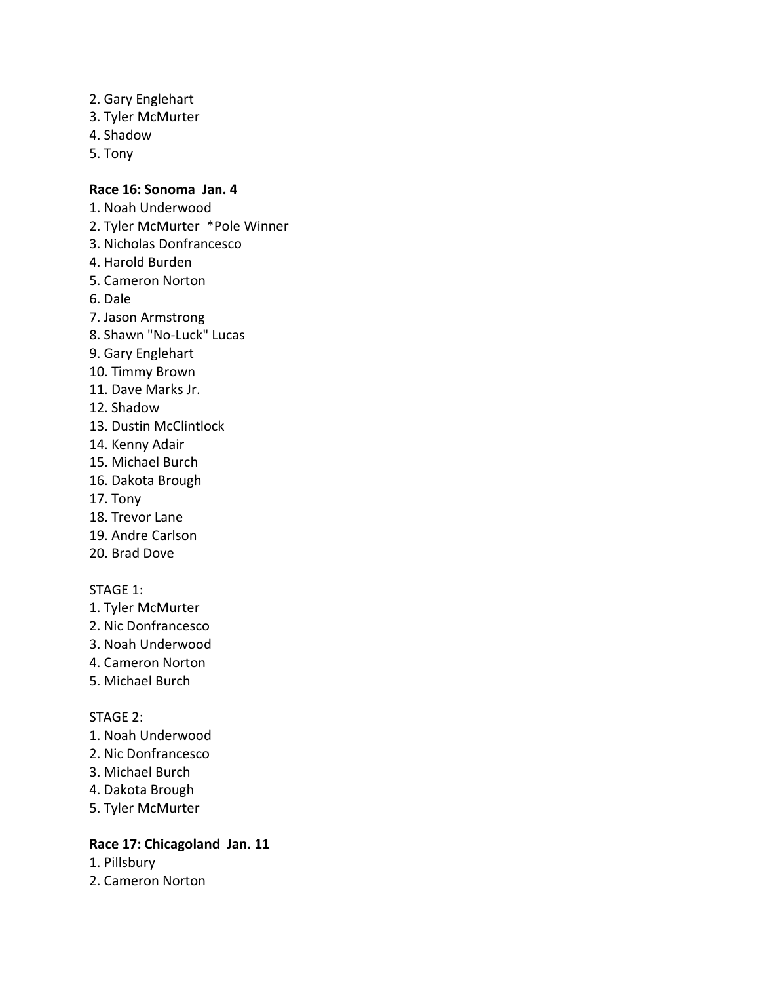- 2. Gary Englehart
- 3. Tyler McMurter
- 4. Shadow
- 5. Tony

#### **Race 16: Sonoma Jan. 4**

- 1. Noah Underwood
- 2. Tyler McMurter \*Pole Winner
- 3. Nicholas Donfrancesco
- 4. Harold Burden
- 5. Cameron Norton
- 6. Dale
- 7. Jason Armstrong
- 8. Shawn "No-Luck" Lucas
- 9. Gary Englehart
- 10. Timmy Brown
- 11. Dave Marks Jr.
- 12. Shadow
- 13. Dustin McClintlock
- 14. Kenny Adair
- 15. Michael Burch
- 16. Dakota Brough
- 17. Tony
- 18. Trevor Lane
- 19. Andre Carlson
- 20. Brad Dove

#### STAGE 1:

- 1. Tyler McMurter
- 2. Nic Donfrancesco
- 3. Noah Underwood
- 4. Cameron Norton
- 5. Michael Burch

#### STAGE 2:

- 1. Noah Underwood
- 2. Nic Donfrancesco
- 3. Michael Burch
- 4. Dakota Brough
- 5. Tyler McMurter

## **Race 17: Chicagoland Jan. 11**

- 1. Pillsbury
- 2. Cameron Norton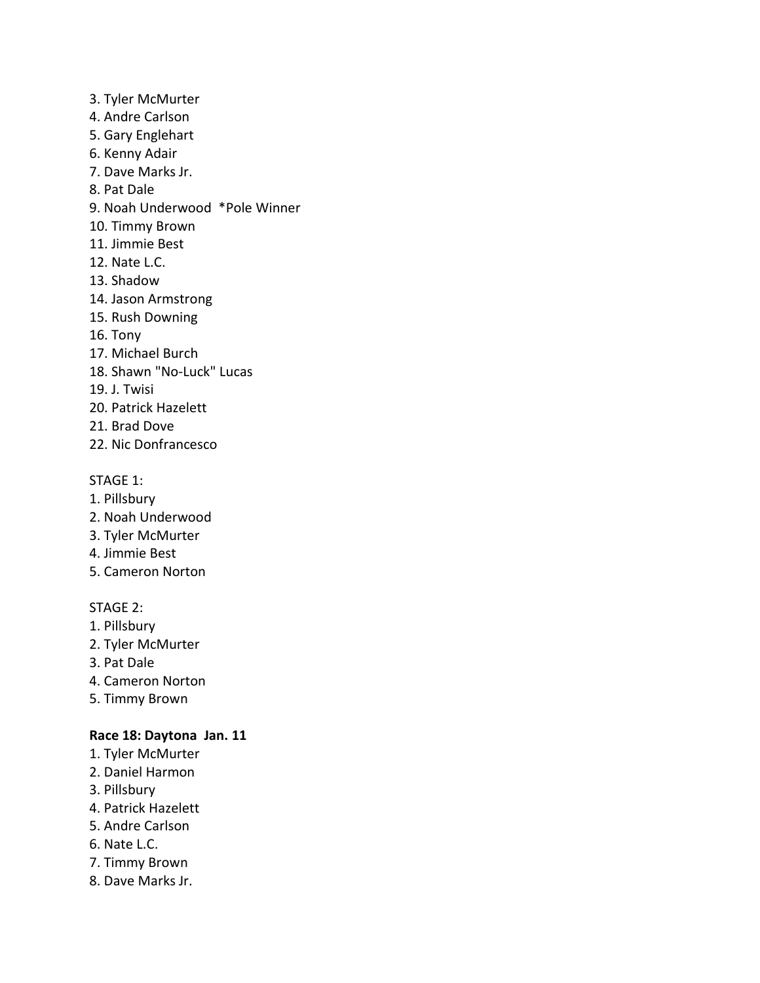- 3. Tyler McMurter 4. Andre Carlson 5. Gary Englehart 6. Kenny Adair 7. Dave Marks Jr. 8. Pat Dale 9. Noah Underwood \*Pole Winner 10. Timmy Brown 11. Jimmie Best 12. Nate L.C. 13. Shadow 14. Jason Armstrong 15. Rush Downing 16. Tony 17. Michael Burch 18. Shawn "No-Luck" Lucas 19. J. Twisi 20. Patrick Hazelett
- 21. Brad Dove
- 22. Nic Donfrancesco

- 1. Pillsbury
- 2. Noah Underwood
- 3. Tyler McMurter
- 4. Jimmie Best
- 5. Cameron Norton

### STAGE 2:

- 1. Pillsbury
- 2. Tyler McMurter
- 3. Pat Dale
- 4. Cameron Norton
- 5. Timmy Brown

#### **Race 18: Daytona Jan. 11**

- 1. Tyler McMurter
- 2. Daniel Harmon
- 3. Pillsbury
- 4. Patrick Hazelett
- 5. Andre Carlson
- 6. Nate L.C.
- 7. Timmy Brown
- 8. Dave Marks Jr.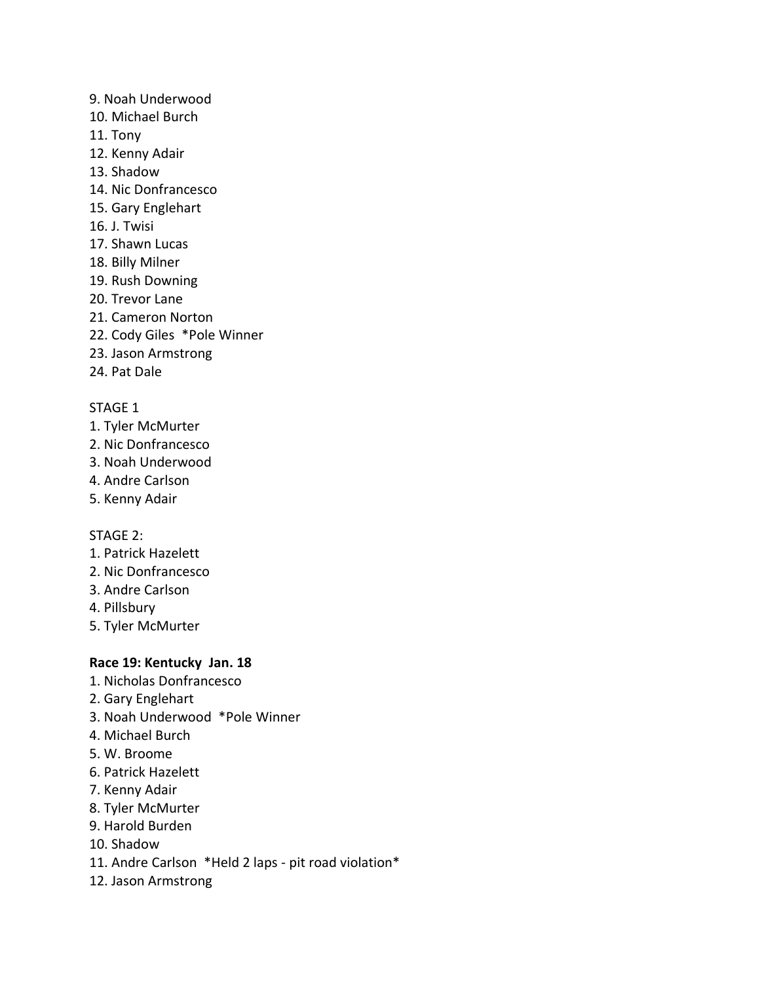- 9. Noah Underwood
- 10. Michael Burch
- 11. Tony
- 12. Kenny Adair
- 13. Shadow
- 14. Nic Donfrancesco
- 15. Gary Englehart
- 16. J. Twisi
- 17. Shawn Lucas
- 18. Billy Milner
- 19. Rush Downing
- 20. Trevor Lane
- 21. Cameron Norton
- 22. Cody Giles \*Pole Winner
- 23. Jason Armstrong
- 24. Pat Dale

## STAGE 1

- 1. Tyler McMurter
- 2. Nic Donfrancesco
- 3. Noah Underwood
- 4. Andre Carlson
- 5. Kenny Adair

## STAGE 2:

- 1. Patrick Hazelett
- 2. Nic Donfrancesco
- 3. Andre Carlson
- 4. Pillsbury
- 5. Tyler McMurter

## **Race 19: Kentucky Jan. 18**

- 1. Nicholas Donfrancesco
- 2. Gary Englehart
- 3. Noah Underwood \*Pole Winner
- 4. Michael Burch
- 5. W. Broome
- 6. Patrick Hazelett
- 7. Kenny Adair
- 8. Tyler McMurter
- 9. Harold Burden
- 10. Shadow
- 11. Andre Carlson \*Held 2 laps pit road violation\*
- 12. Jason Armstrong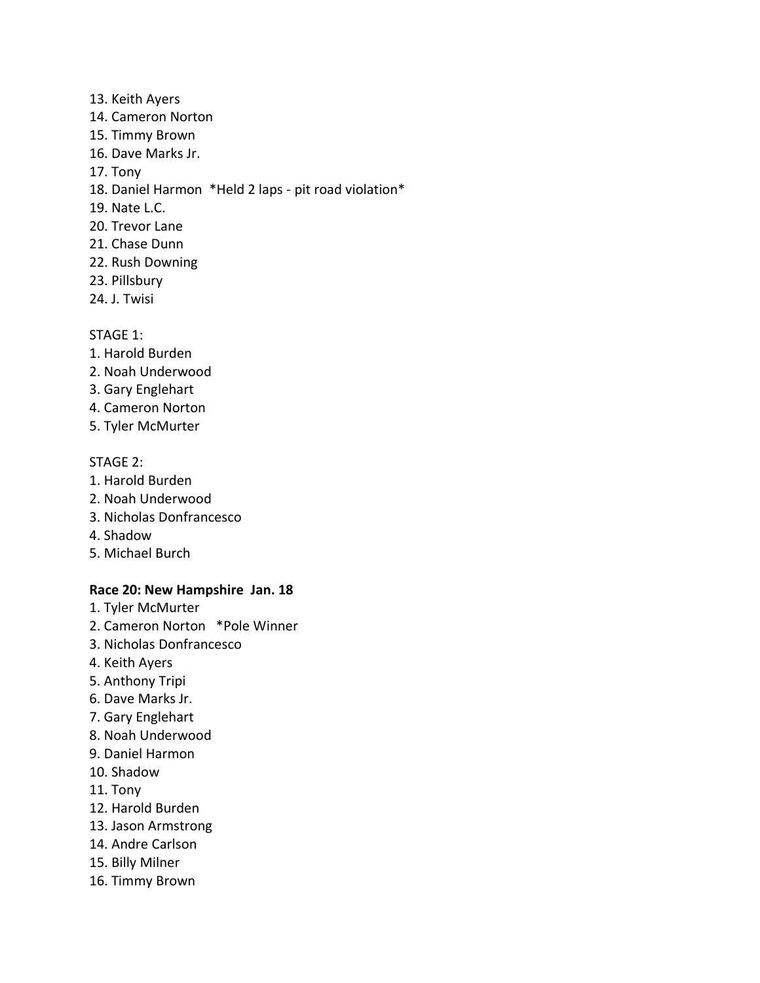- 13. Keith Ayers 14. Cameron Norton 15. Timmy Brown 16. Dave Marks Jr. 17. Tony 18. Daniel Harmon \*Held 2 laps - pit road violation\* 19. Nate L.C. 20. Trevor Lane 21. Chase Dunn 22. Rush Downing
- 23. Pillsbury
- 24. J. Twisi

- 1. Harold Burden
- 2. Noah Underwood
- 3. Gary Englehart
- 4. Cameron Norton
- 5. Tyler McMurter

#### STAGE 2:

- 1. Harold Burden
- 2. Noah Underwood
- 3. Nicholas Donfrancesco
- 4. Shadow
- 5. Michael Burch

## **Race 20: New Hampshire Jan. 18**

- 1. Tyler McMurter
- 2. Cameron Norton \*Pole Winner
- 3. Nicholas Donfrancesco
- 4. Keith Ayers
- 5. Anthony Tripi
- 6. Dave Marks Jr.
- 7. Gary Englehart
- 8. Noah Underwood
- 9. Daniel Harmon
- 10. Shadow
- 11. Tony
- 12. Harold Burden
- 13. Jason Armstrong
- 14. Andre Carlson
- 15. Billy Milner
- 16. Timmy Brown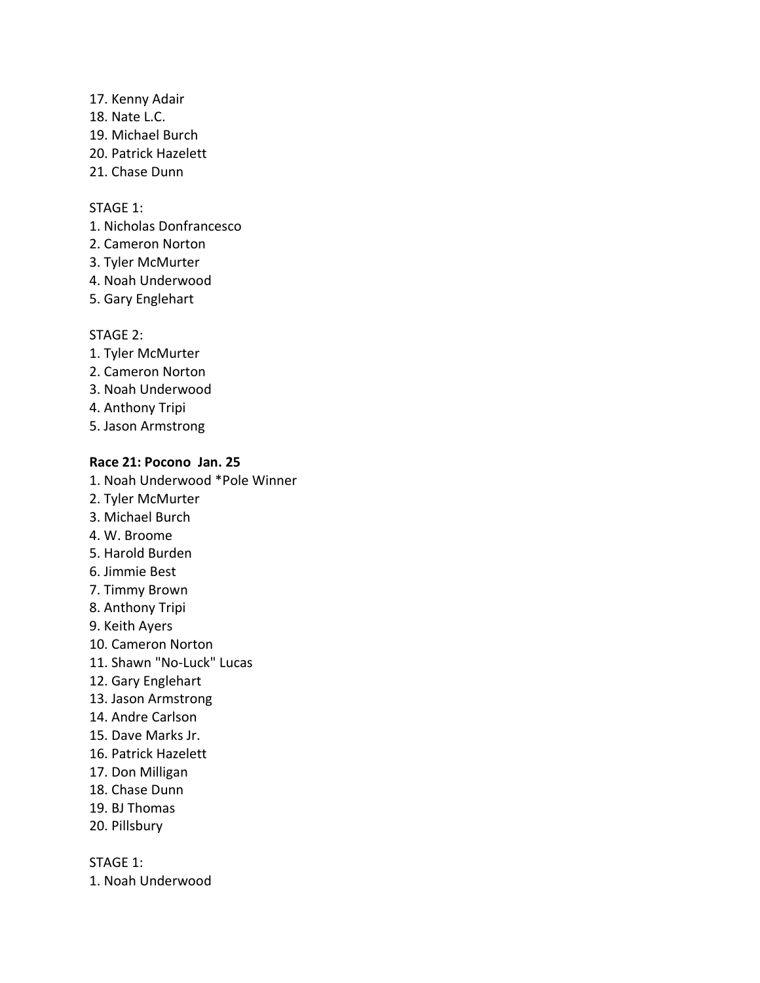- 17. Kenny Adair
- 18. Nate L.C.
- 19. Michael Burch
- 20. Patrick Hazelett
- 21. Chase Dunn

- 1. Nicholas Donfrancesco
- 2. Cameron Norton
- 3. Tyler McMurter
- 4. Noah Underwood
- 5. Gary Englehart

## STAGE 2:

- 1. Tyler McMurter
- 2. Cameron Norton
- 3. Noah Underwood
- 4. Anthony Tripi
- 5. Jason Armstrong

## **Race 21: Pocono Jan. 25**

- 1. Noah Underwood \*Pole Winner
- 2. Tyler McMurter
- 3. Michael Burch
- 4. W. Broome
- 5. Harold Burden
- 6. Jimmie Best
- 7. Timmy Brown
- 8. Anthony Tripi
- 9. Keith Ayers
- 10. Cameron Norton
- 11. Shawn "No-Luck" Lucas
- 12. Gary Englehart
- 13. Jason Armstrong
- 14. Andre Carlson
- 15. Dave Marks Jr.
- 16. Patrick Hazelett
- 17. Don Milligan
- 18. Chase Dunn
- 19. BJ Thomas
- 20. Pillsbury

STAGE 1:

1. Noah Underwood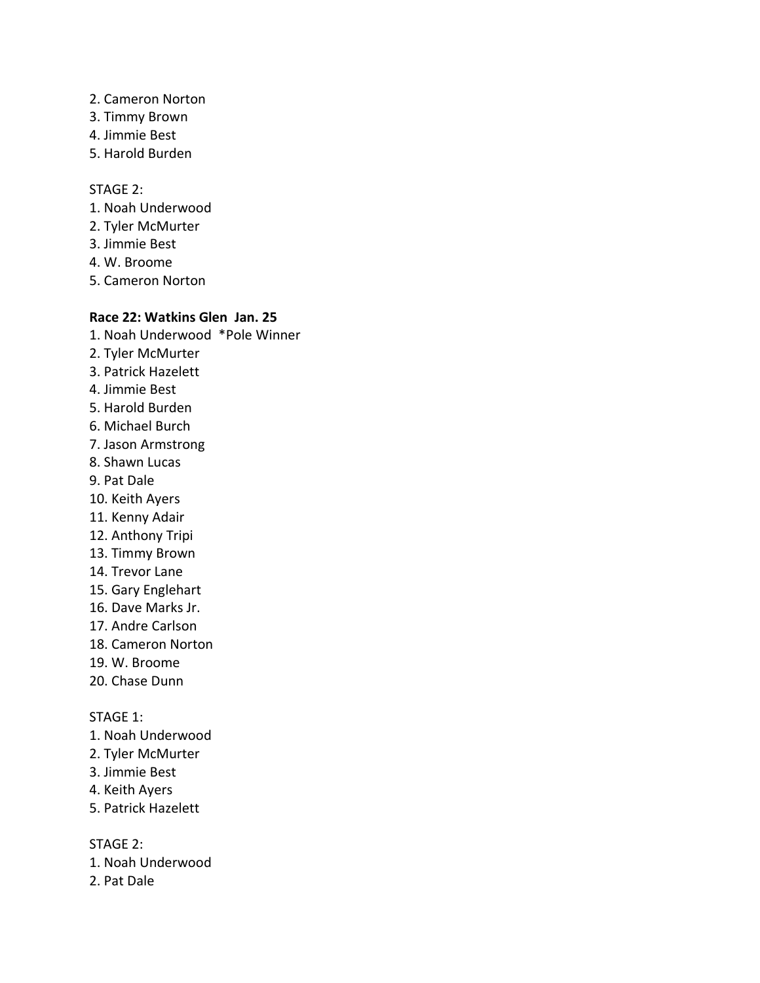- 2. Cameron Norton
- 3. Timmy Brown
- 4. Jimmie Best
- 5. Harold Burden

#### STAGE 2:

- 1. Noah Underwood
- 2. Tyler McMurter
- 3. Jimmie Best
- 4. W. Broome
- 5. Cameron Norton

## **Race 22: Watkins Glen Jan. 25**

- 1. Noah Underwood \*Pole Winner
- 2. Tyler McMurter
- 3. Patrick Hazelett
- 4. Jimmie Best
- 5. Harold Burden
- 6. Michael Burch
- 7. Jason Armstrong
- 8. Shawn Lucas
- 9. Pat Dale
- 10. Keith Ayers
- 11. Kenny Adair
- 12. Anthony Tripi
- 13. Timmy Brown
- 14. Trevor Lane
- 15. Gary Englehart
- 16. Dave Marks Jr.
- 17. Andre Carlson
- 18. Cameron Norton
- 19. W. Broome
- 20. Chase Dunn

#### STAGE 1:

- 1. Noah Underwood
- 2. Tyler McMurter
- 3. Jimmie Best
- 4. Keith Ayers
- 5. Patrick Hazelett

- 1. Noah Underwood
- 2. Pat Dale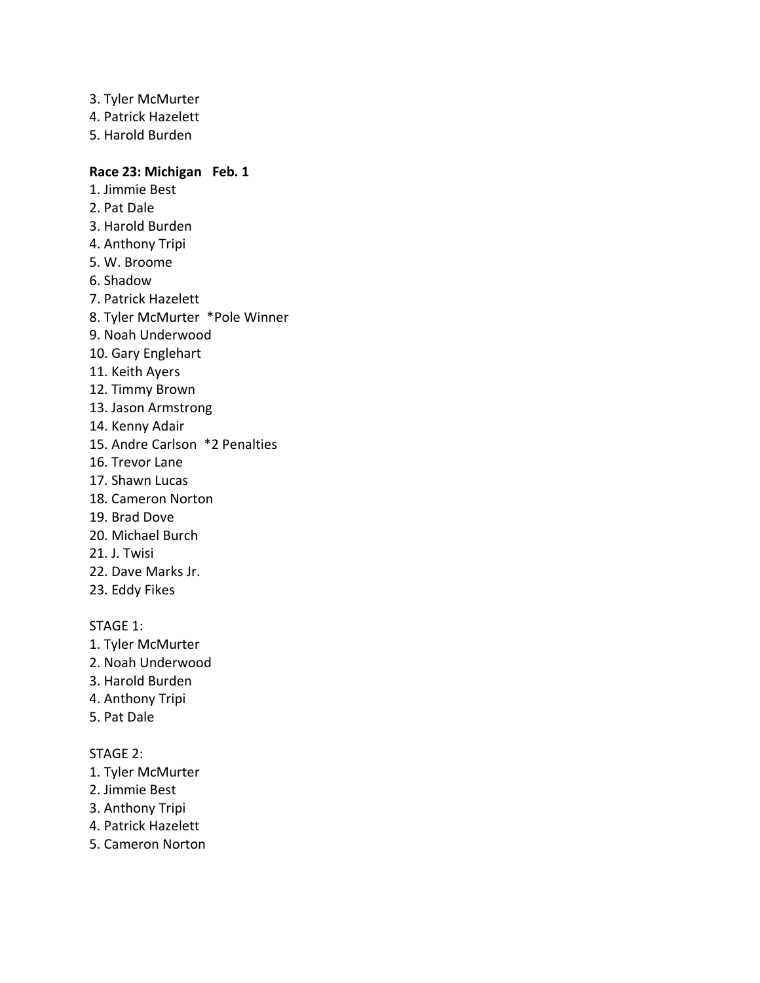- 3. Tyler McMurter 4. Patrick Hazelett
- 5. Harold Burden

#### **Race 23: Michigan Feb. 1**

- 1. Jimmie Best 2. Pat Dale
- 3. Harold Burden
- 
- 4. Anthony Tripi 5. W. Broome
- 
- 6. Shadow
- 7. Patrick Hazelett
- 8. Tyler McMurter \*Pole Winner
- 9. Noah Underwood
- 10. Gary Englehart
- 11. Keith Ayers
- 12. Timmy Brown
- 13. Jason Armstrong
- 14. Kenny Adair
- 15. Andre Carlson \*2 Penalties
- 16. Trevor Lane
- 17. Shawn Lucas
- 18. Cameron Norton
- 19. Brad Dove
- 20. Michael Burch
- 21. J. Twisi
- 22. Dave Marks Jr.
- 23. Eddy Fikes

#### STAGE 1:

- 1. Tyler McMurter
- 2. Noah Underwood
- 3. Harold Burden
- 4. Anthony Tripi
- 5. Pat Dale

- 1. Tyler McMurter
- 2. Jimmie Best
- 3. Anthony Tripi
- 4. Patrick Hazelett
- 5. Cameron Norton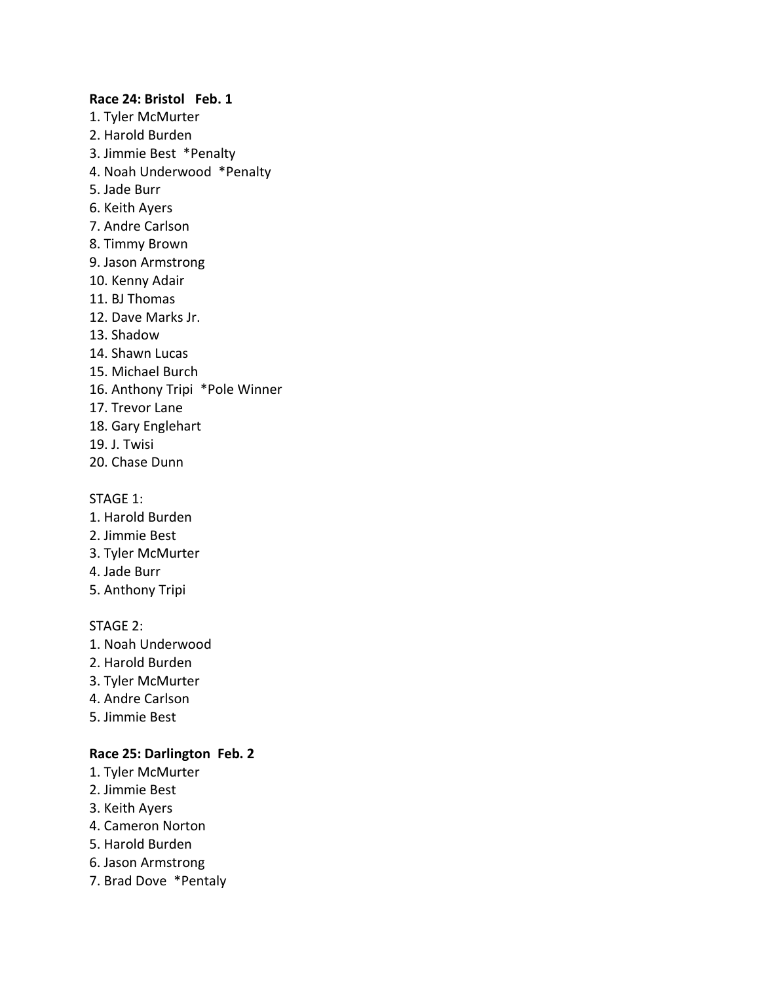#### **Race 24: Bristol Feb. 1**

- 1. Tyler McMurter 2. Harold Burden
- 3. Jimmie Best \*Penalty
- 4. Noah Underwood \*Penalty
- 5. Jade Burr
- 6. Keith Ayers
- 7. Andre Carlson
- 8. Timmy Brown
- 9. Jason Armstrong
- 10. Kenny Adair
- 11. BJ Thomas
- 12. Dave Marks Jr.
- 13. Shadow
- 14. Shawn Lucas
- 15. Michael Burch
- 16. Anthony Tripi \*Pole Winner
- 17. Trevor Lane
- 18. Gary Englehart
- 19. J. Twisi
- 20. Chase Dunn

#### STAGE 1:

- 1. Harold Burden
- 2. Jimmie Best
- 3. Tyler McMurter
- 4. Jade Burr
- 5. Anthony Tripi

#### STAGE 2:

- 1. Noah Underwood
- 2. Harold Burden
- 3. Tyler McMurter
- 4. Andre Carlson
- 5. Jimmie Best

## **Race 25: Darlington Feb. 2**

- 1. Tyler McMurter
- 2. Jimmie Best
- 3. Keith Ayers
- 4. Cameron Norton
- 5. Harold Burden
- 6. Jason Armstrong
- 7. Brad Dove \*Pentaly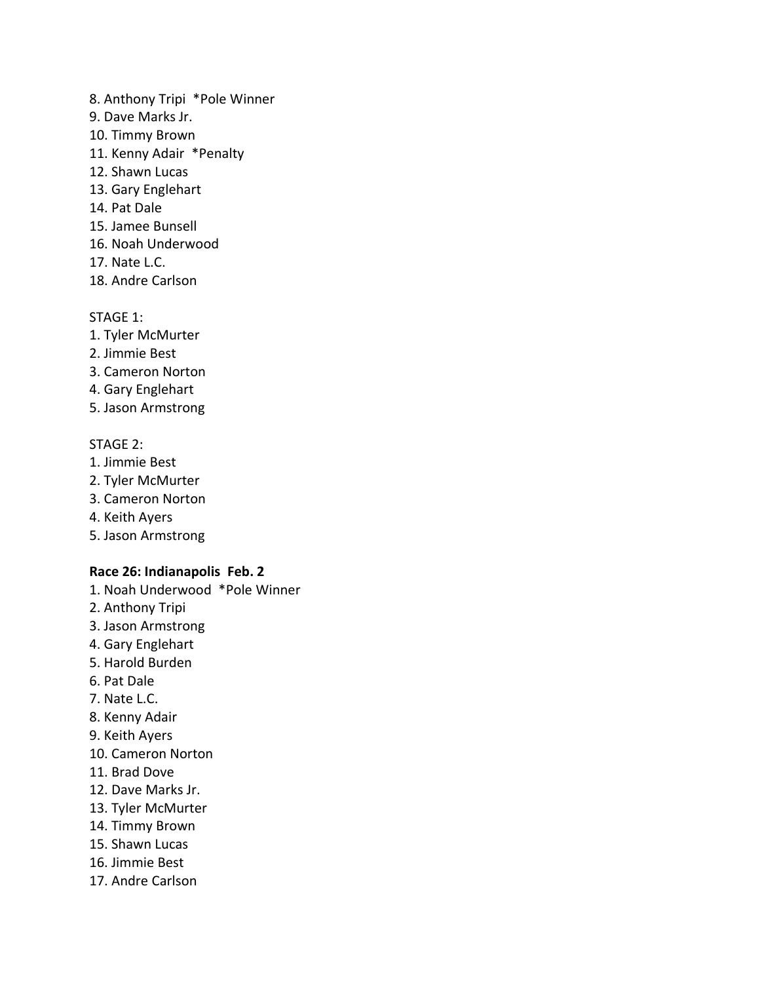- 8. Anthony Tripi \*Pole Winner
- 9. Dave Marks Jr.
- 10. Timmy Brown
- 11. Kenny Adair \*Penalty
- 12. Shawn Lucas
- 13. Gary Englehart
- 14. Pat Dale
- 15. Jamee Bunsell
- 16. Noah Underwood
- 17. Nate L.C.
- 18. Andre Carlson

- 1. Tyler McMurter
- 2. Jimmie Best
- 3. Cameron Norton
- 4. Gary Englehart
- 5. Jason Armstrong

#### STAGE 2:

- 1. Jimmie Best
- 2. Tyler McMurter
- 3. Cameron Norton
- 4. Keith Ayers
- 5. Jason Armstrong

## **Race 26: Indianapolis Feb. 2**

- 1. Noah Underwood \*Pole Winner
- 2. Anthony Tripi
- 3. Jason Armstrong
- 4. Gary Englehart
- 5. Harold Burden
- 6. Pat Dale
- 7. Nate L.C.
- 8. Kenny Adair
- 9. Keith Ayers
- 10. Cameron Norton
- 11. Brad Dove
- 12. Dave Marks Jr.
- 13. Tyler McMurter
- 14. Timmy Brown
- 15. Shawn Lucas
- 16. Jimmie Best
- 17. Andre Carlson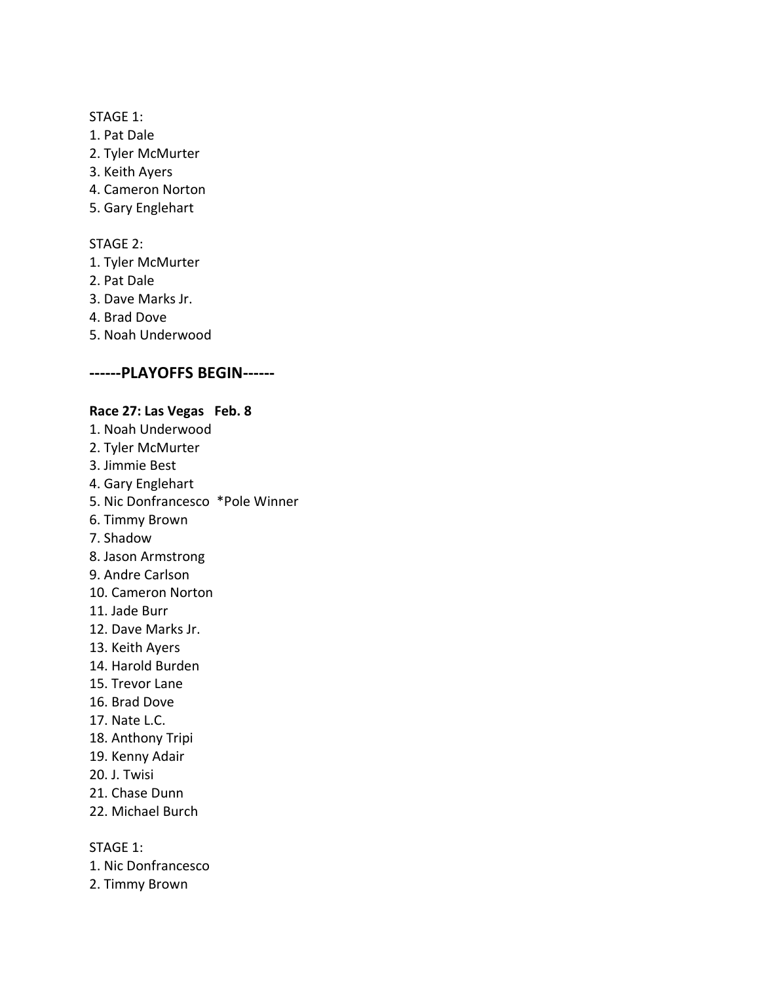- 1. Pat Dale
- 2. Tyler McMurter
- 3. Keith Ayers
- 4. Cameron Norton
- 5. Gary Englehart

#### STAGE 2:

- 1. Tyler McMurter
- 2. Pat Dale
- 3. Dave Marks Jr.
- 4. Brad Dove
- 5. Noah Underwood

## **------PLAYOFFS BEGIN------**

## **Race 27: Las Vegas Feb. 8**

- 1. Noah Underwood
- 2. Tyler McMurter
- 3. Jimmie Best
- 4. Gary Englehart
- 5. Nic Donfrancesco \*Pole Winner
- 6. Timmy Brown
- 7. Shadow
- 8. Jason Armstrong
- 9. Andre Carlson
- 10. Cameron Norton
- 11. Jade Burr
- 12. Dave Marks Jr.
- 13. Keith Ayers
- 14. Harold Burden
- 15. Trevor Lane
- 16. Brad Dove
- 17. Nate L.C.
- 18. Anthony Tripi
- 19. Kenny Adair
- 20. J. Twisi
- 21. Chase Dunn
- 22. Michael Burch

STAGE 1:

- 1. Nic Donfrancesco
- 2. Timmy Brown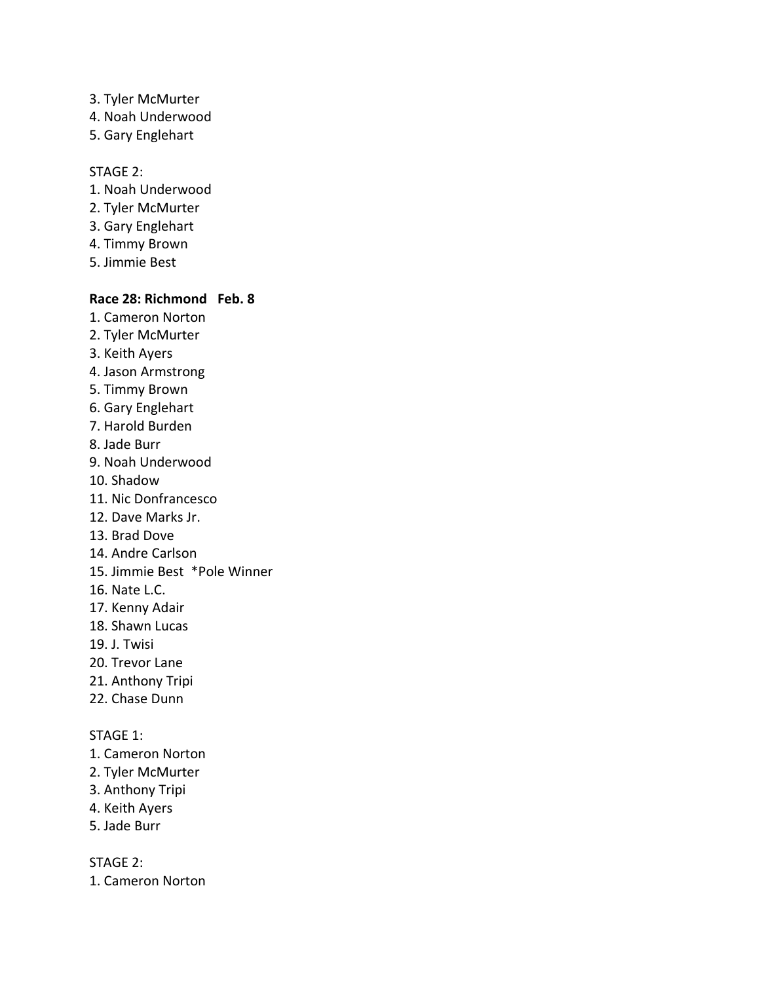- 3. Tyler McMurter
- 4. Noah Underwood
- 5. Gary Englehart

#### STAGE 2:

- 1. Noah Underwood
- 2. Tyler McMurter
- 3. Gary Englehart
- 4. Timmy Brown
- 5. Jimmie Best

#### **Race 28: Richmond Feb. 8**

- 1. Cameron Norton
- 2. Tyler McMurter
- 3. Keith Ayers
- 4. Jason Armstrong
- 5. Timmy Brown
- 6. Gary Englehart
- 7. Harold Burden
- 8. Jade Burr
- 9. Noah Underwood
- 10. Shadow
- 11. Nic Donfrancesco
- 12. Dave Marks Jr.
- 13. Brad Dove
- 14. Andre Carlson
- 15. Jimmie Best \*Pole Winner
- 16. Nate L.C.
- 17. Kenny Adair
- 18. Shawn Lucas
- 19. J. Twisi
- 20. Trevor Lane
- 21. Anthony Tripi
- 22. Chase Dunn

### STAGE 1:

- 1. Cameron Norton
- 2. Tyler McMurter
- 3. Anthony Tripi
- 4. Keith Ayers
- 5. Jade Burr

STAGE 2:

1. Cameron Norton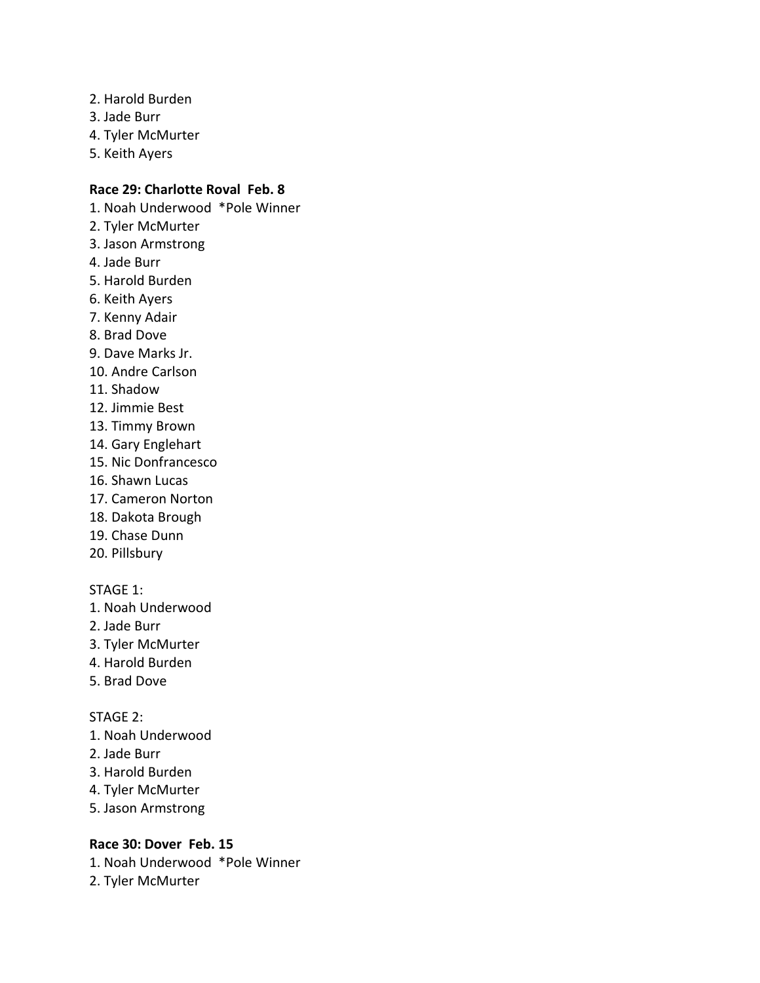- 2. Harold Burden
- 3. Jade Burr
- 4. Tyler McMurter
- 5. Keith Ayers

## **Race 29: Charlotte Roval Feb. 8**

- 1. Noah Underwood \*Pole Winner
- 2. Tyler McMurter
- 3. Jason Armstrong
- 4. Jade Burr
- 5. Harold Burden
- 6. Keith Ayers
- 7. Kenny Adair
- 8. Brad Dove
- 9. Dave Marks Jr.
- 10. Andre Carlson
- 11. Shadow
- 12. Jimmie Best
- 13. Timmy Brown
- 14. Gary Englehart
- 15. Nic Donfrancesco
- 16. Shawn Lucas
- 17. Cameron Norton
- 18. Dakota Brough
- 19. Chase Dunn
- 20. Pillsbury

#### STAGE 1:

- 1. Noah Underwood
- 2. Jade Burr
- 3. Tyler McMurter
- 4. Harold Burden
- 5. Brad Dove

#### STAGE 2:

- 1. Noah Underwood
- 2. Jade Burr
- 3. Harold Burden
- 4. Tyler McMurter
- 5. Jason Armstrong

## **Race 30: Dover Feb. 15**

- 1. Noah Underwood \*Pole Winner
- 2. Tyler McMurter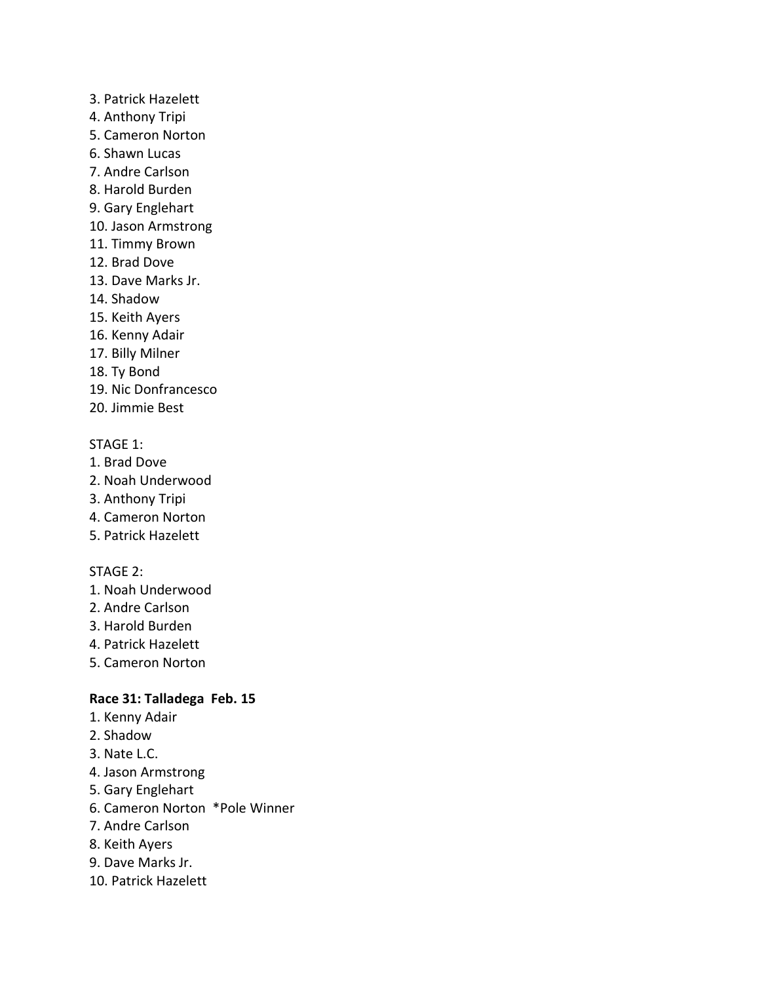- 3. Patrick Hazelett
- 4. Anthony Tripi
- 5. Cameron Norton
- 6. Shawn Lucas
- 7. Andre Carlson
- 8. Harold Burden
- 9. Gary Englehart
- 10. Jason Armstrong
- 11. Timmy Brown
- 12. Brad Dove
- 13. Dave Marks Jr.
- 14. Shadow
- 15. Keith Ayers
- 16. Kenny Adair
- 17. Billy Milner
- 18. Ty Bond
- 19. Nic Donfrancesco
- 20. Jimmie Best

- 1. Brad Dove
- 2. Noah Underwood
- 3. Anthony Tripi
- 4. Cameron Norton
- 5. Patrick Hazelett

## STAGE 2:

- 1. Noah Underwood
- 2. Andre Carlson
- 3. Harold Burden
- 4. Patrick Hazelett
- 5. Cameron Norton

## **Race 31: Talladega Feb. 15**

- 1. Kenny Adair
- 2. Shadow
- 3. Nate L.C.
- 4. Jason Armstrong
- 5. Gary Englehart
- 6. Cameron Norton \*Pole Winner
- 7. Andre Carlson
- 8. Keith Ayers
- 9. Dave Marks Jr.
- 10. Patrick Hazelett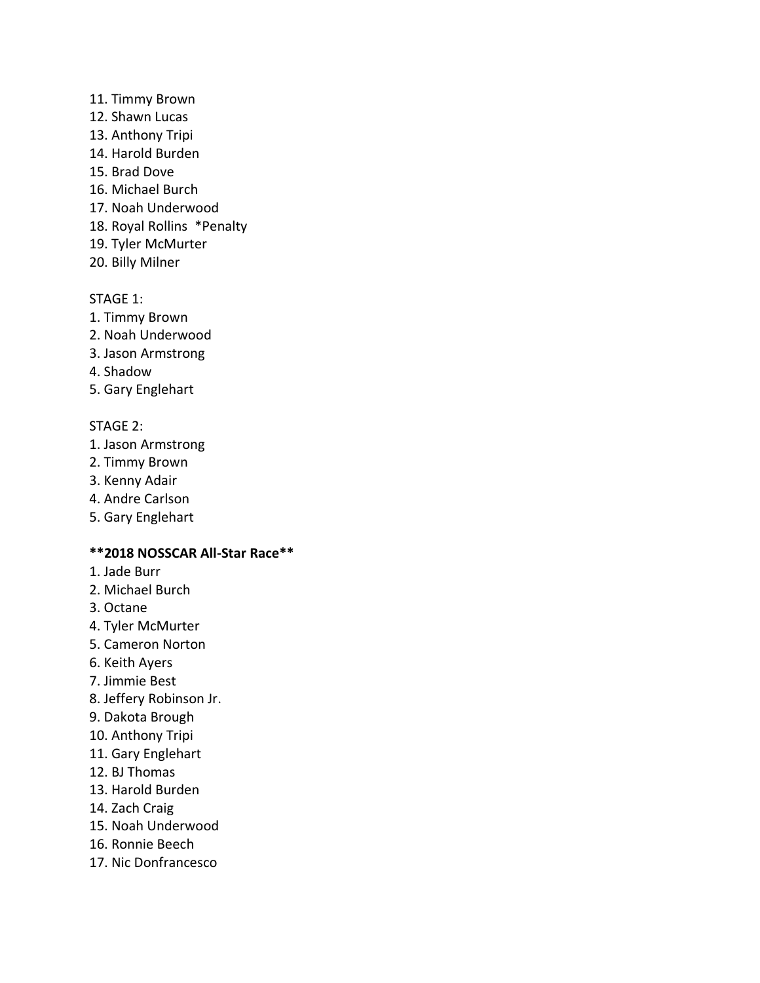- 11. Timmy Brown
- 12. Shawn Lucas
- 13. Anthony Tripi
- 14. Harold Burden
- 15. Brad Dove
- 16. Michael Burch
- 17. Noah Underwood
- 18. Royal Rollins \*Penalty
- 19. Tyler McMurter
- 20. Billy Milner

- 1. Timmy Brown
- 2. Noah Underwood
- 3. Jason Armstrong
- 4. Shadow
- 5. Gary Englehart

## STAGE 2:

- 1. Jason Armstrong
- 2. Timmy Brown
- 3. Kenny Adair
- 4. Andre Carlson
- 5. Gary Englehart

## **\*\*2018 NOSSCAR All-Star Race\*\***

- 1. Jade Burr
- 2. Michael Burch
- 3. Octane
- 4. Tyler McMurter
- 5. Cameron Norton
- 6. Keith Ayers
- 7. Jimmie Best
- 8. Jeffery Robinson Jr.
- 9. Dakota Brough
- 10. Anthony Tripi
- 11. Gary Englehart
- 12. BJ Thomas
- 13. Harold Burden
- 14. Zach Craig
- 15. Noah Underwood
- 16. Ronnie Beech
- 17. Nic Donfrancesco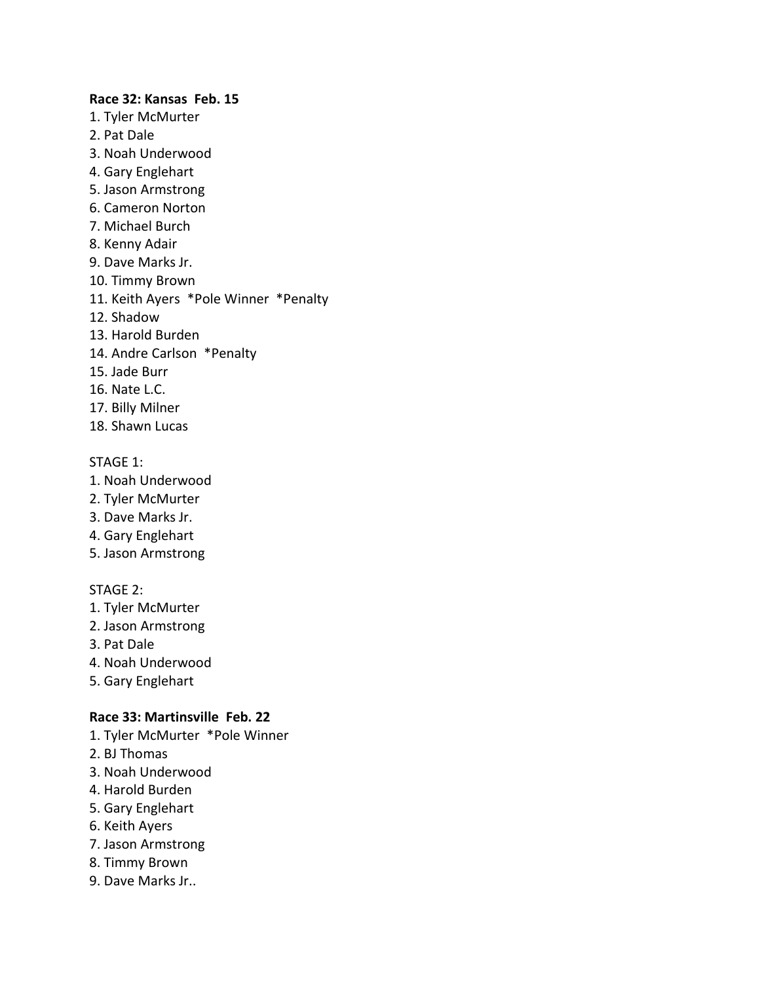#### **Race 32: Kansas Feb. 15**

- 1. Tyler McMurter
- 2. Pat Dale
- 3. Noah Underwood
- 4. Gary Englehart
- 5. Jason Armstrong
- 6. Cameron Norton
- 7. Michael Burch
- 8. Kenny Adair
- 9. Dave Marks Jr.
- 10. Timmy Brown
- 11. Keith Ayers \*Pole Winner \*Penalty
- 12. Shadow
- 13. Harold Burden
- 14. Andre Carlson \*Penalty
- 15. Jade Burr
- 16. Nate L.C.
- 17. Billy Milner
- 18. Shawn Lucas

#### STAGE 1:

- 1. Noah Underwood
- 2. Tyler McMurter
- 3. Dave Marks Jr.
- 4. Gary Englehart
- 5. Jason Armstrong

#### STAGE 2:

- 1. Tyler McMurter
- 2. Jason Armstrong
- 3. Pat Dale
- 4. Noah Underwood
- 5. Gary Englehart

#### **Race 33: Martinsville Feb. 22**

- 1. Tyler McMurter \*Pole Winner
- 2. BJ Thomas
- 3. Noah Underwood
- 4. Harold Burden
- 5. Gary Englehart
- 6. Keith Ayers
- 7. Jason Armstrong
- 8. Timmy Brown
- 9. Dave Marks Jr..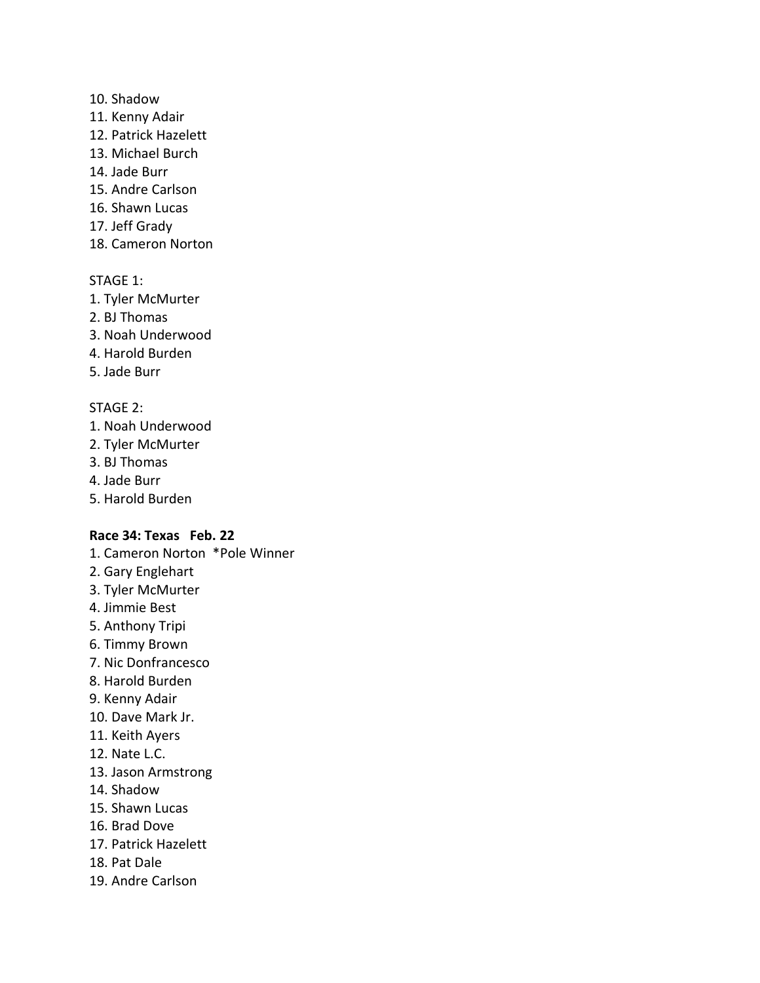#### 10. Shadow

- 11. Kenny Adair
- 12. Patrick Hazelett
- 13. Michael Burch
- 14. Jade Burr
- 15. Andre Carlson
- 16. Shawn Lucas
- 17. Jeff Grady
- 18. Cameron Norton

## STAGE 1:

- 1. Tyler McMurter
- 2. BJ Thomas
- 3. Noah Underwood
- 4. Harold Burden
- 5. Jade Burr

## STAGE 2:

- 1. Noah Underwood
- 2. Tyler McMurter
- 3. BJ Thomas
- 4. Jade Burr
- 5. Harold Burden

## **Race 34: Texas Feb. 22**

- 1. Cameron Norton \*Pole Winner
- 2. Gary Englehart
- 3. Tyler McMurter
- 4. Jimmie Best
- 5. Anthony Tripi
- 6. Timmy Brown
- 7. Nic Donfrancesco
- 8. Harold Burden
- 9. Kenny Adair
- 10. Dave Mark Jr.
- 11. Keith Ayers
- 12. Nate L.C.
- 13. Jason Armstrong
- 14. Shadow
- 15. Shawn Lucas
- 16. Brad Dove
- 17. Patrick Hazelett
- 18. Pat Dale
- 19. Andre Carlson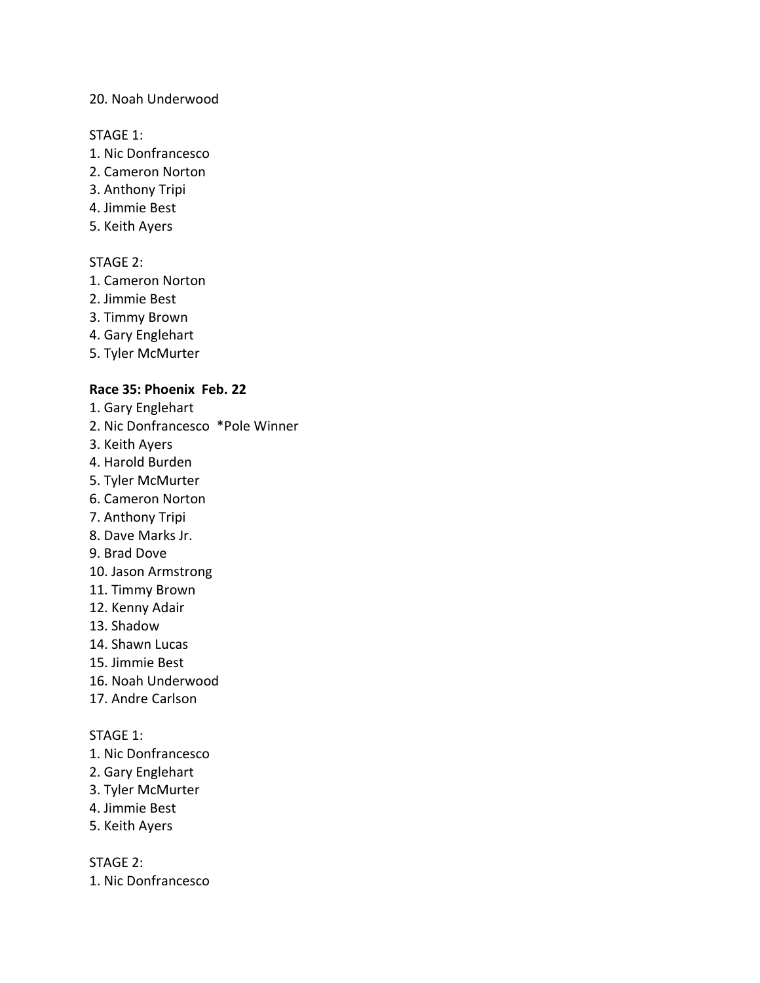### 20. Noah Underwood

#### STAGE 1:

- 1. Nic Donfrancesco
- 2. Cameron Norton
- 3. Anthony Tripi
- 4. Jimmie Best
- 5. Keith Ayers

## STAGE 2:

- 1. Cameron Norton
- 2. Jimmie Best
- 3. Timmy Brown
- 4. Gary Englehart
- 5. Tyler McMurter

### **Race 35: Phoenix Feb. 22**

- 1. Gary Englehart
- 2. Nic Donfrancesco \*Pole Winner
- 3. Keith Ayers
- 4. Harold Burden
- 5. Tyler McMurter
- 6. Cameron Norton
- 7. Anthony Tripi
- 8. Dave Marks Jr.
- 9. Brad Dove
- 10. Jason Armstrong
- 11. Timmy Brown
- 12. Kenny Adair
- 13. Shadow
- 14. Shawn Lucas
- 15. Jimmie Best
- 16. Noah Underwood
- 17. Andre Carlson

#### STAGE 1:

- 1. Nic Donfrancesco
- 2. Gary Englehart
- 3. Tyler McMurter
- 4. Jimmie Best
- 5. Keith Ayers

STAGE 2:

1. Nic Donfrancesco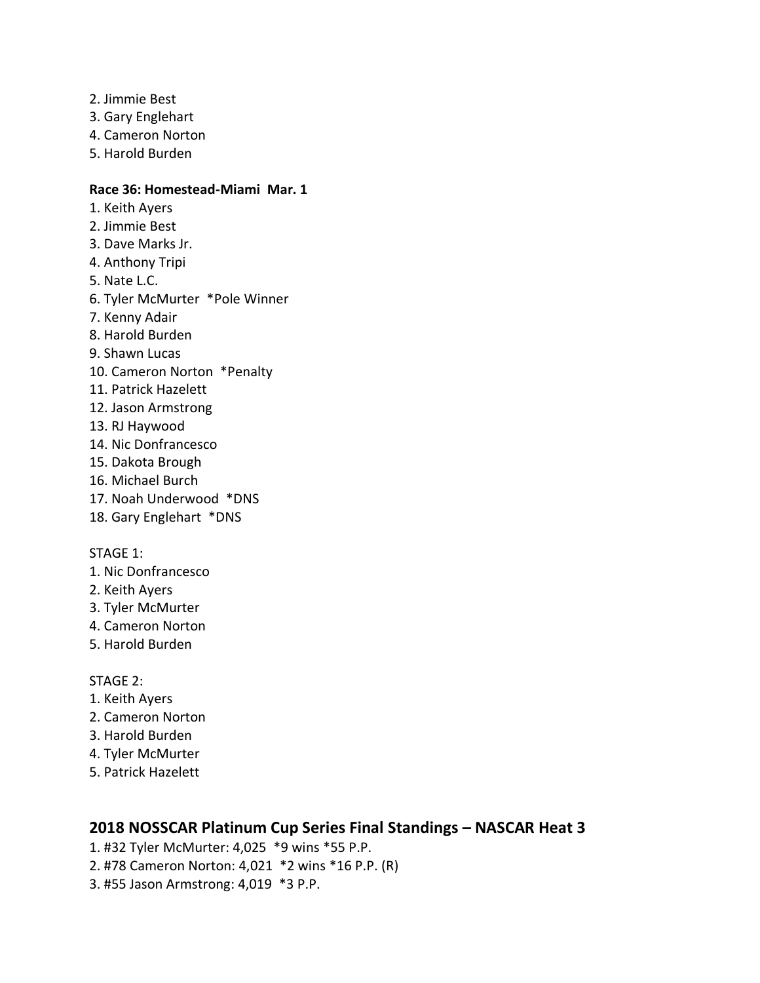- 2. Jimmie Best
- 3. Gary Englehart
- 4. Cameron Norton
- 5. Harold Burden

#### **Race 36: Homestead-Miami Mar. 1**

- 1. Keith Ayers
- 2. Jimmie Best
- 3. Dave Marks Jr.
- 4. Anthony Tripi
- 5. Nate L.C.
- 6. Tyler McMurter \*Pole Winner
- 7. Kenny Adair
- 8. Harold Burden
- 9. Shawn Lucas
- 10. Cameron Norton \*Penalty
- 11. Patrick Hazelett
- 12. Jason Armstrong
- 13. RJ Haywood
- 14. Nic Donfrancesco
- 15. Dakota Brough
- 16. Michael Burch
- 17. Noah Underwood \*DNS
- 18. Gary Englehart \*DNS

#### STAGE 1:

- 1. Nic Donfrancesco
- 2. Keith Ayers
- 3. Tyler McMurter
- 4. Cameron Norton
- 5. Harold Burden

#### STAGE 2:

- 1. Keith Ayers
- 2. Cameron Norton
- 3. Harold Burden
- 4. Tyler McMurter
- 5. Patrick Hazelett

## **2018 NOSSCAR Platinum Cup Series Final Standings – NASCAR Heat 3**

- 1. #32 Tyler McMurter: 4,025 \*9 wins \*55 P.P.
- 2. #78 Cameron Norton: 4,021 \*2 wins \*16 P.P. (R)
- 3. #55 Jason Armstrong: 4,019 \*3 P.P.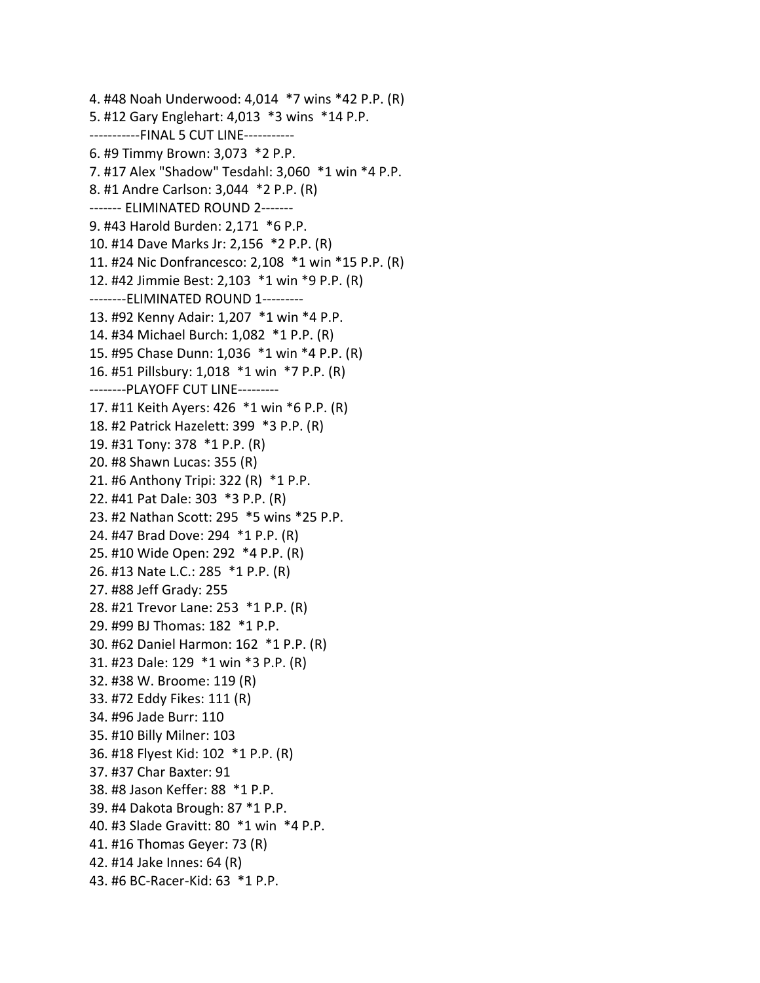4. #48 Noah Underwood: 4,014 \*7 wins \*42 P.P. (R) 5. #12 Gary Englehart: 4,013 \*3 wins \*14 P.P. -----------FINAL 5 CUT LINE----------- 6. #9 Timmy Brown: 3,073 \*2 P.P. 7. #17 Alex "Shadow" Tesdahl: 3,060 \*1 win \*4 P.P. 8. #1 Andre Carlson: 3,044 \*2 P.P. (R) ------- ELIMINATED ROUND 2------- 9. #43 Harold Burden: 2,171 \*6 P.P. 10. #14 Dave Marks Jr: 2,156 \*2 P.P. (R) 11. #24 Nic Donfrancesco: 2,108 \*1 win \*15 P.P. (R) 12. #42 Jimmie Best: 2,103 \*1 win \*9 P.P. (R) --------ELIMINATED ROUND 1--------- 13. #92 Kenny Adair: 1,207 \*1 win \*4 P.P. 14. #34 Michael Burch: 1,082 \*1 P.P. (R) 15. #95 Chase Dunn: 1,036 \*1 win \*4 P.P. (R) 16. #51 Pillsbury: 1,018 \*1 win \*7 P.P. (R) --------PLAYOFF CUT LINE--------- 17. #11 Keith Ayers: 426 \*1 win \*6 P.P. (R) 18. #2 Patrick Hazelett: 399 \*3 P.P. (R) 19. #31 Tony: 378 \*1 P.P. (R) 20. #8 Shawn Lucas: 355 (R) 21. #6 Anthony Tripi: 322 (R) \*1 P.P. 22. #41 Pat Dale: 303 \*3 P.P. (R) 23. #2 Nathan Scott: 295 \*5 wins \*25 P.P. 24. #47 Brad Dove: 294 \*1 P.P. (R) 25. #10 Wide Open: 292 \*4 P.P. (R) 26. #13 Nate L.C.: 285 \*1 P.P. (R) 27. #88 Jeff Grady: 255 28. #21 Trevor Lane: 253 \*1 P.P. (R) 29. #99 BJ Thomas: 182 \*1 P.P. 30. #62 Daniel Harmon: 162 \*1 P.P. (R) 31. #23 Dale: 129 \*1 win \*3 P.P. (R) 32. #38 W. Broome: 119 (R) 33. #72 Eddy Fikes: 111 (R) 34. #96 Jade Burr: 110 35. #10 Billy Milner: 103 36. #18 Flyest Kid: 102 \*1 P.P. (R) 37. #37 Char Baxter: 91 38. #8 Jason Keffer: 88 \*1 P.P. 39. #4 Dakota Brough: 87 \*1 P.P. 40. #3 Slade Gravitt: 80 \*1 win \*4 P.P. 41. #16 Thomas Geyer: 73 (R) 42. #14 Jake Innes: 64 (R) 43. #6 BC-Racer-Kid: 63 \*1 P.P.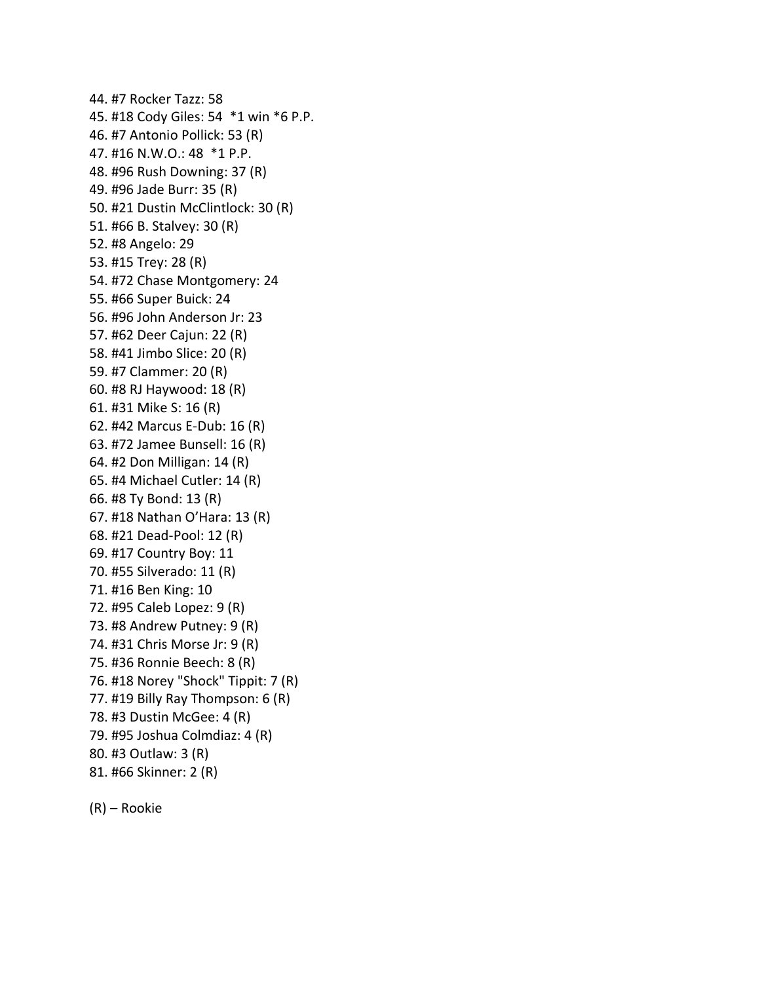44. #7 Rocker Tazz: 58 45. #18 Cody Giles: 54 \*1 win \*6 P.P. 46. #7 Antonio Pollick: 53 (R) 47. #16 N.W.O.: 48 \*1 P.P. 48. #96 Rush Downing: 37 (R) 49. #96 Jade Burr: 35 (R) 50. #21 Dustin McClintlock: 30 (R) 51. #66 B. Stalvey: 30 (R) 52. #8 Angelo: 29 53. #15 Trey: 28 (R) 54. #72 Chase Montgomery: 24 55. #66 Super Buick: 24 56. #96 John Anderson Jr: 23 57. #62 Deer Cajun: 22 (R) 58. #41 Jimbo Slice: 20 (R) 59. #7 Clammer: 20 (R) 60. #8 RJ Haywood: 18 (R) 61. #31 Mike S: 16 (R) 62. #42 Marcus E-Dub: 16 (R) 63. #72 Jamee Bunsell: 16 (R) 64. #2 Don Milligan: 14 (R) 65. #4 Michael Cutler: 14 (R) 66. #8 Ty Bond: 13 (R) 67. #18 Nathan O'Hara: 13 (R) 68. #21 Dead-Pool: 12 (R) 69. #17 Country Boy: 11 70. #55 Silverado: 11 (R) 71. #16 Ben King: 10 72. #95 Caleb Lopez: 9 (R) 73. #8 Andrew Putney: 9 (R) 74. #31 Chris Morse Jr: 9 (R) 75. #36 Ronnie Beech: 8 (R) 76. #18 Norey "Shock" Tippit: 7 (R) 77. #19 Billy Ray Thompson: 6 (R) 78. #3 Dustin McGee: 4 (R) 79. #95 Joshua Colmdiaz: 4 (R) 80. #3 Outlaw: 3 (R) 81. #66 Skinner: 2 (R)

(R) – Rookie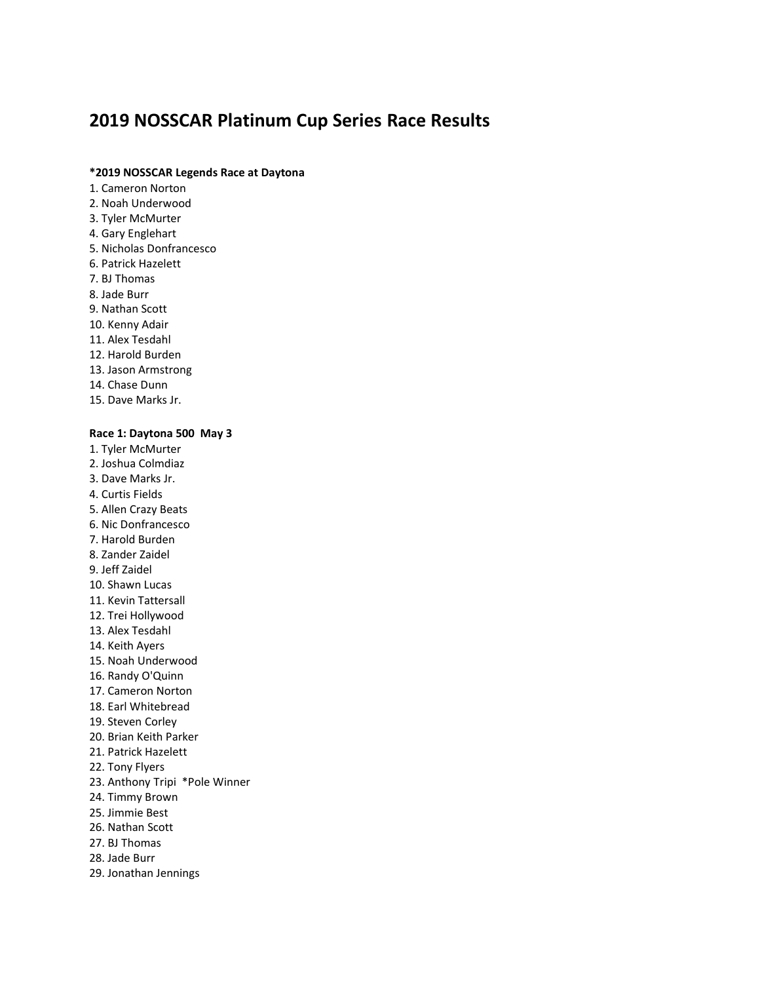# **2019 NOSSCAR Platinum Cup Series Race Results**

#### **\*2019 NOSSCAR Legends Race at Daytona**

- 1. Cameron Norton
- 2. Noah Underwood
- 3. Tyler McMurter
- 4. Gary Englehart
- 5. Nicholas Donfrancesco
- 6. Patrick Hazelett
- 7. BJ Thomas
- 8. Jade Burr
- 9. Nathan Scott
- 10. Kenny Adair
- 11. Alex Tesdahl
- 12. Harold Burden
- 13. Jason Armstrong
- 14. Chase Dunn
- 15. Dave Marks Jr.

#### **Race 1: Daytona 500 May 3**

- 1. Tyler McMurter
- 2. Joshua Colmdiaz
- 3. Dave Marks Jr.
- 4. Curtis Fields
- 5. Allen Crazy Beats
- 6. Nic Donfrancesco
- 7. Harold Burden
- 8. Zander Zaidel
- 9. Jeff Zaidel
- 10. Shawn Lucas 11. Kevin Tattersall
- 
- 12. Trei Hollywood
- 13. Alex Tesdahl
- 14. Keith Ayers
- 15. Noah Underwood
- 16. Randy O'Quinn
- 17. Cameron Norton
- 18. Earl Whitebread
- 19. Steven Corley
- 20. Brian Keith Parker
- 21. Patrick Hazelett
- 22. Tony Flyers
- 23. Anthony Tripi \*Pole Winner
- 24. Timmy Brown
- 25. Jimmie Best
- 26. Nathan Scott
- 27. BJ Thomas
- 28. Jade Burr
- 29. Jonathan Jennings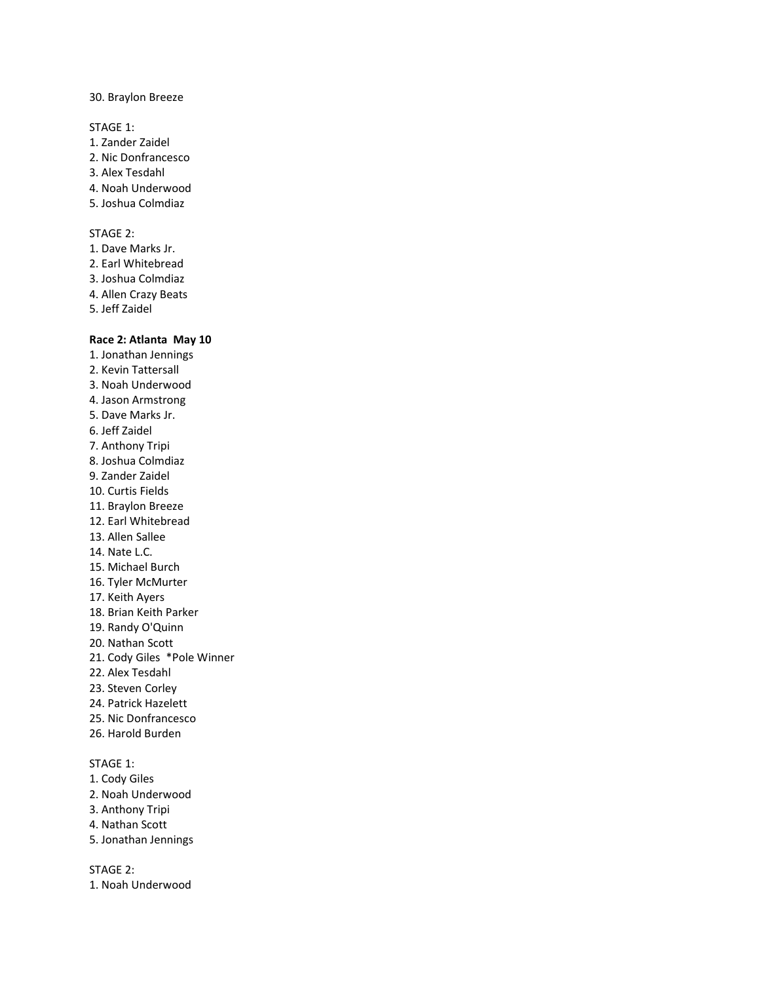#### 30. Braylon Breeze

STAGE 1:

- 1. Zander Zaidel
- 2. Nic Donfrancesco
- 3. Alex Tesdahl
- 4. Noah Underwood
- 5. Joshua Colmdiaz

# STAGE 2:

- 1. Dave Marks Jr.
- 2. Earl Whitebread
- 3. Joshua Colmdiaz
- 4. Allen Crazy Beats
- 5. Jeff Zaidel

#### **Race 2: Atlanta May 10**

1. Jonathan Jennings 2. Kevin Tattersall 3. Noah Underwood 4. Jason Armstrong 5. Dave Marks Jr. 6. Jeff Zaidel 7. Anthony Tripi 8. Joshua Colmdiaz 9. Zander Zaidel 10. Curtis Fields 11. Braylon Breeze 12. Earl Whitebread 13. Allen Sallee 14. Nate L.C. 15. Michael Burch 16. Tyler McMurter 17. Keith Ayers 18. Brian Keith Parker 19. Randy O'Quinn 20. Nathan Scott 21. Cody Giles \*Pole Winner 22. Alex Tesdahl 23. Steven Corley 24. Patrick Hazelett 25. Nic Donfrancesco 26. Harold Burden

# STAGE 1:

- 1. Cody Giles
- 2. Noah Underwood
- 3. Anthony Tripi
- 4. Nathan Scott
- 5. Jonathan Jennings

STAGE 2:

1. Noah Underwood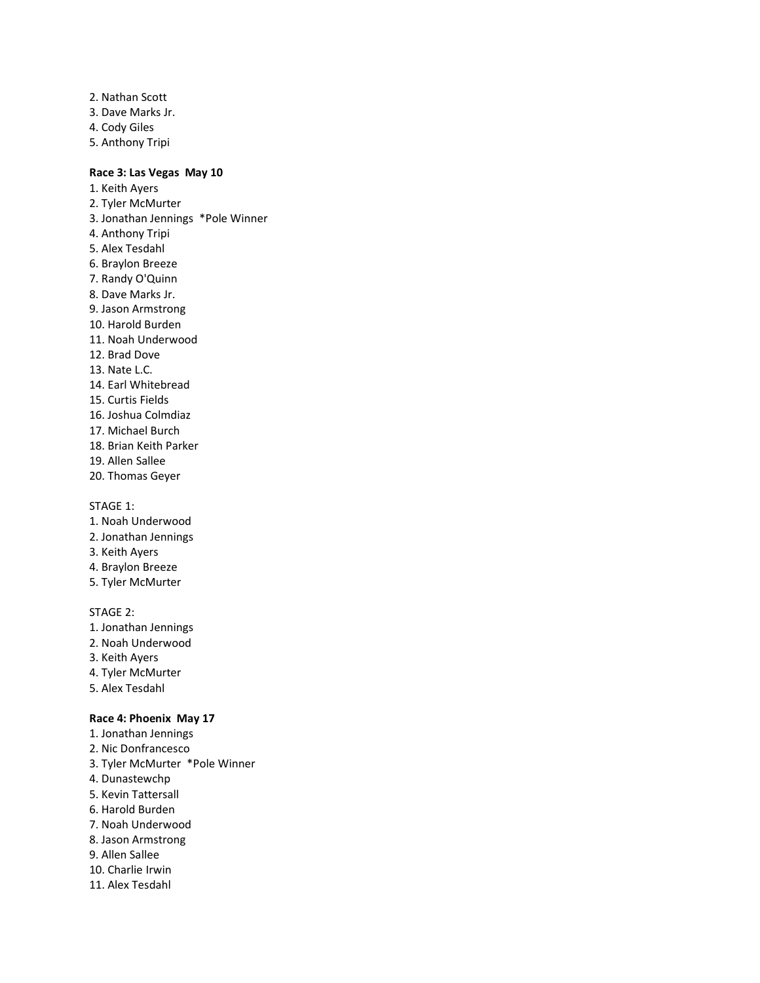2. Nathan Scott 3. Dave Marks Jr. 4. Cody Giles 5. Anthony Tripi

# **Race 3: Las Vegas May 10**

1. Keith Ayers 2. Tyler McMurter 3. Jonathan Jennings \*Pole Winner 4. Anthony Tripi 5. Alex Tesdahl 6. Braylon Breeze 7. Randy O'Quinn 8. Dave Marks Jr. 9. Jason Armstrong 10. Harold Burden 11. Noah Underwood 12. Brad Dove 13. Nate L.C. 14. Earl Whitebread 15. Curtis Fields 16. Joshua Colmdiaz 17. Michael Burch 18. Brian Keith Parker 19. Allen Sallee 20. Thomas Geyer

STAGE 1:

- 1. Noah Underwood
- 2. Jonathan Jennings
- 3. Keith Ayers
- 4. Braylon Breeze
- 5. Tyler McMurter

#### STAGE 2:

- 1. Jonathan Jennings
- 2. Noah Underwood
- 3. Keith Ayers
- 4. Tyler McMurter
- 5. Alex Tesdahl

# **Race 4: Phoenix May 17**

- 1. Jonathan Jennings
- 2. Nic Donfrancesco
- 3. Tyler McMurter \*Pole Winner
- 4. Dunastewchp
- 5. Kevin Tattersall
- 6. Harold Burden
- 7. Noah Underwood
- 8. Jason Armstrong
- 9. Allen Sallee
- 10. Charlie Irwin
- 11. Alex Tesdahl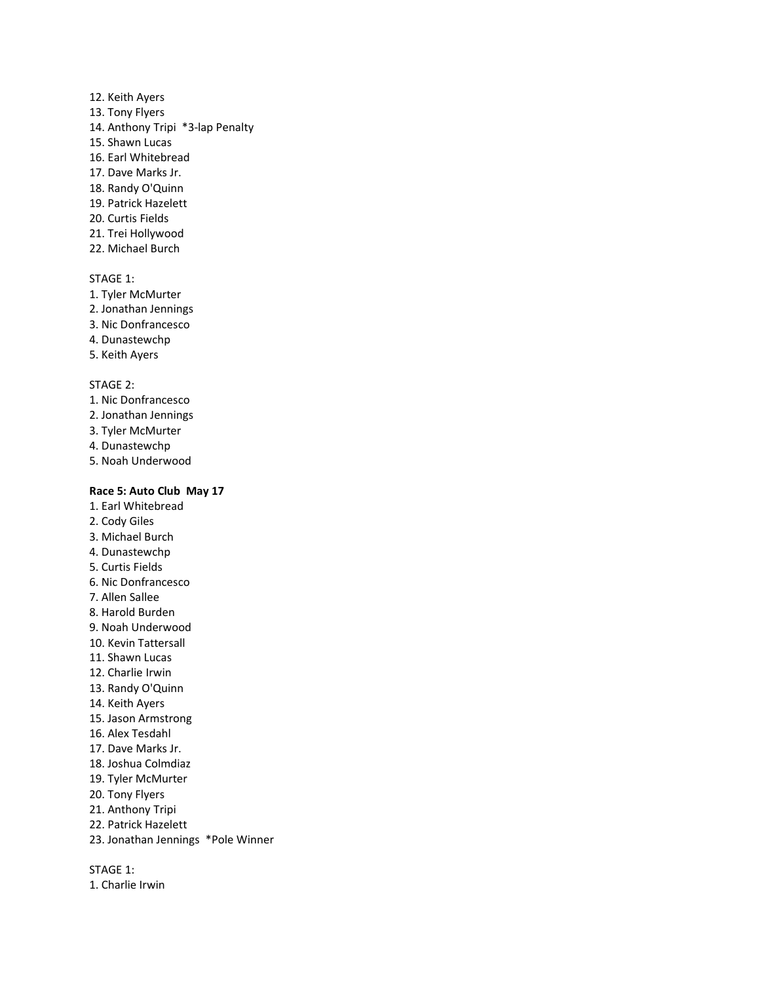- 12. Keith Ayers
- 13. Tony Flyers
- 14. Anthony Tripi \*3-lap Penalty
- 15. Shawn Lucas
- 16. Earl Whitebread
- 17. Dave Marks Jr.
- 18. Randy O'Quinn
- 19. Patrick Hazelett
- 20. Curtis Fields
- 21. Trei Hollywood
- 22. Michael Burch

- 1. Tyler McMurter
- 2. Jonathan Jennings
- 3. Nic Donfrancesco
- 4. Dunastewchp
- 5. Keith Ayers

# STAGE 2:

- 1. Nic Donfrancesco
- 2. Jonathan Jennings
- 3. Tyler McMurter
- 4. Dunastewchp
- 5. Noah Underwood

# **Race 5: Auto Club May 17**

- 1. Earl Whitebread
- 2. Cody Giles
- 3. Michael Burch
- 4. Dunastewchp
- 5. Curtis Fields
- 6. Nic Donfrancesco
- 7. Allen Sallee
- 8. Harold Burden
- 9. Noah Underwood
- 10. Kevin Tattersall
- 11. Shawn Lucas
- 12. Charlie Irwin
- 13. Randy O'Quinn
- 14. Keith Ayers
- 15. Jason Armstrong
- 16. Alex Tesdahl
- 17. Dave Marks Jr.
- 18. Joshua Colmdiaz
- 19. Tyler McMurter
- 20. Tony Flyers
- 21. Anthony Tripi
- 22. Patrick Hazelett
- 23. Jonathan Jennings \*Pole Winner

STAGE 1:

1. Charlie Irwin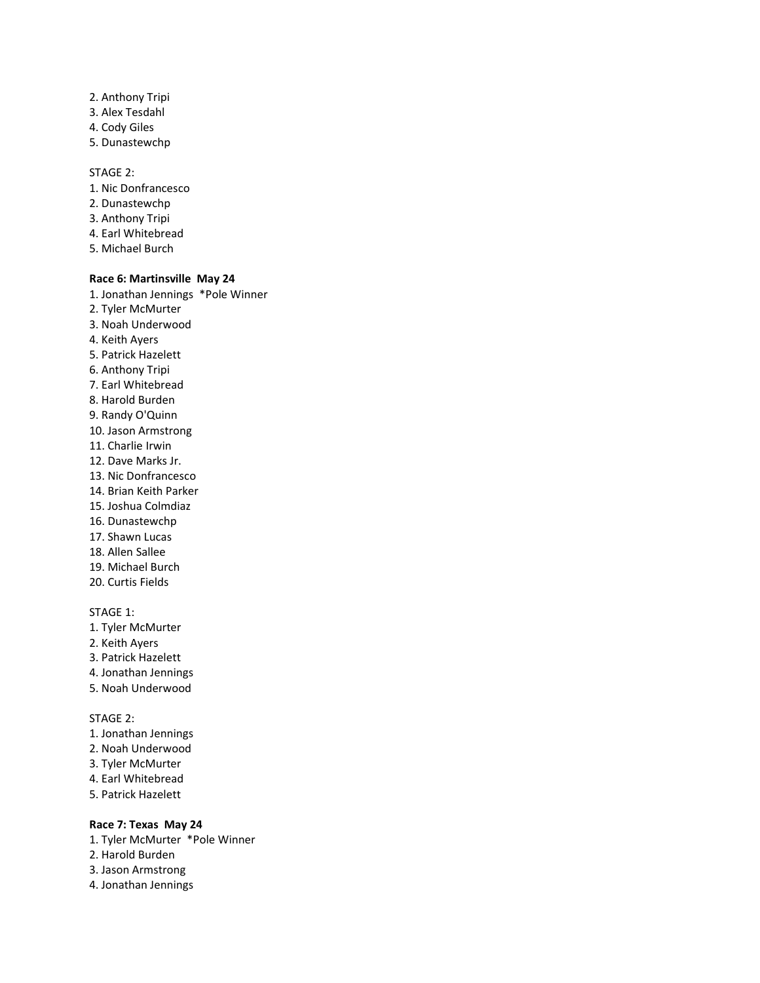- 2. Anthony Tripi
- 3. Alex Tesdahl
- 4. Cody Giles
- 5. Dunastewchp

#### STAGE 2:

- 1. Nic Donfrancesco
- 2. Dunastewchp
- 3. Anthony Tripi
- 4. Earl Whitebread
- 5. Michael Burch

# **Race 6: Martinsville May 24**

1. Jonathan Jennings \*Pole Winner 2. Tyler McMurter 3. Noah Underwood 4. Keith Ayers 5. Patrick Hazelett 6. Anthony Tripi 7. Earl Whitebread 8. Harold Burden 9. Randy O'Quinn 10. Jason Armstrong 11. Charlie Irwin 12. Dave Marks Jr. 13. Nic Donfrancesco 14. Brian Keith Parker 15. Joshua Colmdiaz 16. Dunastewchp 17. Shawn Lucas 18. Allen Sallee 19. Michael Burch 20. Curtis Fields

# STAGE 1:

- 1. Tyler McMurter
- 2. Keith Ayers
- 3. Patrick Hazelett
- 4. Jonathan Jennings
- 5. Noah Underwood

# STAGE 2:

- 1. Jonathan Jennings
- 2. Noah Underwood
- 3. Tyler McMurter
- 4. Earl Whitebread
- 5. Patrick Hazelett

#### **Race 7: Texas May 24**

- 1. Tyler McMurter \*Pole Winner
- 2. Harold Burden
- 3. Jason Armstrong
- 4. Jonathan Jennings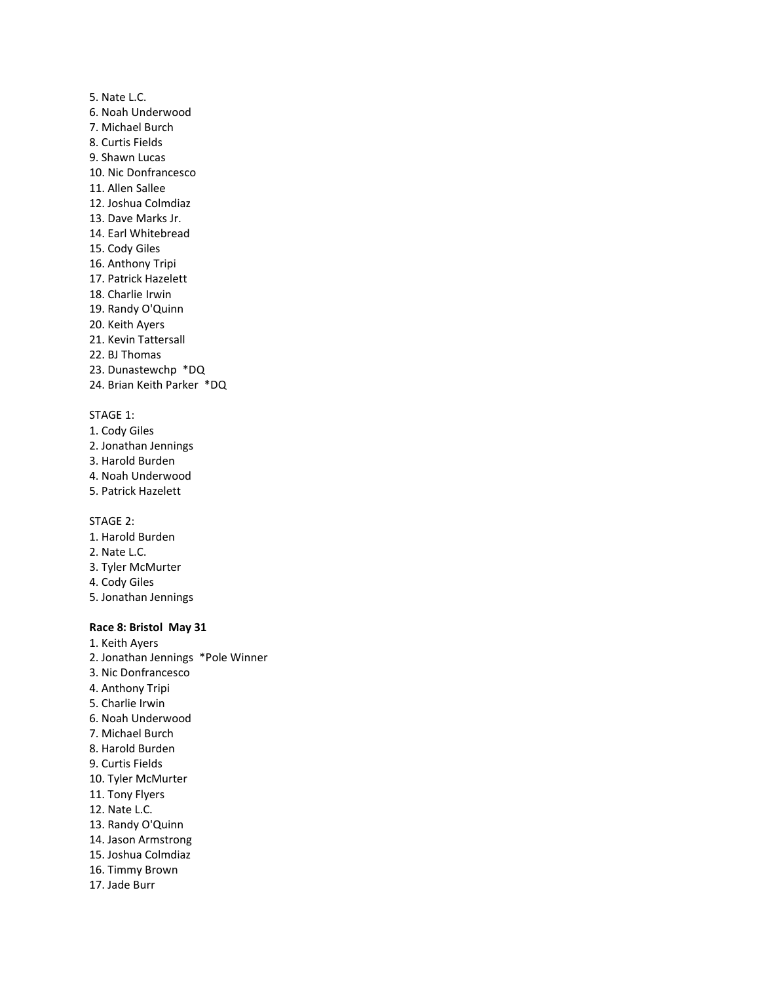5. Nate L.C. 6. Noah Underwood 7. Michael Burch 8. Curtis Fields 9. Shawn Lucas 10. Nic Donfrancesco 11. Allen Sallee 12. Joshua Colmdiaz 13. Dave Marks Jr. 14. Earl Whitebread 15. Cody Giles 16. Anthony Tripi 17. Patrick Hazelett 18. Charlie Irwin 19. Randy O'Quinn 20. Keith Ayers 21. Kevin Tattersall 22. BJ Thomas 23. Dunastewchp \*DQ 24. Brian Keith Parker \*DQ

#### STAGE 1:

- 1. Cody Giles
- 2. Jonathan Jennings
- 3. Harold Burden
- 4. Noah Underwood
- 5. Patrick Hazelett

STAGE 2:

- 1. Harold Burden
- 2. Nate L.C.
- 3. Tyler McMurter
- 4. Cody Giles
- 5. Jonathan Jennings

# **Race 8: Bristol May 31**

1. Keith Ayers 2. Jonathan Jennings \*Pole Winner 3. Nic Donfrancesco 4. Anthony Tripi 5. Charlie Irwin 6. Noah Underwood 7. Michael Burch 8. Harold Burden 9. Curtis Fields 10. Tyler McMurter 11. Tony Flyers 12. Nate L.C. 13. Randy O'Quinn 14. Jason Armstrong 15. Joshua Colmdiaz 16. Timmy Brown 17. Jade Burr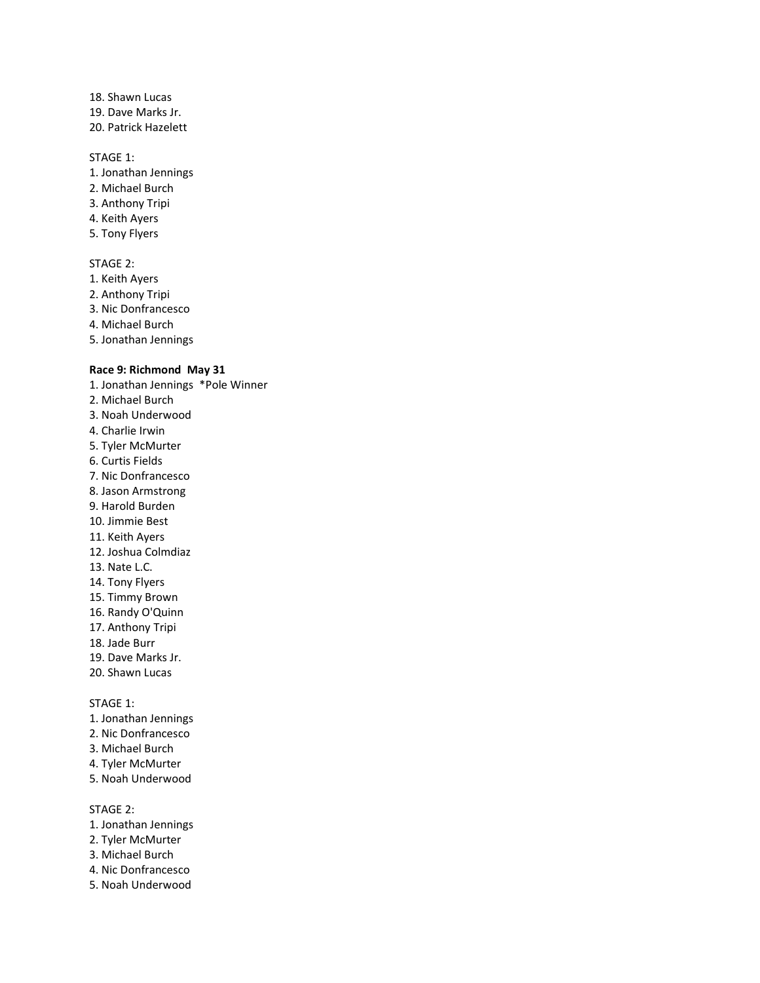- 18. Shawn Lucas 19. Dave Marks Jr.
- 20. Patrick Hazelett

- 1. Jonathan Jennings
- 2. Michael Burch
- 3. Anthony Tripi
- 4. Keith Ayers
- 5. Tony Flyers

#### STAGE 2:

- 1. Keith Ayers
- 2. Anthony Tripi
- 3. Nic Donfrancesco
- 4. Michael Burch
- 5. Jonathan Jennings

#### **Race 9: Richmond May 31**

- 1. Jonathan Jennings \*Pole Winner 2. Michael Burch 3. Noah Underwood 4. Charlie Irwin 5. Tyler McMurter 6. Curtis Fields 7. Nic Donfrancesco 8. Jason Armstrong 9. Harold Burden 10. Jimmie Best 11. Keith Ayers 12. Joshua Colmdiaz 13. Nate L.C. 14. Tony Flyers 15. Timmy Brown 16. Randy O'Quinn 17. Anthony Tripi 18. Jade Burr 19. Dave Marks Jr. 20. Shawn Lucas STAGE 1: 1. Jonathan Jennings
- 2. Nic Donfrancesco
- 3. Michael Burch
- 
- 4. Tyler McMurter
- 5. Noah Underwood

STAGE 2:

- 1. Jonathan Jennings
- 2. Tyler McMurter
- 3. Michael Burch
- 4. Nic Donfrancesco
- 5. Noah Underwood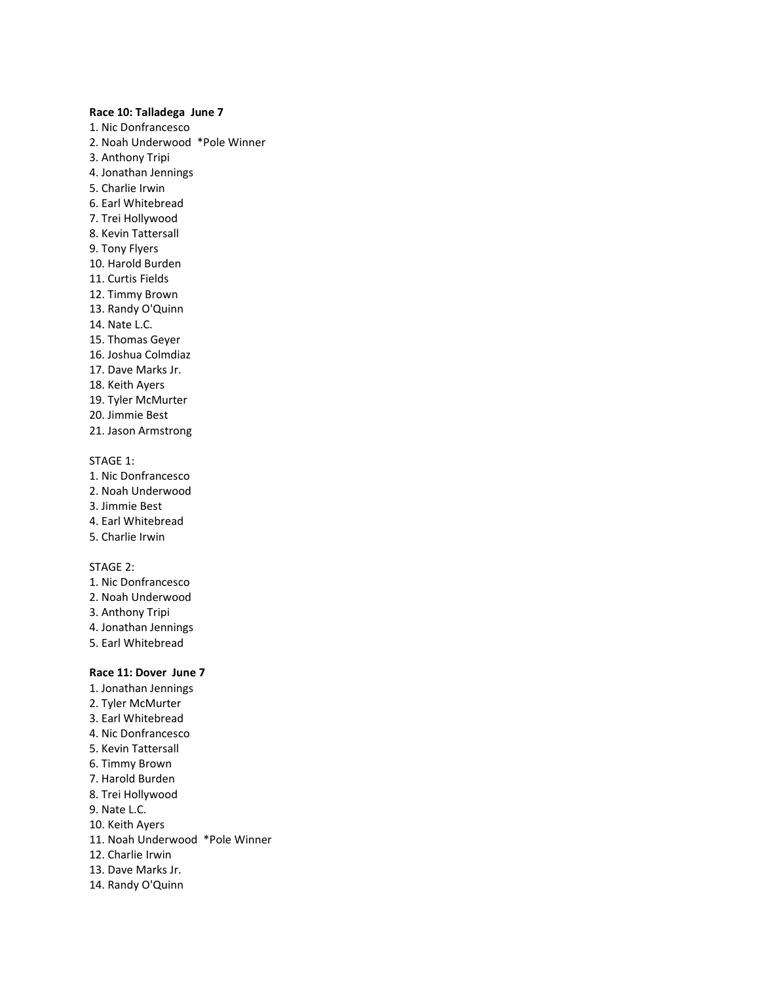#### **Race 10: Talladega June 7**

- 1. Nic Donfrancesco
- 2. Noah Underwood \*Pole Winner
- 3. Anthony Tripi
- 4. Jonathan Jennings
- 5. Charlie Irwin
- 6. Earl Whitebread
- 7. Trei Hollywood
- 8. Kevin Tattersall
- 9. Tony Flyers
- 10. Harold Burden
- 11. Curtis Fields
- 12. Timmy Brown
- 13. Randy O'Quinn
- 14. Nate L.C.
- 15. Thomas Geyer
- 16. Joshua Colmdiaz
- 17. Dave Marks Jr.
- 18. Keith Ayers
- 19. Tyler McMurter
- 20. Jimmie Best
- 21. Jason Armstrong

# STAGE 1:

- 1. Nic Donfrancesco
- 2. Noah Underwood
- 3. Jimmie Best
- 4. Earl Whitebread
- 5. Charlie Irwin

### STAGE 2:

- 1. Nic Donfrancesco
- 2. Noah Underwood
- 3. Anthony Tripi
- 4. Jonathan Jennings
- 5. Earl Whitebread

### **Race 11: Dover June 7**

1. Jonathan Jennings 2. Tyler McMurter 3. Earl Whitebread 4. Nic Donfrancesco 5. Kevin Tattersall 6. Timmy Brown 7. Harold Burden 8. Trei Hollywood 9. Nate L.C. 10. Keith Ayers 11. Noah Underwood \*Pole Winner 12. Charlie Irwin 13. Dave Marks Jr. 14. Randy O'Quinn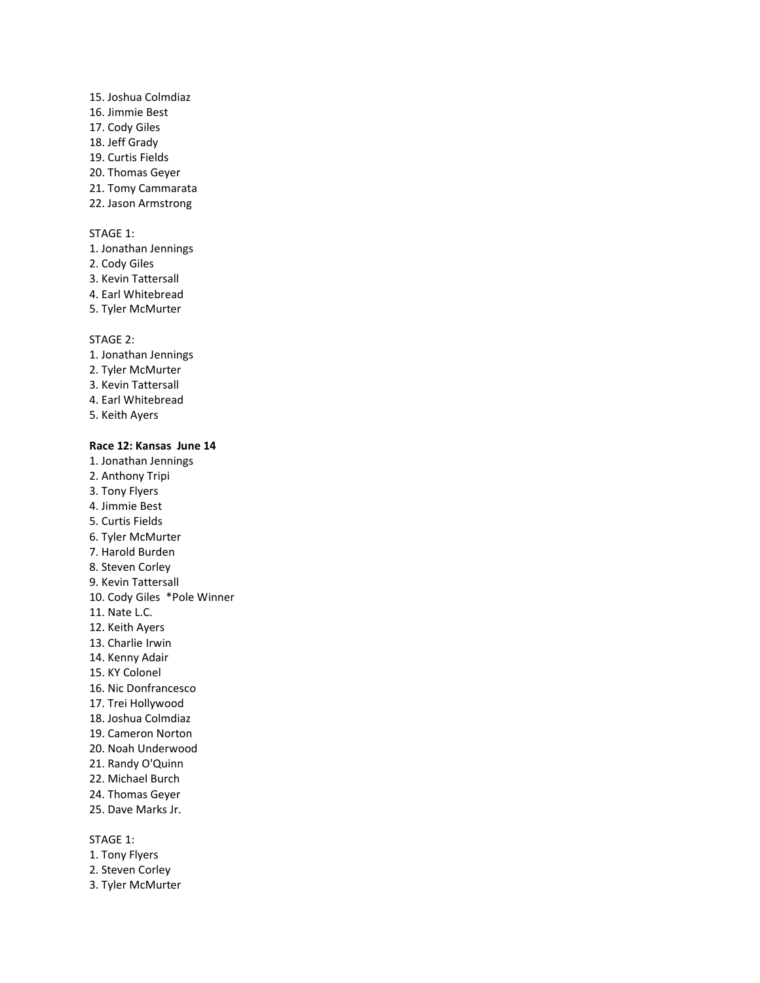# 15. Joshua Colmdiaz 16. Jimmie Best 17. Cody Giles 18. Jeff Grady 19. Curtis Fields 20. Thomas Geyer 21. Tomy Cammarata 22. Jason Armstrong

#### STAGE 1:

1. Jonathan Jennings

- 2. Cody Giles
- 3. Kevin Tattersall
- 4. Earl Whitebread
- 5. Tyler McMurter

STAGE 2:

- 1. Jonathan Jennings
- 2. Tyler McMurter
- 3. Kevin Tattersall
- 4. Earl Whitebread
- 5. Keith Ayers

#### **Race 12: Kansas June 14**

1. Jonathan Jennings 2. Anthony Tripi 3. Tony Flyers 4. Jimmie Best 5. Curtis Fields 6. Tyler McMurter 7. Harold Burden 8. Steven Corley 9. Kevin Tattersall 10. Cody Giles \*Pole Winner 11. Nate L.C. 12. Keith Ayers 13. Charlie Irwin 14. Kenny Adair 15. KY Colonel 16. Nic Donfrancesco 17. Trei Hollywood 18. Joshua Colmdiaz 19. Cameron Norton 20. Noah Underwood 21. Randy O'Quinn 22. Michael Burch 24. Thomas Geyer 25. Dave Marks Jr.

# STAGE 1:

- 1. Tony Flyers
- 2. Steven Corley
- 3. Tyler McMurter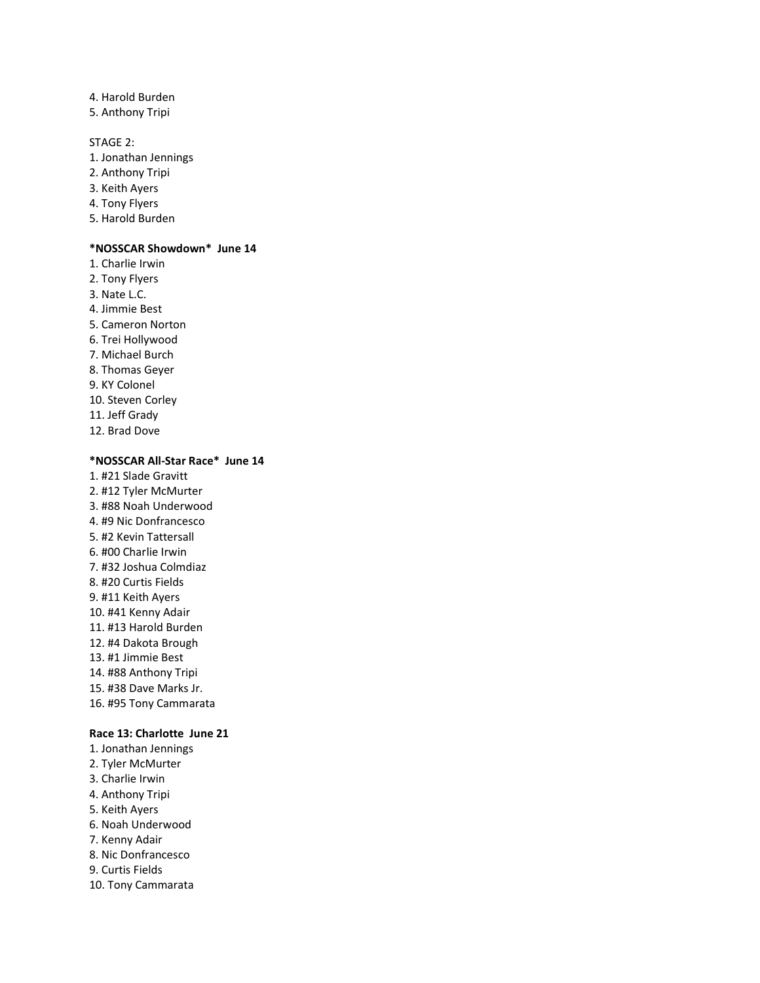- 4. Harold Burden
- 5. Anthony Tripi

# STAGE 2:

- 1. Jonathan Jennings
- 2. Anthony Tripi
- 3. Keith Ayers
- 4. Tony Flyers
- 5. Harold Burden

# **\*NOSSCAR Showdown\* June 14**

1. Charlie Irwin 2. Tony Flyers 3. Nate L.C. 4. Jimmie Best 5. Cameron Norton 6. Trei Hollywood 7. Michael Burch 8. Thomas Geyer 9. KY Colonel 10. Steven Corley 11. Jeff Grady 12. Brad Dove

# **\*NOSSCAR All-Star Race\* June 14**

1. #21 Slade Gravitt 2. #12 Tyler McMurter 3. #88 Noah Underwood 4. #9 Nic Donfrancesco 5. #2 Kevin Tattersall 6. #00 Charlie Irwin 7. #32 Joshua Colmdiaz 8. #20 Curtis Fields 9. #11 Keith Ayers 10. #41 Kenny Adair 11. #13 Harold Burden 12. #4 Dakota Brough 13. #1 Jimmie Best 14. #88 Anthony Tripi 15. #38 Dave Marks Jr. 16. #95 Tony Cammarata

# **Race 13: Charlotte June 21**

- 1. Jonathan Jennings
- 2. Tyler McMurter
- 3. Charlie Irwin
- 4. Anthony Tripi
- 5. Keith Ayers
- 6. Noah Underwood
- 7. Kenny Adair
- 8. Nic Donfrancesco
- 9. Curtis Fields
- 10. Tony Cammarata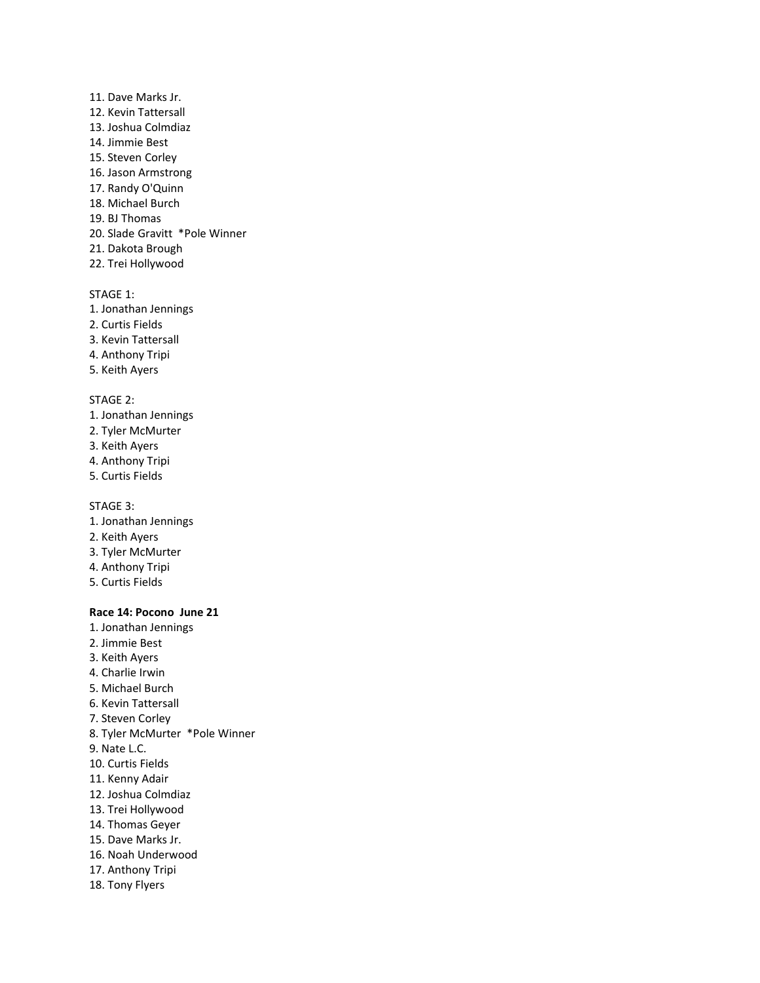- 11. Dave Marks Jr. 12. Kevin Tattersall 13. Joshua Colmdiaz 14. Jimmie Best 15. Steven Corley 16. Jason Armstrong 17. Randy O'Quinn 18. Michael Burch 19. BJ Thomas 20. Slade Gravitt \*Pole Winner 21. Dakota Brough
- 22. Trei Hollywood

- 1. Jonathan Jennings
- 2. Curtis Fields
- 3. Kevin Tattersall
- 4. Anthony Tripi
- 5. Keith Ayers

#### STAGE 2:

- 1. Jonathan Jennings
- 2. Tyler McMurter
- 3. Keith Ayers
- 4. Anthony Tripi
- 5. Curtis Fields

STAGE 3:

- 1. Jonathan Jennings
- 2. Keith Ayers
- 3. Tyler McMurter
- 4. Anthony Tripi
- 5. Curtis Fields

#### **Race 14: Pocono June 21**

- 1. Jonathan Jennings
- 2. Jimmie Best
- 3. Keith Ayers
- 4. Charlie Irwin
- 5. Michael Burch
- 6. Kevin Tattersall
- 7. Steven Corley
- 8. Tyler McMurter \*Pole Winner
- 9. Nate L.C.
- 10. Curtis Fields
- 11. Kenny Adair
- 12. Joshua Colmdiaz
- 13. Trei Hollywood
- 14. Thomas Geyer
- 15. Dave Marks Jr.
- 16. Noah Underwood
- 17. Anthony Tripi
- 18. Tony Flyers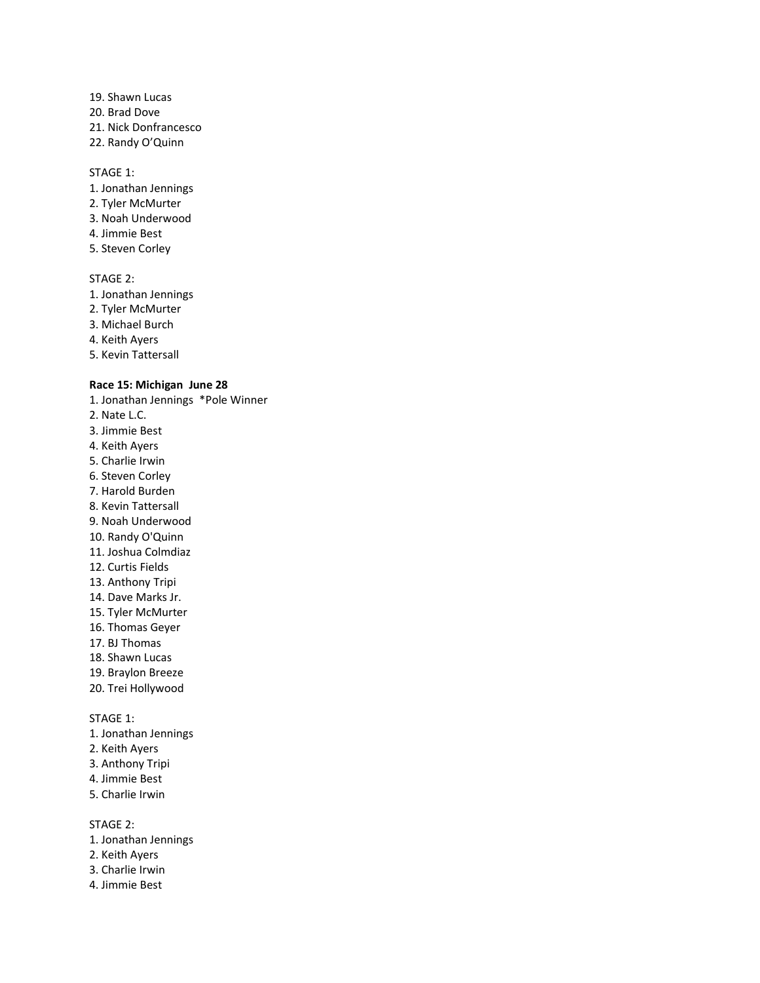- 19. Shawn Lucas 20. Brad Dove 21. Nick Donfrancesco
- 22. Randy O'Quinn

- 1. Jonathan Jennings
- 2. Tyler McMurter
- 3. Noah Underwood
- 4. Jimmie Best
- 5. Steven Corley

#### STAGE 2:

- 1. Jonathan Jennings
- 2. Tyler McMurter
- 3. Michael Burch
- 4. Keith Ayers
- 5. Kevin Tattersall

### **Race 15: Michigan June 28**

- 1. Jonathan Jennings \*Pole Winner 2. Nate L.C. 3. Jimmie Best 4. Keith Ayers 5. Charlie Irwin 6. Steven Corley 7. Harold Burden 8. Kevin Tattersall
- 9. Noah Underwood
- 10. Randy O'Quinn
- 11. Joshua Colmdiaz
- 12. Curtis Fields
- 13. Anthony Tripi
- 14. Dave Marks Jr.
- 15. Tyler McMurter
- 16. Thomas Geyer
- 17. BJ Thomas
- 18. Shawn Lucas
- 19. Braylon Breeze
- 20. Trei Hollywood

STAGE 1:

- 1. Jonathan Jennings
- 2. Keith Ayers
- 3. Anthony Tripi
- 4. Jimmie Best
- 5. Charlie Irwin

STAGE 2:

- 1. Jonathan Jennings
- 2. Keith Ayers
- 3. Charlie Irwin
- 4. Jimmie Best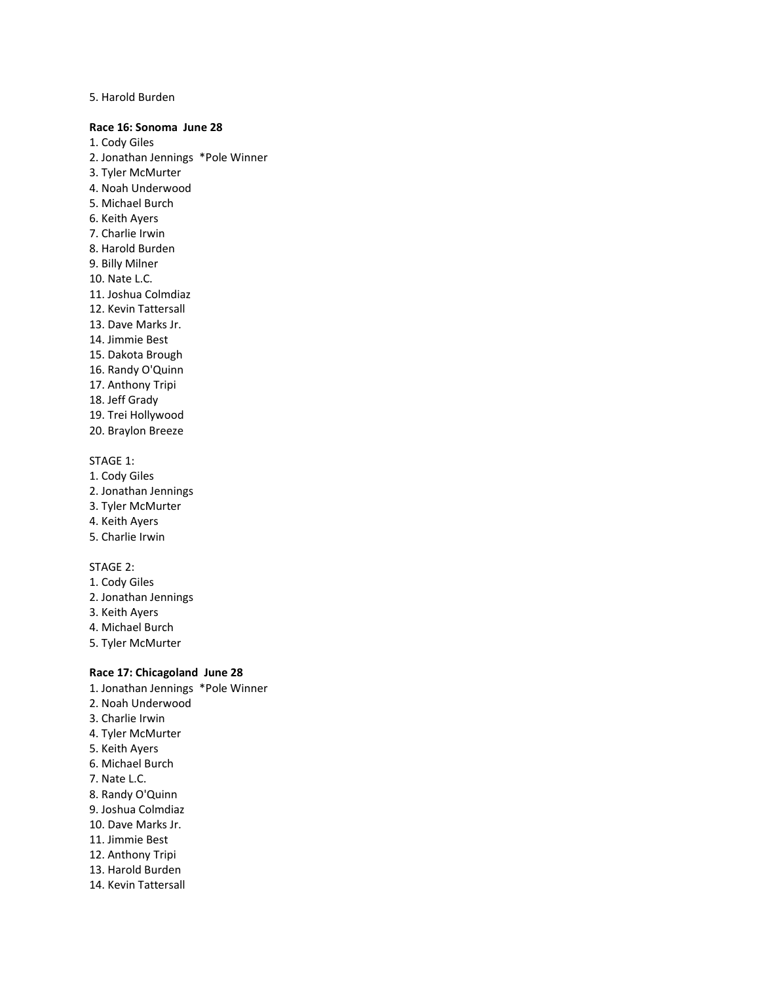#### 5. Harold Burden

#### **Race 16: Sonoma June 28**

1. Cody Giles 2. Jonathan Jennings \*Pole Winner 3. Tyler McMurter 4. Noah Underwood 5. Michael Burch 6. Keith Ayers 7. Charlie Irwin 8. Harold Burden 9. Billy Milner 10. Nate L.C. 11. Joshua Colmdiaz 12. Kevin Tattersall 13. Dave Marks Jr. 14. Jimmie Best 15. Dakota Brough 16. Randy O'Quinn 17. Anthony Tripi 18. Jeff Grady

19. Trei Hollywood 20. Braylon Breeze

#### STAGE 1:

- 1. Cody Giles
- 2. Jonathan Jennings
- 3. Tyler McMurter
- 4. Keith Ayers
- 5. Charlie Irwin

#### STAGE 2:

- 1. Cody Giles
- 2. Jonathan Jennings
- 3. Keith Ayers
- 4. Michael Burch
- 5. Tyler McMurter

# **Race 17: Chicagoland June 28**

1. Jonathan Jennings \*Pole Winner 2. Noah Underwood 3. Charlie Irwin 4. Tyler McMurter 5. Keith Ayers 6. Michael Burch 7. Nate L.C. 8. Randy O'Quinn 9. Joshua Colmdiaz 10. Dave Marks Jr. 11. Jimmie Best 12. Anthony Tripi 13. Harold Burden 14. Kevin Tattersall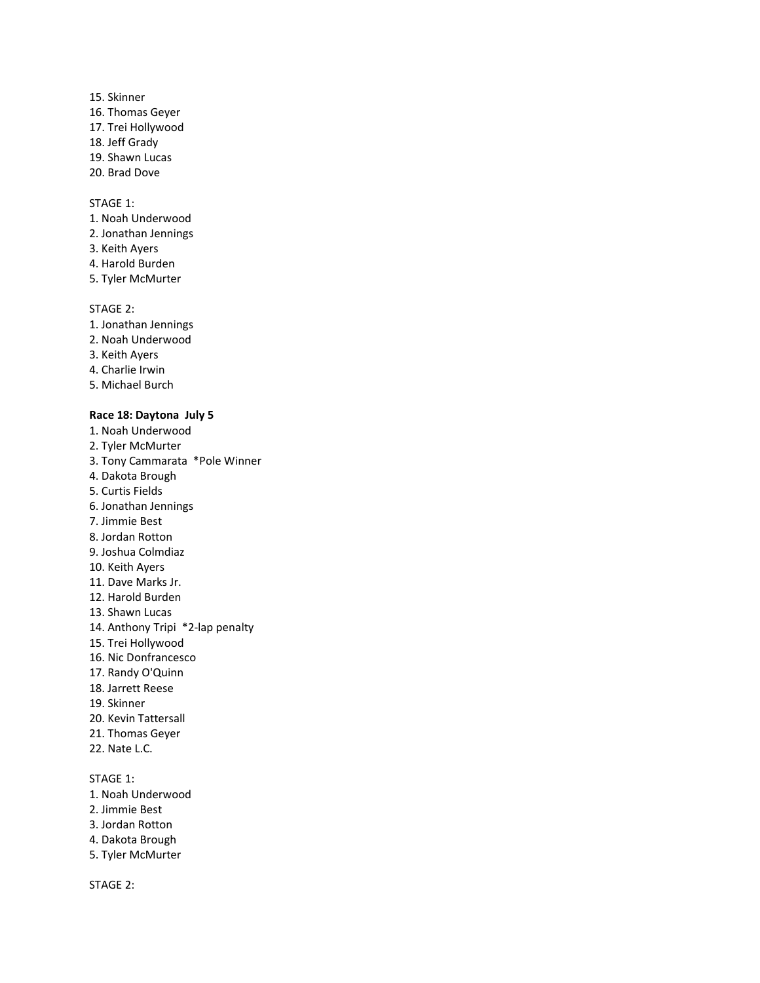- 15. Skinner 16. Thomas Geyer 17. Trei Hollywood 18. Jeff Grady 19. Shawn Lucas
- 
- 20. Brad Dove

- 1. Noah Underwood
- 2. Jonathan Jennings
- 3. Keith Ayers
- 4. Harold Burden
- 5. Tyler McMurter

# STAGE 2:

- 1. Jonathan Jennings
- 2. Noah Underwood
- 3. Keith Ayers
- 4. Charlie Irwin
- 5. Michael Burch

#### **Race 18: Daytona July 5**

- 1. Noah Underwood 2. Tyler McMurter 3. Tony Cammarata \*Pole Winner 4. Dakota Brough 5. Curtis Fields 6. Jonathan Jennings 7. Jimmie Best 8. Jordan Rotton 9. Joshua Colmdiaz 10. Keith Ayers 11. Dave Marks Jr. 12. Harold Burden 13. Shawn Lucas 14. Anthony Tripi \*2-lap penalty 15. Trei Hollywood 16. Nic Donfrancesco 17. Randy O'Quinn 18. Jarrett Reese 19. Skinner 20. Kevin Tattersall 21. Thomas Geyer 22. Nate L.C. STAGE 1: 1. Noah Underwood
- 2. Jimmie Best
- 3. Jordan Rotton
- 4. Dakota Brough
- 5. Tyler McMurter

STAGE 2: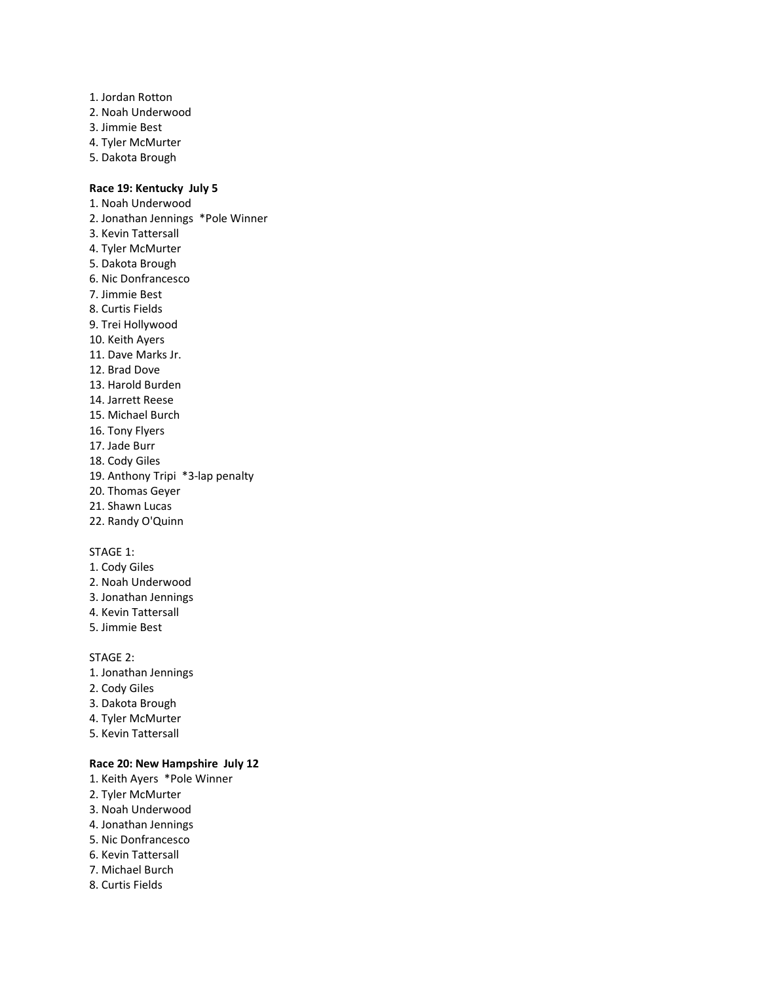- 1. Jordan Rotton
- 2. Noah Underwood
- 3. Jimmie Best
- 4. Tyler McMurter
- 5. Dakota Brough

# **Race 19: Kentucky July 5**

1. Noah Underwood 2. Jonathan Jennings \*Pole Winner 3. Kevin Tattersall 4. Tyler McMurter 5. Dakota Brough 6. Nic Donfrancesco 7. Jimmie Best 8. Curtis Fields 9. Trei Hollywood 10. Keith Ayers 11. Dave Marks Jr. 12. Brad Dove 13. Harold Burden 14. Jarrett Reese 15. Michael Burch 16. Tony Flyers 17. Jade Burr 18. Cody Giles 19. Anthony Tripi \*3-lap penalty 20. Thomas Geyer 21. Shawn Lucas 22. Randy O'Quinn

# STAGE 1:

- 1. Cody Giles
- 2. Noah Underwood
- 3. Jonathan Jennings 4. Kevin Tattersall
- 5. Jimmie Best

#### STAGE 2:

- 1. Jonathan Jennings
- 2. Cody Giles
- 3. Dakota Brough
- 4. Tyler McMurter
- 5. Kevin Tattersall

# **Race 20: New Hampshire July 12**

- 1. Keith Ayers \*Pole Winner
- 2. Tyler McMurter
- 3. Noah Underwood
- 4. Jonathan Jennings
- 5. Nic Donfrancesco
- 6. Kevin Tattersall
- 7. Michael Burch
- 8. Curtis Fields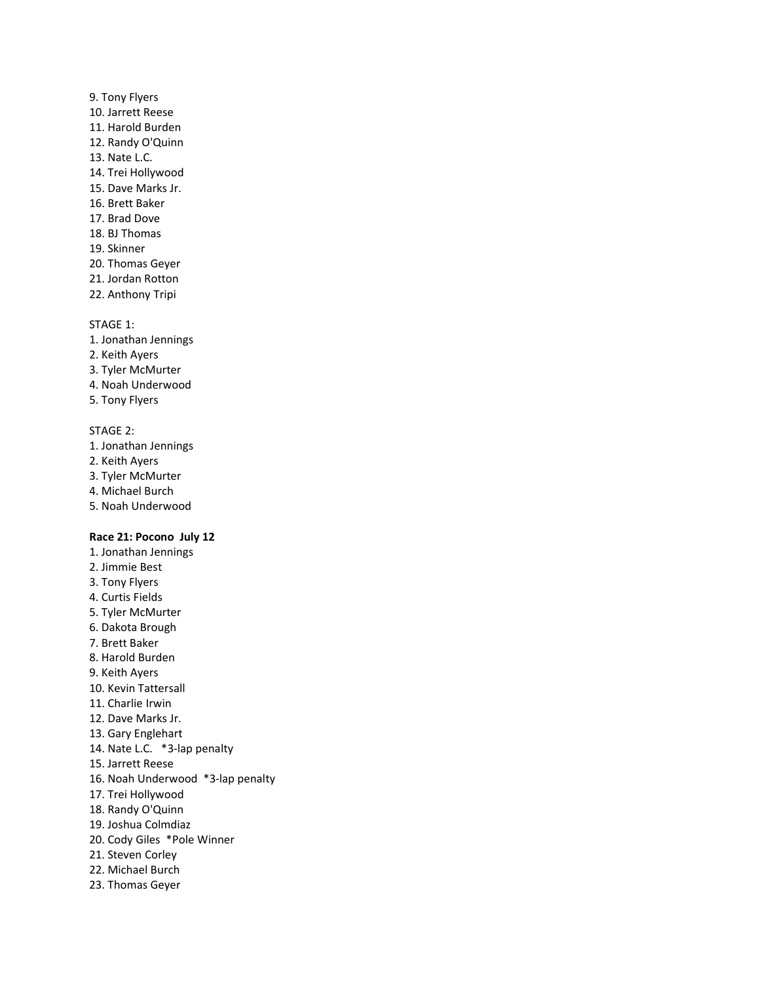- 9. Tony Flyers 10. Jarrett Reese 11. Harold Burden 12. Randy O'Quinn 13. Nate L.C. 14. Trei Hollywood 15. Dave Marks Jr. 16. Brett Baker 17. Brad Dove 18. BJ Thomas 19. Skinner 20. Thomas Geyer 21. Jordan Rotton
- 22. Anthony Tripi

- 1. Jonathan Jennings
- 2. Keith Ayers
- 3. Tyler McMurter
- 4. Noah Underwood
- 5. Tony Flyers

# STAGE 2:

- 1. Jonathan Jennings
- 2. Keith Ayers
- 3. Tyler McMurter
- 4. Michael Burch
- 5. Noah Underwood

#### **Race 21: Pocono July 12**

- 1. Jonathan Jennings
- 2. Jimmie Best
- 3. Tony Flyers
- 4. Curtis Fields
- 5. Tyler McMurter
- 6. Dakota Brough
- 7. Brett Baker
- 8. Harold Burden
- 9. Keith Ayers
- 10. Kevin Tattersall
- 11. Charlie Irwin
- 12. Dave Marks Jr.
- 13. Gary Englehart
- 14. Nate L.C. \*3-lap penalty
- 15. Jarrett Reese
- 16. Noah Underwood \*3-lap penalty
- 17. Trei Hollywood
- 18. Randy O'Quinn
- 19. Joshua Colmdiaz
- 20. Cody Giles \*Pole Winner
- 21. Steven Corley
- 22. Michael Burch
- 23. Thomas Geyer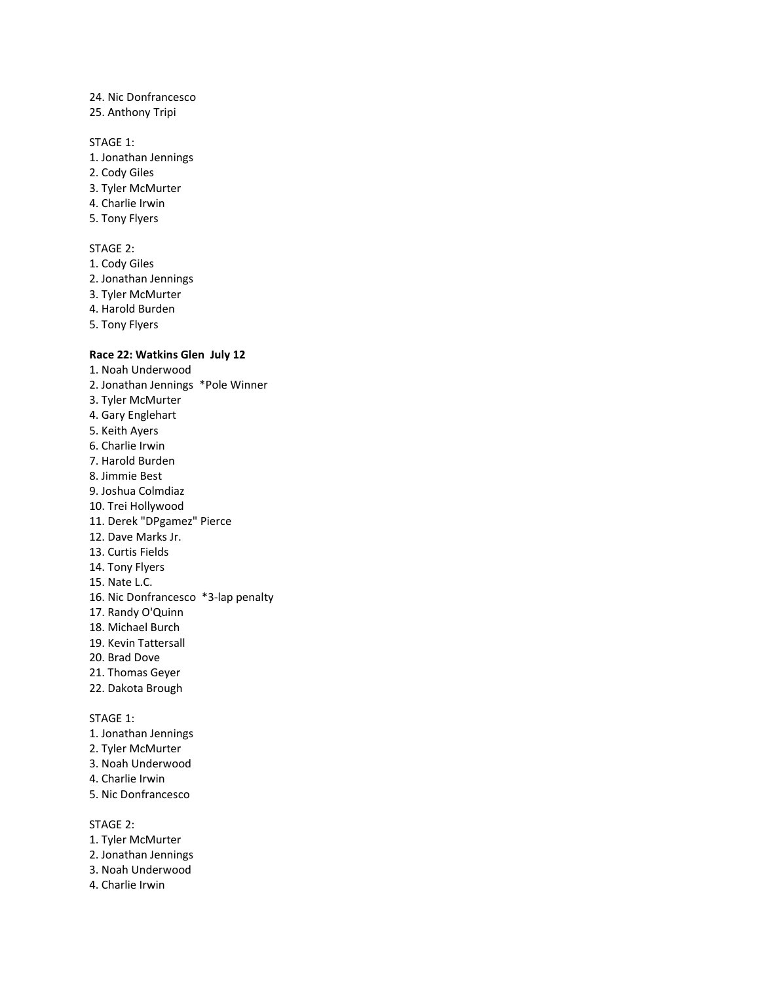# 24. Nic Donfrancesco

25. Anthony Tripi

# STAGE 1:

- 1. Jonathan Jennings
- 2. Cody Giles
- 3. Tyler McMurter
- 4. Charlie Irwin
- 5. Tony Flyers

#### STAGE 2:

- 1. Cody Giles
- 2. Jonathan Jennings
- 3. Tyler McMurter
- 4. Harold Burden
- 5. Tony Flyers

# **Race 22: Watkins Glen July 12**

1. Noah Underwood 2. Jonathan Jennings \*Pole Winner 3. Tyler McMurter 4. Gary Englehart 5. Keith Ayers 6. Charlie Irwin 7. Harold Burden 8. Jimmie Best 9. Joshua Colmdiaz 10. Trei Hollywood 11. Derek "DPgamez" Pierce 12. Dave Marks Jr. 13. Curtis Fields 14. Tony Flyers 15. Nate L.C. 16. Nic Donfrancesco \*3-lap penalty 17. Randy O'Quinn 18. Michael Burch 19. Kevin Tattersall 20. Brad Dove 21. Thomas Geyer 22. Dakota Brough STAGE 1: 1. Jonathan Jennings 2. Tyler McMurter 3. Noah Underwood 4. Charlie Irwin 5. Nic Donfrancesco

#### STAGE 2:

- 1. Tyler McMurter
- 2. Jonathan Jennings
- 3. Noah Underwood
- 4. Charlie Irwin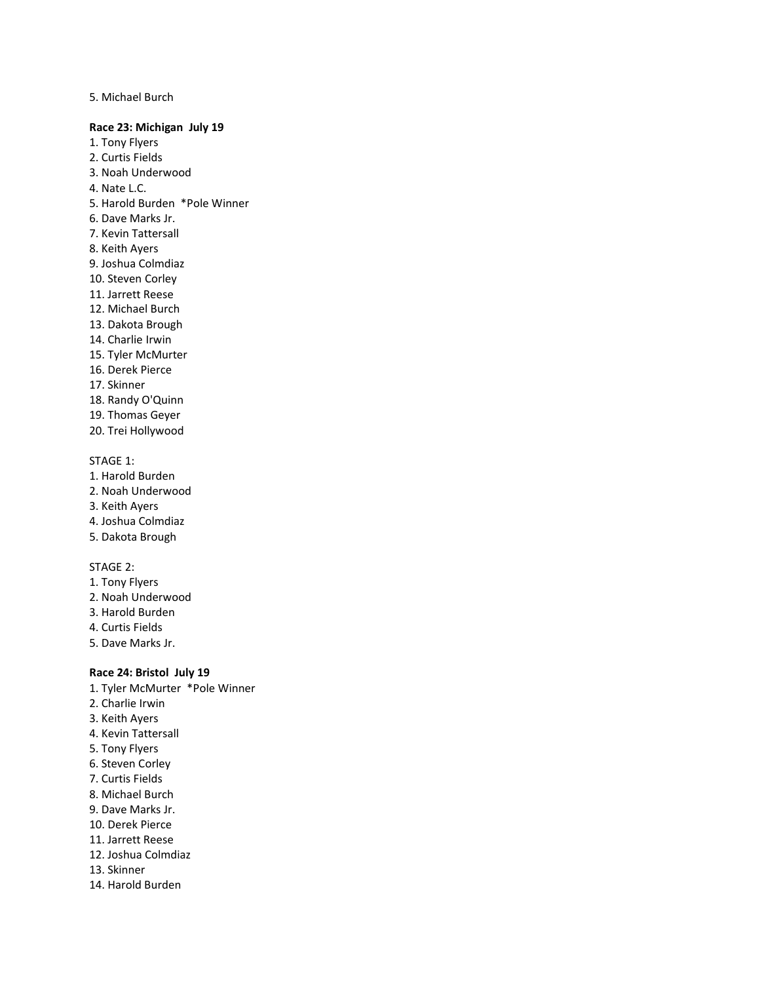5. Michael Burch

#### **Race 23: Michigan July 19**

- 1. Tony Flyers
- 2. Curtis Fields
- 3. Noah Underwood
- 4. Nate L.C.
- 5. Harold Burden \*Pole Winner
- 6. Dave Marks Jr.
- 7. Kevin Tattersall
- 8. Keith Ayers
- 9. Joshua Colmdiaz
- 10. Steven Corley
- 11. Jarrett Reese
- 12. Michael Burch
- 13. Dakota Brough
- 14. Charlie Irwin
- 15. Tyler McMurter
- 16. Derek Pierce
- 17. Skinner
- 18. Randy O'Quinn
- 19. Thomas Geyer
- 20. Trei Hollywood

# STAGE 1:

- 1. Harold Burden
- 2. Noah Underwood
- 3. Keith Ayers
- 4. Joshua Colmdiaz
- 5. Dakota Brough

### STAGE 2:

- 1. Tony Flyers
- 2. Noah Underwood
- 3. Harold Burden
- 4. Curtis Fields
- 5. Dave Marks Jr.

# **Race 24: Bristol July 19**

- 1. Tyler McMurter \*Pole Winner
- 2. Charlie Irwin
- 3. Keith Ayers
- 4. Kevin Tattersall
- 5. Tony Flyers
- 6. Steven Corley
- 7. Curtis Fields
- 8. Michael Burch
- 9. Dave Marks Jr.
- 10. Derek Pierce
- 11. Jarrett Reese
- 12. Joshua Colmdiaz
- 13. Skinner
- 14. Harold Burden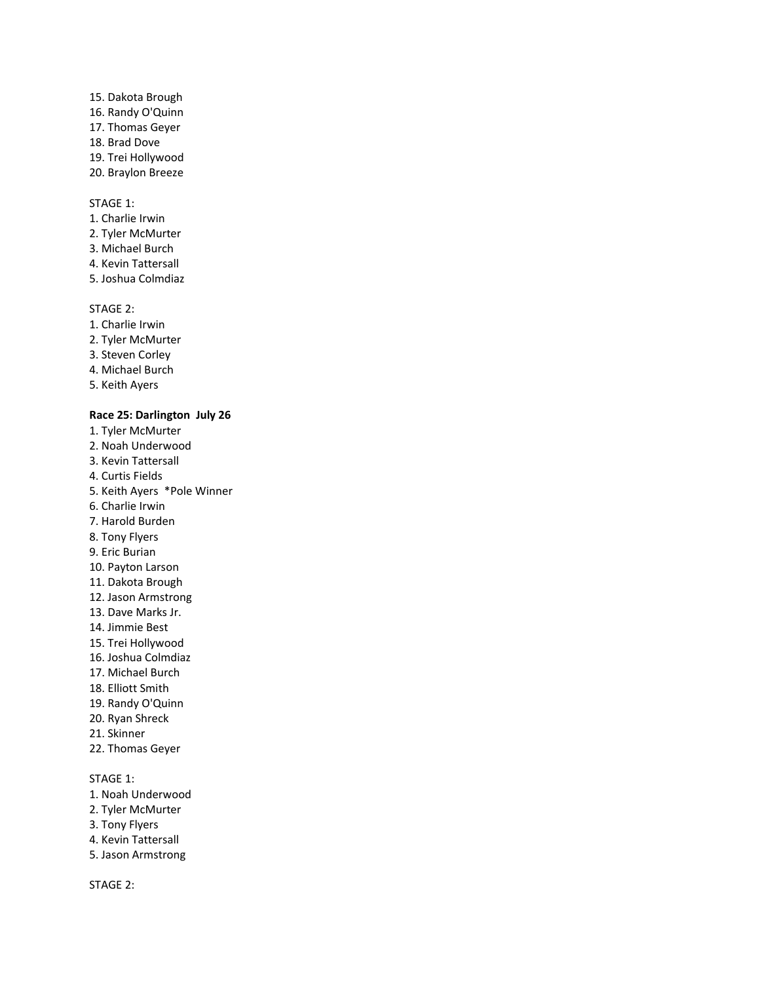15. Dakota Brough 16. Randy O'Quinn 17. Thomas Geyer 18. Brad Dove 19. Trei Hollywood 20. Braylon Breeze

# STAGE 1:

- 1. Charlie Irwin
- 2. Tyler McMurter
- 3. Michael Burch
- 4. Kevin Tattersall
- 5. Joshua Colmdiaz

### STAGE 2:

- 1. Charlie Irwin
- 2. Tyler McMurter
- 3. Steven Corley
- 4. Michael Burch
- 5. Keith Ayers

### **Race 25: Darlington July 26**

- 1. Tyler McMurter 2. Noah Underwood 3. Kevin Tattersall 4. Curtis Fields
- 5. Keith Ayers \*Pole Winner
- 6. Charlie Irwin
- 7. Harold Burden
- 8. Tony Flyers
- 9. Eric Burian
- 10. Payton Larson
- 11. Dakota Brough
- 12. Jason Armstrong
- 13. Dave Marks Jr.
- 14. Jimmie Best
- 15. Trei Hollywood
- 16. Joshua Colmdiaz
- 17. Michael Burch
- 18. Elliott Smith
- 19. Randy O'Quinn
- 20. Ryan Shreck
- 21. Skinner
- 22. Thomas Geyer

# STAGE 1:

- 1. Noah Underwood
- 2. Tyler McMurter
- 3. Tony Flyers
- 4. Kevin Tattersall
- 5. Jason Armstrong

STAGE 2: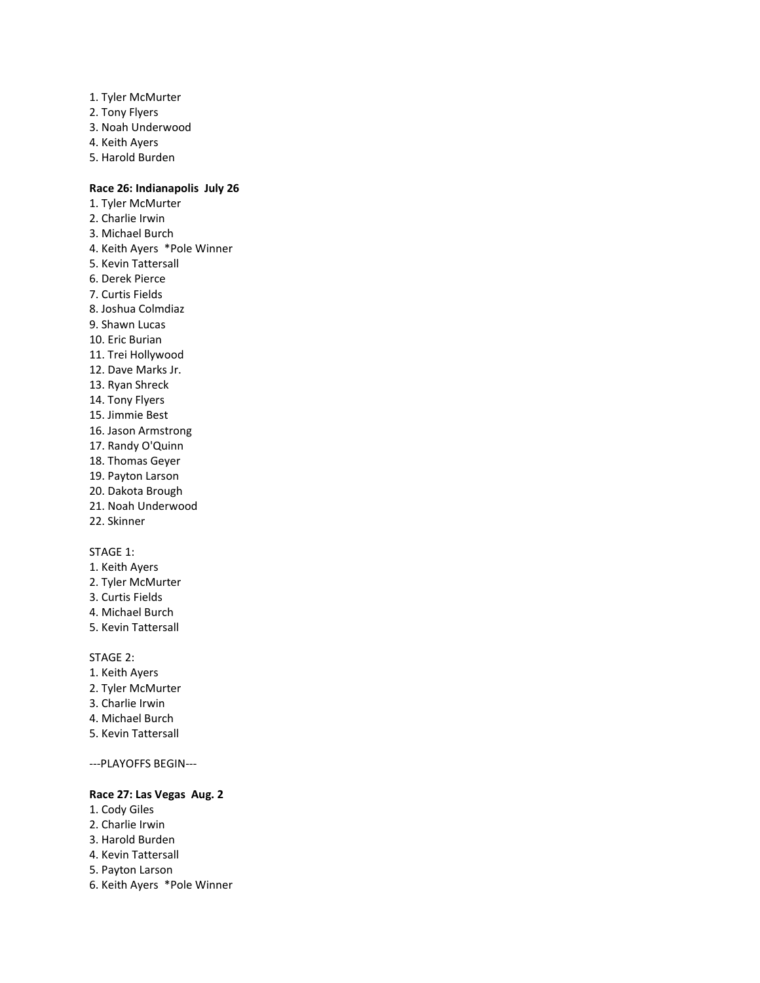- 1. Tyler McMurter
- 2. Tony Flyers
- 3. Noah Underwood
- 4. Keith Ayers
- 5. Harold Burden

# **Race 26: Indianapolis July 26**

1. Tyler McMurter 2. Charlie Irwin 3. Michael Burch 4. Keith Ayers \*Pole Winner 5. Kevin Tattersall 6. Derek Pierce 7. Curtis Fields 8. Joshua Colmdiaz 9. Shawn Lucas 10. Eric Burian 11. Trei Hollywood 12. Dave Marks Jr. 13. Ryan Shreck 14. Tony Flyers 15. Jimmie Best 16. Jason Armstrong 17. Randy O'Quinn 18. Thomas Geyer 19. Payton Larson 20. Dakota Brough 21. Noah Underwood 22. Skinner

# STAGE 1:

- 1. Keith Ayers
- 2. Tyler McMurter
- 3. Curtis Fields
- 4. Michael Burch
- 5. Kevin Tattersall

#### STAGE 2:

- 1. Keith Ayers
- 2. Tyler McMurter
- 3. Charlie Irwin
- 4. Michael Burch
- 5. Kevin Tattersall

---PLAYOFFS BEGIN---

# **Race 27: Las Vegas Aug. 2**

- 1. Cody Giles
- 2. Charlie Irwin
- 3. Harold Burden
- 4. Kevin Tattersall
- 5. Payton Larson
- 6. Keith Ayers \*Pole Winner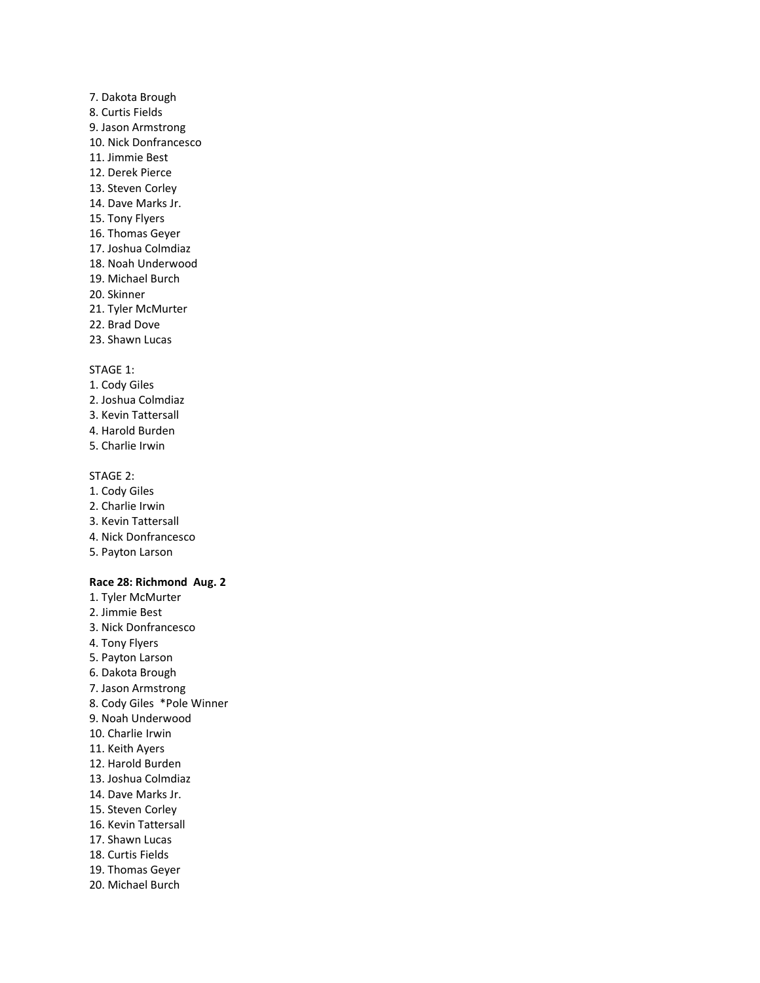- 7. Dakota Brough 8. Curtis Fields 9. Jason Armstrong 10. Nick Donfrancesco 11. Jimmie Best 12. Derek Pierce 13. Steven Corley 14. Dave Marks Jr. 15. Tony Flyers 16. Thomas Geyer 17. Joshua Colmdiaz 18. Noah Underwood 19. Michael Burch 20. Skinner 21. Tyler McMurter 22. Brad Dove
- 23. Shawn Lucas

- 1. Cody Giles
- 2. Joshua Colmdiaz
- 3. Kevin Tattersall
- 4. Harold Burden
- 5. Charlie Irwin

#### STAGE 2:

- 1. Cody Giles
- 2. Charlie Irwin
- 3. Kevin Tattersall
- 4. Nick Donfrancesco
- 5. Payton Larson

### **Race 28: Richmond Aug. 2**

1. Tyler McMurter 2. Jimmie Best 3. Nick Donfrancesco 4. Tony Flyers 5. Payton Larson 6. Dakota Brough 7. Jason Armstrong 8. Cody Giles \*Pole Winner 9. Noah Underwood 10. Charlie Irwin 11. Keith Ayers 12. Harold Burden 13. Joshua Colmdiaz 14. Dave Marks Jr. 15. Steven Corley 16. Kevin Tattersall 17. Shawn Lucas 18. Curtis Fields 19. Thomas Geyer 20. Michael Burch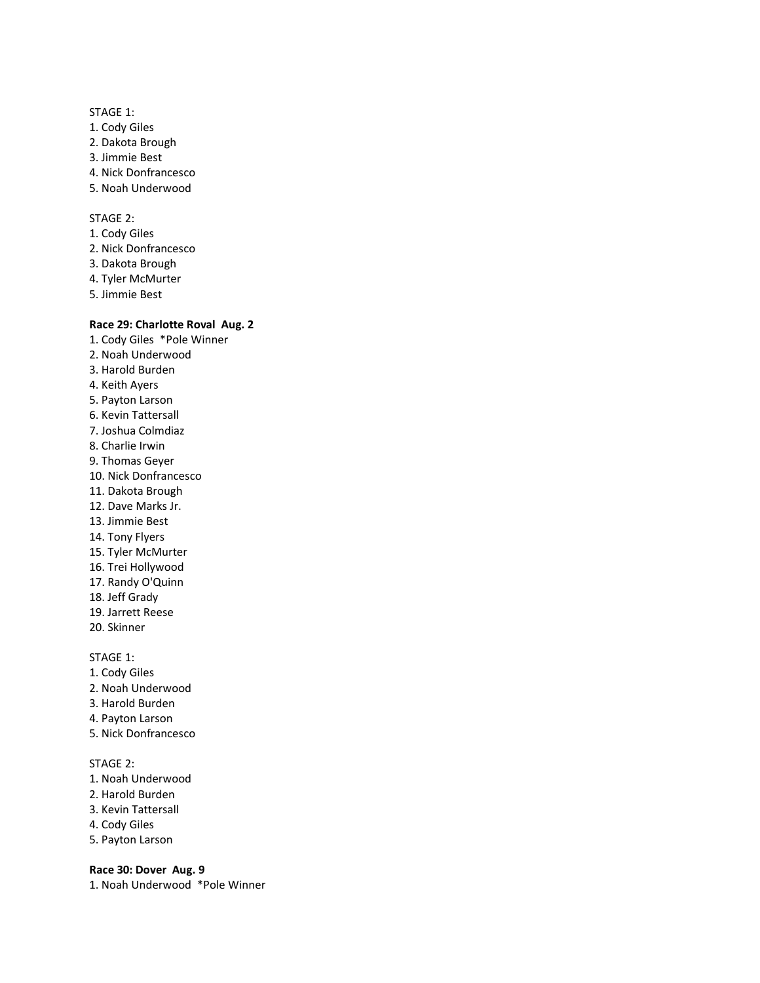- 1. Cody Giles
- 2. Dakota Brough
- 3. Jimmie Best
- 4. Nick Donfrancesco
- 5. Noah Underwood

# STAGE 2:

- 1. Cody Giles
- 2. Nick Donfrancesco
- 3. Dakota Brough
- 4. Tyler McMurter
- 5. Jimmie Best

#### **Race 29: Charlotte Roval Aug. 2**

- 1. Cody Giles \*Pole Winner 2. Noah Underwood 3. Harold Burden 4. Keith Ayers 5. Payton Larson 6. Kevin Tattersall 7. Joshua Colmdiaz 8. Charlie Irwin 9. Thomas Geyer 10. Nick Donfrancesco 11. Dakota Brough 12. Dave Marks Jr. 13. Jimmie Best 14. Tony Flyers 15. Tyler McMurter 16. Trei Hollywood 17. Randy O'Quinn 18. Jeff Grady 19. Jarrett Reese 20. Skinner STAGE 1:
- 1. Cody Giles
- 2. Noah Underwood
- 3. Harold Burden
- 4. Payton Larson
- 5. Nick Donfrancesco

# STAGE 2:

- 1. Noah Underwood
- 2. Harold Burden
- 3. Kevin Tattersall
- 4. Cody Giles
- 5. Payton Larson

#### **Race 30: Dover Aug. 9**

1. Noah Underwood \*Pole Winner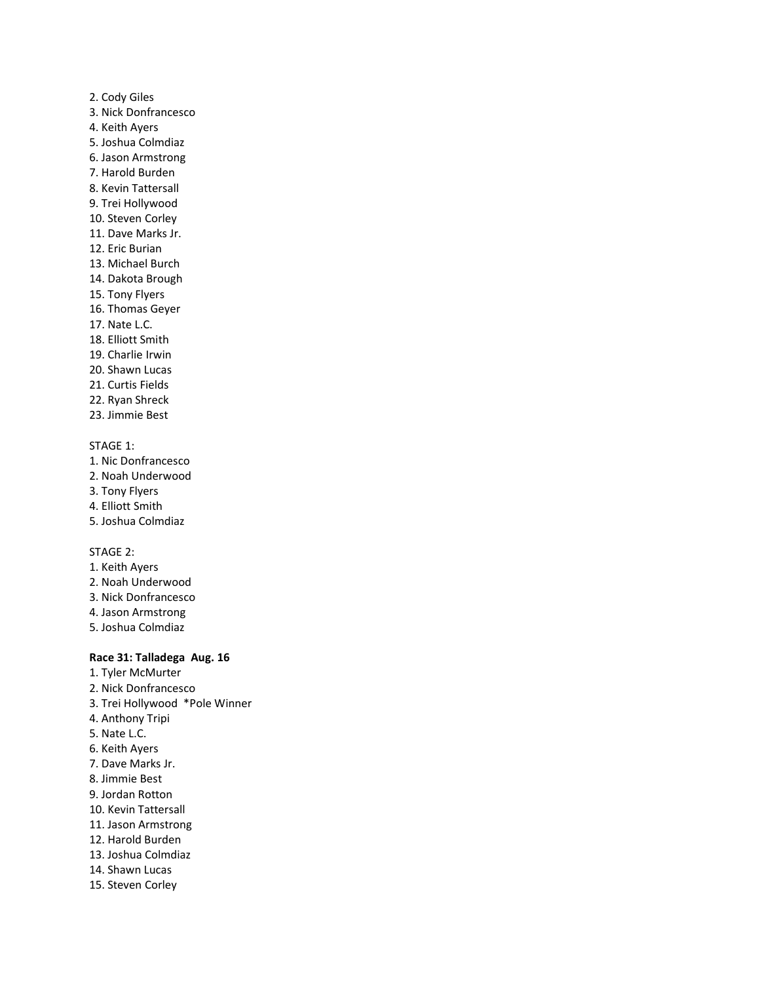# 2. Cody Giles 3. Nick Donfrancesco 4. Keith Ayers 5. Joshua Colmdiaz 6. Jason Armstrong 7. Harold Burden 8. Kevin Tattersall 9. Trei Hollywood 10. Steven Corley 11. Dave Marks Jr. 12. Eric Burian 13. Michael Burch 14. Dakota Brough 15. Tony Flyers 16. Thomas Geyer 17. Nate L.C. 18. Elliott Smith 19. Charlie Irwin 20. Shawn Lucas 21. Curtis Fields 22. Ryan Shreck

23. Jimmie Best

# STAGE 1:

- 1. Nic Donfrancesco
- 2. Noah Underwood
- 3. Tony Flyers
- 4. Elliott Smith
- 5. Joshua Colmdiaz

# STAGE 2:

- 1. Keith Ayers
- 2. Noah Underwood
- 3. Nick Donfrancesco
- 4. Jason Armstrong
- 5. Joshua Colmdiaz

#### **Race 31: Talladega Aug. 16**

- 1. Tyler McMurter 2. Nick Donfrancesco 3. Trei Hollywood \*Pole Winner
- 4. Anthony Tripi
- 5. Nate L.C.
- 6. Keith Ayers
- 7. Dave Marks Jr.
- 8. Jimmie Best
- 9. Jordan Rotton
- 10. Kevin Tattersall
- 11. Jason Armstrong
- 12. Harold Burden
- 13. Joshua Colmdiaz
- 14. Shawn Lucas
- 15. Steven Corley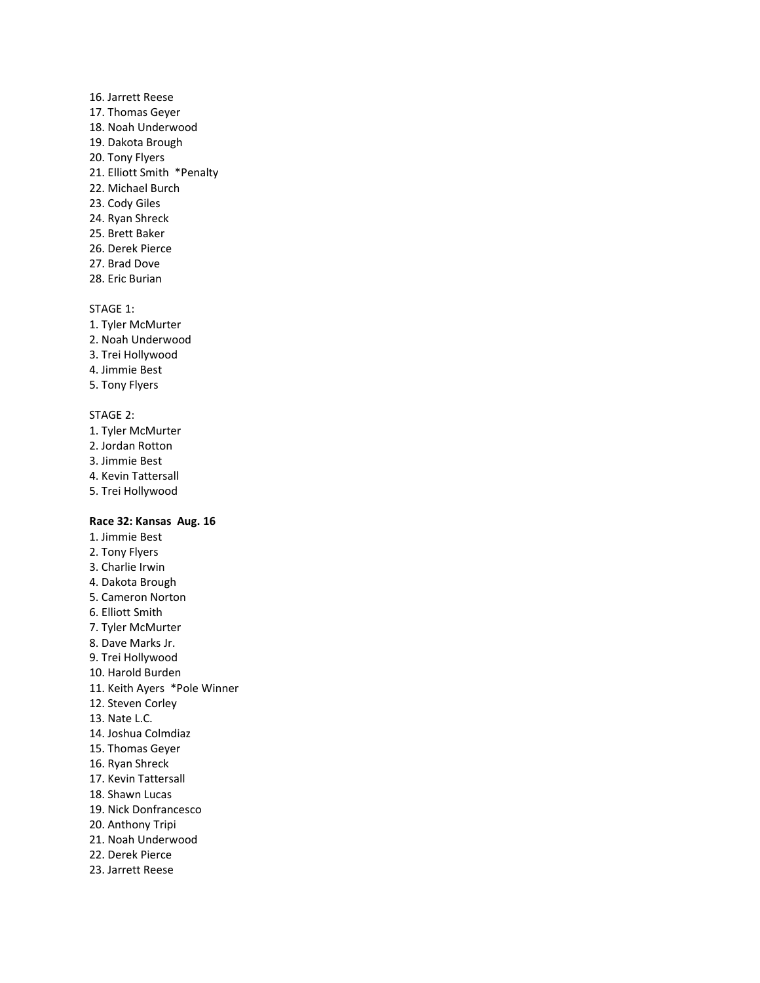- 16. Jarrett Reese 17. Thomas Geyer 18. Noah Underwood 19. Dakota Brough 20. Tony Flyers 21. Elliott Smith \*Penalty 22. Michael Burch 23. Cody Giles 24. Ryan Shreck 25. Brett Baker 26. Derek Pierce
- 27. Brad Dove
- 28. Eric Burian

- 1. Tyler McMurter
- 2. Noah Underwood
- 3. Trei Hollywood
- 4. Jimmie Best
- 5. Tony Flyers

#### STAGE 2:

- 1. Tyler McMurter
- 2. Jordan Rotton
- 3. Jimmie Best
- 4. Kevin Tattersall
- 5. Trei Hollywood

# **Race 32: Kansas Aug. 16**

1. Jimmie Best 2. Tony Flyers 3. Charlie Irwin 4. Dakota Brough 5. Cameron Norton 6. Elliott Smith 7. Tyler McMurter 8. Dave Marks Jr. 9. Trei Hollywood 10. Harold Burden 11. Keith Ayers \*Pole Winner 12. Steven Corley 13. Nate L.C. 14. Joshua Colmdiaz 15. Thomas Geyer 16. Ryan Shreck 17. Kevin Tattersall 18. Shawn Lucas 19. Nick Donfrancesco 20. Anthony Tripi 21. Noah Underwood 22. Derek Pierce 23. Jarrett Reese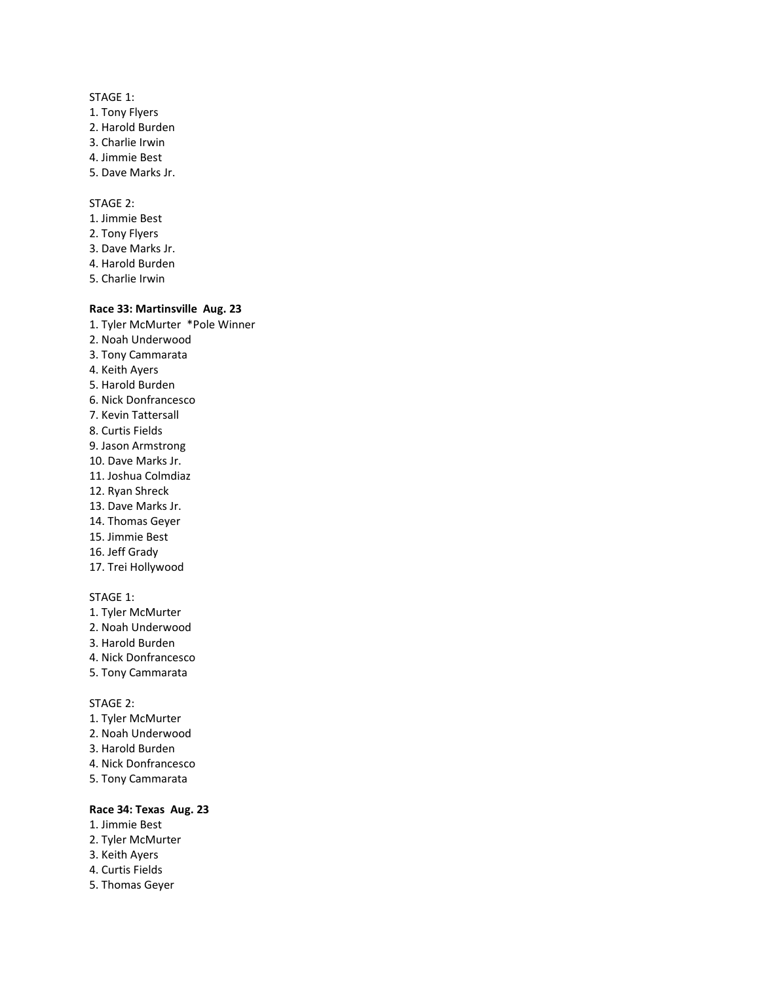STAGE 1: 1. Tony Flyers 2. Harold Burden 3. Charlie Irwin 4. Jimmie Best 5. Dave Marks Jr.

STAGE 2:

- 1. Jimmie Best
- 2. Tony Flyers
- 3. Dave Marks Jr.
- 4. Harold Burden
- 5. Charlie Irwin

# **Race 33: Martinsville Aug. 23**

- 1. Tyler McMurter \*Pole Winner
- 2. Noah Underwood
- 3. Tony Cammarata
- 4. Keith Ayers
- 5. Harold Burden
- 6. Nick Donfrancesco
- 7. Kevin Tattersall
- 8. Curtis Fields
- 9. Jason Armstrong
- 10. Dave Marks Jr.
- 11. Joshua Colmdiaz
- 12. Ryan Shreck
- 13. Dave Marks Jr.
- 14. Thomas Geyer
- 15. Jimmie Best
- 16. Jeff Grady
- 17. Trei Hollywood

# STAGE 1:

- 1. Tyler McMurter
- 2. Noah Underwood
- 3. Harold Burden
- 4. Nick Donfrancesco
- 5. Tony Cammarata

### STAGE 2:

- 1. Tyler McMurter
- 2. Noah Underwood
- 3. Harold Burden
- 4. Nick Donfrancesco
- 5. Tony Cammarata

# **Race 34: Texas Aug. 23**

- 1. Jimmie Best
- 2. Tyler McMurter
- 3. Keith Ayers
- 4. Curtis Fields
- 5. Thomas Geyer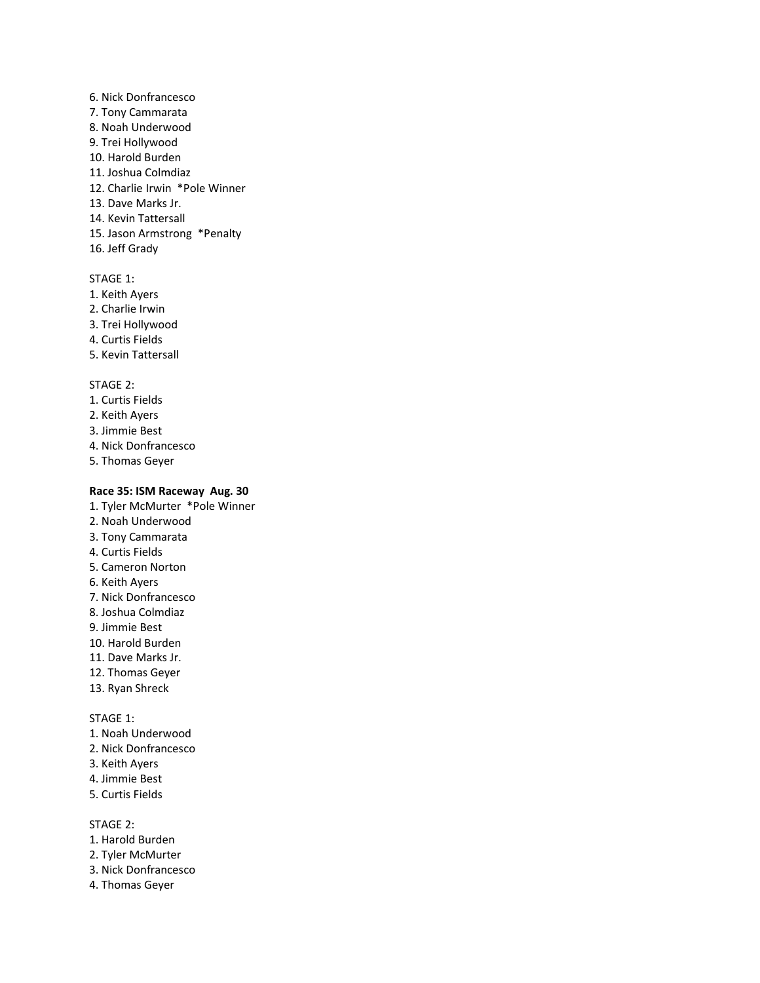6. Nick Donfrancesco 7. Tony Cammarata 8. Noah Underwood 9. Trei Hollywood 10. Harold Burden 11. Joshua Colmdiaz 12. Charlie Irwin \*Pole Winner 13. Dave Marks Jr. 14. Kevin Tattersall 15. Jason Armstrong \*Penalty 16. Jeff Grady

#### STAGE 1:

- 1. Keith Ayers
- 2. Charlie Irwin
- 3. Trei Hollywood
- 4. Curtis Fields
- 5. Kevin Tattersall

# STAGE 2:

- 1. Curtis Fields
- 2. Keith Ayers
- 3. Jimmie Best
- 4. Nick Donfrancesco
- 5. Thomas Geyer

# **Race 35: ISM Raceway Aug. 30**

- 1. Tyler McMurter \*Pole Winner
- 2. Noah Underwood 3. Tony Cammarata
- 4. Curtis Fields
- 5. Cameron Norton
- 6. Keith Ayers
- 7. Nick Donfrancesco
- 8. Joshua Colmdiaz
- 9. Jimmie Best
- 10. Harold Burden
- 11. Dave Marks Jr.
- 12. Thomas Geyer
- 13. Ryan Shreck

STAGE 1:

- 1. Noah Underwood
- 2. Nick Donfrancesco
- 3. Keith Ayers
- 4. Jimmie Best
- 5. Curtis Fields

STAGE 2:

- 1. Harold Burden
- 2. Tyler McMurter
- 3. Nick Donfrancesco
- 4. Thomas Geyer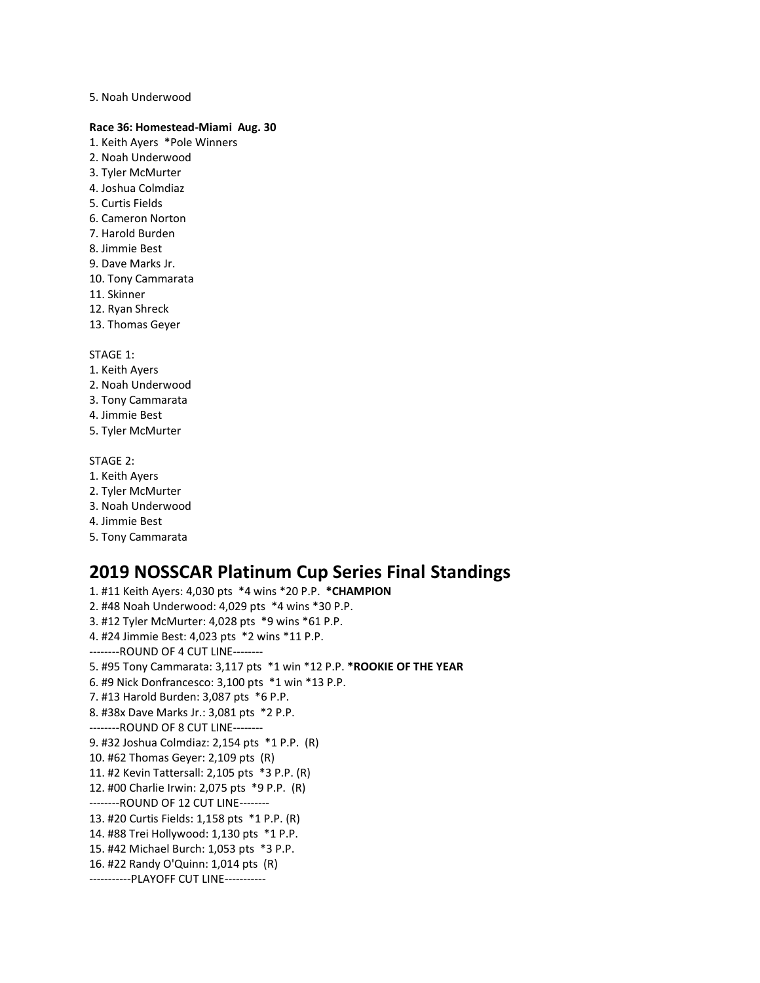#### 5. Noah Underwood

#### **Race 36: Homestead-Miami Aug. 30**

- 1. Keith Ayers \*Pole Winners
- 2. Noah Underwood
- 3. Tyler McMurter
- 4. Joshua Colmdiaz
- 5. Curtis Fields
- 6. Cameron Norton
- 7. Harold Burden
- 8. Jimmie Best
- 9. Dave Marks Jr.
- 10. Tony Cammarata
- 11. Skinner
- 12. Ryan Shreck
- 13. Thomas Geyer

#### STAGE 1:

- 1. Keith Ayers
- 2. Noah Underwood
- 3. Tony Cammarata
- 4. Jimmie Best
- 5. Tyler McMurter

#### STAGE 2:

- 1. Keith Ayers
- 2. Tyler McMurter
- 3. Noah Underwood
- 4. Jimmie Best
- 5. Tony Cammarata

# **2019 NOSSCAR Platinum Cup Series Final Standings**

1. #11 Keith Ayers: 4,030 pts \*4 wins \*20 P.P. **\*CHAMPION** 2. #48 Noah Underwood: 4,029 pts \*4 wins \*30 P.P. 3. #12 Tyler McMurter: 4,028 pts \*9 wins \*61 P.P. 4. #24 Jimmie Best: 4,023 pts \*2 wins \*11 P.P. --------ROUND OF 4 CUT LINE-------- 5. #95 Tony Cammarata: 3,117 pts \*1 win \*12 P.P. **\*ROOKIE OF THE YEAR** 6. #9 Nick Donfrancesco: 3,100 pts \*1 win \*13 P.P. 7. #13 Harold Burden: 3,087 pts \*6 P.P. 8. #38x Dave Marks Jr.: 3,081 pts \*2 P.P. --------ROUND OF 8 CUT LINE-------- 9. #32 Joshua Colmdiaz: 2,154 pts \*1 P.P. (R) 10. #62 Thomas Geyer: 2,109 pts (R) 11. #2 Kevin Tattersall: 2,105 pts \*3 P.P. (R) 12. #00 Charlie Irwin: 2,075 pts \*9 P.P. (R) --------ROUND OF 12 CUT LINE-------- 13. #20 Curtis Fields: 1,158 pts \*1 P.P. (R) 14. #88 Trei Hollywood: 1,130 pts \*1 P.P. 15. #42 Michael Burch: 1,053 pts \*3 P.P. 16. #22 Randy O'Quinn: 1,014 pts (R) -----------PLAYOFF CUT LINE-----------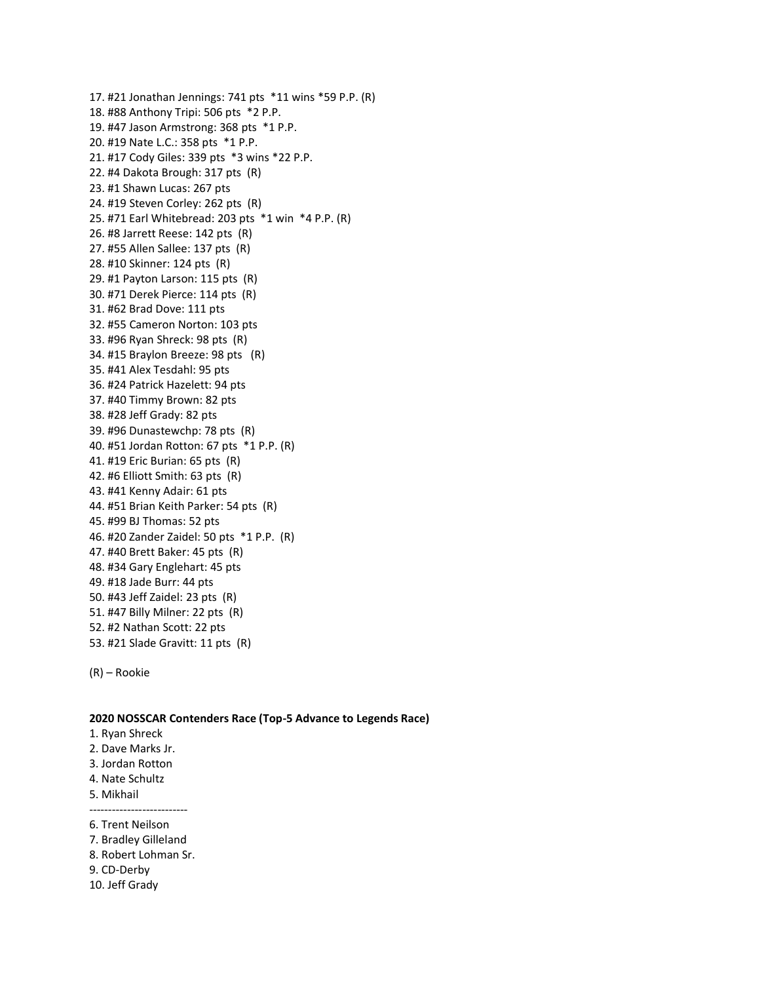17. #21 Jonathan Jennings: 741 pts \*11 wins \*59 P.P. (R) 18. #88 Anthony Tripi: 506 pts \*2 P.P. 19. #47 Jason Armstrong: 368 pts \*1 P.P. 20. #19 Nate L.C.: 358 pts \*1 P.P. 21. #17 Cody Giles: 339 pts \*3 wins \*22 P.P. 22. #4 Dakota Brough: 317 pts (R) 23. #1 Shawn Lucas: 267 pts 24. #19 Steven Corley: 262 pts (R) 25. #71 Earl Whitebread: 203 pts \*1 win \*4 P.P. (R) 26. #8 Jarrett Reese: 142 pts (R) 27. #55 Allen Sallee: 137 pts (R) 28. #10 Skinner: 124 pts (R) 29. #1 Payton Larson: 115 pts (R) 30. #71 Derek Pierce: 114 pts (R) 31. #62 Brad Dove: 111 pts 32. #55 Cameron Norton: 103 pts 33. #96 Ryan Shreck: 98 pts (R) 34. #15 Braylon Breeze: 98 pts (R) 35. #41 Alex Tesdahl: 95 pts 36. #24 Patrick Hazelett: 94 pts 37. #40 Timmy Brown: 82 pts 38. #28 Jeff Grady: 82 pts 39. #96 Dunastewchp: 78 pts (R) 40. #51 Jordan Rotton: 67 pts \*1 P.P. (R) 41. #19 Eric Burian: 65 pts (R) 42. #6 Elliott Smith: 63 pts (R) 43. #41 Kenny Adair: 61 pts 44. #51 Brian Keith Parker: 54 pts (R) 45. #99 BJ Thomas: 52 pts 46. #20 Zander Zaidel: 50 pts \*1 P.P. (R) 47. #40 Brett Baker: 45 pts (R) 48. #34 Gary Englehart: 45 pts 49. #18 Jade Burr: 44 pts 50. #43 Jeff Zaidel: 23 pts (R) 51. #47 Billy Milner: 22 pts (R) 52. #2 Nathan Scott: 22 pts 53. #21 Slade Gravitt: 11 pts (R)

(R) – Rookie

#### **2020 NOSSCAR Contenders Race (Top-5 Advance to Legends Race)**

- 1. Ryan Shreck
- 2. Dave Marks Jr.
- 3. Jordan Rotton
- 4. Nate Schultz
- 5. Mikhail

--------------------------

- 6. Trent Neilson
- 7. Bradley Gilleland
- 8. Robert Lohman Sr.
- 9. CD-Derby
- 10. Jeff Grady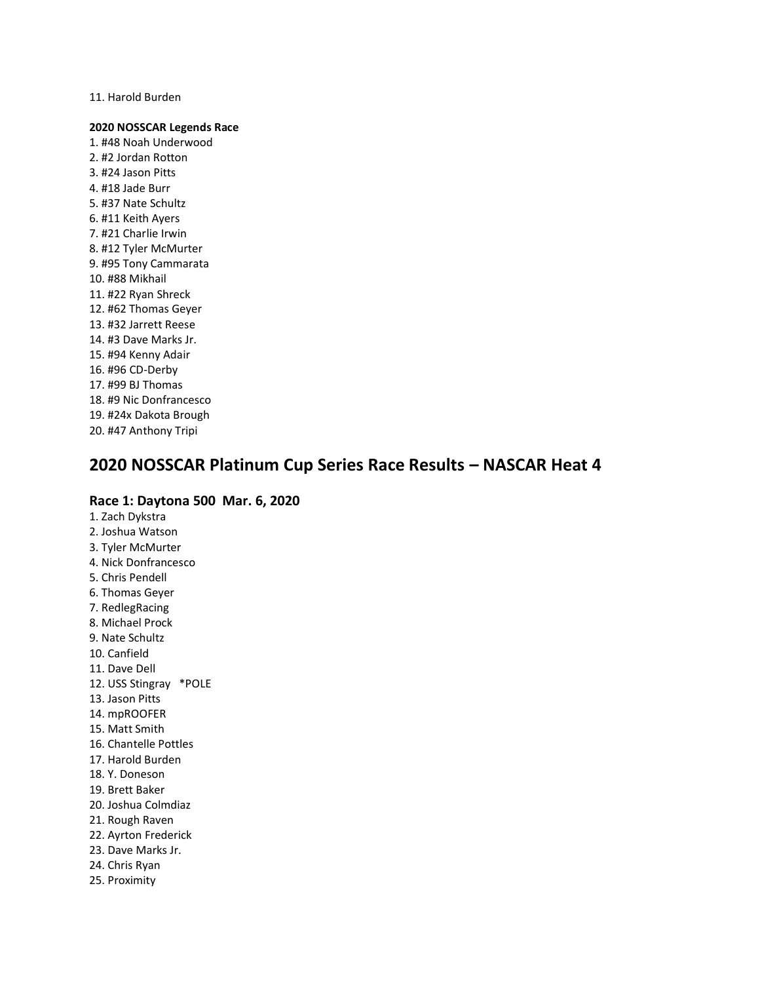11. Harold Burden

### **2020 NOSSCAR Legends Race**

1. #48 Noah Underwood 2. #2 Jordan Rotton 3. #24 Jason Pitts 4. #18 Jade Burr 5. #37 Nate Schultz 6. #11 Keith Ayers 7. #21 Charlie Irwin 8. #12 Tyler McMurter 9. #95 Tony Cammarata 10. #88 Mikhail 11. #22 Ryan Shreck 12. #62 Thomas Geyer 13. #32 Jarrett Reese 14. #3 Dave Marks Jr. 15. #94 Kenny Adair 16. #96 CD-Derby 17. #99 BJ Thomas 18. #9 Nic Donfrancesco 19. #24x Dakota Brough 20. #47 Anthony Tripi

# **2020 NOSSCAR Platinum Cup Series Race Results – NASCAR Heat 4**

# **Race 1: Daytona 500 Mar. 6, 2020**

1. Zach Dykstra 2. Joshua Watson 3. Tyler McMurter 4. Nick Donfrancesco 5. Chris Pendell 6. Thomas Geyer 7. RedlegRacing 8. Michael Prock 9. Nate Schultz 10. Canfield 11. Dave Dell 12. USS Stingray \*POLE 13. Jason Pitts 14. mpROOFER 15. Matt Smith 16. Chantelle Pottles 17. Harold Burden 18. Y. Doneson 19. Brett Baker 20. Joshua Colmdiaz 21. Rough Raven 22. Ayrton Frederick 23. Dave Marks Jr. 24. Chris Ryan 25. Proximity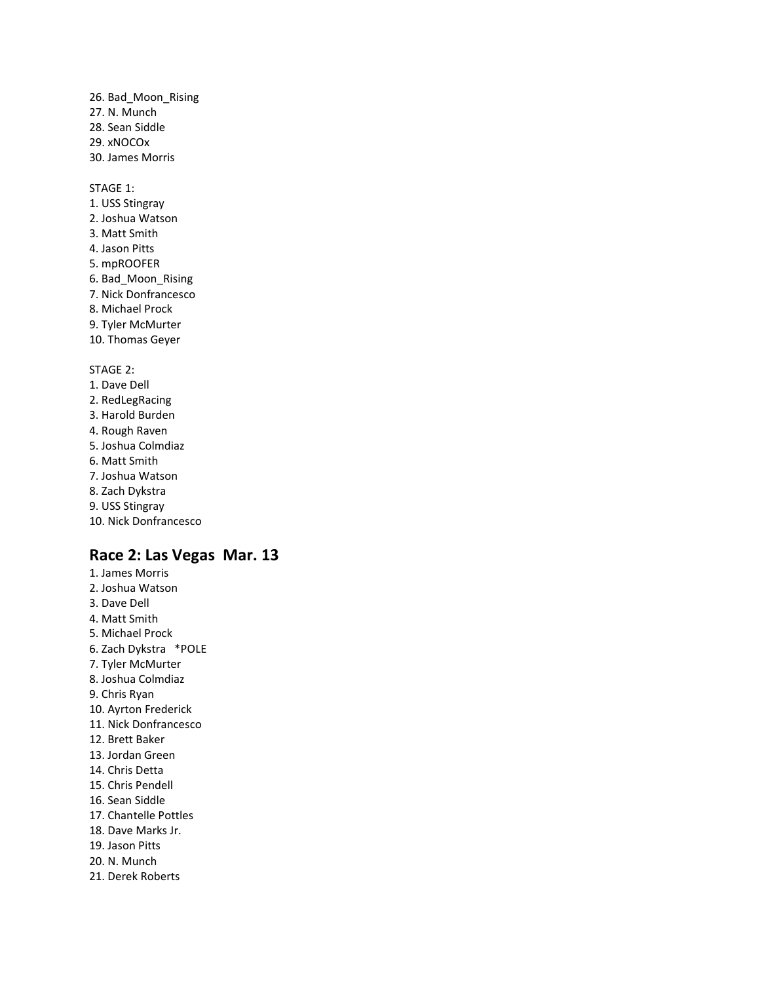26. Bad\_Moon\_Rising 27. N. Munch 28. Sean Siddle 29. xNOCOx 30. James Morris

STAGE 1:

1. USS Stingray 2. Joshua Watson 3. Matt Smith 4. Jason Pitts 5. mpROOFER 6. Bad\_Moon\_Rising 7. Nick Donfrancesco 8. Michael Prock 9. Tyler McMurter 10. Thomas Geyer STAGE 2: 1. Dave Dell

2. RedLegRacing 3. Harold Burden 4. Rough Raven 5. Joshua Colmdiaz 6. Matt Smith 7. Joshua Watson 8. Zach Dykstra 9. USS Stingray

# 10. Nick Donfrancesco

- **Race 2: Las Vegas Mar. 13** 1. James Morris
- 2. Joshua Watson 3. Dave Dell 4. Matt Smith 5. Michael Prock 6. Zach Dykstra \*POLE 7. Tyler McMurter 8. Joshua Colmdiaz 9. Chris Ryan 10. Ayrton Frederick 11. Nick Donfrancesco 12. Brett Baker 13. Jordan Green 14. Chris Detta 15. Chris Pendell 16. Sean Siddle 17. Chantelle Pottles 18. Dave Marks Jr. 19. Jason Pitts 20. N. Munch 21. Derek Roberts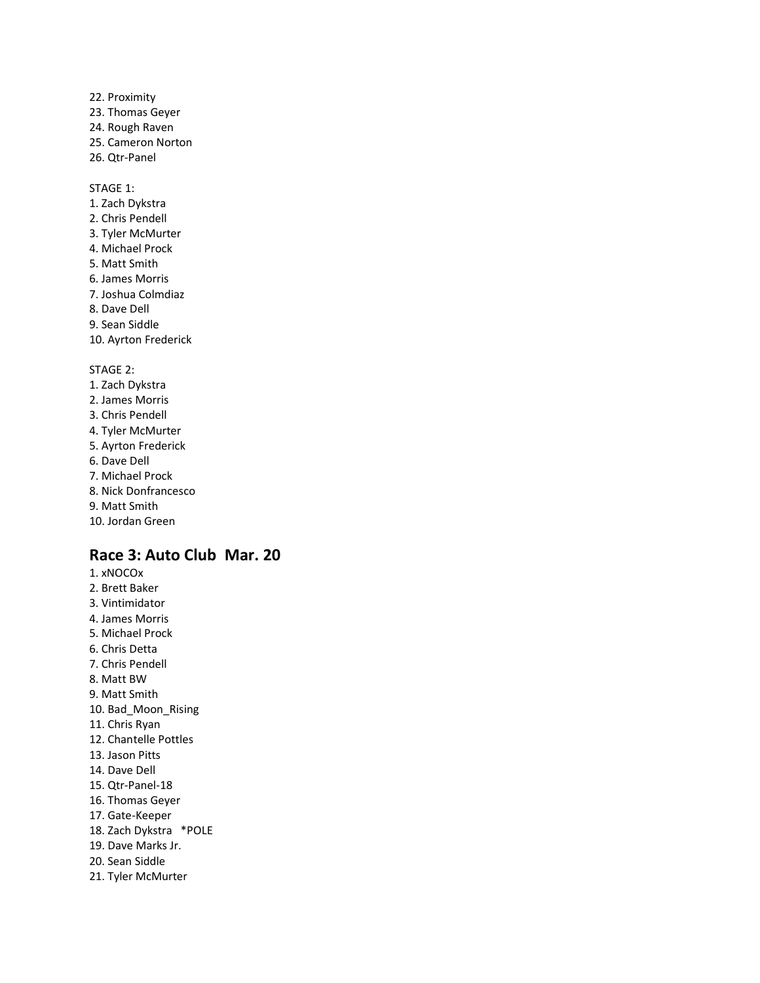22. Proximity 23. Thomas Geyer 24. Rough Raven 25. Cameron Norton 26. Qtr-Panel

STAGE 1:

1. Zach Dykstra 2. Chris Pendell 3. Tyler McMurter 4. Michael Prock 5. Matt Smith 6. James Morris 7. Joshua Colmdiaz 8. Dave Dell 9. Sean Siddle 10. Ayrton Frederick STAGE 2:

1. Zach Dykstra 2. James Morris 3. Chris Pendell 4. Tyler McMurter 5. Ayrton Frederick 6. Dave Dell 7. Michael Prock 8. Nick Donfrancesco

9. Matt Smith

10. Jordan Green

# **Race 3: Auto Club Mar. 20**

1. xNOCOx 2. Brett Baker 3. Vintimidator 4. James Morris 5. Michael Prock 6. Chris Detta 7. Chris Pendell 8. Matt BW 9. Matt Smith 10. Bad\_Moon\_Rising 11. Chris Ryan 12. Chantelle Pottles 13. Jason Pitts 14. Dave Dell 15. Qtr-Panel-18 16. Thomas Geyer 17. Gate-Keeper 18. Zach Dykstra \*POLE 19. Dave Marks Jr. 20. Sean Siddle 21. Tyler McMurter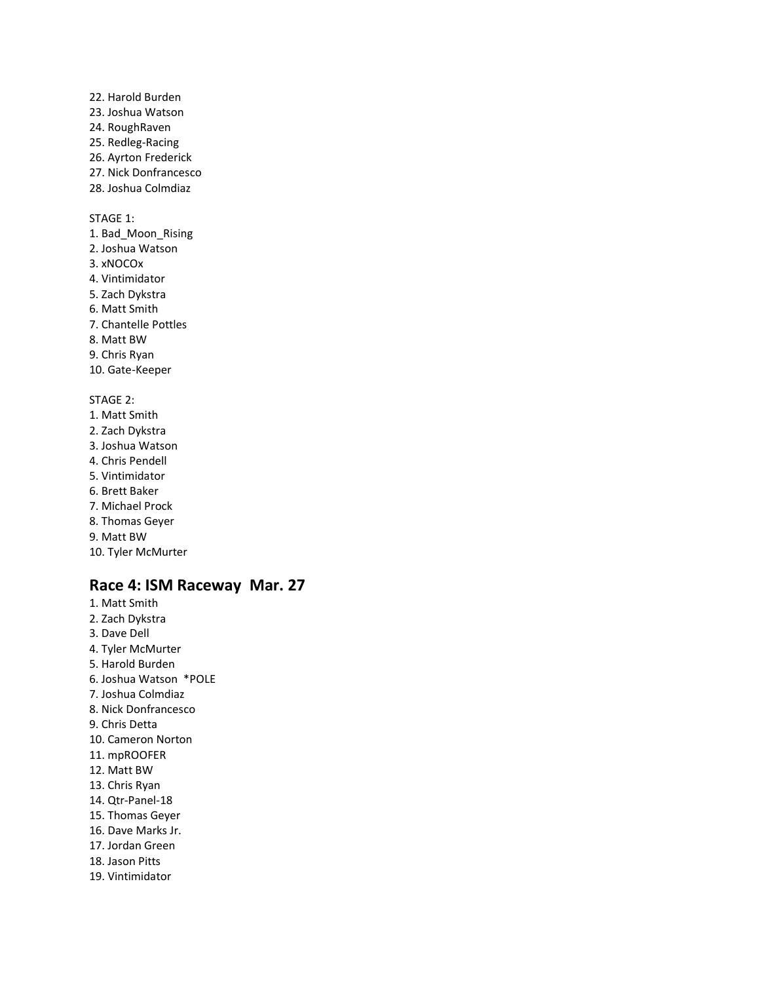22. Harold Burden 23. Joshua Watson 24. RoughRaven 25. Redleg-Racing 26. Ayrton Frederick 27. Nick Donfrancesco 28. Joshua Colmdiaz

STAGE 1:

- 1. Bad\_Moon\_Rising 2. Joshua Watson 3. xNOCOx 4. Vintimidator 5. Zach Dykstra 6. Matt Smith 7. Chantelle Pottles 8. Matt BW 9. Chris Ryan 10. Gate-Keeper STAGE 2: 1. Matt Smith 2. Zach Dykstra 3. Joshua Watson 4. Chris Pendell 5. Vintimidator 6. Brett Baker 7. Michael Prock 8. Thomas Geyer
- 9. Matt BW
- 10. Tyler McMurter

# **Race 4: ISM Raceway Mar. 27**

1. Matt Smith 2. Zach Dykstra 3. Dave Dell 4. Tyler McMurter 5. Harold Burden 6. Joshua Watson \*POLE 7. Joshua Colmdiaz 8. Nick Donfrancesco 9. Chris Detta 10. Cameron Norton 11. mpROOFER 12. Matt BW 13. Chris Ryan 14. Qtr-Panel-18 15. Thomas Geyer 16. Dave Marks Jr. 17. Jordan Green 18. Jason Pitts 19. Vintimidator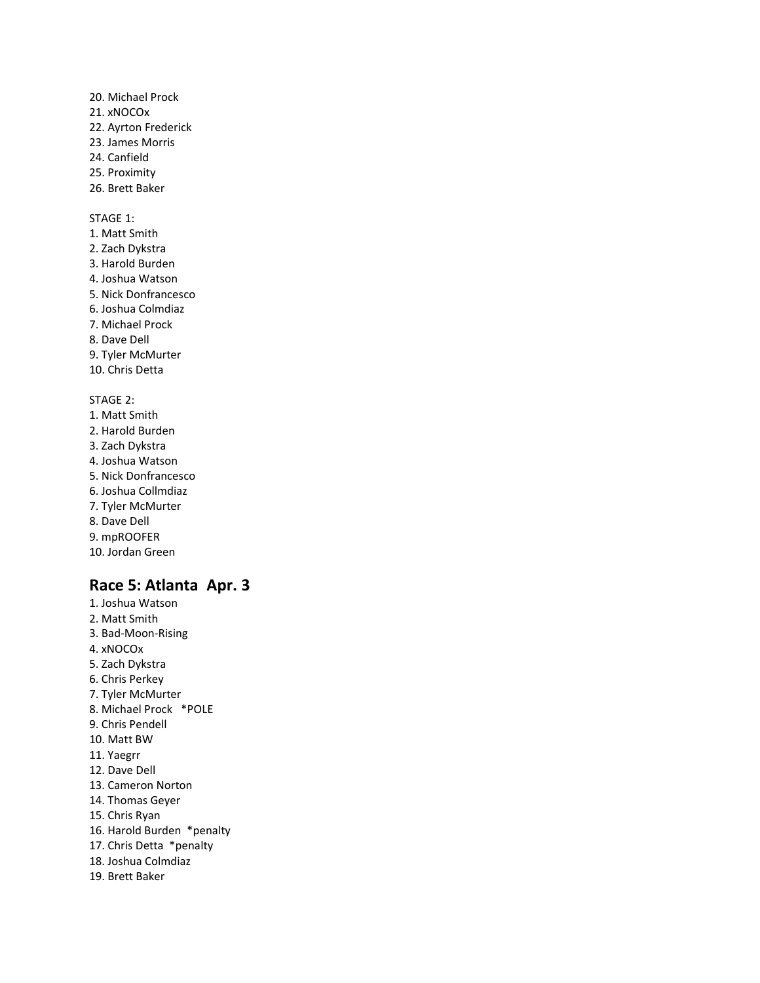- 20. Michael Prock 21. xNOCOx 22. Ayrton Frederick 23. James Morris 24. Canfield 25. Proximity 26. Brett Baker STAGE 1: 1. Matt Smith 2. Zach Dykstra 3. Harold Burden 4. Joshua Watson 5. Nick Donfrancesco 6. Joshua Colmdiaz 7. Michael Prock 8. Dave Dell
- 9. Tyler McMurter
- 10. Chris Detta

#### STAGE 2:

- 1. Matt Smith 2. Harold Burden 3. Zach Dykstra 4. Joshua Watson 5. Nick Donfrancesco 6. Joshua Collmdiaz 7. Tyler McMurter 8. Dave Dell 9. mpROOFER
- 10. Jordan Green

# **Race 5: Atlanta Apr. 3**

1. Joshua Watson 2. Matt Smith 3. Bad-Moon-Rising 4. xNOCOx 5. Zach Dykstra 6. Chris Perkey 7. Tyler McMurter 8. Michael Prock \*POLE 9. Chris Pendell 10. Matt BW 11. Yaegrr 12. Dave Dell 13. Cameron Norton 14. Thomas Geyer 15. Chris Ryan 16. Harold Burden \*penalty 17. Chris Detta \*penalty 18. Joshua Colmdiaz 19. Brett Baker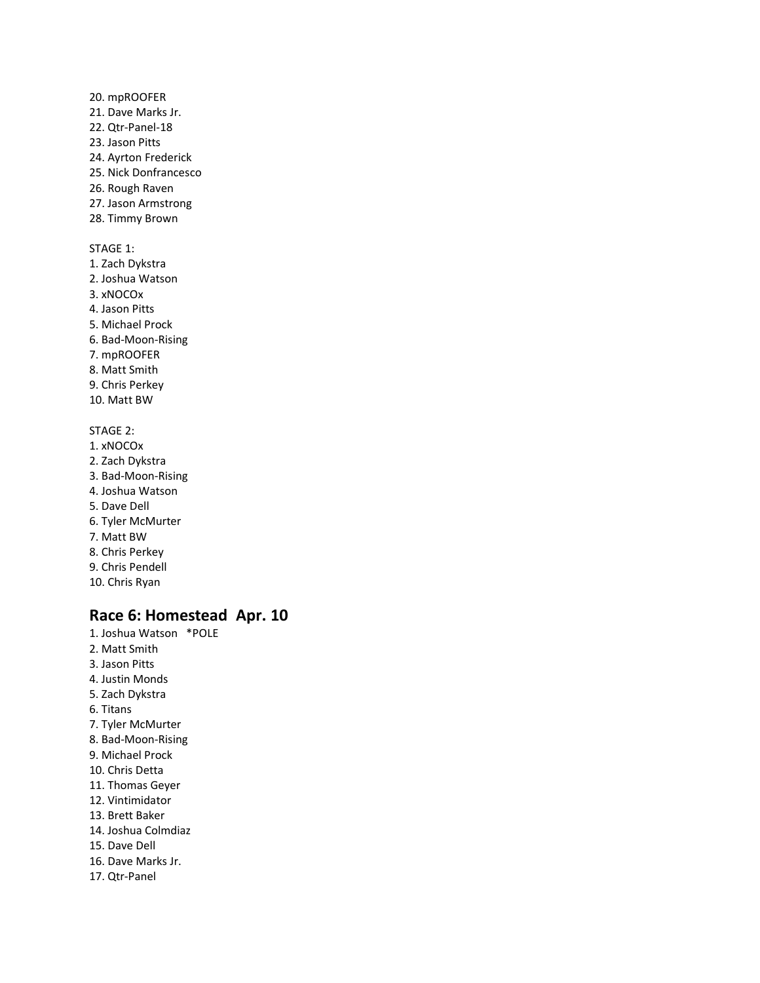20. mpROOFER 21. Dave Marks Jr. 22. Qtr-Panel-18 23. Jason Pitts 24. Ayrton Frederick 25. Nick Donfrancesco 26. Rough Raven 27. Jason Armstrong 28. Timmy Brown STAGE 1: 1. Zach Dykstra 2. Joshua Watson 3. xNOCOx 4. Jason Pitts 5. Michael Prock 6. Bad-Moon-Rising 7. mpROOFER 8. Matt Smith 9. Chris Perkey 10. Matt BW STAGE 2: 1. xNOCOx 2. Zach Dykstra 3. Bad-Moon-Rising 4. Joshua Watson 5. Dave Dell 6. Tyler McMurter 7. Matt BW 8. Chris Perkey 9. Chris Pendell

# **Race 6: Homestead Apr. 10**

1. Joshua Watson \*POLE 2. Matt Smith 3. Jason Pitts 4. Justin Monds 5. Zach Dykstra 6. Titans 7. Tyler McMurter 8. Bad-Moon-Rising 9. Michael Prock 10. Chris Detta 11. Thomas Geyer 12. Vintimidator 13. Brett Baker 14. Joshua Colmdiaz 15. Dave Dell 16. Dave Marks Jr. 17. Qtr-Panel

10. Chris Ryan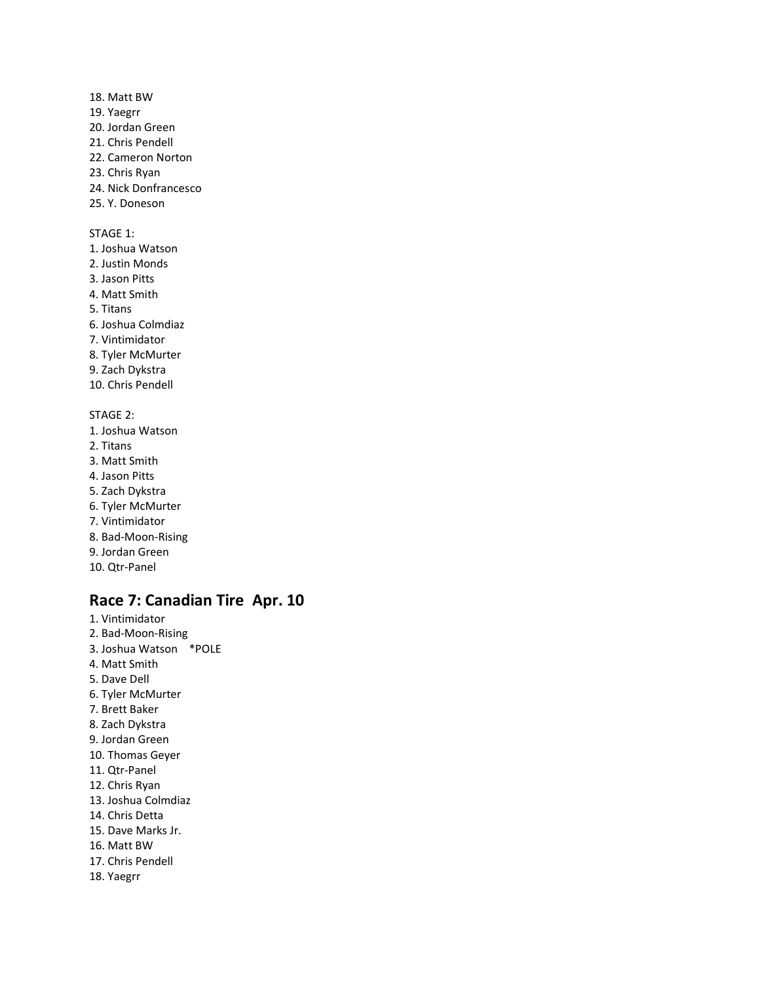- 18. Matt BW 19. Yaegrr 20. Jordan Green 21. Chris Pendell
- 22. Cameron Norton
- 23. Chris Ryan
- 24. Nick Donfrancesco
- 25. Y. Doneson

- 1. Joshua Watson
- 2. Justin Monds
- 3. Jason Pitts
- 4. Matt Smith
- 5. Titans
- 6. Joshua Colmdiaz
- 7. Vintimidator
- 8. Tyler McMurter
- 9. Zach Dykstra
- 10. Chris Pendell

# STAGE 2:

- 1. Joshua Watson
- 2. Titans
- 3. Matt Smith
- 4. Jason Pitts
- 5. Zach Dykstra
- 6. Tyler McMurter
- 7. Vintimidator
- 8. Bad-Moon-Rising
- 9. Jordan Green
- 10. Qtr-Panel

# **Race 7: Canadian Tire Apr. 10**

- 1. Vintimidator
- 2. Bad-Moon-Rising
- 3. Joshua Watson \*POLE
- 4. Matt Smith
- 5. Dave Dell
- 6. Tyler McMurter
- 7. Brett Baker
- 8. Zach Dykstra
- 9. Jordan Green
- 10. Thomas Geyer
- 11. Qtr-Panel
- 12. Chris Ryan
- 13. Joshua Colmdiaz
- 14. Chris Detta
- 15. Dave Marks Jr.
- 16. Matt BW
- 17. Chris Pendell
- 18. Yaegrr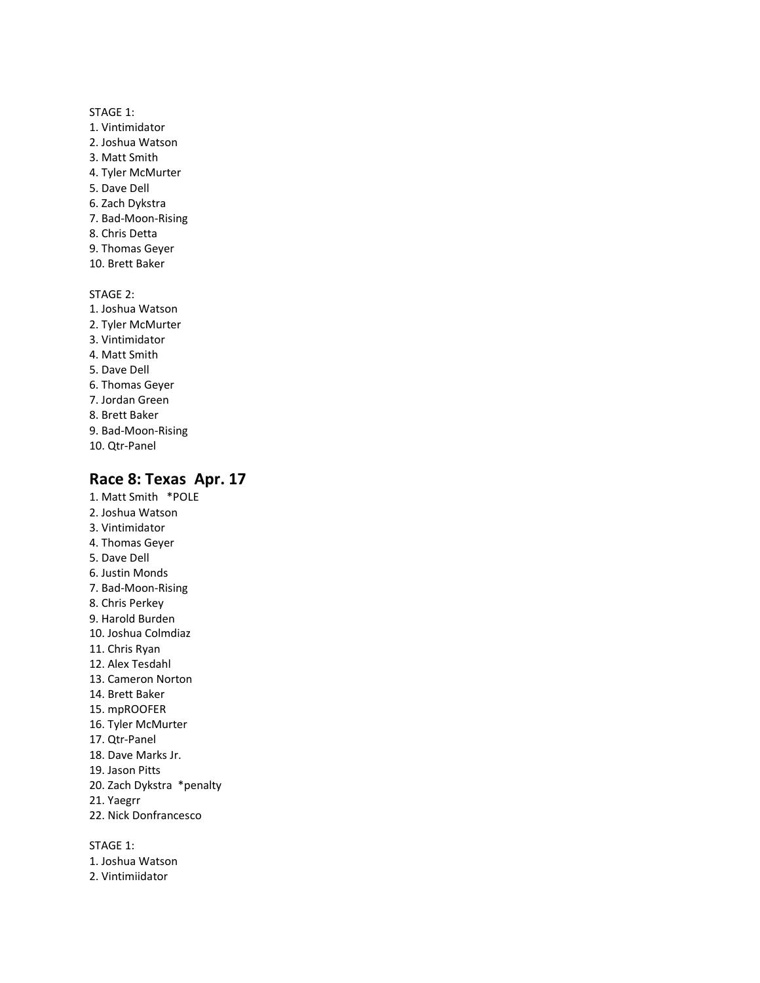- 1. Vintimidator
- 2. Joshua Watson
- 3. Matt Smith
- 4. Tyler McMurter
- 5. Dave Dell
- 6. Zach Dykstra
- 7. Bad-Moon-Rising
- 8. Chris Detta
- 9. Thomas Geyer
- 10. Brett Baker

STAGE 2:

- 1. Joshua Watson
- 2. Tyler McMurter
- 3. Vintimidator
- 4. Matt Smith
- 5. Dave Dell
- 6. Thomas Geyer
- 7. Jordan Green
- 8. Brett Baker
- 9. Bad-Moon-Rising 10. Qtr-Panel
- 

# **Race 8: Texas Apr. 17**

- 1. Matt Smith \*POLE
- 2. Joshua Watson
- 3. Vintimidator
- 4. Thomas Geyer
- 5. Dave Dell 6. Justin Monds
- 7. Bad-Moon-Rising
- 8. Chris Perkey
- 9. Harold Burden
- 10. Joshua Colmdiaz
- 11. Chris Ryan
- 12. Alex Tesdahl
- 13. Cameron Norton
- 14. Brett Baker
- 15. mpROOFER
- 16. Tyler McMurter
- 17. Qtr-Panel
- 18. Dave Marks Jr.
- 19. Jason Pitts
- 20. Zach Dykstra \*penalty
- 21. Yaegrr
- 22. Nick Donfrancesco

STAGE 1:

- 1. Joshua Watson
- 2. Vintimiidator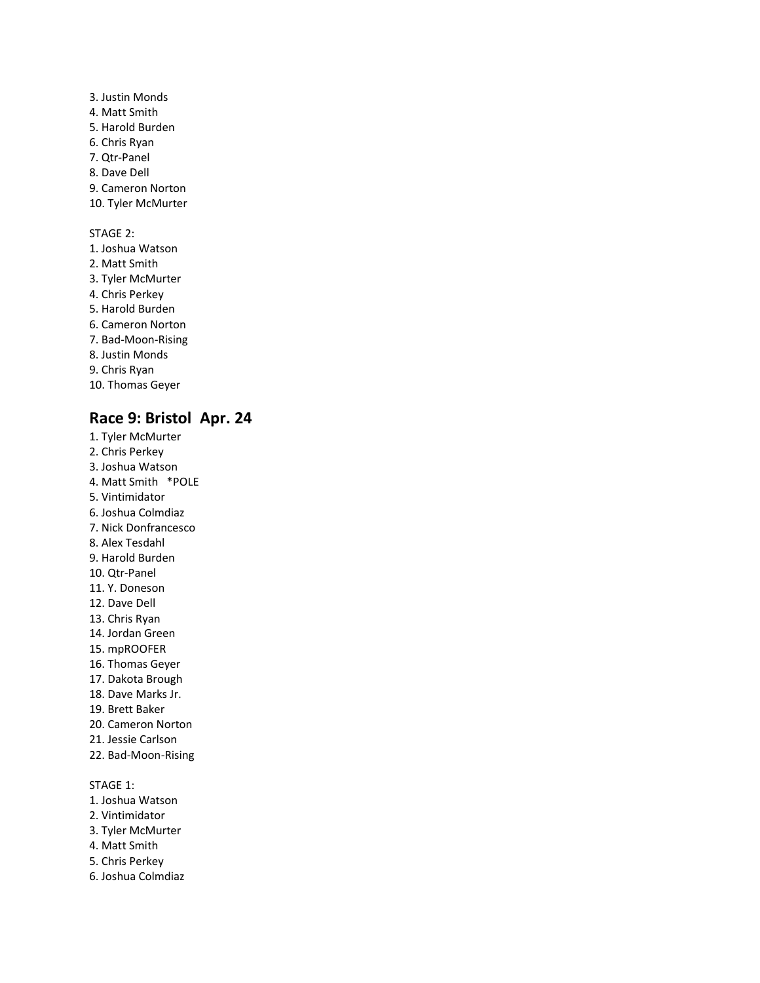3. Justin Monds 4. Matt Smith 5. Harold Burden 6. Chris Ryan 7. Qtr-Panel 8. Dave Dell 9. Cameron Norton 10. Tyler McMurter

STAGE 2:

1. Joshua Watson 2. Matt Smith 3. Tyler McMurter 4. Chris Perkey 5. Harold Burden 6. Cameron Norton 7. Bad-Moon-Rising 8. Justin Monds 9. Chris Ryan 10. Thomas Geyer

# **Race 9: Bristol Apr. 24**

- 1. Tyler McMurter 2. Chris Perkey 3. Joshua Watson 4. Matt Smith \*POLE 5. Vintimidator 6. Joshua Colmdiaz 7. Nick Donfrancesco 8. Alex Tesdahl 9. Harold Burden 10. Qtr-Panel 11. Y. Doneson 12. Dave Dell 13. Chris Ryan 14. Jordan Green 15. mpROOFER 16. Thomas Geyer 17. Dakota Brough 18. Dave Marks Jr. 19. Brett Baker 20. Cameron Norton 21. Jessie Carlson 22. Bad-Moon-Rising STAGE 1:
- 1. Joshua Watson
- 2. Vintimidator
- 3. Tyler McMurter
- 4. Matt Smith
- 5. Chris Perkey
- 6. Joshua Colmdiaz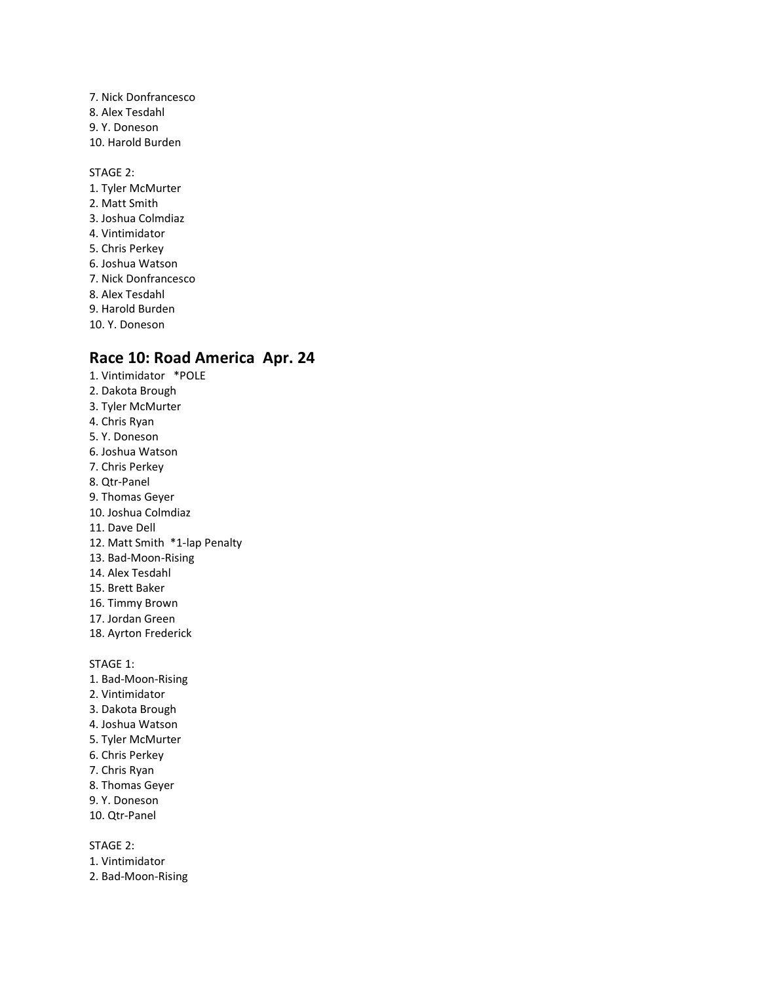7. Nick Donfrancesco 8. Alex Tesdahl 9. Y. Doneson 10. Harold Burden

STAGE 2: 1. Tyler McMurter 2. Matt Smith 3. Joshua Colmdiaz 4. Vintimidator 5. Chris Perkey 6. Joshua Watson 7. Nick Donfrancesco 8. Alex Tesdahl 9. Harold Burden 10. Y. Doneson

# **Race 10: Road America Apr. 24**

1. Vintimidator \*POLE 2. Dakota Brough 3. Tyler McMurter 4. Chris Ryan 5. Y. Doneson 6. Joshua Watson 7. Chris Perkey 8. Qtr-Panel 9. Thomas Geyer 10. Joshua Colmdiaz 11. Dave Dell 12. Matt Smith \*1-lap Penalty 13. Bad-Moon-Rising 14. Alex Tesdahl 15. Brett Baker 16. Timmy Brown 17. Jordan Green 18. Ayrton Frederick

STAGE 1:

- 1. Bad-Moon-Rising
- 2. Vintimidator
- 3. Dakota Brough
- 4. Joshua Watson
- 5. Tyler McMurter
- 6. Chris Perkey
- 7. Chris Ryan
- 8. Thomas Geyer
- 9. Y. Doneson
- 10. Qtr-Panel

- 1. Vintimidator
- 2. Bad-Moon-Rising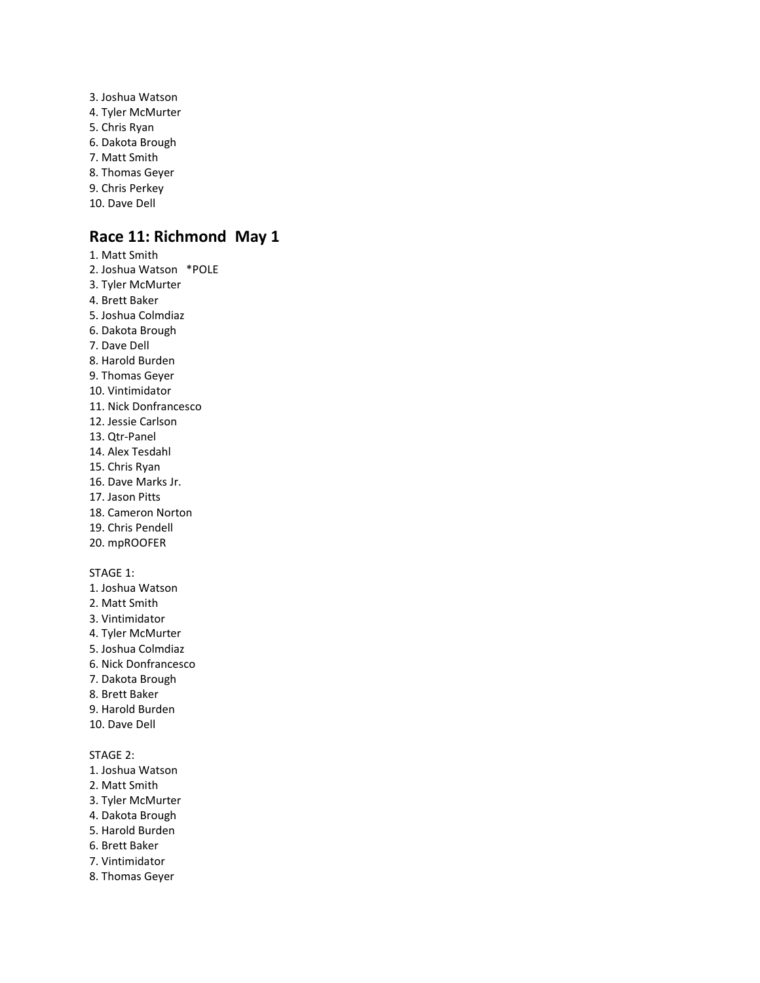3. Joshua Watson 4. Tyler McMurter 5. Chris Ryan 6. Dakota Brough 7. Matt Smith 8. Thomas Geyer 9. Chris Perkey 10. Dave Dell

## **Race 11: Richmond May 1**

- 1. Matt Smith 2. Joshua Watson \*POLE 3. Tyler McMurter 4. Brett Baker 5. Joshua Colmdiaz 6. Dakota Brough 7. Dave Dell 8. Harold Burden 9. Thomas Geyer 10. Vintimidator 11. Nick Donfrancesco 12. Jessie Carlson 13. Qtr-Panel 14. Alex Tesdahl 15. Chris Ryan 16. Dave Marks Jr. 17. Jason Pitts 18. Cameron Norton 19. Chris Pendell 20. mpROOFER STAGE 1: 1. Joshua Watson 2. Matt Smith
- 3. Vintimidator
- 4. Tyler McMurter
- 5. Joshua Colmdiaz
- 6. Nick Donfrancesco
- 7. Dakota Brough
- 8. Brett Baker
- 9. Harold Burden
- 10. Dave Dell

- 1. Joshua Watson
- 2. Matt Smith
- 3. Tyler McMurter
- 4. Dakota Brough
- 5. Harold Burden
- 6. Brett Baker
- 7. Vintimidator
- 8. Thomas Geyer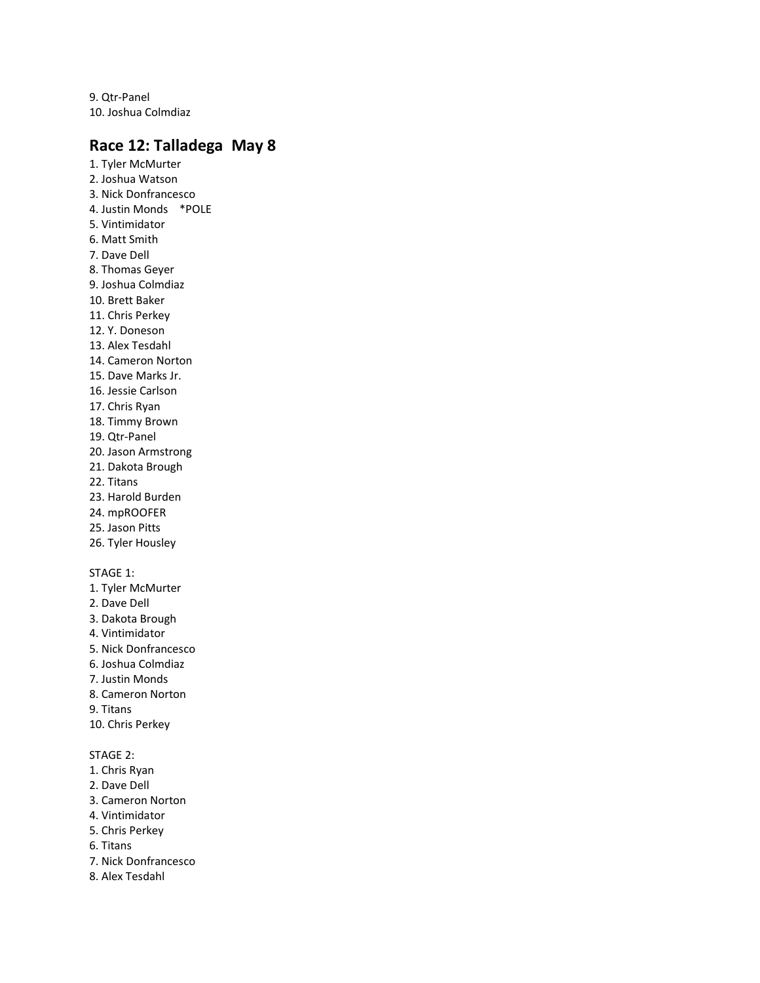9. Qtr-Panel 10. Joshua Colmdiaz

## **Race 12: Talladega May 8**

1. Tyler McMurter 2. Joshua Watson 3. Nick Donfrancesco 4. Justin Monds \*POLE 5. Vintimidator 6. Matt Smith 7. Dave Dell 8. Thomas Geyer 9. Joshua Colmdiaz 10. Brett Baker 11. Chris Perkey 12. Y. Doneson 13. Alex Tesdahl 14. Cameron Norton 15. Dave Marks Jr. 16. Jessie Carlson 17. Chris Ryan 18. Timmy Brown 19. Qtr-Panel 20. Jason Armstrong 21. Dakota Brough 22. Titans 23. Harold Burden 24. mpROOFER 25. Jason Pitts 26. Tyler Housley STAGE 1: 1. Tyler McMurter 2. Dave Dell 3. Dakota Brough 4. Vintimidator 5. Nick Donfrancesco 6. Joshua Colmdiaz 7. Justin Monds 8. Cameron Norton 9. Titans 10. Chris Perkey STAGE 2: 1. Chris Ryan 2. Dave Dell 3. Cameron Norton 4. Vintimidator

- 5. Chris Perkey
- 6. Titans
- 7. Nick Donfrancesco
- 8. Alex Tesdahl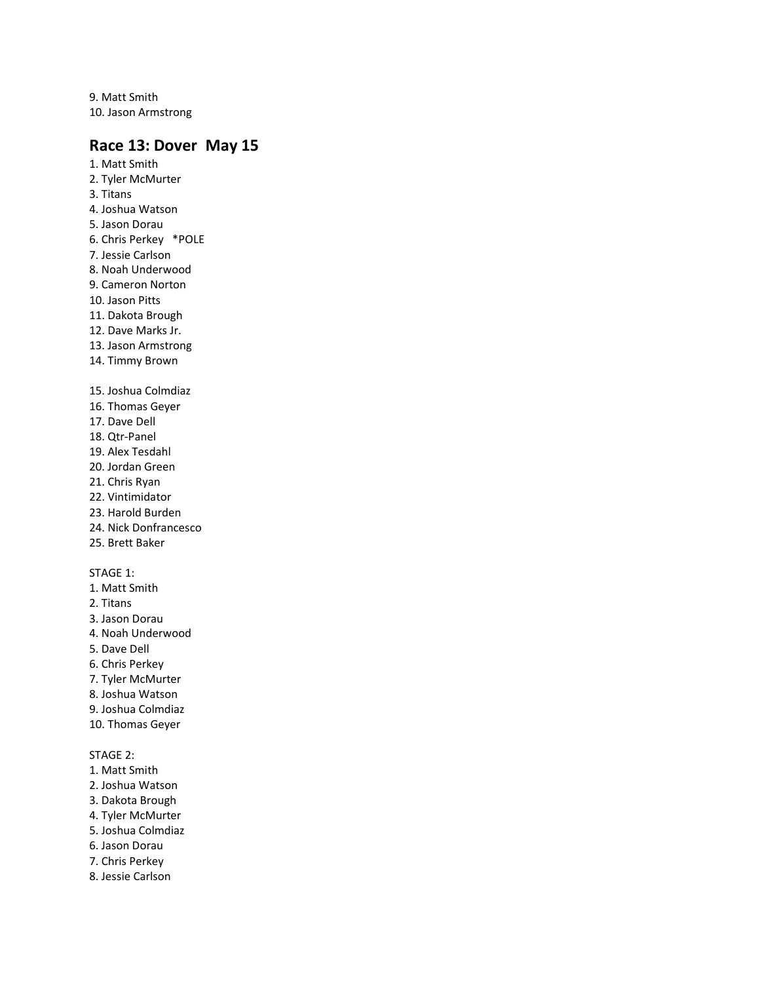9. Matt Smith 10. Jason Armstrong

## **Race 13: Dover May 15**

1. Matt Smith 2. Tyler McMurter 3. Titans 4. Joshua Watson 5. Jason Dorau 6. Chris Perkey \*POLE 7. Jessie Carlson 8. Noah Underwood 9. Cameron Norton 10. Jason Pitts 11. Dakota Brough 12. Dave Marks Jr. 13. Jason Armstrong 14. Timmy Brown 15. Joshua Colmdiaz 16. Thomas Geyer 17. Dave Dell 18. Qtr-Panel 19. Alex Tesdahl 20. Jordan Green 21. Chris Ryan 22. Vintimidator 23. Harold Burden 24. Nick Donfrancesco 25. Brett Baker STAGE 1: 1. Matt Smith 2. Titans 3. Jason Dorau 4. Noah Underwood 5. Dave Dell 6. Chris Perkey 7. Tyler McMurter 8. Joshua Watson 9. Joshua Colmdiaz 10. Thomas Geyer

- 1. Matt Smith
- 2. Joshua Watson
- 3. Dakota Brough
- 4. Tyler McMurter
- 5. Joshua Colmdiaz
- 6. Jason Dorau
- 7. Chris Perkey
- 8. Jessie Carlson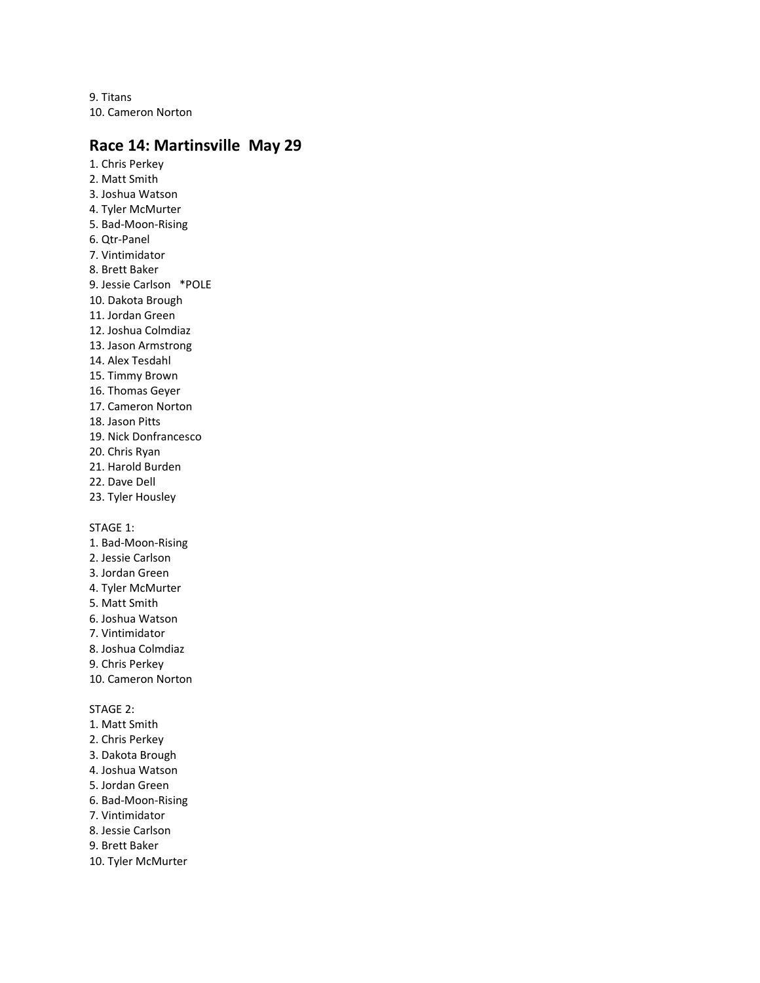9. Titans 10. Cameron Norton

## **Race 14: Martinsville May 29**

1. Chris Perkey 2. Matt Smith 3. Joshua Watson 4. Tyler McMurter 5. Bad-Moon-Rising 6. Qtr-Panel 7. Vintimidator 8. Brett Baker 9. Jessie Carlson \*POLE 10. Dakota Brough 11. Jordan Green 12. Joshua Colmdiaz 13. Jason Armstrong 14. Alex Tesdahl 15. Timmy Brown 16. Thomas Geyer 17. Cameron Norton 18. Jason Pitts 19. Nick Donfrancesco 20. Chris Ryan 21. Harold Burden 22. Dave Dell 23. Tyler Housley STAGE 1: 1. Bad-Moon-Rising

- 
- 2. Jessie Carlson
- 3. Jordan Green 4. Tyler McMurter
- 5. Matt Smith
- 6. Joshua Watson
- 7. Vintimidator
- 8. Joshua Colmdiaz
- 9. Chris Perkey
- 10. Cameron Norton

- 1. Matt Smith
- 2. Chris Perkey
- 3. Dakota Brough
- 4. Joshua Watson
- 5. Jordan Green
- 6. Bad-Moon-Rising
- 7. Vintimidator
- 8. Jessie Carlson
- 9. Brett Baker
- 10. Tyler McMurter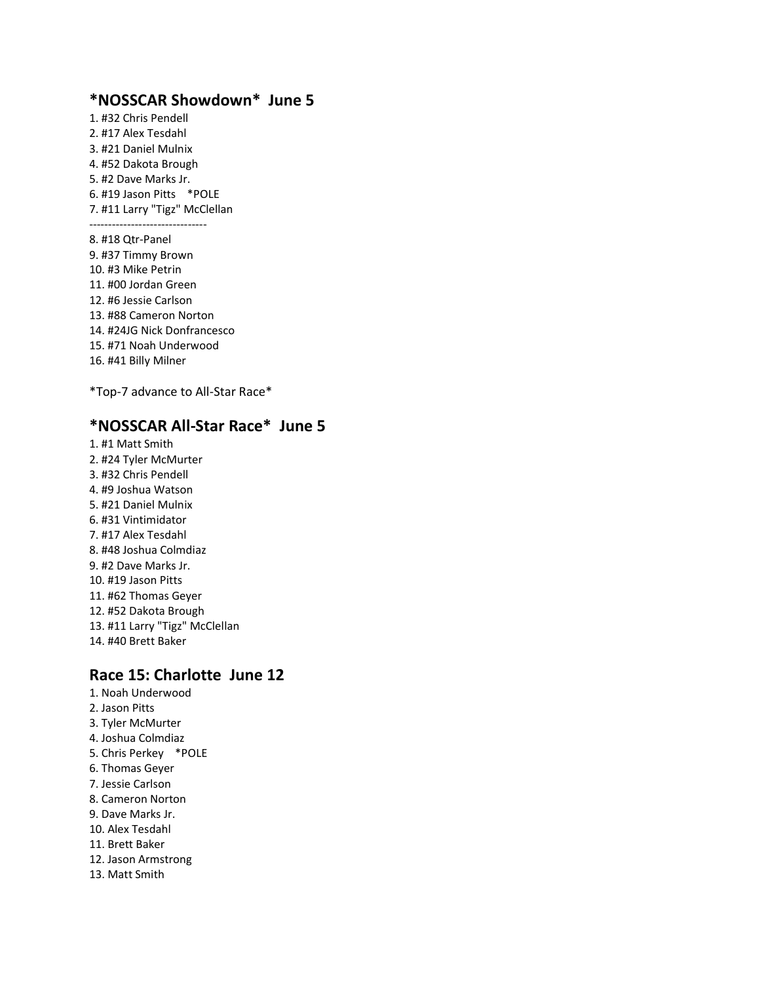## **\*NOSSCAR Showdown\* June 5**

1. #32 Chris Pendell 2. #17 Alex Tesdahl 3. #21 Daniel Mulnix 4. #52 Dakota Brough 5. #2 Dave Marks Jr. 6. #19 Jason Pitts \*POLE 7. #11 Larry "Tigz" McClellan -------------------------------

8. #18 Qtr-Panel 9. #37 Timmy Brown 10. #3 Mike Petrin 11. #00 Jordan Green 12. #6 Jessie Carlson 13. #88 Cameron Norton 14. #24JG Nick Donfrancesco 15. #71 Noah Underwood 16. #41 Billy Milner

\*Top-7 advance to All-Star Race\*

## **\*NOSSCAR All-Star Race\* June 5**

1. #1 Matt Smith 2. #24 Tyler McMurter 3. #32 Chris Pendell 4. #9 Joshua Watson 5. #21 Daniel Mulnix 6. #31 Vintimidator 7. #17 Alex Tesdahl 8. #48 Joshua Colmdiaz 9. #2 Dave Marks Jr. 10. #19 Jason Pitts 11. #62 Thomas Geyer 12. #52 Dakota Brough 13. #11 Larry "Tigz" McClellan 14. #40 Brett Baker

### **Race 15: Charlotte June 12**

1. Noah Underwood 2. Jason Pitts 3. Tyler McMurter 4. Joshua Colmdiaz 5. Chris Perkey \*POLE 6. Thomas Geyer 7. Jessie Carlson 8. Cameron Norton 9. Dave Marks Jr. 10. Alex Tesdahl 11. Brett Baker 12. Jason Armstrong 13. Matt Smith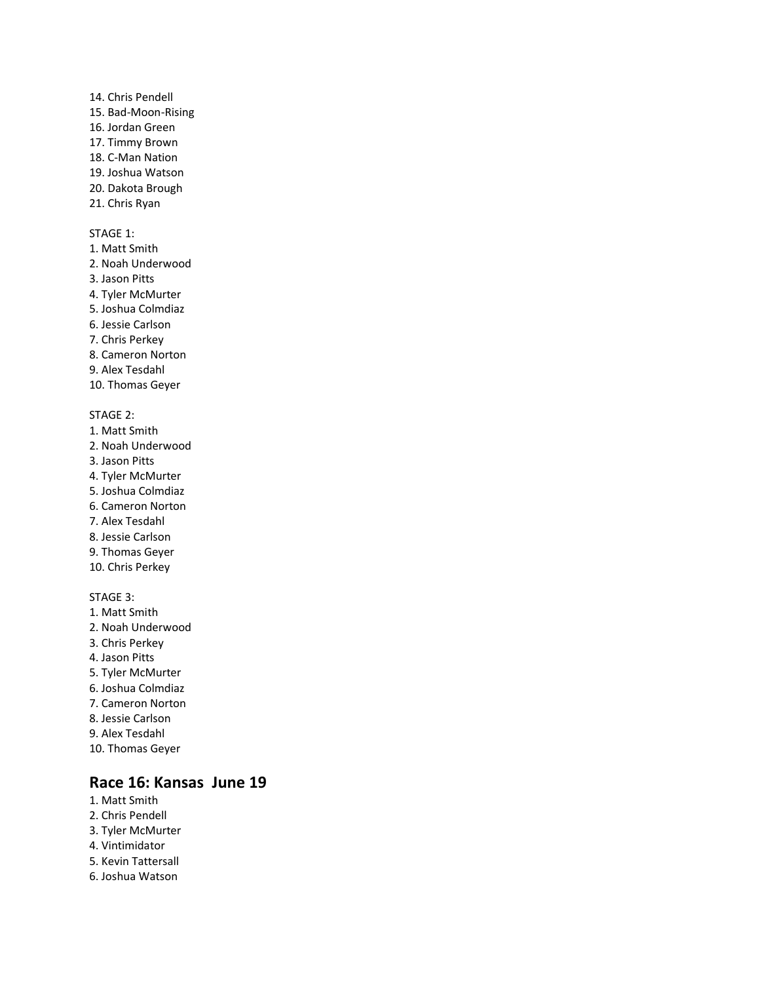### 14. Chris Pendell 15. Bad-Moon-Rising 16. Jordan Green 17. Timmy Brown 18. C-Man Nation 19. Joshua Watson 20. Dakota Brough

21. Chris Ryan

#### STAGE 1:

- 1. Matt Smith 2. Noah Underwood
- 3. Jason Pitts
- 4. Tyler McMurter
- 5. Joshua Colmdiaz
- 6. Jessie Carlson
- 7. Chris Perkey
- 8. Cameron Norton
- 9. Alex Tesdahl
- 10. Thomas Geyer

#### STAGE 2:

- 1. Matt Smith
- 2. Noah Underwood
- 3. Jason Pitts
- 4. Tyler McMurter
- 5. Joshua Colmdiaz
- 6. Cameron Norton
- 7. Alex Tesdahl
- 8. Jessie Carlson
- 9. Thomas Geyer
- 10. Chris Perkey

#### STAGE 3:

- 1. Matt Smith
- 2. Noah Underwood
- 3. Chris Perkey
- 4. Jason Pitts
- 5. Tyler McMurter
- 6. Joshua Colmdiaz
- 7. Cameron Norton
- 8. Jessie Carlson
- 9. Alex Tesdahl
- 10. Thomas Geyer

### **Race 16: Kansas June 19**

- 1. Matt Smith
- 2. Chris Pendell
- 3. Tyler McMurter 4. Vintimidator
- 5. Kevin Tattersall
- 
- 6. Joshua Watson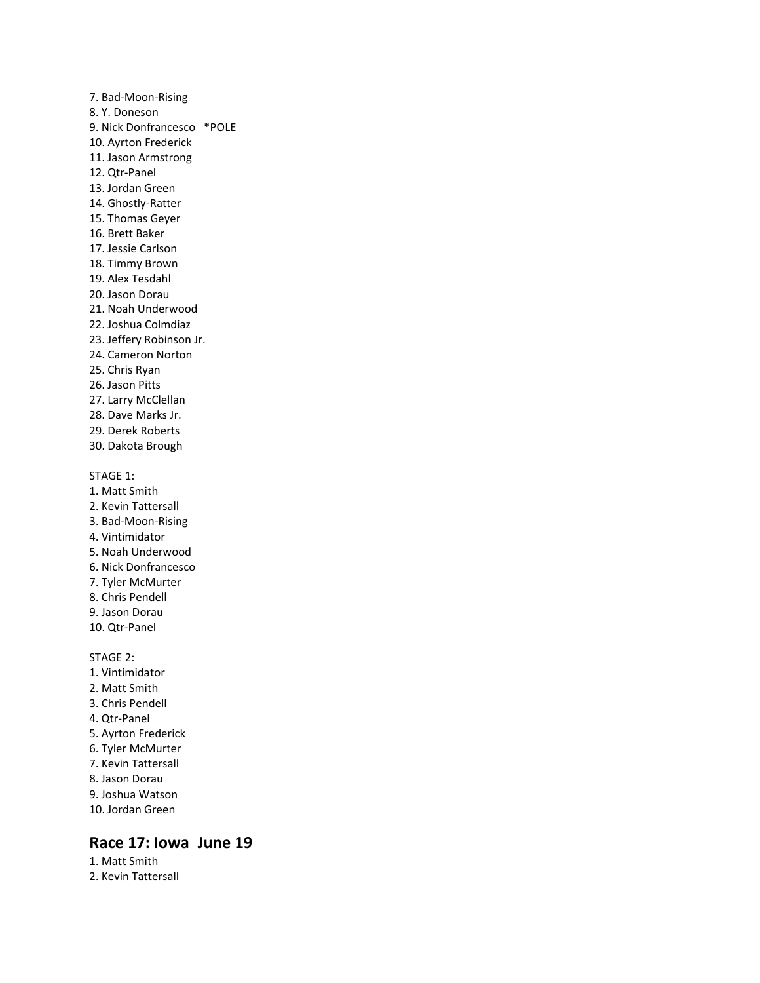7. Bad-Moon-Rising 8. Y. Doneson 9. Nick Donfrancesco \*POLE 10. Ayrton Frederick 11. Jason Armstrong 12. Qtr-Panel 13. Jordan Green 14. Ghostly-Ratter 15. Thomas Geyer 16. Brett Baker 17. Jessie Carlson 18. Timmy Brown 19. Alex Tesdahl 20. Jason Dorau 21. Noah Underwood 22. Joshua Colmdiaz 23. Jeffery Robinson Jr. 24. Cameron Norton 25. Chris Ryan 26. Jason Pitts 27. Larry McClellan 28. Dave Marks Jr. 29. Derek Roberts 30. Dakota Brough STAGE 1: 1. Matt Smith 2. Kevin Tattersall 3. Bad-Moon-Rising 4. Vintimidator 5. Noah Underwood 6. Nick Donfrancesco 7. Tyler McMurter 8. Chris Pendell 9. Jason Dorau 10. Qtr-Panel STAGE 2: 1. Vintimidator 2. Matt Smith 3. Chris Pendell 4. Qtr-Panel 5. Ayrton Frederick 6. Tyler McMurter 7. Kevin Tattersall 8. Jason Dorau 9. Joshua Watson 10. Jordan Green

## **Race 17: Iowa June 19**

1. Matt Smith 2. Kevin Tattersall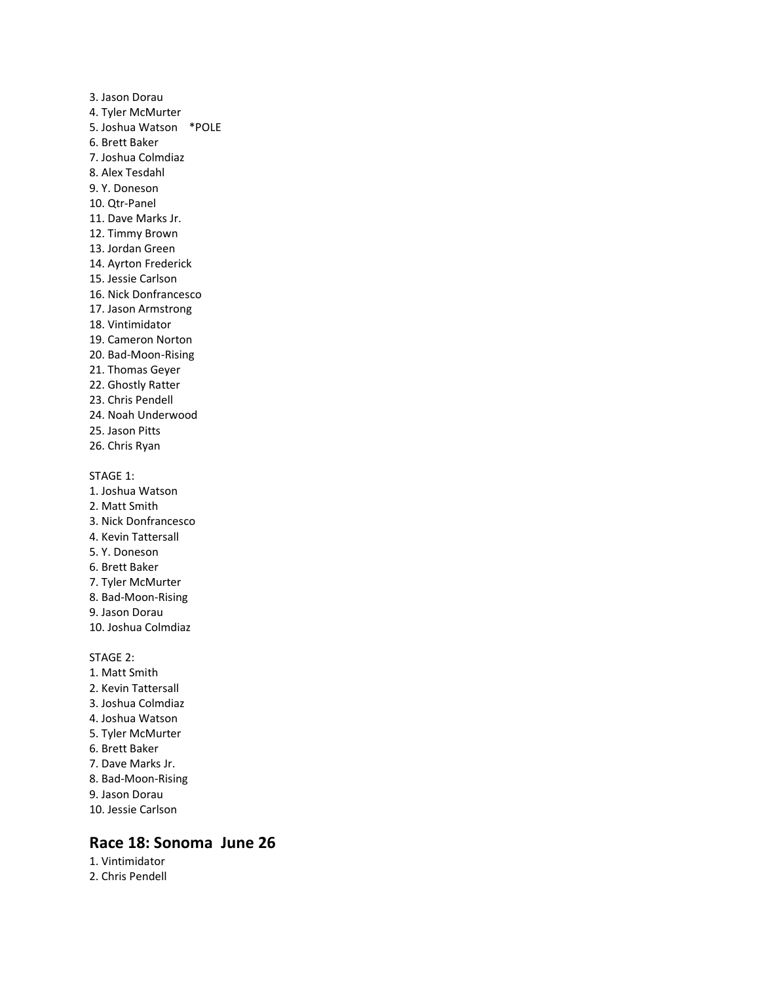3. Jason Dorau 4. Tyler McMurter 5. Joshua Watson \*POLE 6. Brett Baker 7. Joshua Colmdiaz 8. Alex Tesdahl 9. Y. Doneson 10. Qtr-Panel 11. Dave Marks Jr. 12. Timmy Brown 13. Jordan Green 14. Ayrton Frederick 15. Jessie Carlson 16. Nick Donfrancesco 17. Jason Armstrong 18. Vintimidator 19. Cameron Norton 20. Bad-Moon-Rising 21. Thomas Geyer 22. Ghostly Ratter 23. Chris Pendell 24. Noah Underwood 25. Jason Pitts 26. Chris Ryan STAGE 1: 1. Joshua Watson 2. Matt Smith 3. Nick Donfrancesco 4. Kevin Tattersall 5. Y. Doneson 6. Brett Baker 7. Tyler McMurter 8. Bad-Moon-Rising 9. Jason Dorau 10. Joshua Colmdiaz STAGE 2: 1. Matt Smith 2. Kevin Tattersall 3. Joshua Colmdiaz 4. Joshua Watson 5. Tyler McMurter 6. Brett Baker 7. Dave Marks Jr. 8. Bad-Moon-Rising 9. Jason Dorau 10. Jessie Carlson

### **Race 18: Sonoma June 26**

1. Vintimidator

2. Chris Pendell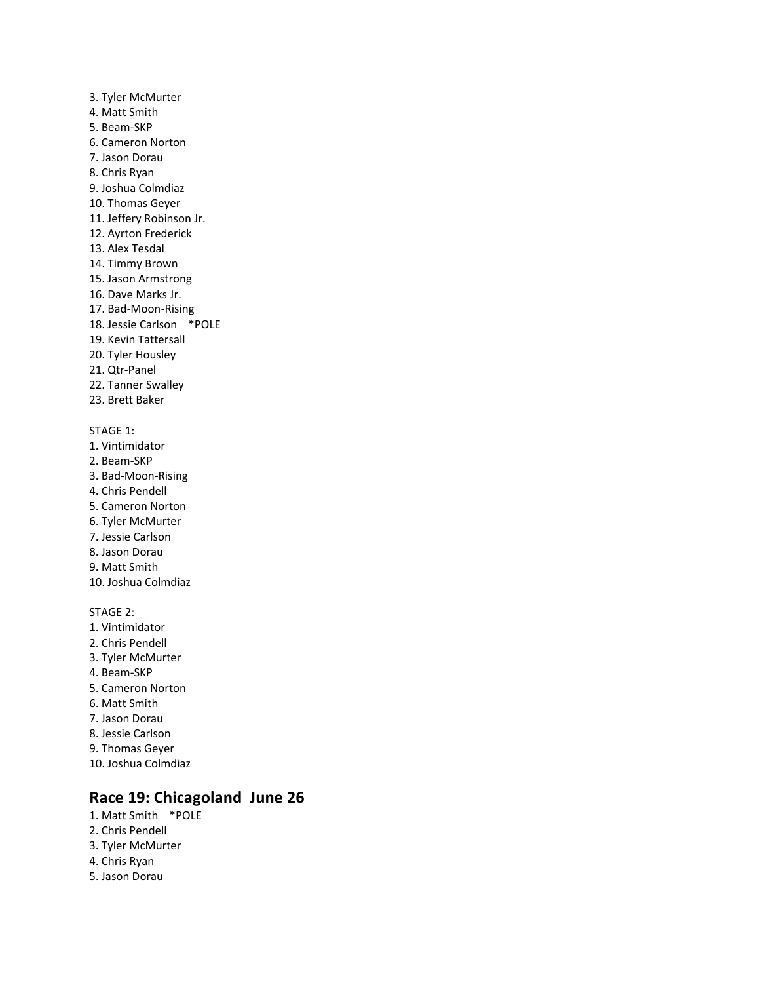3. Tyler McMurter 4. Matt Smith 5. Beam-SKP 6. Cameron Norton 7. Jason Dorau 8. Chris Ryan 9. Joshua Colmdiaz 10. Thomas Geyer 11. Jeffery Robinson Jr. 12. Ayrton Frederick 13. Alex Tesdal 14. Timmy Brown 15. Jason Armstrong 16. Dave Marks Jr. 17. Bad-Moon-Rising 18. Jessie Carlson \*POLE 19. Kevin Tattersall 20. Tyler Housley 21. Qtr-Panel 22. Tanner Swalley 23. Brett Baker

### STAGE 1:

- 1. Vintimidator
- 2. Beam-SKP
- 3. Bad-Moon-Rising
- 4. Chris Pendell
- 5. Cameron Norton
- 6. Tyler McMurter
- 7. Jessie Carlson
- 8. Jason Dorau
- 9. Matt Smith
- 10. Joshua Colmdiaz

#### STAGE 2:

- 1. Vintimidator 2. Chris Pendell 3. Tyler McMurter 4. Beam-SKP
- 5. Cameron Norton
- 6. Matt Smith
- 7. Jason Dorau
- 8. Jessie Carlson
- 9. Thomas Geyer
- 10. Joshua Colmdiaz

## **Race 19: Chicagoland June 26**

- 1. Matt Smith \*POLE
- 2. Chris Pendell
- 3. Tyler McMurter
- 4. Chris Ryan
- 5. Jason Dorau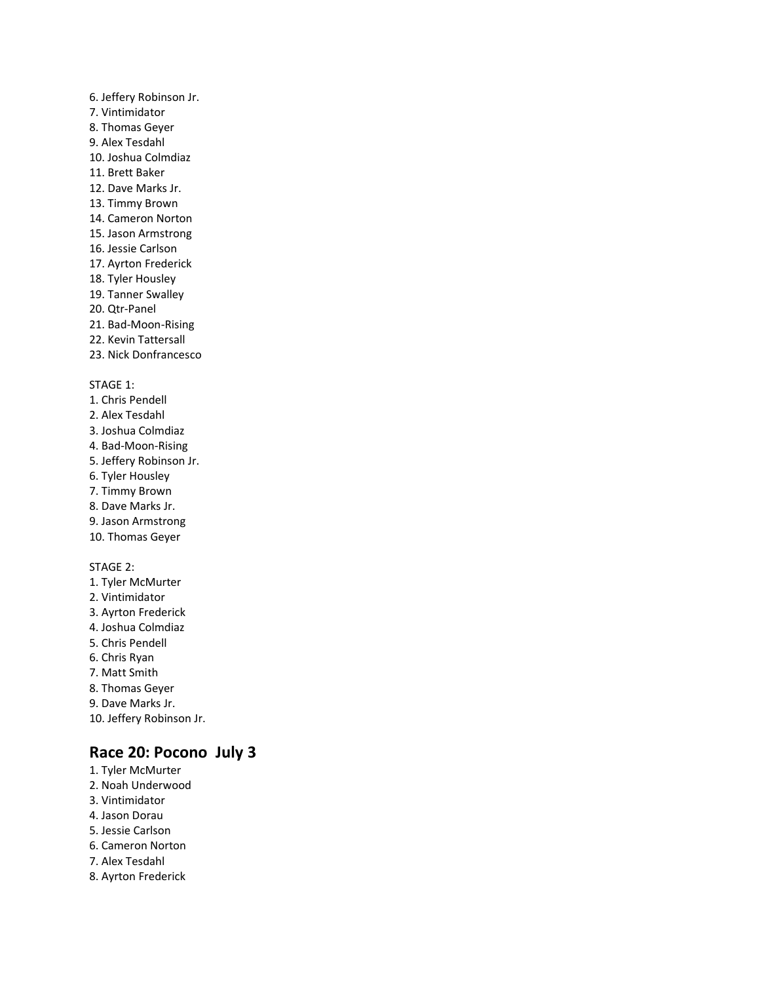### 6. Jeffery Robinson Jr. 7. Vintimidator 8. Thomas Geyer 9. Alex Tesdahl 10. Joshua Colmdiaz 11. Brett Baker 12. Dave Marks Jr. 13. Timmy Brown 14. Cameron Norton 15. Jason Armstrong 16. Jessie Carlson 17. Ayrton Frederick 18. Tyler Housley 19. Tanner Swalley

- 20. Qtr-Panel
- 21. Bad-Moon-Rising
- 22. Kevin Tattersall
- 23. Nick Donfrancesco

### STAGE 1:

- 1. Chris Pendell
- 2. Alex Tesdahl
- 3. Joshua Colmdiaz
- 4. Bad-Moon-Rising
- 5. Jeffery Robinson Jr.
- 6. Tyler Housley
- 7. Timmy Brown
- 8. Dave Marks Jr.
- 9. Jason Armstrong
- 10. Thomas Geyer

### STAGE 2:

1. Tyler McMurter 2. Vintimidator 3. Ayrton Frederick 4. Joshua Colmdiaz 5. Chris Pendell 6. Chris Ryan 7. Matt Smith 8. Thomas Geyer 9. Dave Marks Jr. 10. Jeffery Robinson Jr.

# **Race 20: Pocono July 3**

- 1. Tyler McMurter 2. Noah Underwood
- 3. Vintimidator
- 4. Jason Dorau
- 5. Jessie Carlson
- 6. Cameron Norton
- 7. Alex Tesdahl
- 8. Ayrton Frederick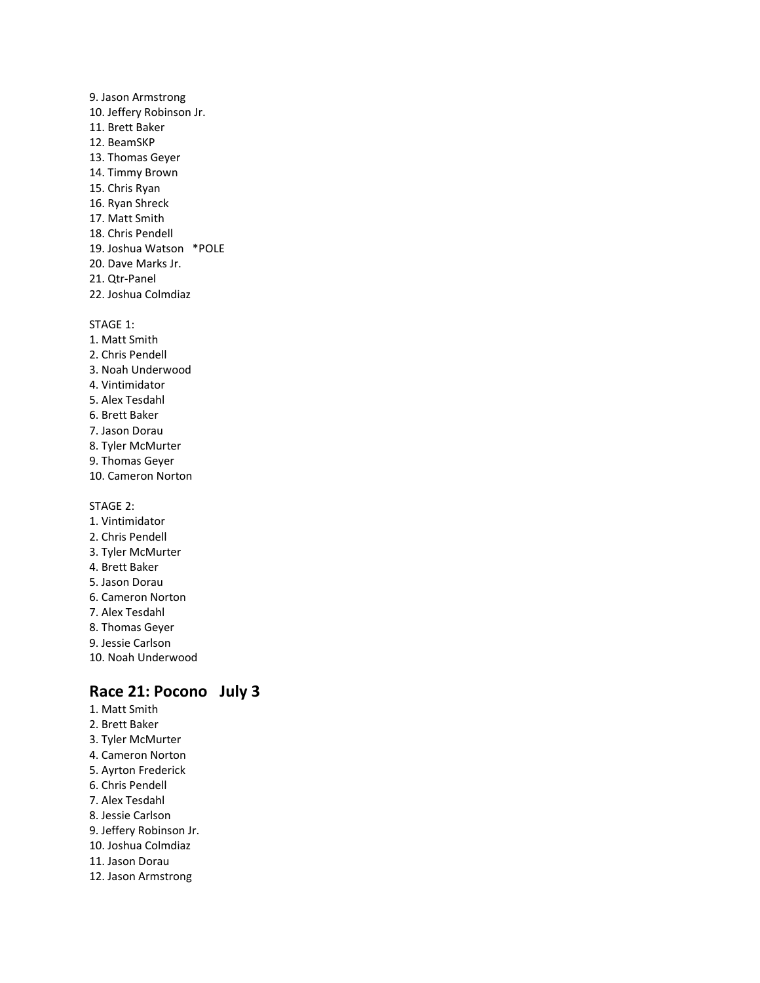- 9. Jason Armstrong 10. Jeffery Robinson Jr. 11. Brett Baker 12. BeamSKP 13. Thomas Geyer 14. Timmy Brown 15. Chris Ryan 16. Ryan Shreck 17. Matt Smith 18. Chris Pendell 19. Joshua Watson \*POLE 20. Dave Marks Jr. 21. Qtr-Panel
- 22. Joshua Colmdiaz
- STAGE 1:
- 1. Matt Smith
- 2. Chris Pendell
- 3. Noah Underwood
- 4. Vintimidator
- 5. Alex Tesdahl
- 6. Brett Baker
- 7. Jason Dorau
- 8. Tyler McMurter
- 9. Thomas Geyer
- 10. Cameron Norton

STAGE 2:

- 1. Vintimidator
- 2. Chris Pendell
- 3. Tyler McMurter
- 4. Brett Baker
- 5. Jason Dorau
- 6. Cameron Norton
- 7. Alex Tesdahl
- 8. Thomas Geyer
- 9. Jessie Carlson
- 10. Noah Underwood

# **Race 21: Pocono July 3**

- 1. Matt Smith 2. Brett Baker
- 3. Tyler McMurter 4. Cameron Norton
- 5. Ayrton Frederick
- 6. Chris Pendell
- 7. Alex Tesdahl
- 8. Jessie Carlson
- 9. Jeffery Robinson Jr.
- 10. Joshua Colmdiaz
- 11. Jason Dorau
- 12. Jason Armstrong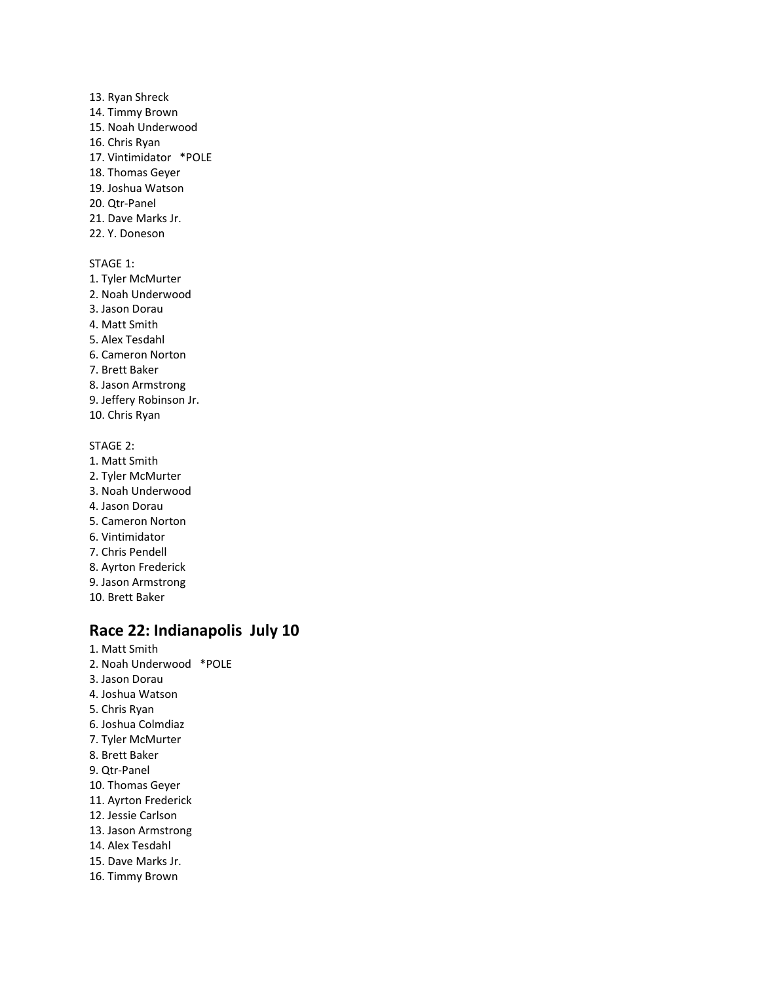13. Ryan Shreck 14. Timmy Brown 15. Noah Underwood 16. Chris Ryan 17. Vintimidator \*POLE 18. Thomas Geyer 19. Joshua Watson 20. Qtr-Panel 21. Dave Marks Jr. 22. Y. Doneson STAGE 1: 1. Tyler McMurter 2. Noah Underwood 3. Jason Dorau 4. Matt Smith 5. Alex Tesdahl 6. Cameron Norton 7. Brett Baker 8. Jason Armstrong 9. Jeffery Robinson Jr. 10. Chris Ryan STAGE 2: 1. Matt Smith 2. Tyler McMurter 3. Noah Underwood 4. Jason Dorau 5. Cameron Norton

- 
- 6. Vintimidator 7. Chris Pendell
- 8. Ayrton Frederick
- 9. Jason Armstrong
- 10. Brett Baker

## **Race 22: Indianapolis July 10**

1. Matt Smith 2. Noah Underwood \*POLE 3. Jason Dorau 4. Joshua Watson 5. Chris Ryan 6. Joshua Colmdiaz 7. Tyler McMurter 8. Brett Baker 9. Qtr-Panel 10. Thomas Geyer 11. Ayrton Frederick 12. Jessie Carlson 13. Jason Armstrong 14. Alex Tesdahl 15. Dave Marks Jr. 16. Timmy Brown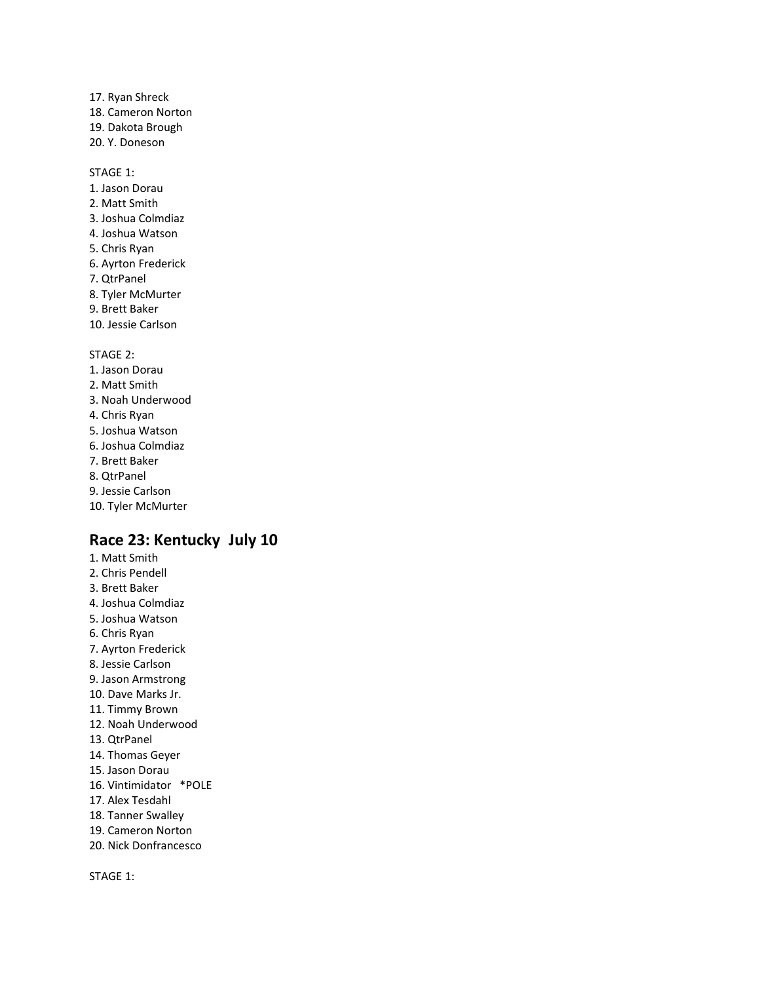17. Ryan Shreck 18. Cameron Norton 19. Dakota Brough 20. Y. Doneson

STAGE 1:

- 1. Jason Dorau 2. Matt Smith 3. Joshua Colmdiaz 4. Joshua Watson 5. Chris Ryan 6. Ayrton Frederick 7. QtrPanel
- 8. Tyler McMurter
- 9. Brett Baker
- 10. Jessie Carlson

STAGE 2:

- 1. Jason Dorau
- 2. Matt Smith
- 3. Noah Underwood
- 4. Chris Ryan
- 5. Joshua Watson
- 6. Joshua Colmdiaz
- 7. Brett Baker
- 8. QtrPanel
- 9. Jessie Carlson
- 10. Tyler McMurter

## **Race 23: Kentucky July 10**

1. Matt Smith 2. Chris Pendell 3. Brett Baker 4. Joshua Colmdiaz 5. Joshua Watson 6. Chris Ryan 7. Ayrton Frederick 8. Jessie Carlson 9. Jason Armstrong 10. Dave Marks Jr. 11. Timmy Brown 12. Noah Underwood 13. QtrPanel 14. Thomas Geyer 15. Jason Dorau 16. Vintimidator \*POLE 17. Alex Tesdahl 18. Tanner Swalley 19. Cameron Norton 20. Nick Donfrancesco

STAGE 1: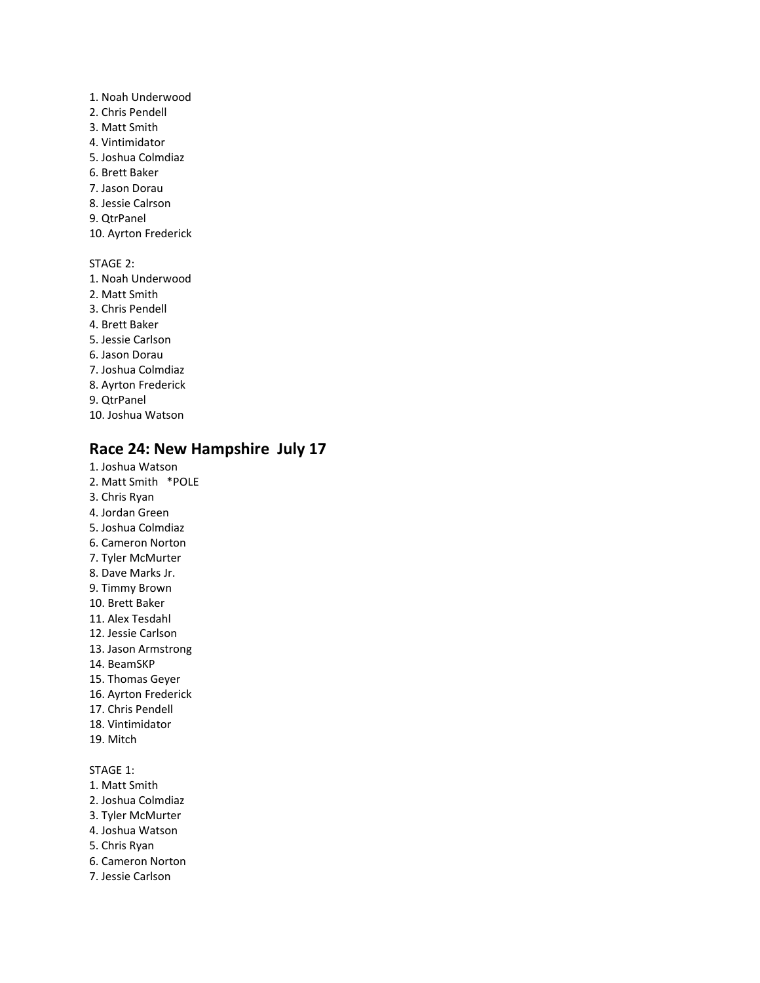- 1. Noah Underwood 2. Chris Pendell 3. Matt Smith 4. Vintimidator 5. Joshua Colmdiaz 6. Brett Baker 7. Jason Dorau 8. Jessie Calrson 9. QtrPanel 10. Ayrton Frederick STAGE 2: 1. Noah Underwood 2. Matt Smith 3. Chris Pendell 4. Brett Baker 5. Jessie Carlson 6. Jason Dorau 7. Joshua Colmdiaz 8. Ayrton Frederick 9. QtrPanel
- 10. Joshua Watson

### **Race 24: New Hampshire July 17**

- 1. Joshua Watson 2. Matt Smith \*POLE 3. Chris Ryan 4. Jordan Green 5. Joshua Colmdiaz 6. Cameron Norton 7. Tyler McMurter 8. Dave Marks Jr. 9. Timmy Brown 10. Brett Baker 11. Alex Tesdahl 12. Jessie Carlson 13. Jason Armstrong 14. BeamSKP 15. Thomas Geyer 16. Ayrton Frederick 17. Chris Pendell
- 18. Vintimidator
- 19. Mitch

### STAGE 1:

- 1. Matt Smith
- 2. Joshua Colmdiaz
- 3. Tyler McMurter
- 4. Joshua Watson
- 5. Chris Ryan
- 6. Cameron Norton
- 7. Jessie Carlson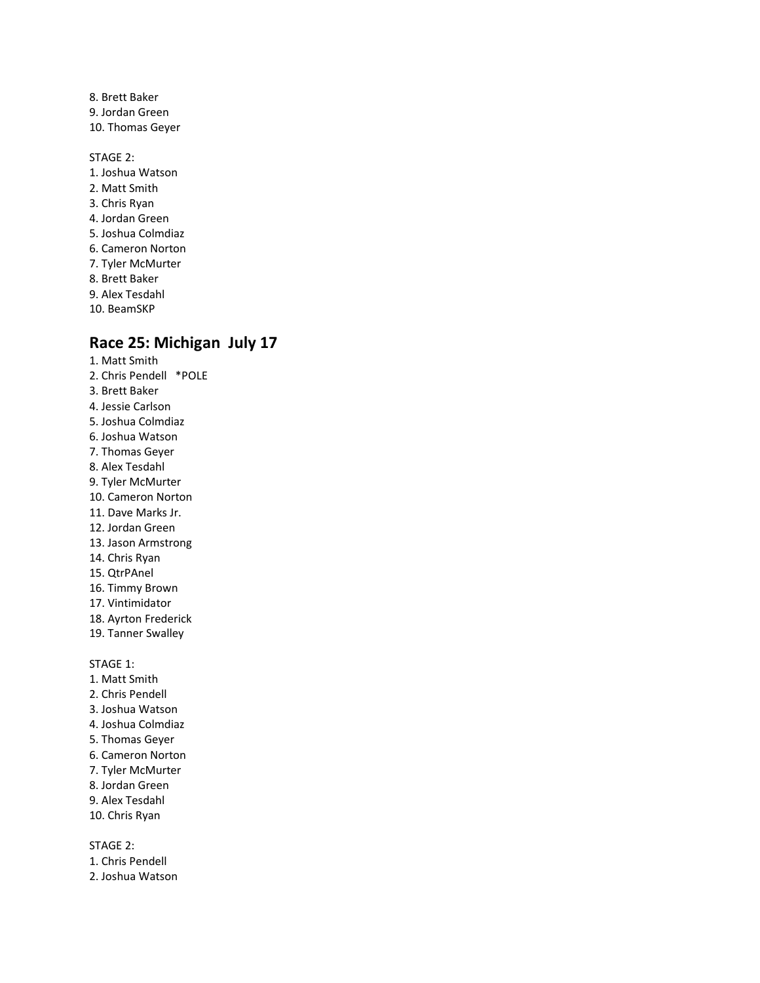- 8. Brett Baker 9. Jordan Green 10. Thomas Geyer
- STAGE 2: 1. Joshua Watson 2. Matt Smith 3. Chris Ryan 4. Jordan Green 5. Joshua Colmdiaz 6. Cameron Norton 7. Tyler McMurter 8. Brett Baker 9. Alex Tesdahl
- 10. BeamSKP

# **Race 25: Michigan July 17**

- 1. Matt Smith 2. Chris Pendell \*POLE 3. Brett Baker 4. Jessie Carlson 5. Joshua Colmdiaz 6. Joshua Watson 7. Thomas Geyer 8. Alex Tesdahl 9. Tyler McMurter 10. Cameron Norton 11. Dave Marks Jr. 12. Jordan Green 13. Jason Armstrong 14. Chris Ryan 15. QtrPAnel 16. Timmy Brown 17. Vintimidator 18. Ayrton Frederick 19. Tanner Swalley STAGE 1:
- 1. Matt Smith
- 2. Chris Pendell
- 3. Joshua Watson
- 4. Joshua Colmdiaz
- 5. Thomas Geyer
- 6. Cameron Norton
- 7. Tyler McMurter
- 8. Jordan Green
- 9. Alex Tesdahl
- 10. Chris Ryan

- 1. Chris Pendell
- 2. Joshua Watson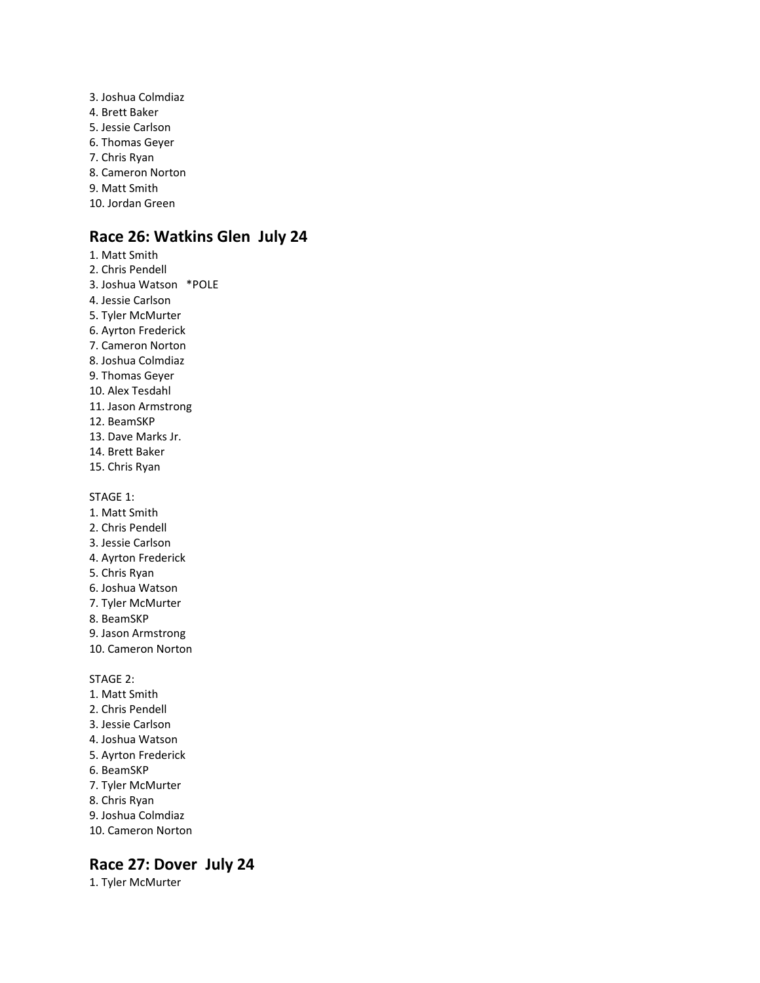3. Joshua Colmdiaz 4. Brett Baker 5. Jessie Carlson 6. Thomas Geyer 7. Chris Ryan 8. Cameron Norton 9. Matt Smith 10. Jordan Green

# **Race 26: Watkins Glen July 24**

- 1. Matt Smith 2. Chris Pendell 3. Joshua Watson \*POLE 4. Jessie Carlson 5. Tyler McMurter 6. Ayrton Frederick 7. Cameron Norton 8. Joshua Colmdiaz 9. Thomas Geyer 10. Alex Tesdahl 11. Jason Armstrong 12. BeamSKP 13. Dave Marks Jr. 14. Brett Baker 15. Chris Ryan STAGE 1: 1. Matt Smith 2. Chris Pendell 3. Jessie Carlson 4. Ayrton Frederick 5. Chris Ryan 6. Joshua Watson
- 7. Tyler McMurter
- 8. BeamSKP
- 9. Jason Armstrong
- 10. Cameron Norton

STAGE 2:

- 1. Matt Smith
- 2. Chris Pendell
- 3. Jessie Carlson
- 4. Joshua Watson
- 5. Ayrton Frederick
- 6. BeamSKP
- 7. Tyler McMurter
- 8. Chris Ryan
- 9. Joshua Colmdiaz
- 10. Cameron Norton

## **Race 27: Dover July 24**

1. Tyler McMurter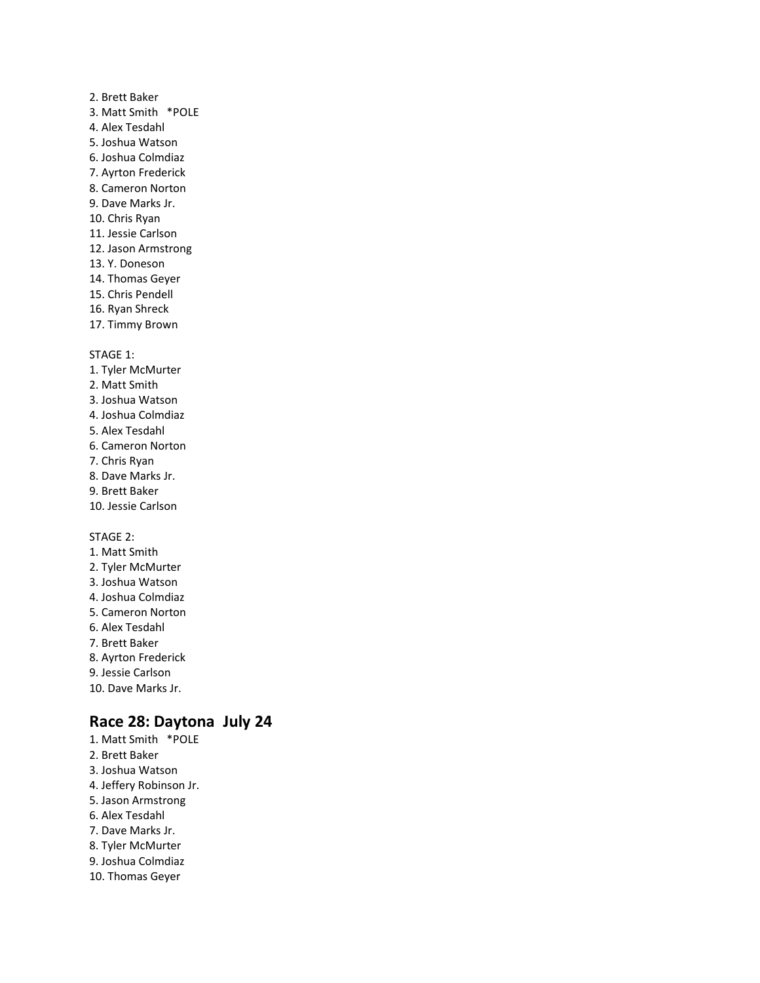### 2. Brett Baker 3. Matt Smith \*POLE 4. Alex Tesdahl 5. Joshua Watson 6. Joshua Colmdiaz 7. Ayrton Frederick 8. Cameron Norton 9. Dave Marks Jr. 10. Chris Ryan 11. Jessie Carlson 12. Jason Armstrong 13. Y. Doneson 14. Thomas Geyer

- 15. Chris Pendell
- 16. Ryan Shreck
- 17. Timmy Brown

STAGE 1:

- 1. Tyler McMurter 2. Matt Smith
- 3. Joshua Watson
- 4. Joshua Colmdiaz
- 5. Alex Tesdahl
- 6. Cameron Norton
- 7. Chris Ryan
- 8. Dave Marks Jr.
- 9. Brett Baker
- 10. Jessie Carlson

#### STAGE 2:

- 1. Matt Smith
- 2. Tyler McMurter 3. Joshua Watson 4. Joshua Colmdiaz 5. Cameron Norton 6. Alex Tesdahl 7. Brett Baker 8. Ayrton Frederick 9. Jessie Carlson
- 10. Dave Marks Jr.

## **Race 28: Daytona July 24**

1. Matt Smith \*POLE 2. Brett Baker 3. Joshua Watson 4. Jeffery Robinson Jr. 5. Jason Armstrong 6. Alex Tesdahl 7. Dave Marks Jr. 8. Tyler McMurter 9. Joshua Colmdiaz 10. Thomas Geyer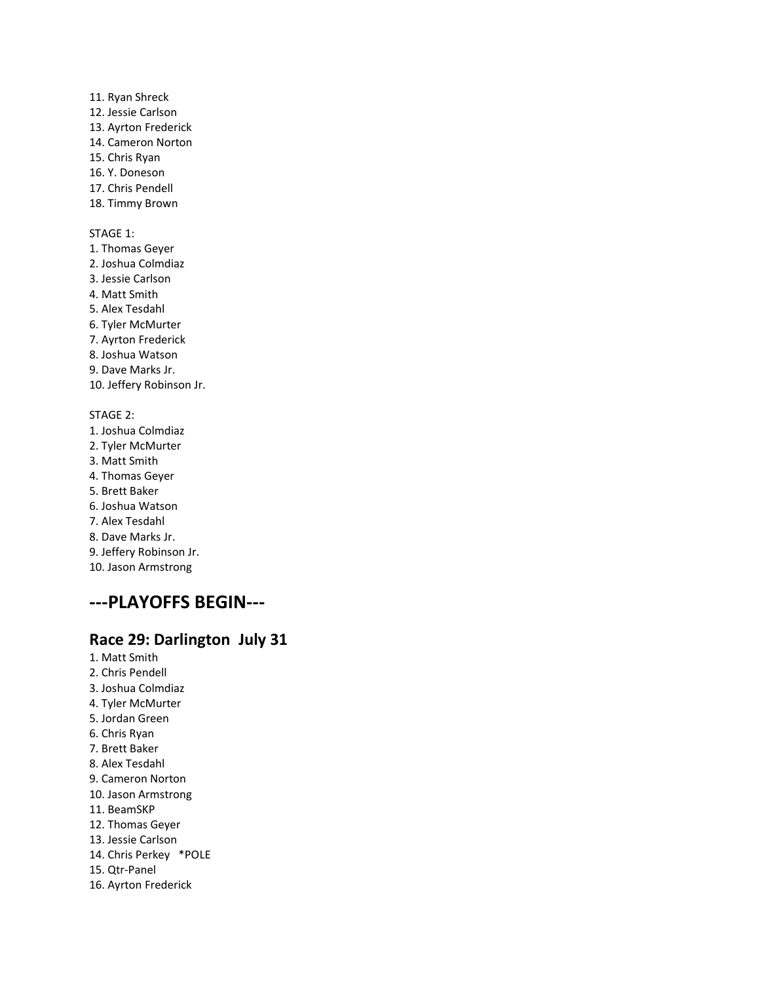11. Ryan Shreck 12. Jessie Carlson 13. Ayrton Frederick 14. Cameron Norton 15. Chris Ryan 16. Y. Doneson 17. Chris Pendell 18. Timmy Brown

#### STAGE 1:

1. Thomas Geyer 2. Joshua Colmdiaz 3. Jessie Carlson 4. Matt Smith 5. Alex Tesdahl 6. Tyler McMurter 7. Ayrton Frederick 8. Joshua Watson 9. Dave Marks Jr. 10. Jeffery Robinson Jr. STAGE 2: 1. Joshua Colmdiaz

2. Tyler McMurter 3. Matt Smith 4. Thomas Geyer 5. Brett Baker 6. Joshua Watson 7. Alex Tesdahl 8. Dave Marks Jr. 9. Jeffery Robinson Jr. 10. Jason Armstrong

# **---PLAYOFFS BEGIN---**

## **Race 29: Darlington July 31**

- 1. Matt Smith
- 2. Chris Pendell
- 3. Joshua Colmdiaz
- 4. Tyler McMurter
- 5. Jordan Green
- 6. Chris Ryan
- 7. Brett Baker
- 8. Alex Tesdahl
- 9. Cameron Norton
- 10. Jason Armstrong
- 11. BeamSKP
- 12. Thomas Geyer
- 13. Jessie Carlson
- 14. Chris Perkey \*POLE
- 15. Qtr-Panel
- 16. Ayrton Frederick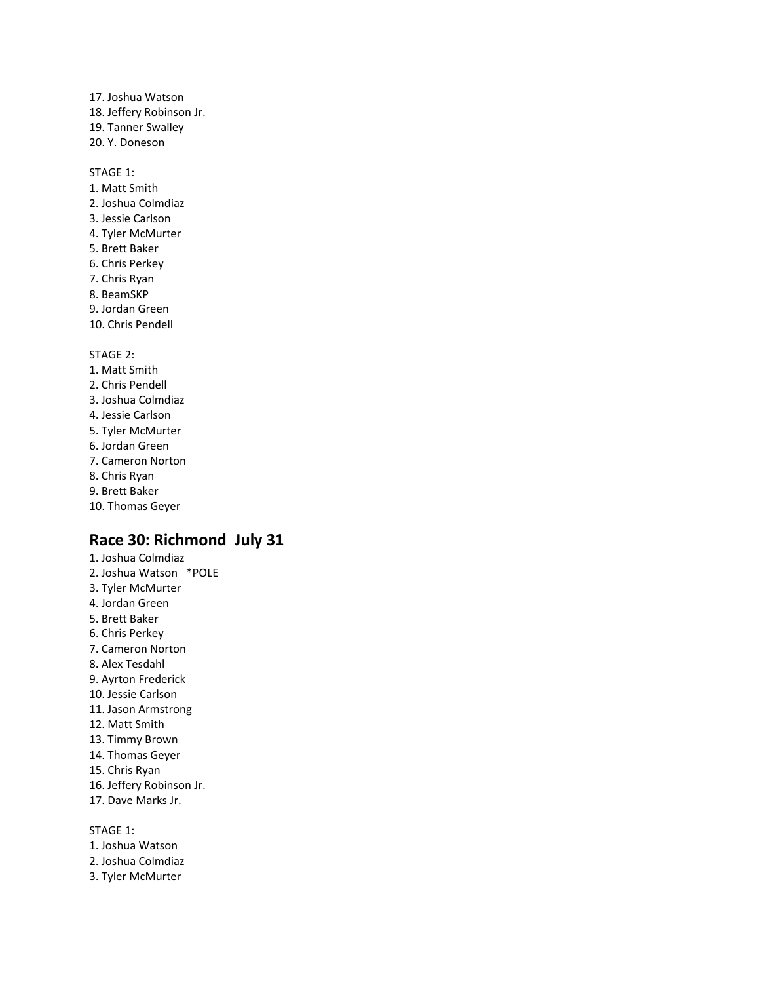17. Joshua Watson 18. Jeffery Robinson Jr. 19. Tanner Swalley 20. Y. Doneson

STAGE 1:

- 1. Matt Smith 2. Joshua Colmdiaz 3. Jessie Carlson 4. Tyler McMurter
- 5. Brett Baker
- 6. Chris Perkey
- 7. Chris Ryan
- 8. BeamSKP
- 9. Jordan Green
- 10. Chris Pendell

STAGE 2:

- 1. Matt Smith
- 2. Chris Pendell
- 3. Joshua Colmdiaz
- 4. Jessie Carlson
- 5. Tyler McMurter
- 6. Jordan Green
- 7. Cameron Norton
- 8. Chris Ryan
- 9. Brett Baker
- 10. Thomas Geyer

## **Race 30: Richmond July 31**

1. Joshua Colmdiaz 2. Joshua Watson \*POLE 3. Tyler McMurter 4. Jordan Green 5. Brett Baker 6. Chris Perkey 7. Cameron Norton 8. Alex Tesdahl 9. Ayrton Frederick 10. Jessie Carlson 11. Jason Armstrong 12. Matt Smith 13. Timmy Brown 14. Thomas Geyer 15. Chris Ryan 16. Jeffery Robinson Jr. 17. Dave Marks Jr.

STAGE 1:

- 1. Joshua Watson
- 2. Joshua Colmdiaz
- 3. Tyler McMurter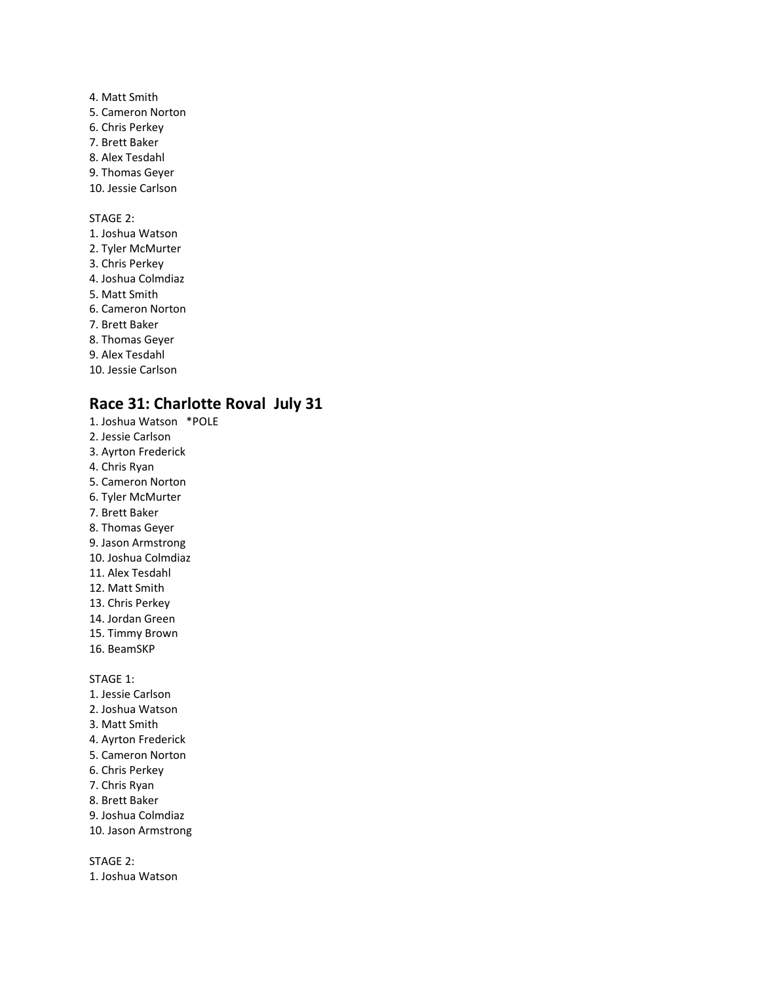- 4. Matt Smith 5. Cameron Norton 6. Chris Perkey 7. Brett Baker 8. Alex Tesdahl 9. Thomas Geyer 10. Jessie Carlson STAGE 2: 1. Joshua Watson 2. Tyler McMurter 3. Chris Perkey 4. Joshua Colmdiaz
- 5. Matt Smith
- 6. Cameron Norton
- 7. Brett Baker
- 8. Thomas Geyer
- 9. Alex Tesdahl
- 10. Jessie Carlson

## **Race 31: Charlotte Roval July 31**

- 1. Joshua Watson \*POLE
- 2. Jessie Carlson
- 3. Ayrton Frederick
- 4. Chris Ryan
- 5. Cameron Norton 6. Tyler McMurter
- 7. Brett Baker
- 8. Thomas Geyer
- 9. Jason Armstrong
- 10. Joshua Colmdiaz
- 11. Alex Tesdahl
- 12. Matt Smith
- 13. Chris Perkey
- 14. Jordan Green
- 15. Timmy Brown
- 16. BeamSKP

STAGE 1:

- 1. Jessie Carlson
- 2. Joshua Watson
- 3. Matt Smith
- 4. Ayrton Frederick
- 5. Cameron Norton
- 6. Chris Perkey
- 7. Chris Ryan
- 8. Brett Baker
- 9. Joshua Colmdiaz
- 10. Jason Armstrong

STAGE 2:

1. Joshua Watson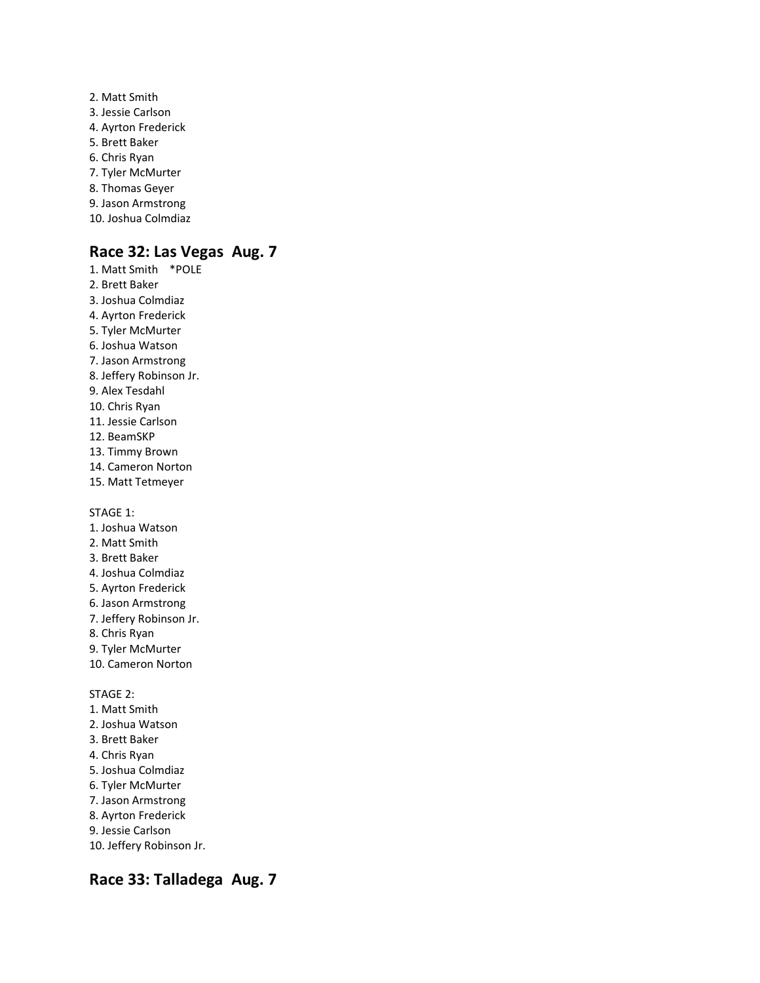- 2. Matt Smith 3. Jessie Carlson 4. Ayrton Frederick 5. Brett Baker 6. Chris Ryan 7. Tyler McMurter 8. Thomas Geyer 9. Jason Armstrong
- 10. Joshua Colmdiaz

## **Race 32: Las Vegas Aug. 7**

1. Matt Smith \*POLE 2. Brett Baker 3. Joshua Colmdiaz 4. Ayrton Frederick 5. Tyler McMurter 6. Joshua Watson 7. Jason Armstrong 8. Jeffery Robinson Jr. 9. Alex Tesdahl 10. Chris Ryan 11. Jessie Carlson 12. BeamSKP 13. Timmy Brown 14. Cameron Norton 15. Matt Tetmeyer

STAGE 1:

- 1. Joshua Watson
- 2. Matt Smith
- 3. Brett Baker
- 4. Joshua Colmdiaz 5. Ayrton Frederick
- 6. Jason Armstrong
- 7. Jeffery Robinson Jr.
- 8. Chris Ryan
- 9. Tyler McMurter
- 10. Cameron Norton

STAGE 2:

- 1. Matt Smith
- 2. Joshua Watson
- 3. Brett Baker
- 4. Chris Ryan
- 5. Joshua Colmdiaz
- 6. Tyler McMurter
- 7. Jason Armstrong
- 8. Ayrton Frederick
- 9. Jessie Carlson
- 10. Jeffery Robinson Jr.

### **Race 33: Talladega Aug. 7**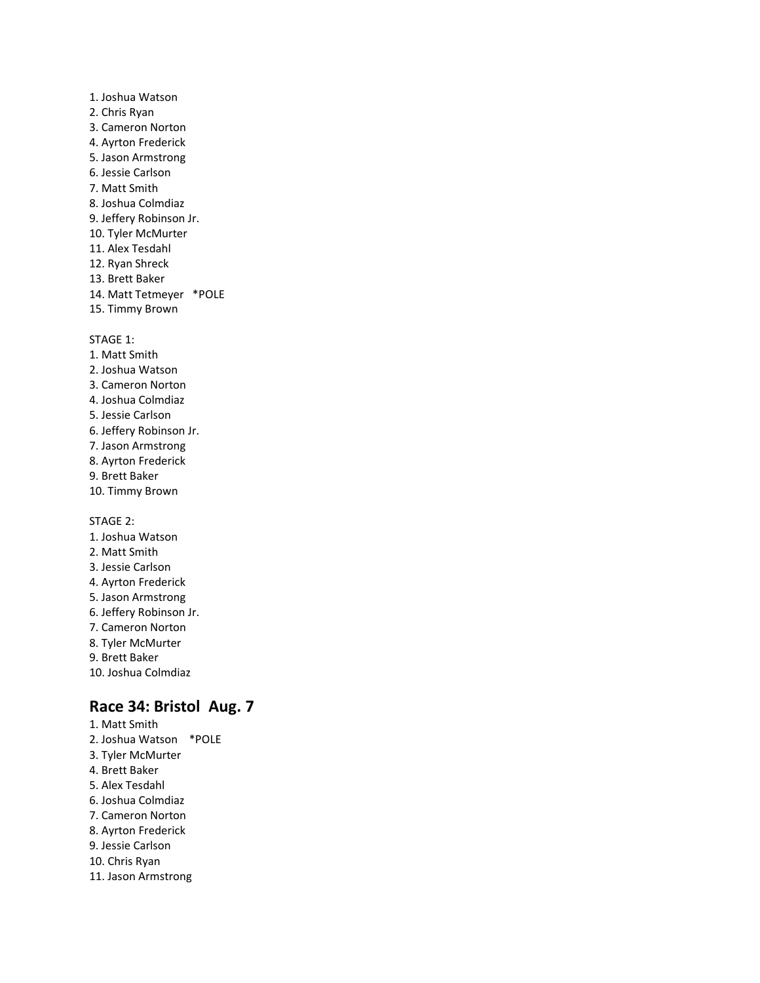1. Joshua Watson 2. Chris Ryan 3. Cameron Norton 4. Ayrton Frederick 5. Jason Armstrong 6. Jessie Carlson 7. Matt Smith 8. Joshua Colmdiaz 9. Jeffery Robinson Jr. 10. Tyler McMurter 11. Alex Tesdahl 12. Ryan Shreck 13. Brett Baker 14. Matt Tetmeyer \*POLE 15. Timmy Brown

STAGE 1:

1. Matt Smith 2. Joshua Watson 3. Cameron Norton 4. Joshua Colmdiaz 5. Jessie Carlson 6. Jeffery Robinson Jr. 7. Jason Armstrong 8. Ayrton Frederick 9. Brett Baker 10. Timmy Brown

STAGE 2:

- 1. Joshua Watson
- 2. Matt Smith
- 3. Jessie Carlson
- 4. Ayrton Frederick
- 5. Jason Armstrong 6. Jeffery Robinson Jr.
- 7. Cameron Norton
- 8. Tyler McMurter
- 9. Brett Baker
- 10. Joshua Colmdiaz

## **Race 34: Bristol Aug. 7**

1. Matt Smith 2. Joshua Watson \*POLE 3. Tyler McMurter 4. Brett Baker 5. Alex Tesdahl 6. Joshua Colmdiaz 7. Cameron Norton 8. Ayrton Frederick 9. Jessie Carlson 10. Chris Ryan 11. Jason Armstrong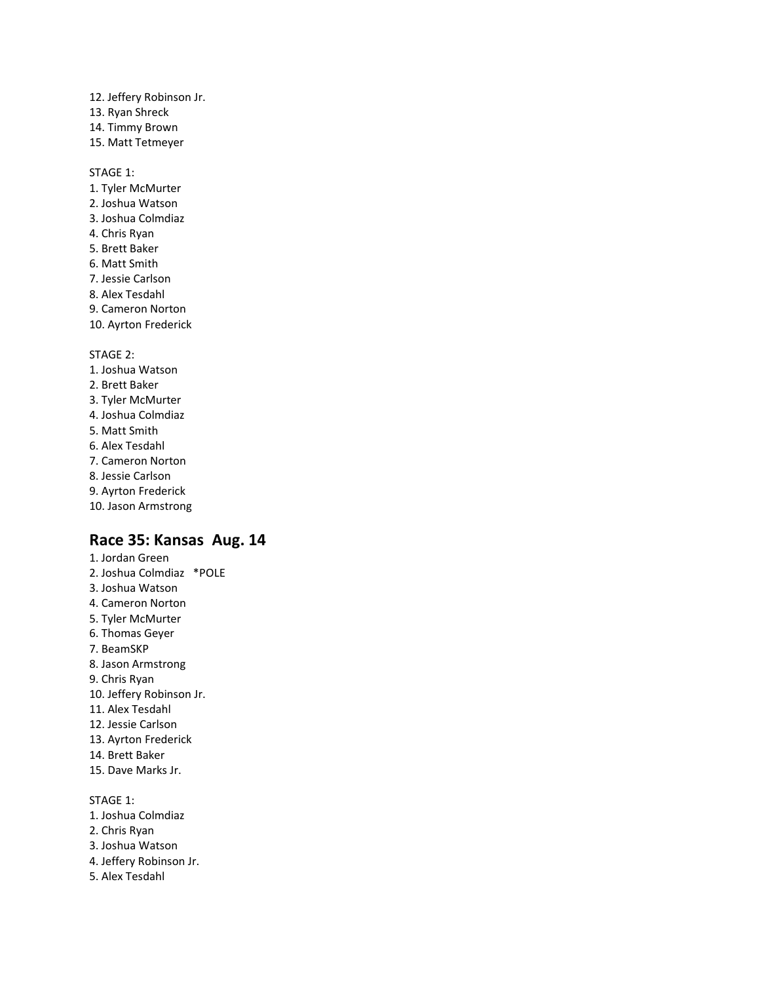- 12. Jeffery Robinson Jr.
- 13. Ryan Shreck
- 14. Timmy Brown
- 15. Matt Tetmeyer

STAGE 1:

- 1. Tyler McMurter 2. Joshua Watson 3. Joshua Colmdiaz 4. Chris Ryan 5. Brett Baker 6. Matt Smith 7. Jessie Carlson 8. Alex Tesdahl
- 9. Cameron Norton
- 
- 10. Ayrton Frederick

STAGE 2:

- 1. Joshua Watson
- 2. Brett Baker
- 3. Tyler McMurter
- 4. Joshua Colmdiaz
- 5. Matt Smith
- 6. Alex Tesdahl
- 7. Cameron Norton
- 8. Jessie Carlson
- 9. Ayrton Frederick
- 10. Jason Armstrong

## **Race 35: Kansas Aug. 14**

1. Jordan Green 2. Joshua Colmdiaz \*POLE 3. Joshua Watson 4. Cameron Norton 5. Tyler McMurter 6. Thomas Geyer 7. BeamSKP 8. Jason Armstrong 9. Chris Ryan 10. Jeffery Robinson Jr. 11. Alex Tesdahl 12. Jessie Carlson 13. Ayrton Frederick 14. Brett Baker 15. Dave Marks Jr.

STAGE 1: 1. Joshua Colmdiaz 2. Chris Ryan 3. Joshua Watson 4. Jeffery Robinson Jr. 5. Alex Tesdahl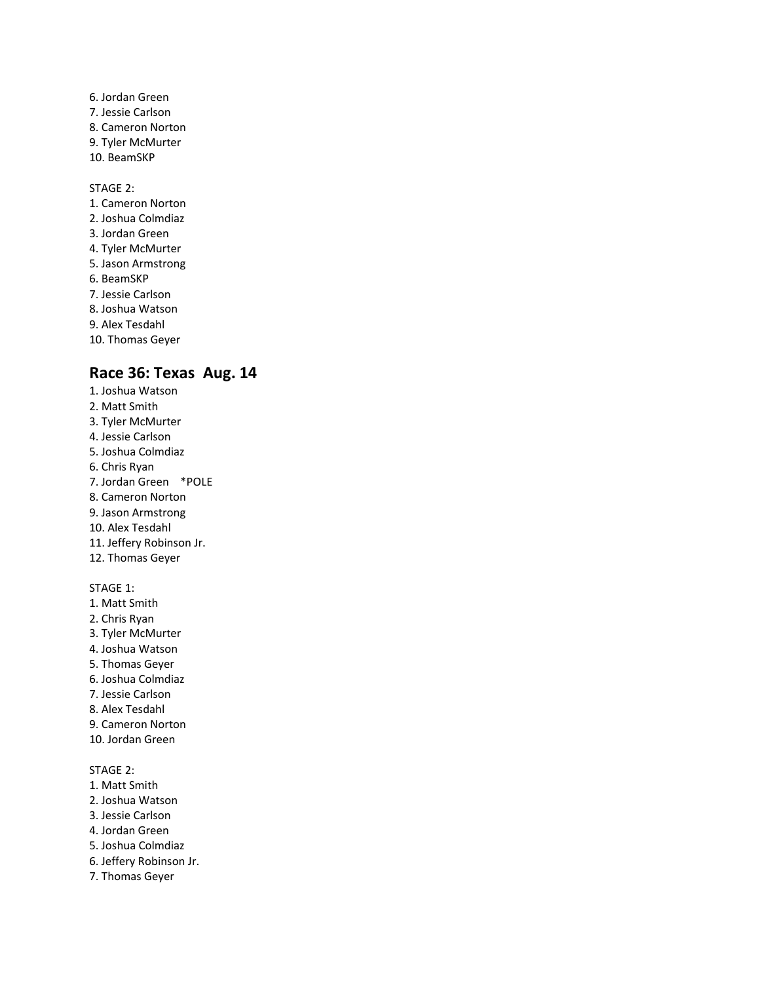6. Jordan Green 7. Jessie Carlson 8. Cameron Norton 9. Tyler McMurter 10. BeamSKP

#### STAGE 2:

- 1. Cameron Norton 2. Joshua Colmdiaz
- 3. Jordan Green
- 4. Tyler McMurter
- 5. Jason Armstrong
- 6. BeamSKP
- 7. Jessie Carlson
- 8. Joshua Watson
- 9. Alex Tesdahl
- 10. Thomas Geyer

## **Race 36: Texas Aug. 14**

1. Joshua Watson 2. Matt Smith 3. Tyler McMurter 4. Jessie Carlson 5. Joshua Colmdiaz 6. Chris Ryan 7. Jordan Green \*POLE 8. Cameron Norton 9. Jason Armstrong 10. Alex Tesdahl 11. Jeffery Robinson Jr. 12. Thomas Geyer

### STAGE 1:

- 1. Matt Smith 2. Chris Ryan 3. Tyler McMurter 4. Joshua Watson 5. Thomas Geyer 6. Joshua Colmdiaz 7. Jessie Carlson 8. Alex Tesdahl 9. Cameron Norton
- 10. Jordan Green

- 1. Matt Smith
- 2. Joshua Watson
- 3. Jessie Carlson
- 4. Jordan Green
- 5. Joshua Colmdiaz
- 6. Jeffery Robinson Jr.
- 7. Thomas Geyer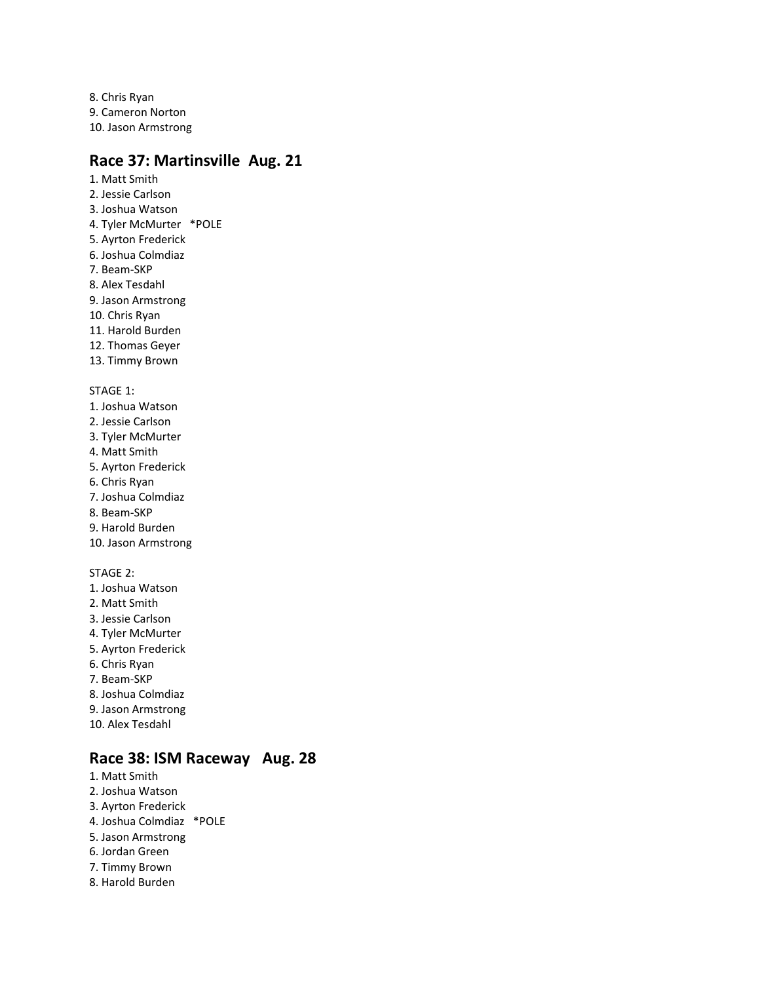8. Chris Ryan 9. Cameron Norton 10. Jason Armstrong

## **Race 37: Martinsville Aug. 21**

- 1. Matt Smith 2. Jessie Carlson 3. Joshua Watson 4. Tyler McMurter \*POLE 5. Ayrton Frederick 6. Joshua Colmdiaz 7. Beam-SKP 8. Alex Tesdahl 9. Jason Armstrong 10. Chris Ryan 11. Harold Burden 12. Thomas Geyer 13. Timmy Brown STAGE 1: 1. Joshua Watson 2. Jessie Carlson 3. Tyler McMurter 4. Matt Smith 5. Ayrton Frederick 6. Chris Ryan 7. Joshua Colmdiaz 8. Beam-SKP
- 9. Harold Burden
- 10. Jason Armstrong

#### STAGE 2:

- 1. Joshua Watson
- 2. Matt Smith
- 3. Jessie Carlson
- 4. Tyler McMurter
- 5. Ayrton Frederick
- 6. Chris Ryan 7. Beam-SKP
- 
- 8. Joshua Colmdiaz
- 9. Jason Armstrong
- 10. Alex Tesdahl

## **Race 38: ISM Raceway Aug. 28**

1. Matt Smith 2. Joshua Watson 3. Ayrton Frederick 4. Joshua Colmdiaz \*POLE 5. Jason Armstrong 6. Jordan Green 7. Timmy Brown 8. Harold Burden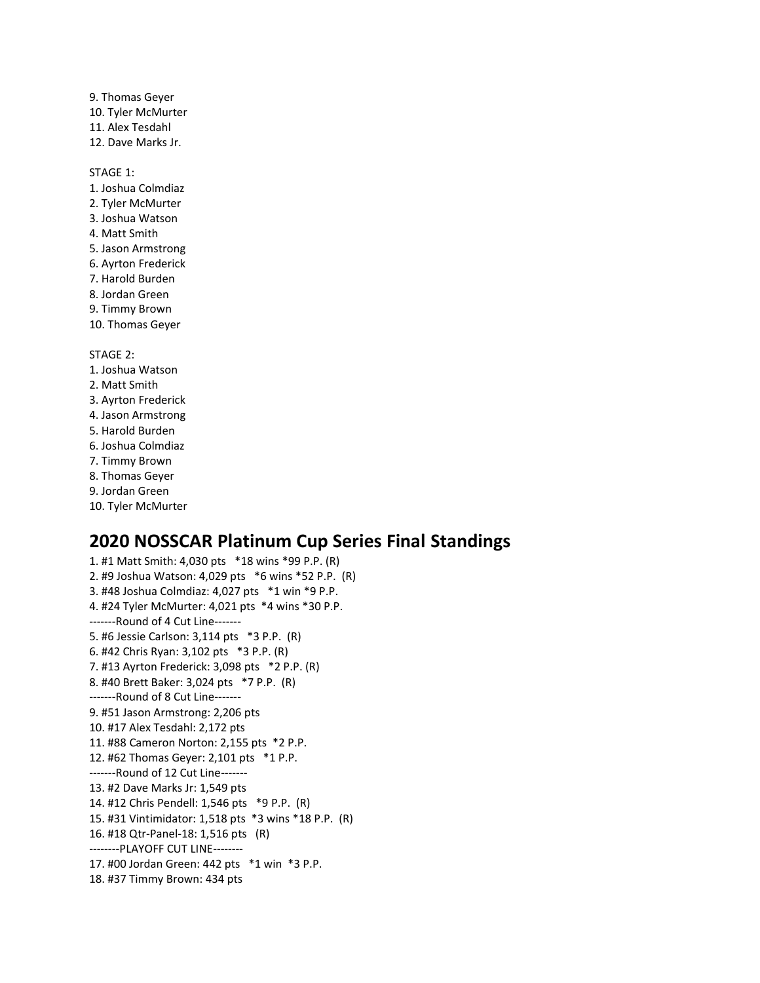9. Thomas Geyer 10. Tyler McMurter 11. Alex Tesdahl 12. Dave Marks Jr.

STAGE 1:

- 1. Joshua Colmdiaz 2. Tyler McMurter
- 3. Joshua Watson
- 4. Matt Smith
- 5. Jason Armstrong
- 6. Ayrton Frederick
- 7. Harold Burden
- 8. Jordan Green
- 9. Timmy Brown
- 10. Thomas Geyer

STAGE 2:

- 1. Joshua Watson
- 2. Matt Smith
- 3. Ayrton Frederick
- 4. Jason Armstrong
- 5. Harold Burden
- 6. Joshua Colmdiaz
- 7. Timmy Brown
- 8. Thomas Geyer
- 9. Jordan Green
- 10. Tyler McMurter

# **2020 NOSSCAR Platinum Cup Series Final Standings**

1. #1 Matt Smith: 4,030 pts \*18 wins \*99 P.P. (R) 2. #9 Joshua Watson: 4,029 pts \*6 wins \*52 P.P. (R) 3. #48 Joshua Colmdiaz: 4,027 pts \*1 win \*9 P.P. 4. #24 Tyler McMurter: 4,021 pts \*4 wins \*30 P.P. -------Round of 4 Cut Line------- 5. #6 Jessie Carlson: 3,114 pts \*3 P.P. (R) 6. #42 Chris Ryan: 3,102 pts \*3 P.P. (R) 7. #13 Ayrton Frederick: 3,098 pts \*2 P.P. (R) 8. #40 Brett Baker: 3,024 pts \*7 P.P. (R) -------Round of 8 Cut Line------- 9. #51 Jason Armstrong: 2,206 pts 10. #17 Alex Tesdahl: 2,172 pts 11. #88 Cameron Norton: 2,155 pts \*2 P.P. 12. #62 Thomas Geyer: 2,101 pts \*1 P.P. -------Round of 12 Cut Line------- 13. #2 Dave Marks Jr: 1,549 pts 14. #12 Chris Pendell: 1,546 pts \*9 P.P. (R) 15. #31 Vintimidator: 1,518 pts \*3 wins \*18 P.P. (R) 16. #18 Qtr-Panel-18: 1,516 pts (R) --------PLAYOFF CUT LINE-------- 17. #00 Jordan Green: 442 pts \*1 win \*3 P.P. 18. #37 Timmy Brown: 434 pts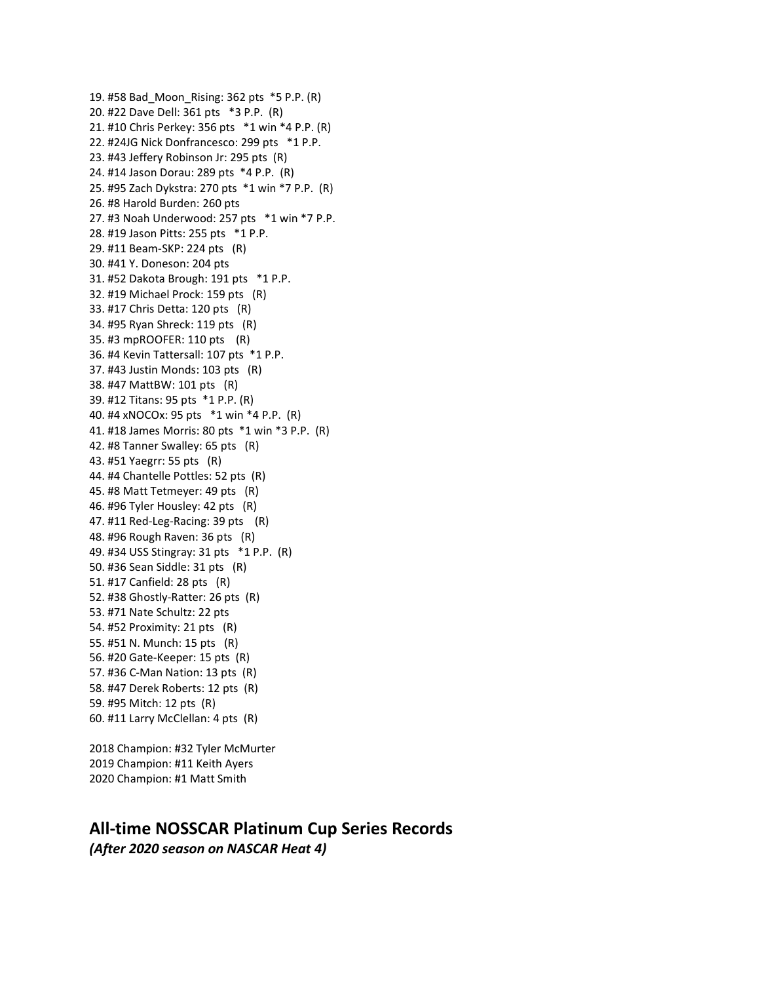19. #58 Bad\_Moon\_Rising: 362 pts \*5 P.P. (R) 20. #22 Dave Dell: 361 pts \*3 P.P. (R) 21. #10 Chris Perkey: 356 pts \*1 win \*4 P.P. (R) 22. #24JG Nick Donfrancesco: 299 pts \*1 P.P. 23. #43 Jeffery Robinson Jr: 295 pts (R) 24. #14 Jason Dorau: 289 pts \*4 P.P. (R) 25. #95 Zach Dykstra: 270 pts \*1 win \*7 P.P. (R) 26. #8 Harold Burden: 260 pts 27. #3 Noah Underwood: 257 pts \*1 win \*7 P.P. 28. #19 Jason Pitts: 255 pts \*1 P.P. 29. #11 Beam-SKP: 224 pts (R) 30. #41 Y. Doneson: 204 pts 31. #52 Dakota Brough: 191 pts \*1 P.P. 32. #19 Michael Prock: 159 pts (R) 33. #17 Chris Detta: 120 pts (R) 34. #95 Ryan Shreck: 119 pts (R) 35. #3 mpROOFER: 110 pts (R) 36. #4 Kevin Tattersall: 107 pts \*1 P.P. 37. #43 Justin Monds: 103 pts (R) 38. #47 MattBW: 101 pts (R) 39. #12 Titans: 95 pts \*1 P.P. (R) 40. #4 xNOCOx: 95 pts \*1 win \*4 P.P. (R) 41. #18 James Morris: 80 pts \*1 win \*3 P.P. (R) 42. #8 Tanner Swalley: 65 pts (R) 43. #51 Yaegrr: 55 pts (R) 44. #4 Chantelle Pottles: 52 pts (R) 45. #8 Matt Tetmeyer: 49 pts (R) 46. #96 Tyler Housley: 42 pts (R) 47. #11 Red-Leg-Racing: 39 pts (R) 48. #96 Rough Raven: 36 pts (R) 49. #34 USS Stingray: 31 pts \*1 P.P. (R) 50. #36 Sean Siddle: 31 pts (R) 51. #17 Canfield: 28 pts (R) 52. #38 Ghostly-Ratter: 26 pts (R) 53. #71 Nate Schultz: 22 pts 54. #52 Proximity: 21 pts (R) 55. #51 N. Munch: 15 pts (R) 56. #20 Gate-Keeper: 15 pts (R) 57. #36 C-Man Nation: 13 pts (R) 58. #47 Derek Roberts: 12 pts (R) 59. #95 Mitch: 12 pts (R) 60. #11 Larry McClellan: 4 pts (R)

2018 Champion: #32 Tyler McMurter 2019 Champion: #11 Keith Ayers 2020 Champion: #1 Matt Smith

### **All-time NOSSCAR Platinum Cup Series Records** *(After 2020 season on NASCAR Heat 4)*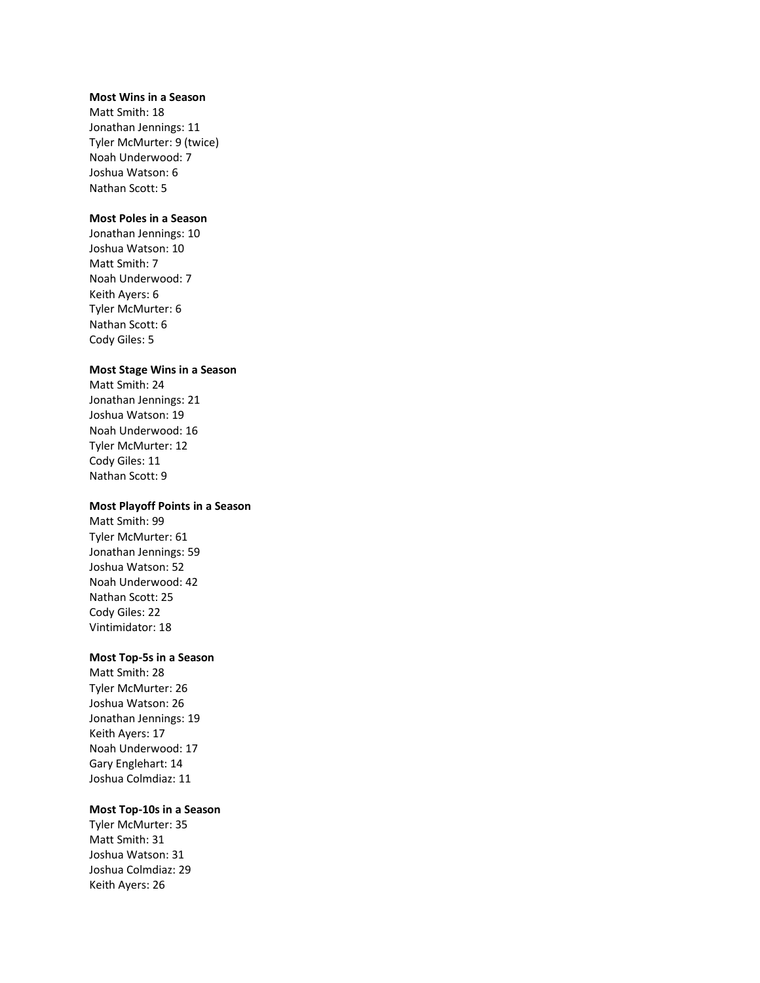#### **Most Wins in a Season**

Matt Smith: 18 Jonathan Jennings: 11 Tyler McMurter: 9 (twice) Noah Underwood: 7 Joshua Watson: 6 Nathan Scott: 5

### **Most Poles in a Season**

Jonathan Jennings: 10 Joshua Watson: 10 Matt Smith: 7 Noah Underwood: 7 Keith Ayers: 6 Tyler McMurter: 6 Nathan Scott: 6 Cody Giles: 5

#### **Most Stage Wins in a Season**

Matt Smith: 24 Jonathan Jennings: 21 Joshua Watson: 19 Noah Underwood: 16 Tyler McMurter: 12 Cody Giles: 11 Nathan Scott: 9

#### **Most Playoff Points in a Season**

Matt Smith: 99 Tyler McMurter: 61 Jonathan Jennings: 59 Joshua Watson: 52 Noah Underwood: 42 Nathan Scott: 25 Cody Giles: 22 Vintimidator: 18

#### **Most Top-5s in a Season**

Matt Smith: 28 Tyler McMurter: 26 Joshua Watson: 26 Jonathan Jennings: 19 Keith Ayers: 17 Noah Underwood: 17 Gary Englehart: 14 Joshua Colmdiaz: 11

#### **Most Top-10s in a Season**

Tyler McMurter: 35 Matt Smith: 31 Joshua Watson: 31 Joshua Colmdiaz: 29 Keith Ayers: 26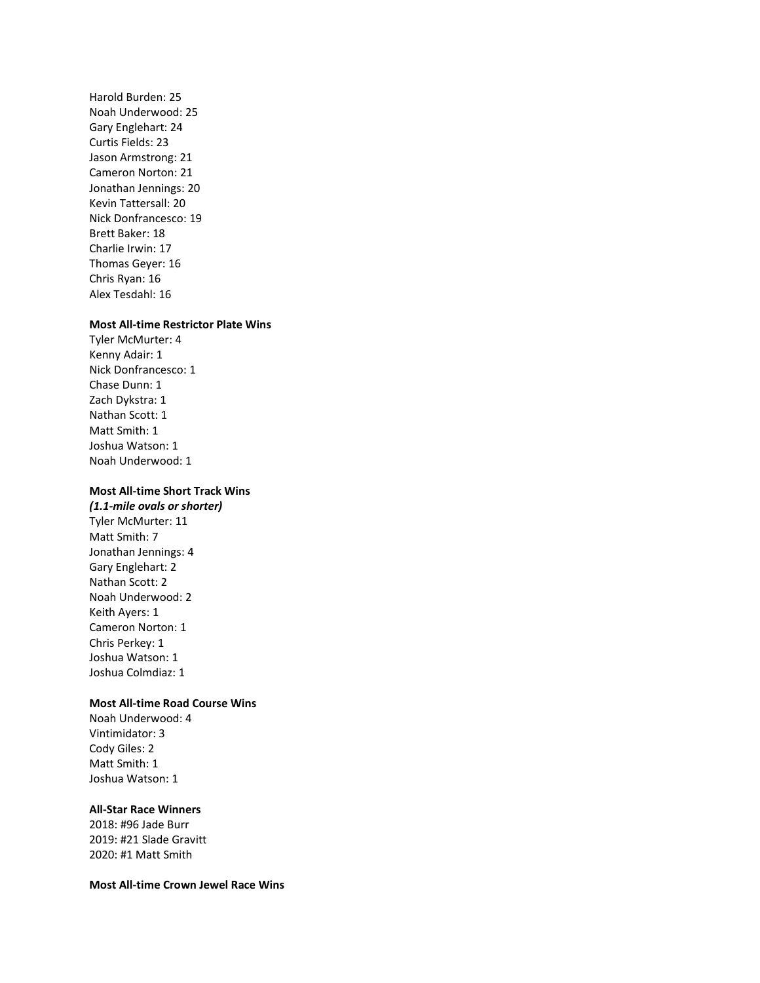Harold Burden: 25 Noah Underwood: 25 Gary Englehart: 24 Curtis Fields: 23 Jason Armstrong: 21 Cameron Norton: 21 Jonathan Jennings: 20 Kevin Tattersall: 20 Nick Donfrancesco: 19 Brett Baker: 18 Charlie Irwin: 17 Thomas Geyer: 16 Chris Ryan: 16 Alex Tesdahl: 16

#### **Most All-time Restrictor Plate Wins**

Tyler McMurter: 4 Kenny Adair: 1 Nick Donfrancesco: 1 Chase Dunn: 1 Zach Dykstra: 1 Nathan Scott: 1 Matt Smith: 1 Joshua Watson: 1 Noah Underwood: 1

### **Most All-time Short Track Wins**

*(1.1-mile ovals or shorter)* Tyler McMurter: 11 Matt Smith: 7 Jonathan Jennings: 4 Gary Englehart: 2 Nathan Scott: 2 Noah Underwood: 2 Keith Ayers: 1 Cameron Norton: 1 Chris Perkey: 1 Joshua Watson: 1 Joshua Colmdiaz: 1

#### **Most All-time Road Course Wins**

Noah Underwood: 4 Vintimidator: 3 Cody Giles: 2 Matt Smith: 1 Joshua Watson: 1

#### **All-Star Race Winners**

2018: #96 Jade Burr 2019: #21 Slade Gravitt 2020: #1 Matt Smith

**Most All-time Crown Jewel Race Wins**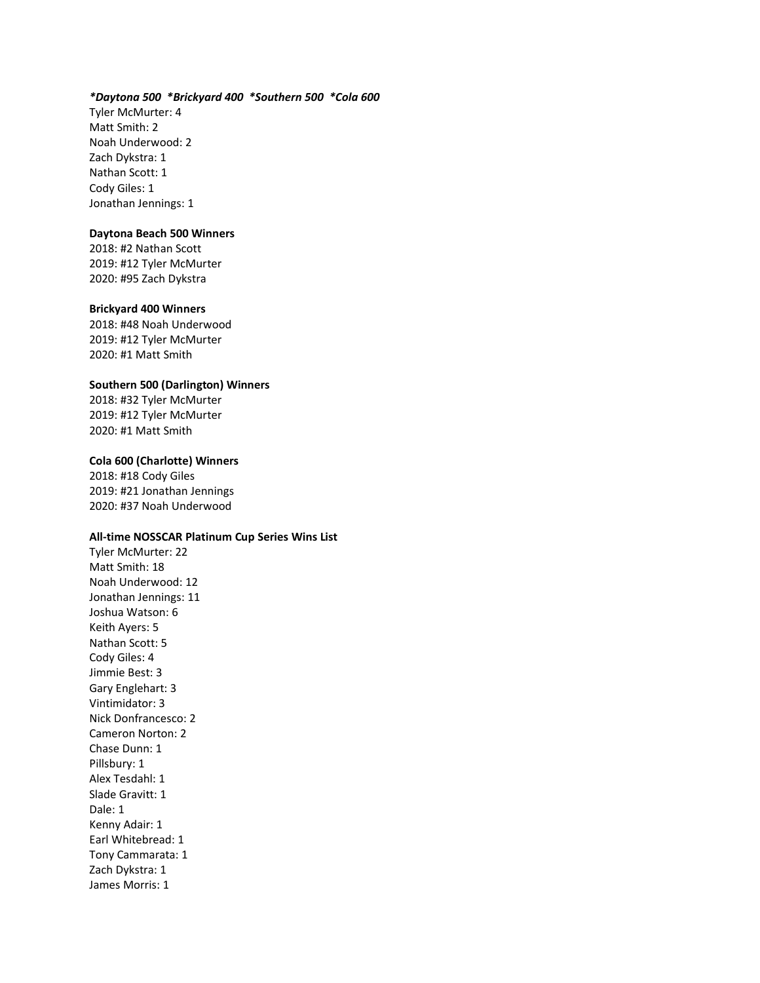#### *\*Daytona 500 \*Brickyard 400 \*Southern 500 \*Cola 600*

Tyler McMurter: 4 Matt Smith: 2 Noah Underwood: 2 Zach Dykstra: 1 Nathan Scott: 1 Cody Giles: 1 Jonathan Jennings: 1

#### **Daytona Beach 500 Winners**

2018: #2 Nathan Scott 2019: #12 Tyler McMurter 2020: #95 Zach Dykstra

#### **Brickyard 400 Winners**

2018: #48 Noah Underwood 2019: #12 Tyler McMurter 2020: #1 Matt Smith

#### **Southern 500 (Darlington) Winners**

2018: #32 Tyler McMurter 2019: #12 Tyler McMurter 2020: #1 Matt Smith

#### **Cola 600 (Charlotte) Winners**

2018: #18 Cody Giles 2019: #21 Jonathan Jennings 2020: #37 Noah Underwood

#### **All-time NOSSCAR Platinum Cup Series Wins List**

Tyler McMurter: 22 Matt Smith: 18 Noah Underwood: 12 Jonathan Jennings: 11 Joshua Watson: 6 Keith Ayers: 5 Nathan Scott: 5 Cody Giles: 4 Jimmie Best: 3 Gary Englehart: 3 Vintimidator: 3 Nick Donfrancesco: 2 Cameron Norton: 2 Chase Dunn: 1 Pillsbury: 1 Alex Tesdahl: 1 Slade Gravitt: 1 Dale: 1 Kenny Adair: 1 Earl Whitebread: 1 Tony Cammarata: 1 Zach Dykstra: 1 James Morris: 1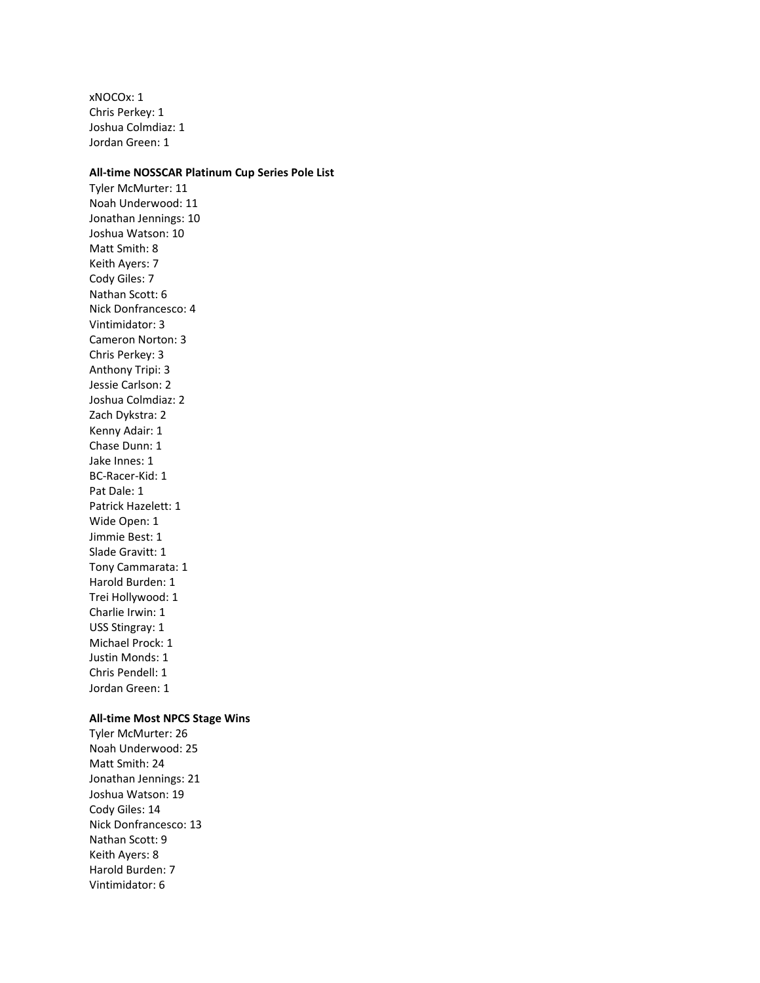xNOCOx: 1 Chris Perkey: 1 Joshua Colmdiaz: 1 Jordan Green: 1

#### **All-time NOSSCAR Platinum Cup Series Pole List**

Tyler McMurter: 11 Noah Underwood: 11 Jonathan Jennings: 10 Joshua Watson: 10 Matt Smith: 8 Keith Ayers: 7 Cody Giles: 7 Nathan Scott: 6 Nick Donfrancesco: 4 Vintimidator: 3 Cameron Norton: 3 Chris Perkey: 3 Anthony Tripi: 3 Jessie Carlson: 2 Joshua Colmdiaz: 2 Zach Dykstra: 2 Kenny Adair: 1 Chase Dunn: 1 Jake Innes: 1 BC-Racer-Kid: 1 Pat Dale: 1 Patrick Hazelett: 1 Wide Open: 1 Jimmie Best: 1 Slade Gravitt: 1 Tony Cammarata: 1 Harold Burden: 1 Trei Hollywood: 1 Charlie Irwin: 1 USS Stingray: 1 Michael Prock: 1 Justin Monds: 1 Chris Pendell: 1 Jordan Green: 1

#### **All-time Most NPCS Stage Wins**

Tyler McMurter: 26 Noah Underwood: 25 Matt Smith: 24 Jonathan Jennings: 21 Joshua Watson: 19 Cody Giles: 14 Nick Donfrancesco: 13 Nathan Scott: 9 Keith Ayers: 8 Harold Burden: 7 Vintimidator: 6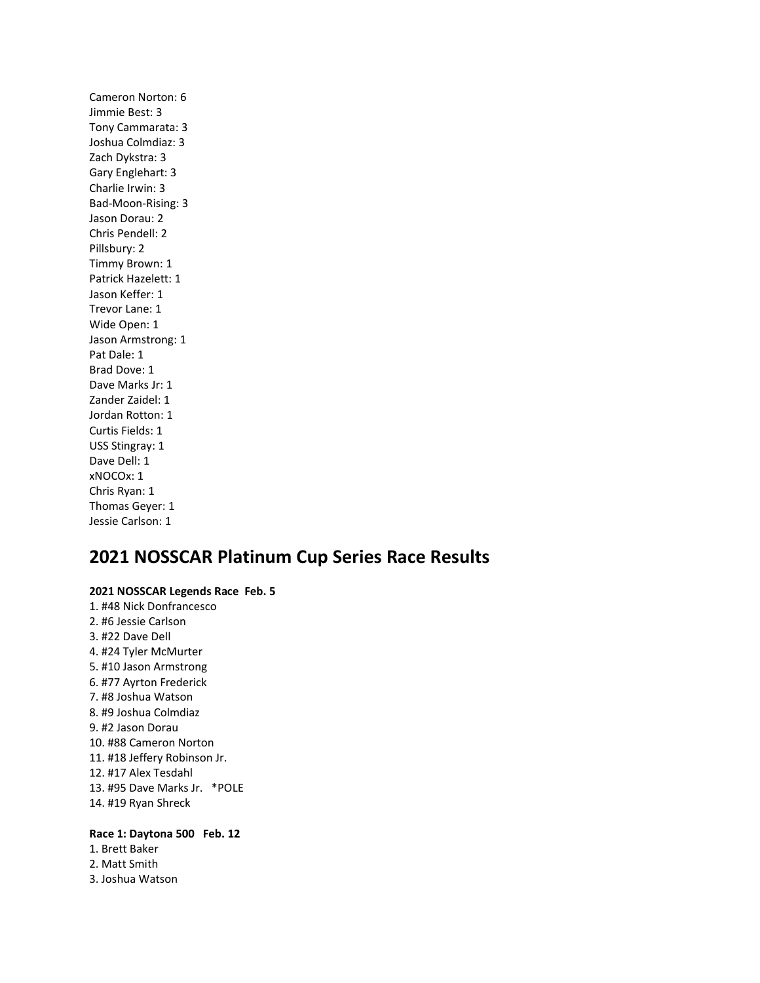Cameron Norton: 6 Jimmie Best: 3 Tony Cammarata: 3 Joshua Colmdiaz: 3 Zach Dykstra: 3 Gary Englehart: 3 Charlie Irwin: 3 Bad-Moon-Rising: 3 Jason Dorau: 2 Chris Pendell: 2 Pillsbury: 2 Timmy Brown: 1 Patrick Hazelett: 1 Jason Keffer: 1 Trevor Lane: 1 Wide Open: 1 Jason Armstrong: 1 Pat Dale: 1 Brad Dove: 1 Dave Marks Jr: 1 Zander Zaidel: 1 Jordan Rotton: 1 Curtis Fields: 1 USS Stingray: 1 Dave Dell: 1 xNOCOx: 1 Chris Ryan: 1 Thomas Geyer: 1 Jessie Carlson: 1

# **2021 NOSSCAR Platinum Cup Series Race Results**

**2021 NOSSCAR Legends Race Feb. 5** 1. #48 Nick Donfrancesco 2. #6 Jessie Carlson 3. #22 Dave Dell 4. #24 Tyler McMurter 5. #10 Jason Armstrong 6. #77 Ayrton Frederick 7. #8 Joshua Watson 8. #9 Joshua Colmdiaz 9. #2 Jason Dorau 10. #88 Cameron Norton 11. #18 Jeffery Robinson Jr. 12. #17 Alex Tesdahl 13. #95 Dave Marks Jr. \*POLE 14. #19 Ryan Shreck

### **Race 1: Daytona 500 Feb. 12**

1. Brett Baker 2. Matt Smith 3. Joshua Watson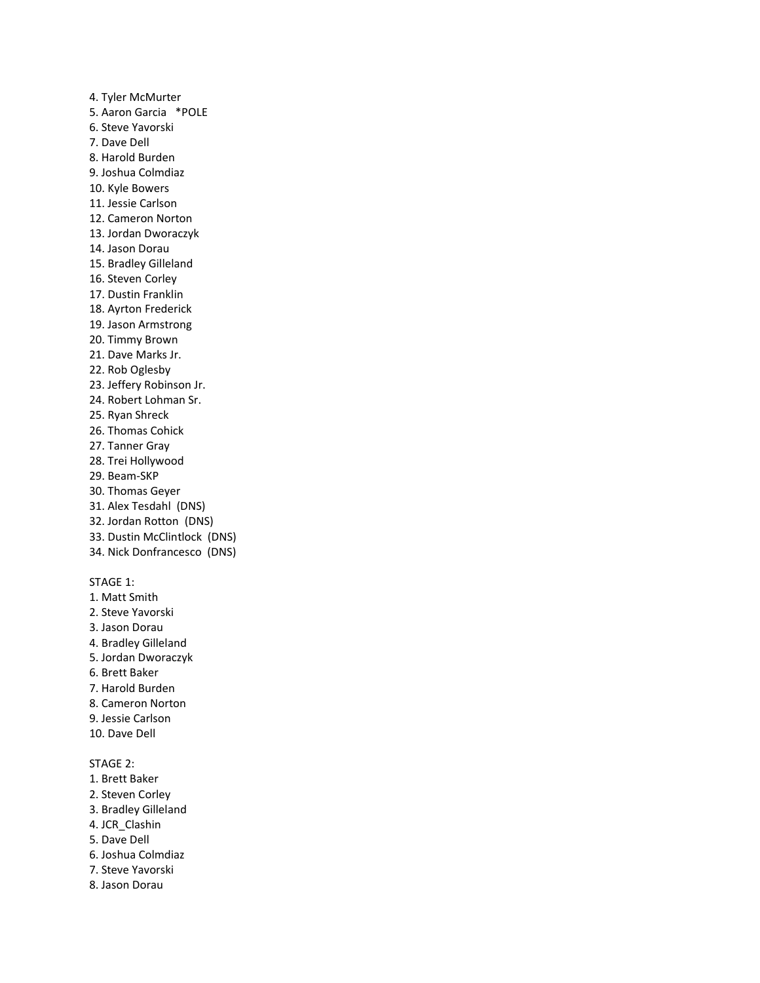4. Tyler McMurter 5. Aaron Garcia \*POLE 6. Steve Yavorski 7. Dave Dell 8. Harold Burden 9. Joshua Colmdiaz 10. Kyle Bowers 11. Jessie Carlson 12. Cameron Norton 13. Jordan Dworaczyk 14. Jason Dorau 15. Bradley Gilleland 16. Steven Corley 17. Dustin Franklin 18. Ayrton Frederick 19. Jason Armstrong 20. Timmy Brown 21. Dave Marks Jr. 22. Rob Oglesby 23. Jeffery Robinson Jr. 24. Robert Lohman Sr. 25. Ryan Shreck 26. Thomas Cohick 27. Tanner Gray 28. Trei Hollywood 29. Beam-SKP 30. Thomas Geyer 31. Alex Tesdahl (DNS) 32. Jordan Rotton (DNS) 33. Dustin McClintlock (DNS) 34. Nick Donfrancesco (DNS) STAGE 1: 1. Matt Smith 2. Steve Yavorski 3. Jason Dorau 4. Bradley Gilleland 5. Jordan Dworaczyk 6. Brett Baker 7. Harold Burden 8. Cameron Norton 9. Jessie Carlson 10. Dave Dell STAGE 2: 1. Brett Baker 2. Steven Corley 3. Bradley Gilleland 4. JCR\_Clashin 5. Dave Dell

- 6. Joshua Colmdiaz
- 7. Steve Yavorski
- 8. Jason Dorau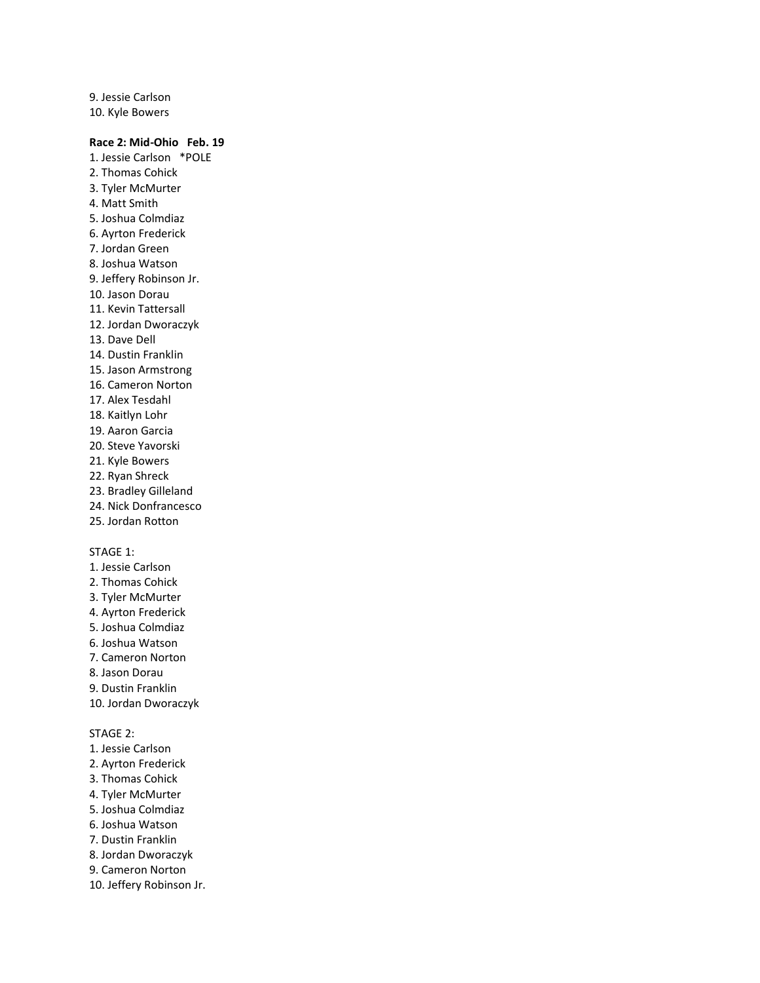9. Jessie Carlson 10. Kyle Bowers

### **Race 2: Mid-Ohio Feb. 19**

1. Jessie Carlson \*POLE 2. Thomas Cohick 3. Tyler McMurter 4. Matt Smith 5. Joshua Colmdiaz 6. Ayrton Frederick 7. Jordan Green 8. Joshua Watson 9. Jeffery Robinson Jr. 10. Jason Dorau 11. Kevin Tattersall 12. Jordan Dworaczyk 13. Dave Dell 14. Dustin Franklin 15. Jason Armstrong 16. Cameron Norton 17. Alex Tesdahl 18. Kaitlyn Lohr 19. Aaron Garcia 20. Steve Yavorski 21. Kyle Bowers 22. Ryan Shreck 23. Bradley Gilleland 24. Nick Donfrancesco 25. Jordan Rotton STAGE 1: 1. Jessie Carlson 2. Thomas Cohick 3. Tyler McMurter 4. Ayrton Frederick 5. Joshua Colmdiaz 6. Joshua Watson 7. Cameron Norton

- 8. Jason Dorau
- 9. Dustin Franklin
- 10. Jordan Dworaczyk

- 1. Jessie Carlson
- 2. Ayrton Frederick
- 3. Thomas Cohick
- 4. Tyler McMurter
- 5. Joshua Colmdiaz
- 6. Joshua Watson 7. Dustin Franklin
- 
- 8. Jordan Dworaczyk
- 9. Cameron Norton
- 10. Jeffery Robinson Jr.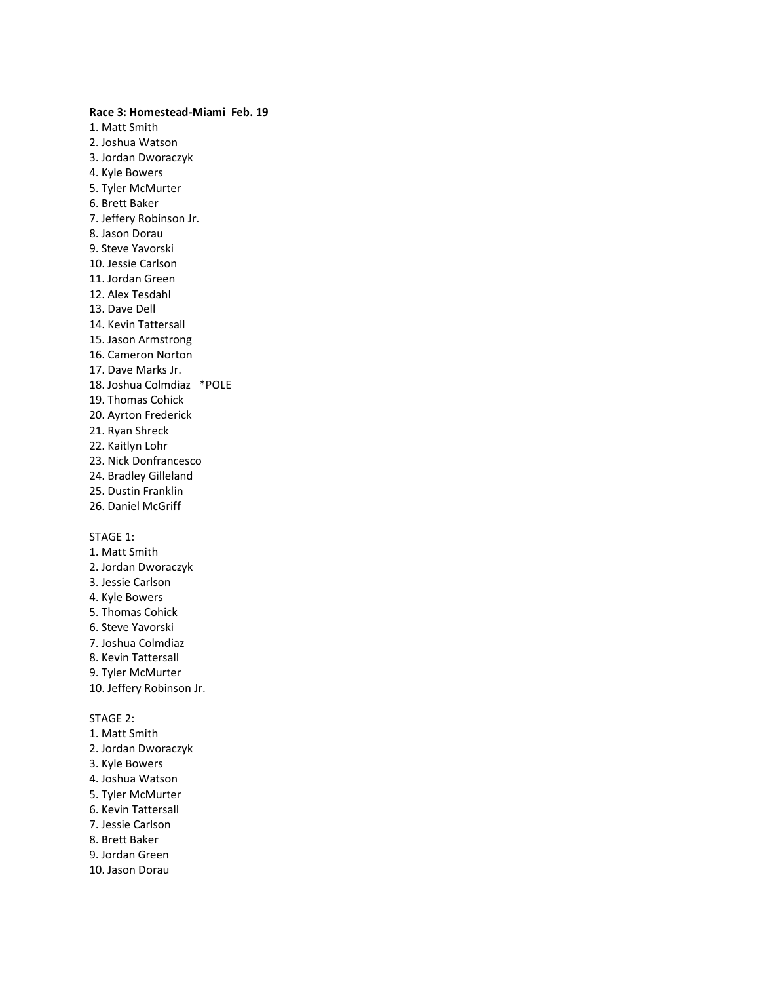**Race 3: Homestead-Miami Feb. 19** 1. Matt Smith 2. Joshua Watson 3. Jordan Dworaczyk 4. Kyle Bowers 5. Tyler McMurter 6. Brett Baker 7. Jeffery Robinson Jr. 8. Jason Dorau 9. Steve Yavorski 10. Jessie Carlson 11. Jordan Green 12. Alex Tesdahl 13. Dave Dell 14. Kevin Tattersall 15. Jason Armstrong 16. Cameron Norton 17. Dave Marks Jr. 18. Joshua Colmdiaz \*POLE 19. Thomas Cohick 20. Ayrton Frederick 21. Ryan Shreck 22. Kaitlyn Lohr 23. Nick Donfrancesco 24. Bradley Gilleland 25. Dustin Franklin 26. Daniel McGriff STAGE 1: 1. Matt Smith

- 2. Jordan Dworaczyk
- 3. Jessie Carlson
- 4. Kyle Bowers
- 5. Thomas Cohick
- 6. Steve Yavorski
- 7. Joshua Colmdiaz
- 8. Kevin Tattersall
- 9. Tyler McMurter
- 10. Jeffery Robinson Jr.

- 1. Matt Smith
- 2. Jordan Dworaczyk
- 3. Kyle Bowers
- 4. Joshua Watson
- 5. Tyler McMurter
- 6. Kevin Tattersall
- 7. Jessie Carlson
- 8. Brett Baker
- 9. Jordan Green
- 10. Jason Dorau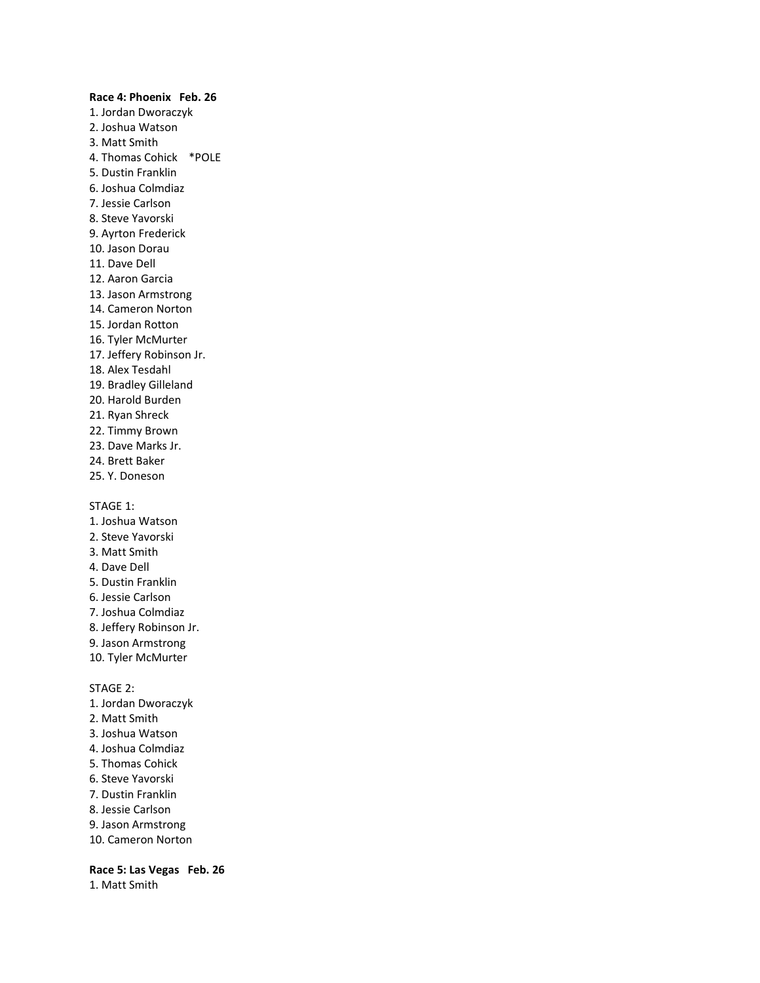# **Race 4: Phoenix Feb. 26** 1. Jordan Dworaczyk 2. Joshua Watson 3. Matt Smith 4. Thomas Cohick \*POLE 5. Dustin Franklin 6. Joshua Colmdiaz 7. Jessie Carlson 8. Steve Yavorski 9. Ayrton Frederick 10. Jason Dorau 11. Dave Dell 12. Aaron Garcia 13. Jason Armstrong 14. Cameron Norton 15. Jordan Rotton 16. Tyler McMurter 17. Jeffery Robinson Jr. 18. Alex Tesdahl 19. Bradley Gilleland 20. Harold Burden 21. Ryan Shreck 22. Timmy Brown 23. Dave Marks Jr. 24. Brett Baker 25. Y. Doneson STAGE 1: 1. Joshua Watson 2. Steve Yavorski 3. Matt Smith 4. Dave Dell 5. Dustin Franklin 6. Jessie Carlson 7. Joshua Colmdiaz 8. Jeffery Robinson Jr. 9. Jason Armstrong 10. Tyler McMurter STAGE 2: 1. Jordan Dworaczyk 2. Matt Smith 3. Joshua Watson

- 4. Joshua Colmdiaz
- 5. Thomas Cohick
- 6. Steve Yavorski
- 7. Dustin Franklin
- 8. Jessie Carlson
- 9. Jason Armstrong
- 10. Cameron Norton

**Race 5: Las Vegas Feb. 26** 1. Matt Smith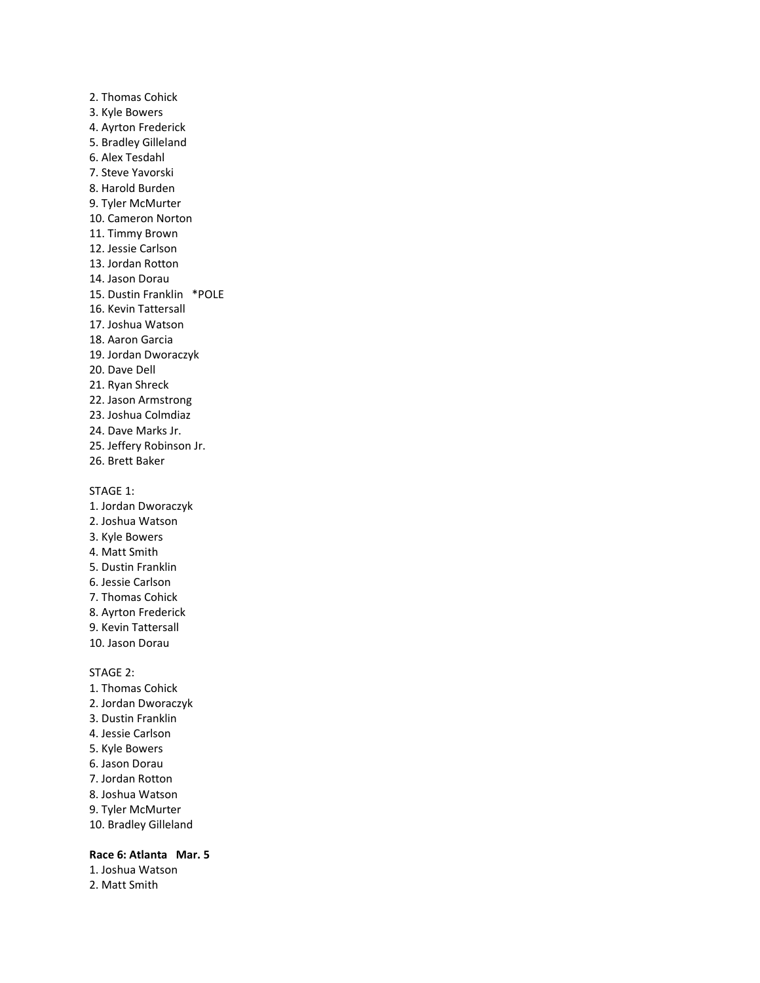2. Thomas Cohick 3. Kyle Bowers 4. Ayrton Frederick 5. Bradley Gilleland 6. Alex Tesdahl 7. Steve Yavorski 8. Harold Burden 9. Tyler McMurter 10. Cameron Norton 11. Timmy Brown 12. Jessie Carlson 13. Jordan Rotton 14. Jason Dorau 15. Dustin Franklin \*POLE 16. Kevin Tattersall 17. Joshua Watson 18. Aaron Garcia 19. Jordan Dworaczyk 20. Dave Dell 21. Ryan Shreck 22. Jason Armstrong 23. Joshua Colmdiaz 24. Dave Marks Jr. 25. Jeffery Robinson Jr. 26. Brett Baker

#### STAGE 1:

- 1. Jordan Dworaczyk 2. Joshua Watson 3. Kyle Bowers 4. Matt Smith 5. Dustin Franklin 6. Jessie Carlson 7. Thomas Cohick 8. Ayrton Frederick 9. Kevin Tattersall 10. Jason Dorau STAGE 2: 1. Thomas Cohick
- 2. Jordan Dworaczyk
- 3. Dustin Franklin
- 4. Jessie Carlson
- 5. Kyle Bowers
- 6. Jason Dorau
- 7. Jordan Rotton
- 8. Joshua Watson
- 9. Tyler McMurter
- 10. Bradley Gilleland

### **Race 6: Atlanta Mar. 5**

1. Joshua Watson 2. Matt Smith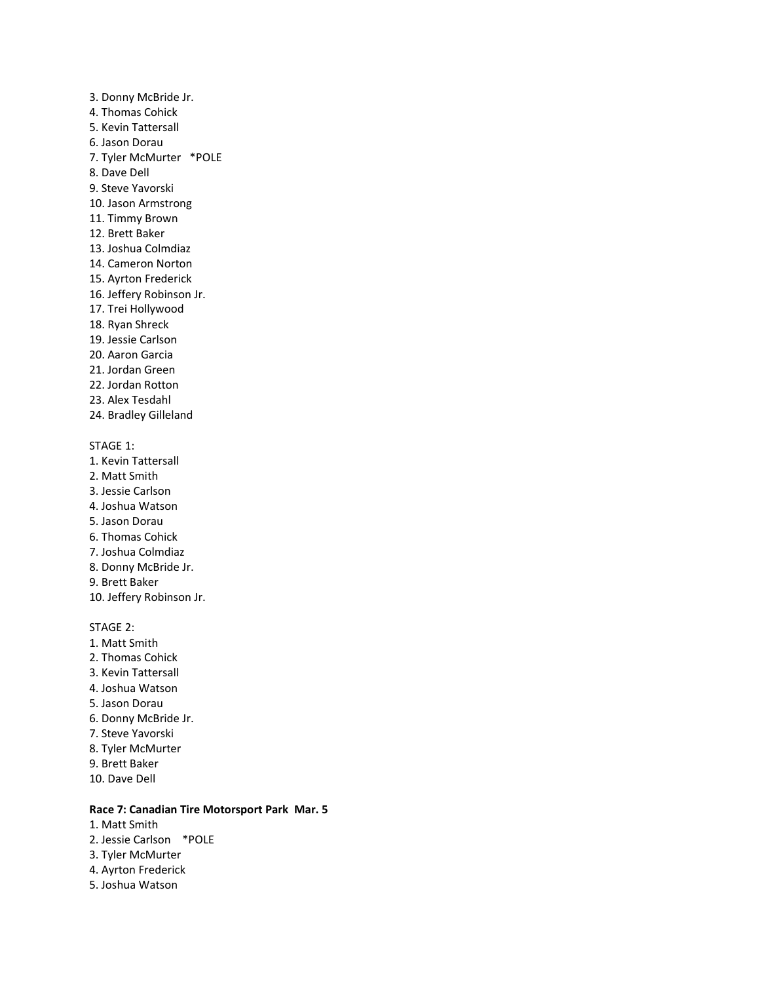3. Donny McBride Jr. 4. Thomas Cohick 5. Kevin Tattersall 6. Jason Dorau 7. Tyler McMurter \*POLE 8. Dave Dell 9. Steve Yavorski 10. Jason Armstrong 11. Timmy Brown 12. Brett Baker 13. Joshua Colmdiaz 14. Cameron Norton 15. Ayrton Frederick 16. Jeffery Robinson Jr. 17. Trei Hollywood 18. Ryan Shreck 19. Jessie Carlson 20. Aaron Garcia 21. Jordan Green 22. Jordan Rotton 23. Alex Tesdahl 24. Bradley Gilleland STAGE 1: 1. Kevin Tattersall 2. Matt Smith 3. Jessie Carlson

- 4. Joshua Watson
- 5. Jason Dorau
- 6. Thomas Cohick
- 7. Joshua Colmdiaz
- 8. Donny McBride Jr.
- 9. Brett Baker
- 10. Jeffery Robinson Jr.

STAGE 2:

- 1. Matt Smith 2. Thomas Cohick 3. Kevin Tattersall 4. Joshua Watson 5. Jason Dorau 6. Donny McBride Jr. 7. Steve Yavorski 8. Tyler McMurter 9. Brett Baker
- 10. Dave Dell
- 

#### **Race 7: Canadian Tire Motorsport Park Mar. 5**

- 1. Matt Smith
- 2. Jessie Carlson \*POLE
- 3. Tyler McMurter
- 4. Ayrton Frederick
- 5. Joshua Watson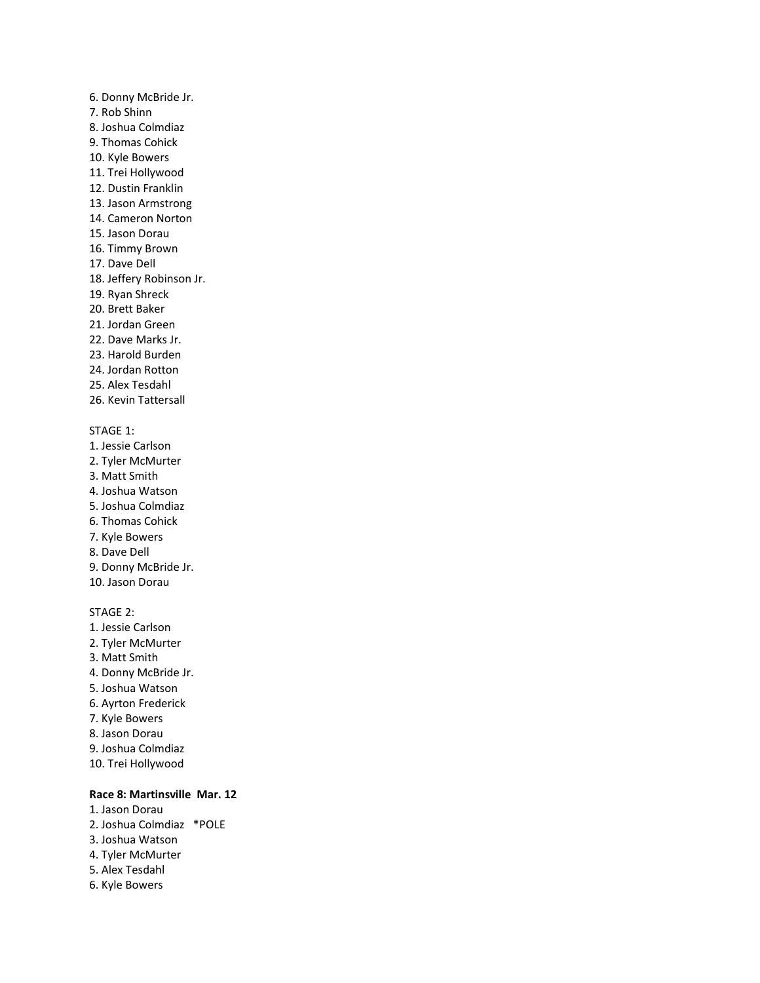# 6. Donny McBride Jr. 7. Rob Shinn 8. Joshua Colmdiaz 9. Thomas Cohick 10. Kyle Bowers 11. Trei Hollywood 12. Dustin Franklin 13. Jason Armstrong 14. Cameron Norton 15. Jason Dorau 16. Timmy Brown 17. Dave Dell 18. Jeffery Robinson Jr. 19. Ryan Shreck 20. Brett Baker 21. Jordan Green 22. Dave Marks Jr. 23. Harold Burden 24. Jordan Rotton 25. Alex Tesdahl 26. Kevin Tattersall STAGE 1: 1. Jessie Carlson 2. Tyler McMurter 3. Matt Smith 4. Joshua Watson 5. Joshua Colmdiaz 6. Thomas Cohick 7. Kyle Bowers 8. Dave Dell 9. Donny McBride Jr. 10. Jason Dorau STAGE 2: 1. Jessie Carlson 2. Tyler McMurter 3. Matt Smith 4. Donny McBride Jr. 5. Joshua Watson 6. Ayrton Frederick

- 7. Kyle Bowers
- 8. Jason Dorau
- 9. Joshua Colmdiaz
- 10. Trei Hollywood

### **Race 8: Martinsville Mar. 12**

1. Jason Dorau 2. Joshua Colmdiaz \*POLE 3. Joshua Watson 4. Tyler McMurter 5. Alex Tesdahl 6. Kyle Bowers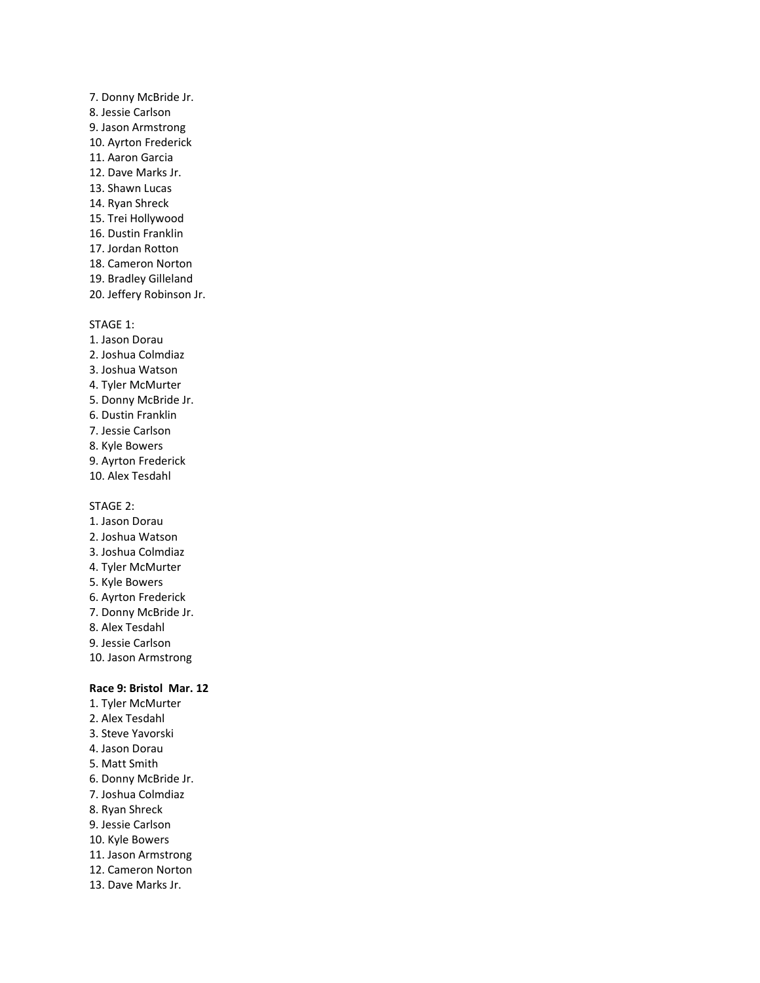7. Donny McBride Jr. 8. Jessie Carlson 9. Jason Armstrong 10. Ayrton Frederick 11. Aaron Garcia 12. Dave Marks Jr. 13. Shawn Lucas 14. Ryan Shreck 15. Trei Hollywood 16. Dustin Franklin 17. Jordan Rotton 18. Cameron Norton 19. Bradley Gilleland 20. Jeffery Robinson Jr.

#### STAGE 1:

1. Jason Dorau 2. Joshua Colmdiaz 3. Joshua Watson 4. Tyler McMurter 5. Donny McBride Jr. 6. Dustin Franklin 7. Jessie Carlson 8. Kyle Bowers 9. Ayrton Frederick 10. Alex Tesdahl

STAGE 2:

- 1. Jason Dorau 2. Joshua Watson
- 3. Joshua Colmdiaz
- 4. Tyler McMurter
- 5. Kyle Bowers
- 6. Ayrton Frederick
- 7. Donny McBride Jr.
- 8. Alex Tesdahl
- 9. Jessie Carlson
- 10. Jason Armstrong

### **Race 9: Bristol Mar. 12**

1. Tyler McMurter 2. Alex Tesdahl 3. Steve Yavorski 4. Jason Dorau 5. Matt Smith 6. Donny McBride Jr. 7. Joshua Colmdiaz 8. Ryan Shreck 9. Jessie Carlson 10. Kyle Bowers 11. Jason Armstrong 12. Cameron Norton 13. Dave Marks Jr.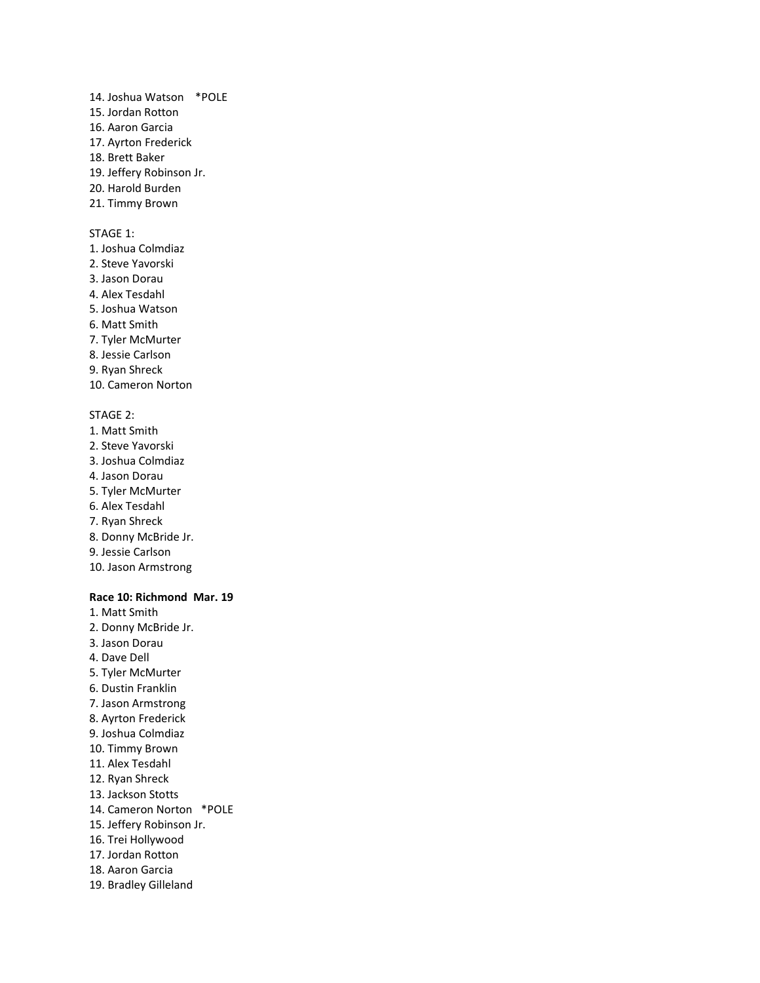- 14. Joshua Watson \*POLE
- 15. Jordan Rotton
- 16. Aaron Garcia
- 17. Ayrton Frederick
- 18. Brett Baker
- 19. Jeffery Robinson Jr.
- 20. Harold Burden
- 21. Timmy Brown

### STAGE 1:

- 1. Joshua Colmdiaz
- 2. Steve Yavorski
- 3. Jason Dorau
- 4. Alex Tesdahl
- 5. Joshua Watson
- 6. Matt Smith
- 7. Tyler McMurter
- 8. Jessie Carlson
- 9. Ryan Shreck
- 10. Cameron Norton

### STAGE 2:

- 1. Matt Smith
- 2. Steve Yavorski
- 3. Joshua Colmdiaz
- 4. Jason Dorau
- 5. Tyler McMurter
- 6. Alex Tesdahl
- 7. Ryan Shreck
- 8. Donny McBride Jr.
- 9. Jessie Carlson
- 10. Jason Armstrong

### **Race 10: Richmond Mar. 19**

- 1. Matt Smith
- 2. Donny McBride Jr.
- 3. Jason Dorau
- 4. Dave Dell
- 5. Tyler McMurter
- 6. Dustin Franklin
- 7. Jason Armstrong
- 8. Ayrton Frederick
- 9. Joshua Colmdiaz
- 10. Timmy Brown
- 11. Alex Tesdahl
- 12. Ryan Shreck
- 13. Jackson Stotts
- 14. Cameron Norton \*POLE
- 15. Jeffery Robinson Jr.
- 16. Trei Hollywood
- 17. Jordan Rotton
- 18. Aaron Garcia
- 19. Bradley Gilleland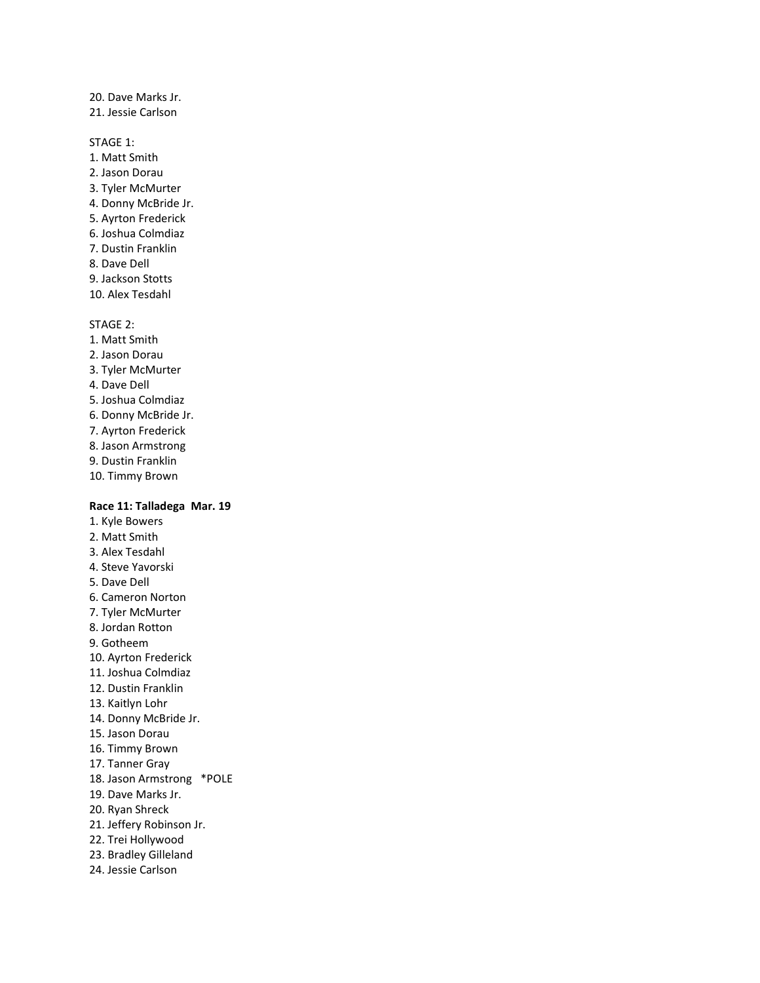20. Dave Marks Jr. 21. Jessie Carlson

STAGE 1:

- 1. Matt Smith
- 2. Jason Dorau
- 3. Tyler McMurter
- 4. Donny McBride Jr.
- 5. Ayrton Frederick
- 6. Joshua Colmdiaz
- 7. Dustin Franklin
- 8. Dave Dell
- 9. Jackson Stotts
- 10. Alex Tesdahl

STAGE 2:

- 1. Matt Smith
- 2. Jason Dorau
- 3. Tyler McMurter
- 4. Dave Dell
- 5. Joshua Colmdiaz
- 6. Donny McBride Jr.
- 7. Ayrton Frederick
- 8. Jason Armstrong
- 9. Dustin Franklin
- 10. Timmy Brown

#### **Race 11: Talladega Mar. 19**

- 1. Kyle Bowers 2. Matt Smith 3. Alex Tesdahl 4. Steve Yavorski 5. Dave Dell 6. Cameron Norton 7. Tyler McMurter 8. Jordan Rotton 9. Gotheem 10. Ayrton Frederick 11. Joshua Colmdiaz 12. Dustin Franklin 13. Kaitlyn Lohr 14. Donny McBride Jr. 15. Jason Dorau 16. Timmy Brown 17. Tanner Gray 18. Jason Armstrong \*POLE 19. Dave Marks Jr. 20. Ryan Shreck 21. Jeffery Robinson Jr. 22. Trei Hollywood 23. Bradley Gilleland
- 24. Jessie Carlson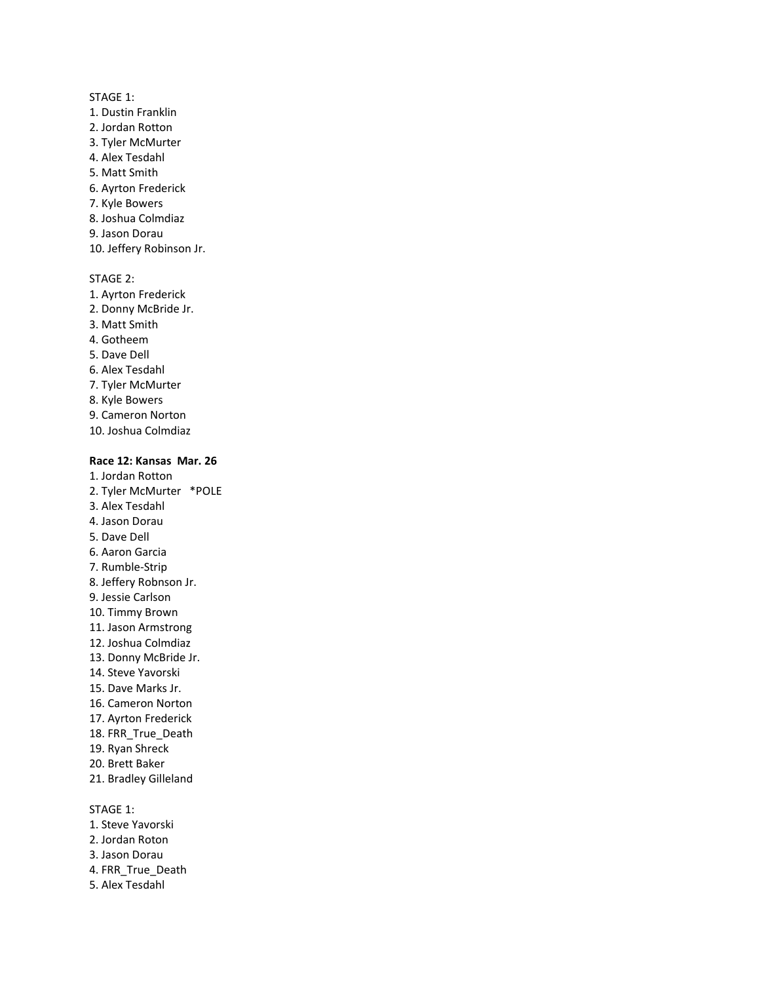- STAGE 1:
- 1. Dustin Franklin 2. Jordan Rotton 3. Tyler McMurter 4. Alex Tesdahl
- 5. Matt Smith
- 6. Ayrton Frederick
- 7. Kyle Bowers
- 8. Joshua Colmdiaz
- 9. Jason Dorau
- 10. Jeffery Robinson Jr.
- STAGE 2:
- 1. Ayrton Frederick 2. Donny McBride Jr. 3. Matt Smith 4. Gotheem 5. Dave Dell 6. Alex Tesdahl 7. Tyler McMurter 8. Kyle Bowers 9. Cameron Norton
- 10. Joshua Colmdiaz

### **Race 12: Kansas Mar. 26**

- 1. Jordan Rotton 2. Tyler McMurter \*POLE 3. Alex Tesdahl 4. Jason Dorau 5. Dave Dell 6. Aaron Garcia 7. Rumble-Strip 8. Jeffery Robnson Jr. 9. Jessie Carlson 10. Timmy Brown 11. Jason Armstrong 12. Joshua Colmdiaz 13. Donny McBride Jr. 14. Steve Yavorski 15. Dave Marks Jr. 16. Cameron Norton 17. Ayrton Frederick 18. FRR\_True\_Death 19. Ryan Shreck 20. Brett Baker 21. Bradley Gilleland STAGE 1:
- 1. Steve Yavorski
- 2. Jordan Roton
- 3. Jason Dorau
- 4. FRR\_True\_Death
- 5. Alex Tesdahl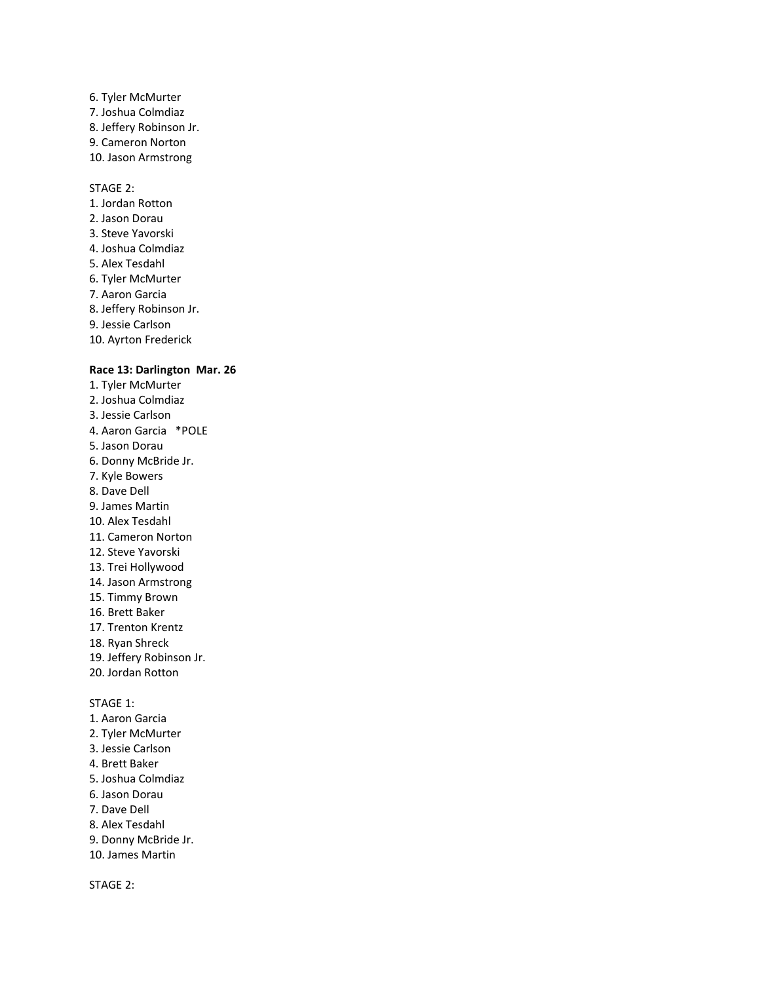### 6. Tyler McMurter 7. Joshua Colmdiaz 8. Jeffery Robinson Jr. 9. Cameron Norton 10. Jason Armstrong

#### STAGE 2:

1. Jordan Rotton 2. Jason Dorau 3. Steve Yavorski 4. Joshua Colmdiaz 5. Alex Tesdahl 6. Tyler McMurter 7. Aaron Garcia 8. Jeffery Robinson Jr. 9. Jessie Carlson 10. Ayrton Frederick

### **Race 13: Darlington Mar. 26**

- 1. Tyler McMurter 2. Joshua Colmdiaz 3. Jessie Carlson 4. Aaron Garcia \*POLE 5. Jason Dorau 6. Donny McBride Jr. 7. Kyle Bowers 8. Dave Dell 9. James Martin 10. Alex Tesdahl 11. Cameron Norton 12. Steve Yavorski 13. Trei Hollywood 14. Jason Armstrong 15. Timmy Brown 16. Brett Baker 17. Trenton Krentz 18. Ryan Shreck 19. Jeffery Robinson Jr. 20. Jordan Rotton STAGE 1:
- 1. Aaron Garcia
- 2. Tyler McMurter
- 3. Jessie Carlson
- 4. Brett Baker
- 5. Joshua Colmdiaz
- 6. Jason Dorau
- 7. Dave Dell
- 8. Alex Tesdahl
- 
- 9. Donny McBride Jr.
- 10. James Martin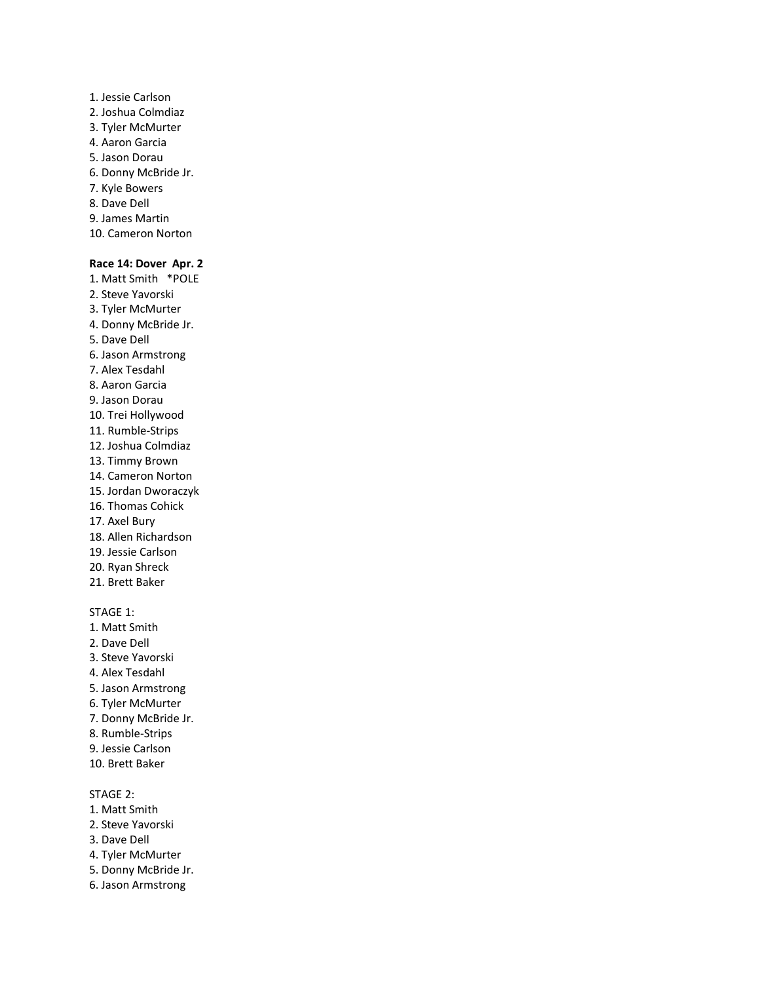- 1. Jessie Carlson 2. Joshua Colmdiaz 3. Tyler McMurter 4. Aaron Garcia 5. Jason Dorau 6. Donny McBride Jr. 7. Kyle Bowers 8. Dave Dell 9. James Martin
- 10. Cameron Norton

#### **Race 14: Dover Apr. 2**

- 1. Matt Smith \*POLE
- 2. Steve Yavorski
- 3. Tyler McMurter
- 4. Donny McBride Jr.
- 5. Dave Dell
- 6. Jason Armstrong
- 7. Alex Tesdahl 8. Aaron Garcia
- 9. Jason Dorau
- 10. Trei Hollywood
- 11. Rumble-Strips
- 12. Joshua Colmdiaz
- 13. Timmy Brown
- 14. Cameron Norton
- 15. Jordan Dworaczyk
- 16. Thomas Cohick
- 17. Axel Bury
- 18. Allen Richardson
- 19. Jessie Carlson
- 20. Ryan Shreck
- 21. Brett Baker

#### STAGE 1:

1. Matt Smith 2. Dave Dell 3. Steve Yavorski 4. Alex Tesdahl 5. Jason Armstrong 6. Tyler McMurter 7. Donny McBride Jr. 8. Rumble-Strips 9. Jessie Carlson 10. Brett Baker

- 1. Matt Smith
- 2. Steve Yavorski
- 3. Dave Dell
- 4. Tyler McMurter
- 5. Donny McBride Jr.
- 6. Jason Armstrong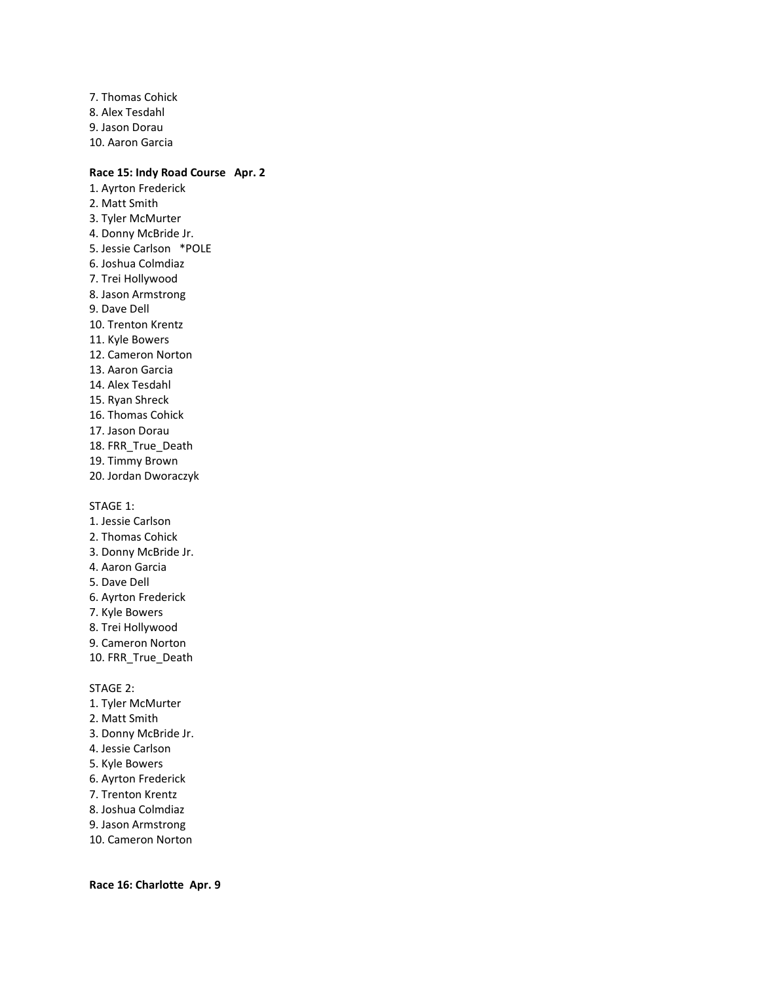7. Thomas Cohick 8. Alex Tesdahl 9. Jason Dorau 10. Aaron Garcia

### **Race 15: Indy Road Course Apr. 2**

- 1. Ayrton Frederick 2. Matt Smith 3. Tyler McMurter 4. Donny McBride Jr. 5. Jessie Carlson \*POLE 6. Joshua Colmdiaz 7. Trei Hollywood 8. Jason Armstrong 9. Dave Dell 10. Trenton Krentz 11. Kyle Bowers 12. Cameron Norton 13. Aaron Garcia 14. Alex Tesdahl 15. Ryan Shreck 16. Thomas Cohick 17. Jason Dorau 18. FRR\_True\_Death 19. Timmy Brown 20. Jordan Dworaczyk STAGE 1: 1. Jessie Carlson 2. Thomas Cohick
- 3. Donny McBride Jr.
- 4. Aaron Garcia
- 5. Dave Dell
- 6. Ayrton Frederick
- 7. Kyle Bowers
- 8. Trei Hollywood
- 9. Cameron Norton
- 10. FRR\_True\_Death

STAGE 2:

- 1. Tyler McMurter
- 2. Matt Smith
- 3. Donny McBride Jr.
- 4. Jessie Carlson
- 5. Kyle Bowers
- 6. Ayrton Frederick
- 7. Trenton Krentz
- 8. Joshua Colmdiaz
- 9. Jason Armstrong
- 10. Cameron Norton

**Race 16: Charlotte Apr. 9**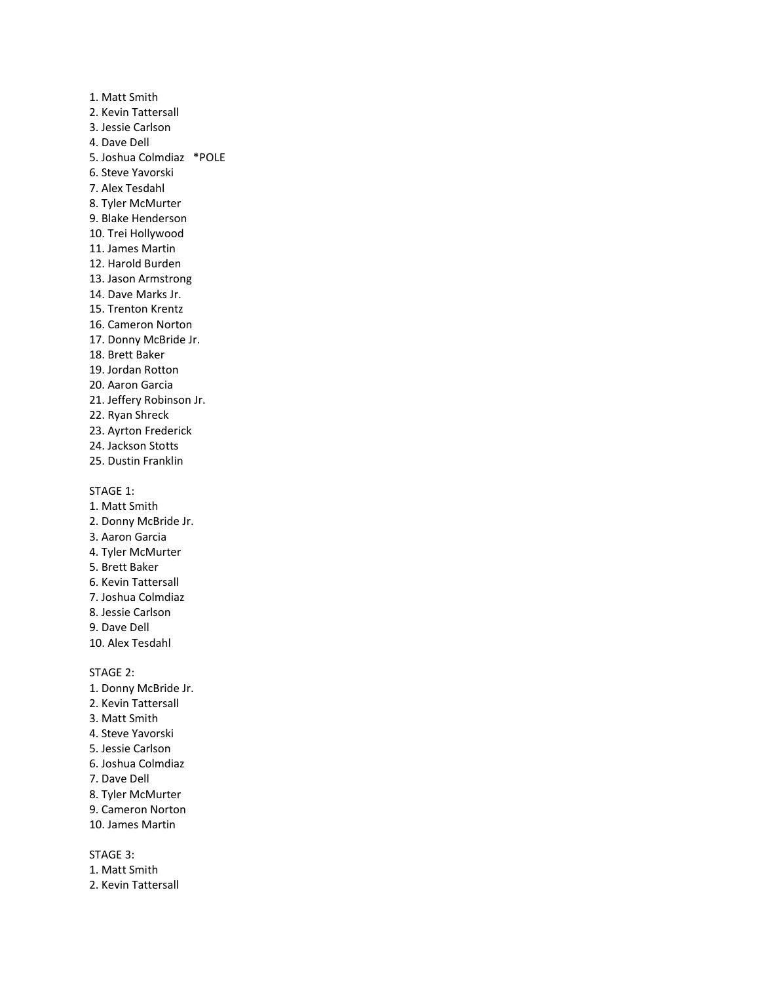1. Matt Smith 2. Kevin Tattersall 3. Jessie Carlson 4. Dave Dell 5. Joshua Colmdiaz \*POLE 6. Steve Yavorski 7. Alex Tesdahl 8. Tyler McMurter 9. Blake Henderson 10. Trei Hollywood 11. James Martin 12. Harold Burden 13. Jason Armstrong 14. Dave Marks Jr. 15. Trenton Krentz 16. Cameron Norton 17. Donny McBride Jr. 18. Brett Baker 19. Jordan Rotton 20. Aaron Garcia 21. Jeffery Robinson Jr. 22. Ryan Shreck 23. Ayrton Frederick 24. Jackson Stotts 25. Dustin Franklin STAGE 1: 1. Matt Smith 2. Donny McBride Jr. 3. Aaron Garcia 4. Tyler McMurter 5. Brett Baker 6. Kevin Tattersall 7. Joshua Colmdiaz 8. Jessie Carlson 9. Dave Dell 10. Alex Tesdahl STAGE 2: 1. Donny McBride Jr. 2. Kevin Tattersall 3. Matt Smith 4. Steve Yavorski 5. Jessie Carlson 6. Joshua Colmdiaz 7. Dave Dell 8. Tyler McMurter

- 9. Cameron Norton
- 10. James Martin

STAGE 3:

1. Matt Smith 2. Kevin Tattersall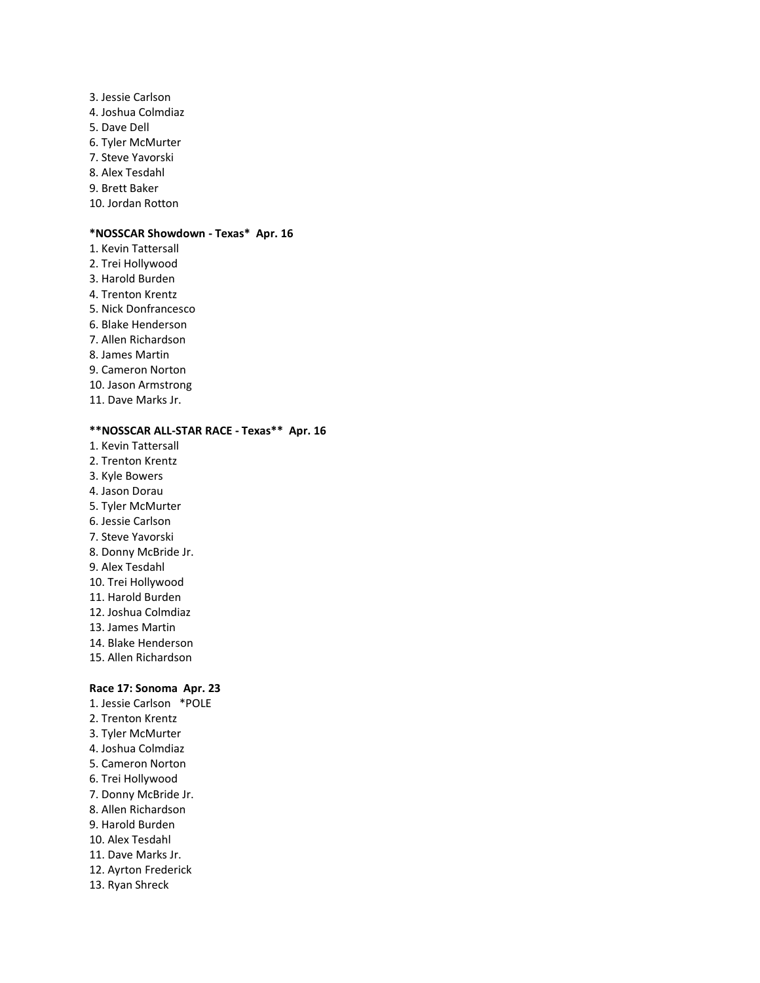3. Jessie Carlson 4. Joshua Colmdiaz 5. Dave Dell 6. Tyler McMurter 7. Steve Yavorski 8. Alex Tesdahl 9. Brett Baker 10. Jordan Rotton

#### **\*NOSSCAR Showdown - Texas\* Apr. 16**

1. Kevin Tattersall 2. Trei Hollywood 3. Harold Burden 4. Trenton Krentz 5. Nick Donfrancesco 6. Blake Henderson 7. Allen Richardson 8. James Martin 9. Cameron Norton 10. Jason Armstrong 11. Dave Marks Jr.

### **\*\*NOSSCAR ALL-STAR RACE - Texas\*\* Apr. 16**

- 1. Kevin Tattersall
- 2. Trenton Krentz
- 3. Kyle Bowers
- 4. Jason Dorau
- 5. Tyler McMurter
- 6. Jessie Carlson
- 7. Steve Yavorski
- 8. Donny McBride Jr.
- 9. Alex Tesdahl
- 10. Trei Hollywood
- 11. Harold Burden
- 12. Joshua Colmdiaz
- 13. James Martin
- 14. Blake Henderson
- 15. Allen Richardson

### **Race 17: Sonoma Apr. 23**

- 1. Jessie Carlson \*POLE 2. Trenton Krentz
- 3. Tyler McMurter
- 4. Joshua Colmdiaz
- 5. Cameron Norton
- 6. Trei Hollywood
- 7. Donny McBride Jr.
- 8. Allen Richardson
- 9. Harold Burden
- 10. Alex Tesdahl
- 11. Dave Marks Jr.
- 12. Ayrton Frederick
- 13. Ryan Shreck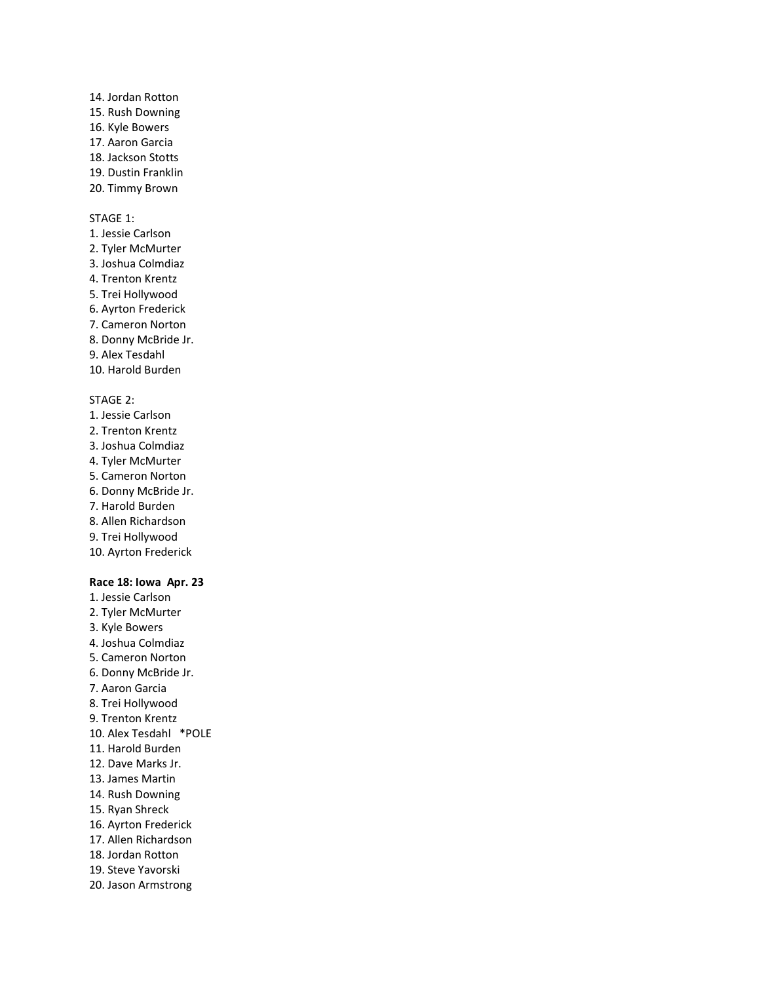14. Jordan Rotton 15. Rush Downing 16. Kyle Bowers 17. Aaron Garcia 18. Jackson Stotts 19. Dustin Franklin 20. Timmy Brown

#### STAGE 1:

1. Jessie Carlson 2. Tyler McMurter 3. Joshua Colmdiaz 4. Trenton Krentz 5. Trei Hollywood 6. Ayrton Frederick 7. Cameron Norton 8. Donny McBride Jr. 9. Alex Tesdahl 10. Harold Burden

### STAGE 2:

- 1. Jessie Carlson 2. Trenton Krentz 3. Joshua Colmdiaz 4. Tyler McMurter 5. Cameron Norton 6. Donny McBride Jr. 7. Harold Burden 8. Allen Richardson 9. Trei Hollywood
- 10. Ayrton Frederick

#### **Race 18: Iowa Apr. 23**

1. Jessie Carlson 2. Tyler McMurter 3. Kyle Bowers 4. Joshua Colmdiaz 5. Cameron Norton 6. Donny McBride Jr. 7. Aaron Garcia 8. Trei Hollywood 9. Trenton Krentz 10. Alex Tesdahl \*POLE 11. Harold Burden 12. Dave Marks Jr. 13. James Martin 14. Rush Downing 15. Ryan Shreck 16. Ayrton Frederick 17. Allen Richardson 18. Jordan Rotton 19. Steve Yavorski 20. Jason Armstrong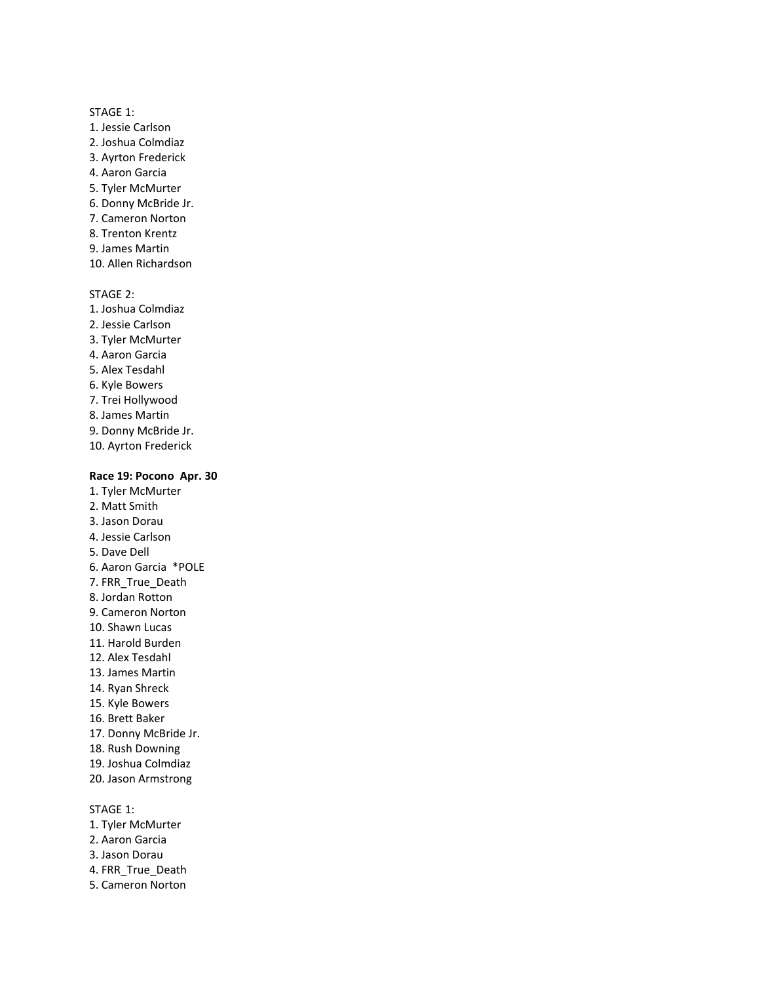### STAGE 1:

- 1. Jessie Carlson 2. Joshua Colmdiaz
- 3. Ayrton Frederick
- 4. Aaron Garcia
- 5. Tyler McMurter
- 6. Donny McBride Jr.
- 7. Cameron Norton
- 8. Trenton Krentz
- 9. James Martin
- 10. Allen Richardson

STAGE 2:

- 1. Joshua Colmdiaz
- 2. Jessie Carlson
- 3. Tyler McMurter
- 4. Aaron Garcia
- 5. Alex Tesdahl
- 6. Kyle Bowers
- 7. Trei Hollywood
- 8. James Martin
- 9. Donny McBride Jr.
- 10. Ayrton Frederick

#### **Race 19: Pocono Apr. 30**

- 1. Tyler McMurter
- 2. Matt Smith
- 3. Jason Dorau
- 4. Jessie Carlson
- 5. Dave Dell
- 6. Aaron Garcia \*POLE
- 7. FRR\_True\_Death
- 8. Jordan Rotton
- 9. Cameron Norton
- 10. Shawn Lucas
- 11. Harold Burden
- 12. Alex Tesdahl
- 13. James Martin
- 14. Ryan Shreck
- 15. Kyle Bowers
- 16. Brett Baker
- 17. Donny McBride Jr.
- 18. Rush Downing
- 19. Joshua Colmdiaz
- 20. Jason Armstrong

STAGE 1:

- 1. Tyler McMurter
- 2. Aaron Garcia
- 3. Jason Dorau
- 4. FRR\_True\_Death
- 5. Cameron Norton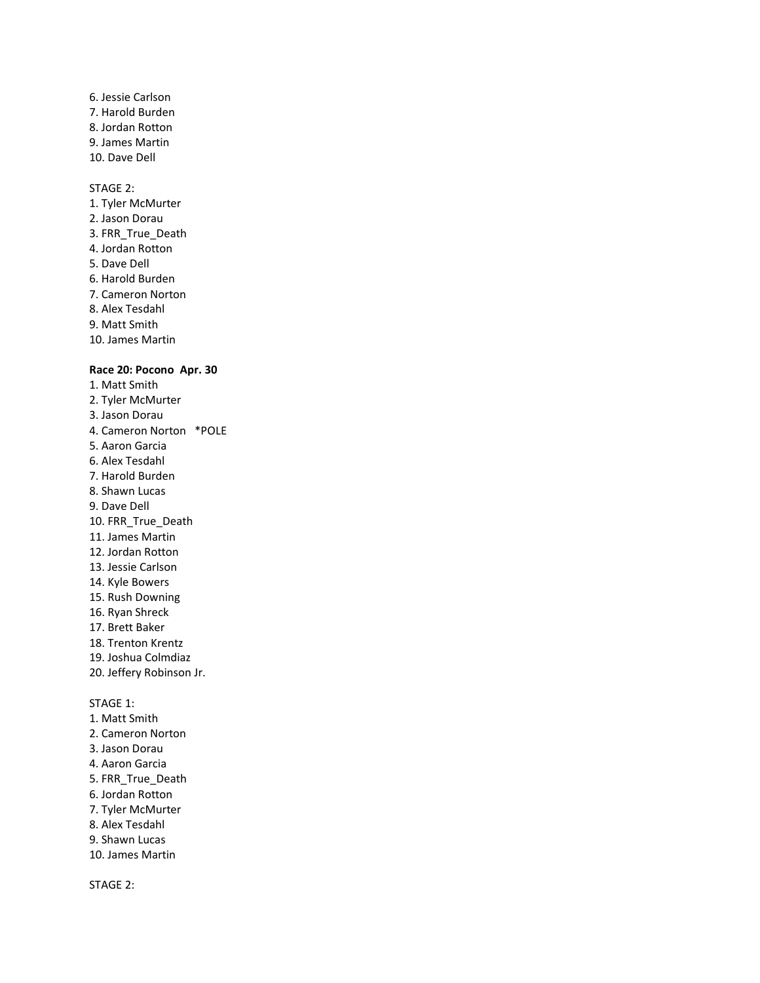### 6. Jessie Carlson 7. Harold Burden 8. Jordan Rotton 9. James Martin 10. Dave Dell

#### STAGE 2:

1. Tyler McMurter 2. Jason Dorau 3. FRR\_True\_Death 4. Jordan Rotton 5. Dave Dell 6. Harold Burden 7. Cameron Norton 8. Alex Tesdahl 9. Matt Smith 10. James Martin

#### **Race 20: Pocono Apr. 30**

- 1. Matt Smith 2. Tyler McMurter 3. Jason Dorau 4. Cameron Norton \*POLE 5. Aaron Garcia 6. Alex Tesdahl 7. Harold Burden 8. Shawn Lucas 9. Dave Dell 10. FRR\_True\_Death 11. James Martin 12. Jordan Rotton 13. Jessie Carlson 14. Kyle Bowers 15. Rush Downing 16. Ryan Shreck 17. Brett Baker 18. Trenton Krentz 19. Joshua Colmdiaz 20. Jeffery Robinson Jr. STAGE 1: 1. Matt Smith 2. Cameron Norton 3. Jason Dorau 4. Aaron Garcia
- 5. FRR\_True\_Death
- 6. Jordan Rotton
- 7. Tyler McMurter
- 8. Alex Tesdahl
- 9. Shawn Lucas
- 10. James Martin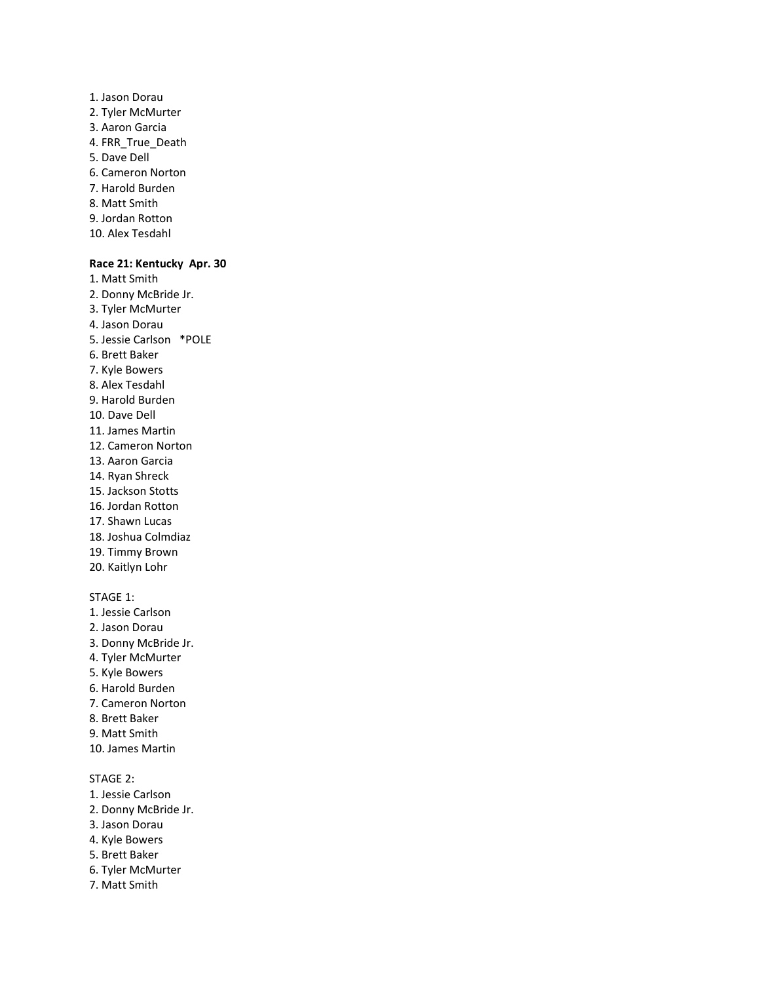- 1. Jason Dorau 2. Tyler McMurter 3. Aaron Garcia 4. FRR\_True\_Death 5. Dave Dell 6. Cameron Norton 7. Harold Burden 8. Matt Smith
- 9. Jordan Rotton
- 10. Alex Tesdahl

#### **Race 21: Kentucky Apr. 30**

- 1. Matt Smith
- 2. Donny McBride Jr.
- 3. Tyler McMurter
- 4. Jason Dorau
- 5. Jessie Carlson \*POLE
- 6. Brett Baker
- 7. Kyle Bowers
- 8. Alex Tesdahl
- 9. Harold Burden
- 10. Dave Dell
- 11. James Martin
- 12. Cameron Norton
- 13. Aaron Garcia
- 14. Ryan Shreck
- 15. Jackson Stotts
- 16. Jordan Rotton
- 17. Shawn Lucas
- 18. Joshua Colmdiaz
- 19. Timmy Brown
- 20. Kaitlyn Lohr

#### STAGE 1:

- 1. Jessie Carlson
- 2. Jason Dorau
- 3. Donny McBride Jr.
- 4. Tyler McMurter
- 5. Kyle Bowers
- 6. Harold Burden
- 7. Cameron Norton
- 8. Brett Baker
- 9. Matt Smith
- 10. James Martin

- 1. Jessie Carlson
- 2. Donny McBride Jr.
- 3. Jason Dorau
- 4. Kyle Bowers
- 5. Brett Baker
- 6. Tyler McMurter
- 7. Matt Smith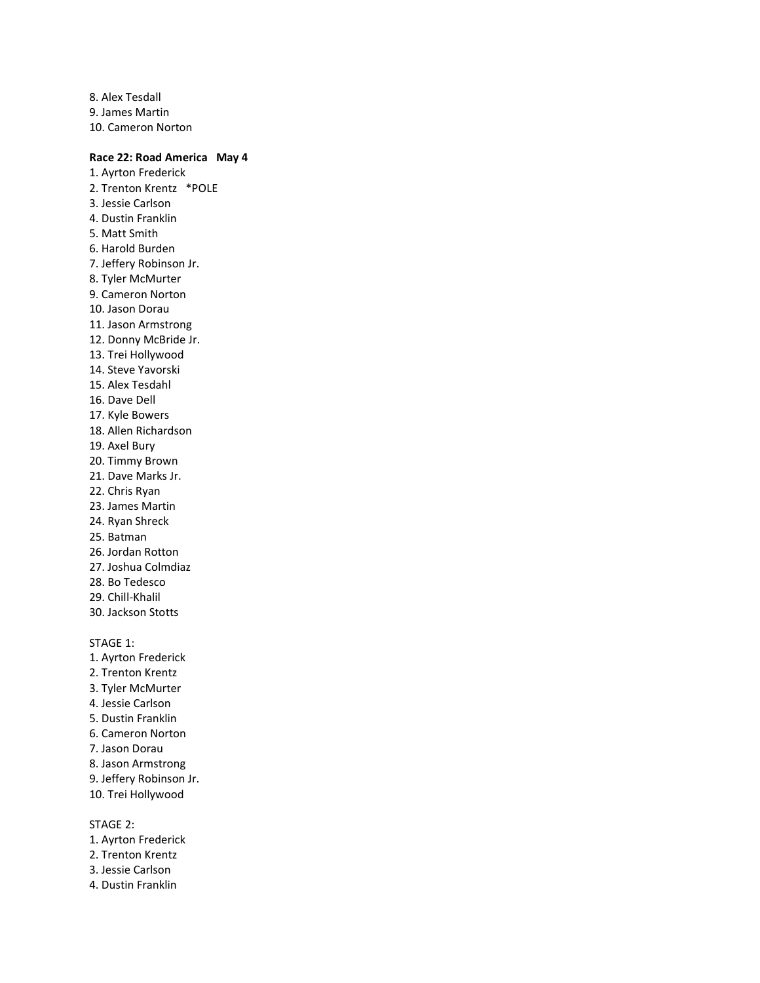8. Alex Tesdall 9. James Martin 10. Cameron Norton

### **Race 22: Road America May 4**

1. Ayrton Frederick 2. Trenton Krentz \*POLE 3. Jessie Carlson 4. Dustin Franklin 5. Matt Smith 6. Harold Burden 7. Jeffery Robinson Jr. 8. Tyler McMurter 9. Cameron Norton 10. Jason Dorau 11. Jason Armstrong 12. Donny McBride Jr. 13. Trei Hollywood 14. Steve Yavorski 15. Alex Tesdahl 16. Dave Dell 17. Kyle Bowers 18. Allen Richardson 19. Axel Bury 20. Timmy Brown 21. Dave Marks Jr. 22. Chris Ryan 23. James Martin 24. Ryan Shreck 25. Batman 26. Jordan Rotton 27. Joshua Colmdiaz 28. Bo Tedesco 29. Chill-Khalil 30. Jackson Stotts STAGE 1: 1. Ayrton Frederick 2. Trenton Krentz 3. Tyler McMurter 4. Jessie Carlson 5. Dustin Franklin 6. Cameron Norton 7. Jason Dorau 8. Jason Armstrong 9. Jeffery Robinson Jr. 10. Trei Hollywood

- 1. Ayrton Frederick
- 2. Trenton Krentz
- 3. Jessie Carlson
- 4. Dustin Franklin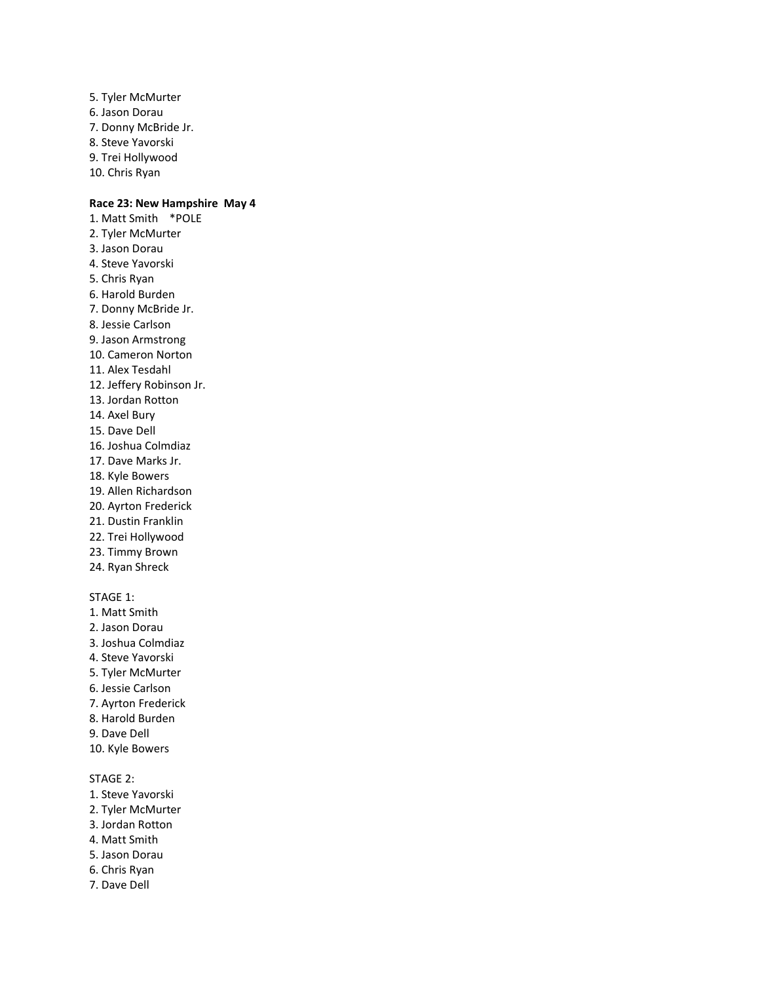5. Tyler McMurter 6. Jason Dorau 7. Donny McBride Jr. 8. Steve Yavorski 9. Trei Hollywood 10. Chris Ryan

### **Race 23: New Hampshire May 4**

1. Matt Smith \*POLE 2. Tyler McMurter 3. Jason Dorau 4. Steve Yavorski 5. Chris Ryan 6. Harold Burden 7. Donny McBride Jr. 8. Jessie Carlson 9. Jason Armstrong 10. Cameron Norton 11. Alex Tesdahl 12. Jeffery Robinson Jr. 13. Jordan Rotton 14. Axel Bury 15. Dave Dell 16. Joshua Colmdiaz 17. Dave Marks Jr. 18. Kyle Bowers 19. Allen Richardson 20. Ayrton Frederick 21. Dustin Franklin 22. Trei Hollywood 23. Timmy Brown 24. Ryan Shreck STAGE 1:

1. Matt Smith 2. Jason Dorau 3. Joshua Colmdiaz 4. Steve Yavorski 5. Tyler McMurter 6. Jessie Carlson 7. Ayrton Frederick 8. Harold Burden 9. Dave Dell 10. Kyle Bowers STAGE 2:

# 1. Steve Yavorski

- 2. Tyler McMurter
- 3. Jordan Rotton
- 4. Matt Smith
- 5. Jason Dorau
- 6. Chris Ryan
- 7. Dave Dell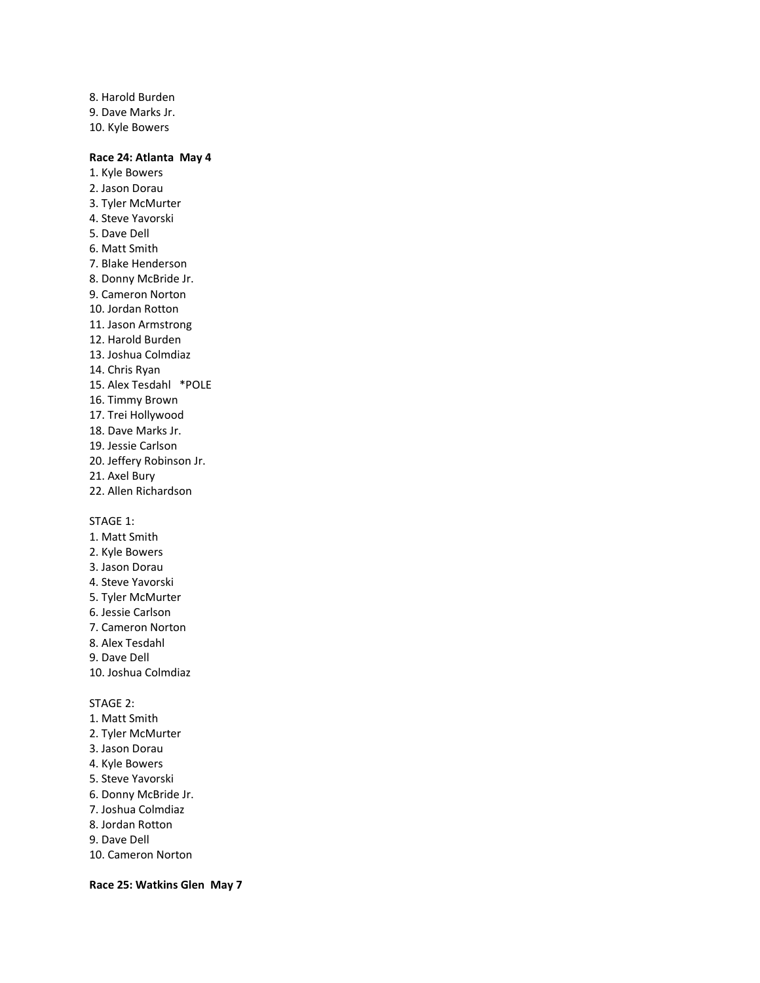8. Harold Burden 9. Dave Marks Jr. 10. Kyle Bowers

#### **Race 24: Atlanta May 4**

1. Kyle Bowers 2. Jason Dorau 3. Tyler McMurter 4. Steve Yavorski 5. Dave Dell 6. Matt Smith 7. Blake Henderson 8. Donny McBride Jr. 9. Cameron Norton 10. Jordan Rotton 11. Jason Armstrong 12. Harold Burden 13. Joshua Colmdiaz 14. Chris Ryan 15. Alex Tesdahl \*POLE 16. Timmy Brown 17. Trei Hollywood 18. Dave Marks Jr. 19. Jessie Carlson 20. Jeffery Robinson Jr. 21. Axel Bury 22. Allen Richardson

STAGE 1:

- 1. Matt Smith
- 2. Kyle Bowers
- 3. Jason Dorau
- 4. Steve Yavorski
- 5. Tyler McMurter
- 6. Jessie Carlson
- 7. Cameron Norton
- 8. Alex Tesdahl
- 9. Dave Dell
- 10. Joshua Colmdiaz

STAGE 2:

- 1. Matt Smith
- 2. Tyler McMurter
- 3. Jason Dorau
- 4. Kyle Bowers
- 5. Steve Yavorski
- 6. Donny McBride Jr.
- 7. Joshua Colmdiaz
- 8. Jordan Rotton
- 9. Dave Dell
- 10. Cameron Norton

**Race 25: Watkins Glen May 7**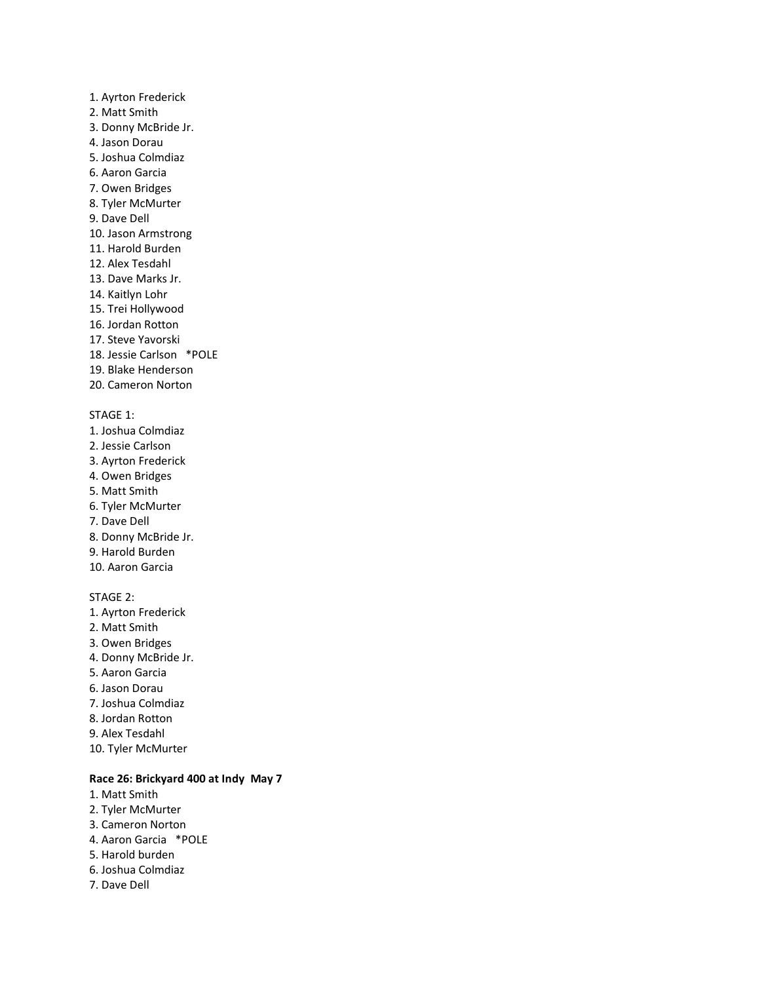- 1. Ayrton Frederick 2. Matt Smith 3. Donny McBride Jr. 4. Jason Dorau 5. Joshua Colmdiaz 6. Aaron Garcia 7. Owen Bridges 8. Tyler McMurter 9. Dave Dell 10. Jason Armstrong 11. Harold Burden 12. Alex Tesdahl 13. Dave Marks Jr. 14. Kaitlyn Lohr 15. Trei Hollywood 16. Jordan Rotton 17. Steve Yavorski 18. Jessie Carlson \*POLE 19. Blake Henderson 20. Cameron Norton STAGE 1: 1. Joshua Colmdiaz 2. Jessie Carlson 3. Ayrton Frederick 4. Owen Bridges 5. Matt Smith 6. Tyler McMurter 7. Dave Dell 8. Donny McBride Jr. 9. Harold Burden 10. Aaron Garcia STAGE 2: 1. Ayrton Frederick
- 2. Matt Smith 3. Owen Bridges 4. Donny McBride Jr. 5. Aaron Garcia 6. Jason Dorau 7. Joshua Colmdiaz 8. Jordan Rotton 9. Alex Tesdahl 10. Tyler McMurter

### **Race 26: Brickyard 400 at Indy May 7**

- 1. Matt Smith
- 2. Tyler McMurter
- 3. Cameron Norton
- 4. Aaron Garcia \*POLE
- 5. Harold burden
- 6. Joshua Colmdiaz
- 7. Dave Dell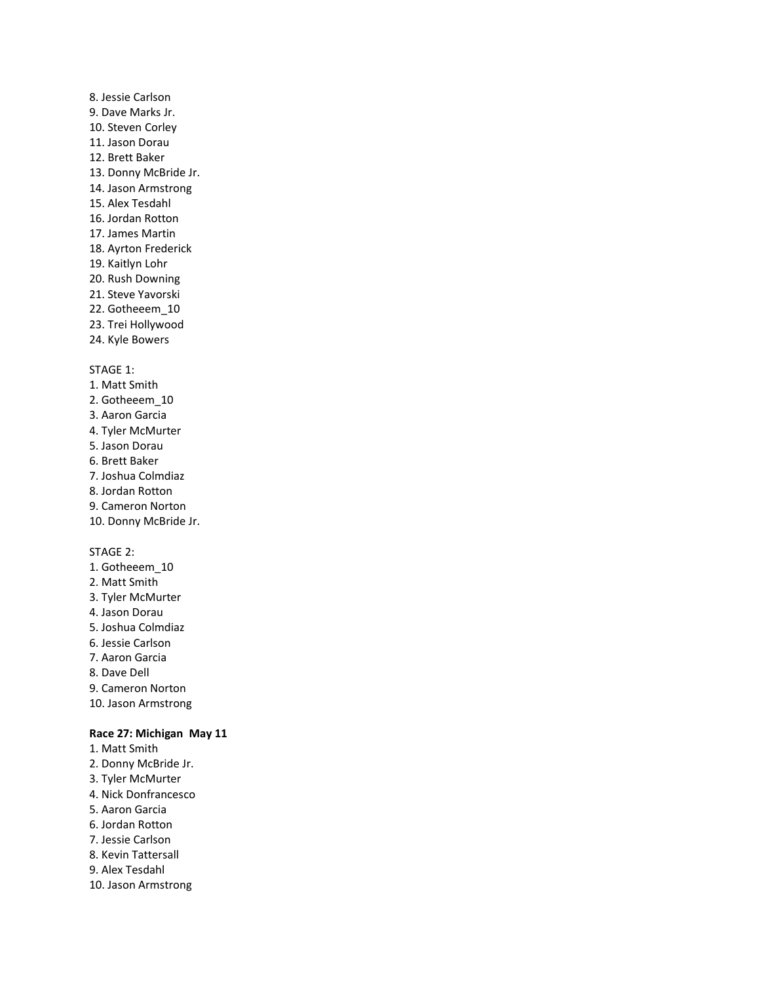# 8. Jessie Carlson 9. Dave Marks Jr. 10. Steven Corley 11. Jason Dorau 12. Brett Baker 13. Donny McBride Jr. 14. Jason Armstrong 15. Alex Tesdahl 16. Jordan Rotton 17. James Martin 18. Ayrton Frederick 19. Kaitlyn Lohr 20. Rush Downing 21. Steve Yavorski 22. Gotheeem\_10 23. Trei Hollywood 24. Kyle Bowers

#### STAGE 1:

1. Matt Smith 2. Gotheeem\_10 3. Aaron Garcia 4. Tyler McMurter 5. Jason Dorau 6. Brett Baker 7. Joshua Colmdiaz 8. Jordan Rotton 9. Cameron Norton 10. Donny McBride Jr.

### STAGE 2:

1. Gotheeem\_10 2. Matt Smith 3. Tyler McMurter 4. Jason Dorau 5. Joshua Colmdiaz 6. Jessie Carlson 7. Aaron Garcia 8. Dave Dell 9. Cameron Norton 10. Jason Armstrong

#### **Race 27: Michigan May 11**

- 1. Matt Smith
- 2. Donny McBride Jr.
- 3. Tyler McMurter
- 4. Nick Donfrancesco
- 5. Aaron Garcia
- 6. Jordan Rotton
- 7. Jessie Carlson
- 8. Kevin Tattersall
- 9. Alex Tesdahl
- 10. Jason Armstrong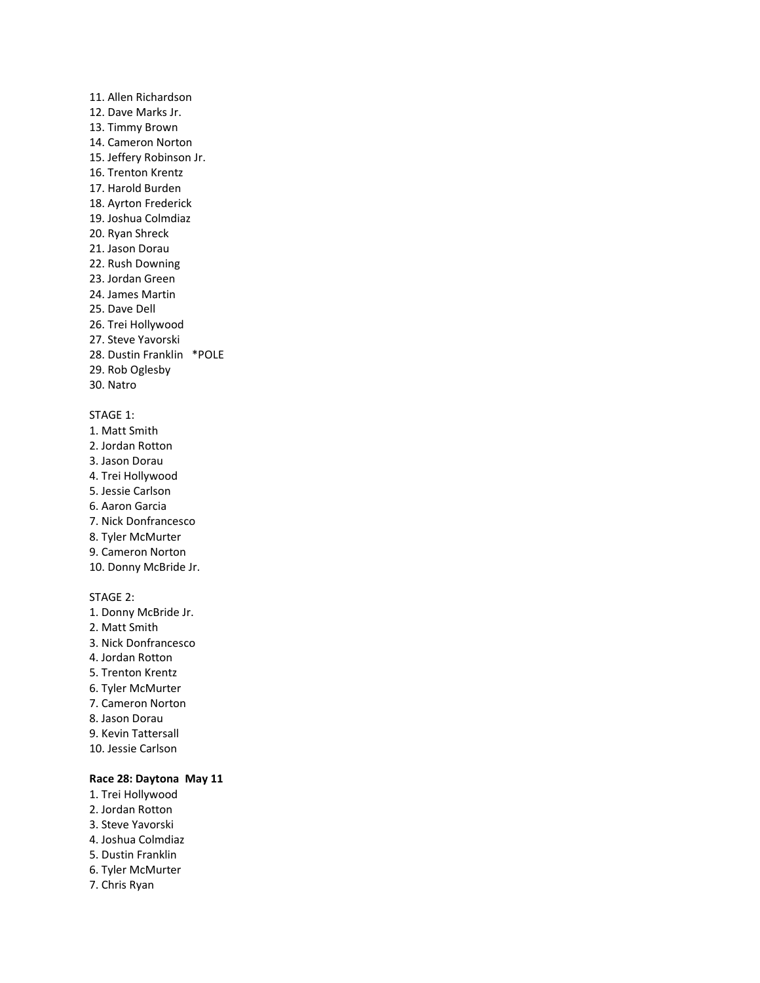11. Allen Richardson 12. Dave Marks Jr. 13. Timmy Brown 14. Cameron Norton 15. Jeffery Robinson Jr. 16. Trenton Krentz 17. Harold Burden 18. Ayrton Frederick 19. Joshua Colmdiaz 20. Ryan Shreck 21. Jason Dorau 22. Rush Downing 23. Jordan Green 24. James Martin 25. Dave Dell 26. Trei Hollywood 27. Steve Yavorski 28. Dustin Franklin \*POLE 29. Rob Oglesby 30. Natro

### STAGE 1:

- 1. Matt Smith 2. Jordan Rotton
- 3. Jason Dorau
- 4. Trei Hollywood
- 5. Jessie Carlson
- 6. Aaron Garcia
- 7. Nick Donfrancesco
- 8. Tyler McMurter
- 9. Cameron Norton
- 10. Donny McBride Jr.

#### STAGE 2:

1. Donny McBride Jr. 2. Matt Smith 3. Nick Donfrancesco 4. Jordan Rotton 5. Trenton Krentz 6. Tyler McMurter 7. Cameron Norton 8. Jason Dorau 9. Kevin Tattersall 10. Jessie Carlson

### **Race 28: Daytona May 11**

- 1. Trei Hollywood
- 2. Jordan Rotton
- 3. Steve Yavorski
- 4. Joshua Colmdiaz
- 5. Dustin Franklin
- 6. Tyler McMurter
- 7. Chris Ryan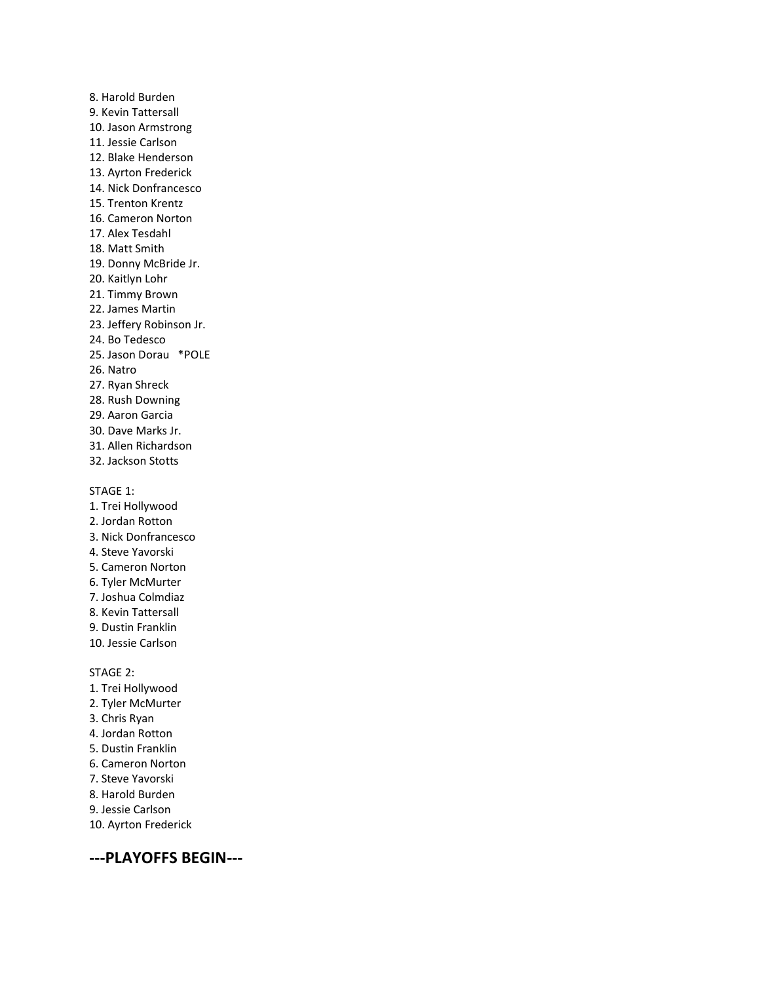8. Harold Burden 9. Kevin Tattersall 10. Jason Armstrong 11. Jessie Carlson 12. Blake Henderson 13. Ayrton Frederick 14. Nick Donfrancesco 15. Trenton Krentz 16. Cameron Norton 17. Alex Tesdahl 18. Matt Smith 19. Donny McBride Jr. 20. Kaitlyn Lohr 21. Timmy Brown 22. James Martin 23. Jeffery Robinson Jr. 24. Bo Tedesco 25. Jason Dorau \*POLE 26. Natro 27. Ryan Shreck 28. Rush Downing 29. Aaron Garcia 30. Dave Marks Jr. 31. Allen Richardson 32. Jackson Stotts

STAGE 1:

- 1. Trei Hollywood 2. Jordan Rotton 3. Nick Donfrancesco 4. Steve Yavorski 5. Cameron Norton 6. Tyler McMurter 7. Joshua Colmdiaz 8. Kevin Tattersall 9. Dustin Franklin 10. Jessie Carlson STAGE 2:
- 1. Trei Hollywood
- 2. Tyler McMurter
- 3. Chris Ryan
- 4. Jordan Rotton
- 5. Dustin Franklin
- 6. Cameron Norton
- 7. Steve Yavorski
- 8. Harold Burden
- 9. Jessie Carlson
- 10. Ayrton Frederick

**---PLAYOFFS BEGIN---**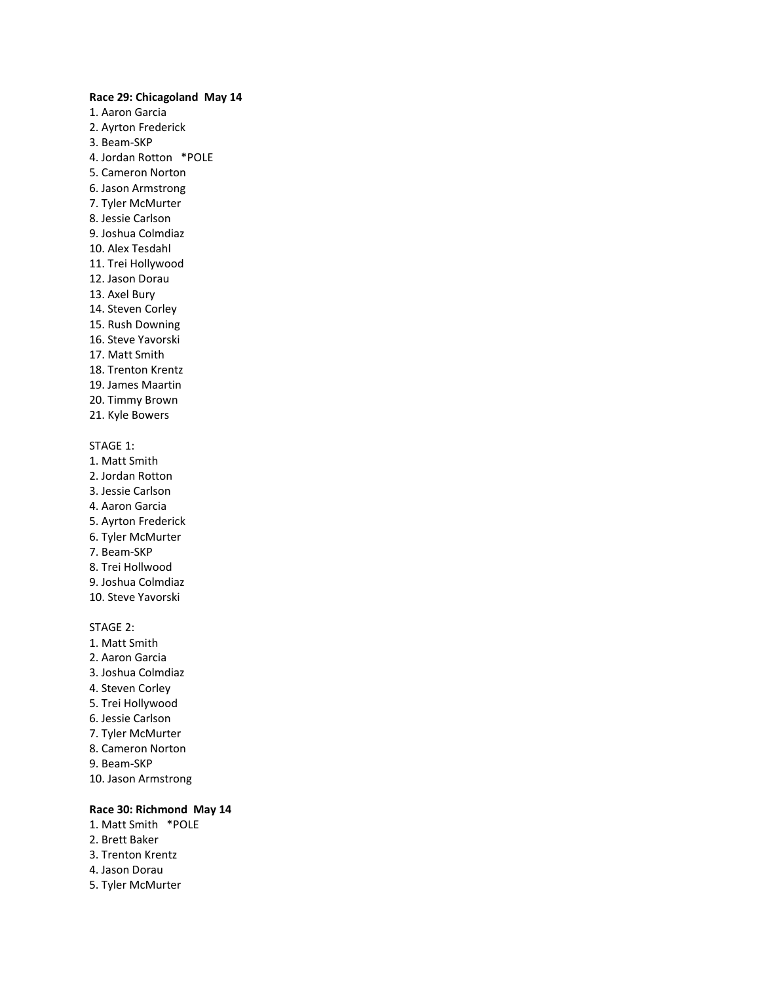#### **Race 29: Chicagoland May 14**

- 1. Aaron Garcia 2. Ayrton Frederick 3. Beam-SKP 4. Jordan Rotton \*POLE 5. Cameron Norton 6. Jason Armstrong 7. Tyler McMurter 8. Jessie Carlson 9. Joshua Colmdiaz 10. Alex Tesdahl 11. Trei Hollywood 12. Jason Dorau 13. Axel Bury 14. Steven Corley 15. Rush Downing 16. Steve Yavorski 17. Matt Smith 18. Trenton Krentz 19. James Maartin 20. Timmy Brown
- 21. Kyle Bowers

#### STAGE 1:

- 1. Matt Smith
- 2. Jordan Rotton
- 3. Jessie Carlson
- 4. Aaron Garcia
- 5. Ayrton Frederick
- 6. Tyler McMurter
- 7. Beam-SKP
- 8. Trei Hollwood
- 9. Joshua Colmdiaz
- 10. Steve Yavorski

### STAGE 2:

- 1. Matt Smith
- 2. Aaron Garcia
- 3. Joshua Colmdiaz
- 4. Steven Corley
- 5. Trei Hollywood
- 6. Jessie Carlson
- 7. Tyler McMurter
- 8. Cameron Norton
- 9. Beam-SKP
- 10. Jason Armstrong

#### **Race 30: Richmond May 14**

- 1. Matt Smith \*POLE
- 2. Brett Baker
- 3. Trenton Krentz
- 4. Jason Dorau
- 5. Tyler McMurter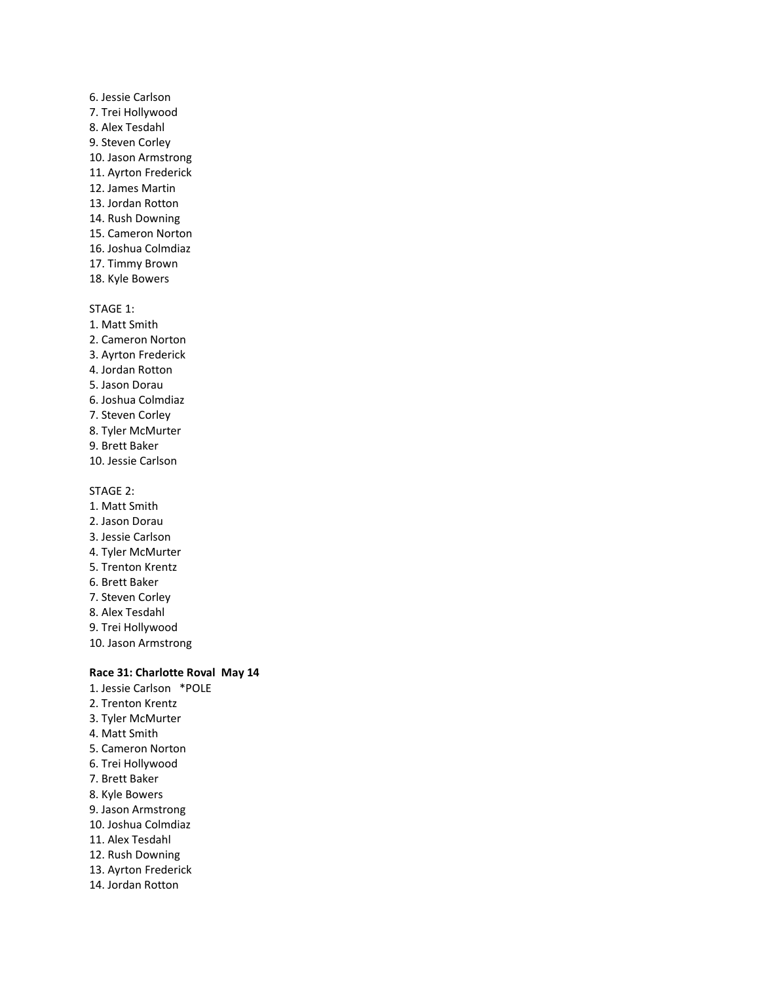6. Jessie Carlson 7. Trei Hollywood 8. Alex Tesdahl 9. Steven Corley 10. Jason Armstrong 11. Ayrton Frederick 12. James Martin 13. Jordan Rotton 14. Rush Downing 15. Cameron Norton 16. Joshua Colmdiaz 17. Timmy Brown 18. Kyle Bowers

#### STAGE 1:

1. Matt Smith 2. Cameron Norton 3. Ayrton Frederick 4. Jordan Rotton 5. Jason Dorau 6. Joshua Colmdiaz 7. Steven Corley 8. Tyler McMurter 9. Brett Baker 10. Jessie Carlson

### STAGE 2:

- 1. Matt Smith
- 2. Jason Dorau
- 3. Jessie Carlson
- 4. Tyler McMurter
- 5. Trenton Krentz
- 6. Brett Baker
- 7. Steven Corley
- 8. Alex Tesdahl
- 9. Trei Hollywood
- 10. Jason Armstrong

### **Race 31: Charlotte Roval May 14**

- 1. Jessie Carlson \*POLE 2. Trenton Krentz
- 3. Tyler McMurter
- 4. Matt Smith
- 5. Cameron Norton
- 6. Trei Hollywood
- 7. Brett Baker
- 8. Kyle Bowers
- 9. Jason Armstrong
- 10. Joshua Colmdiaz
- 11. Alex Tesdahl
- 12. Rush Downing
- 13. Ayrton Frederick
- 14. Jordan Rotton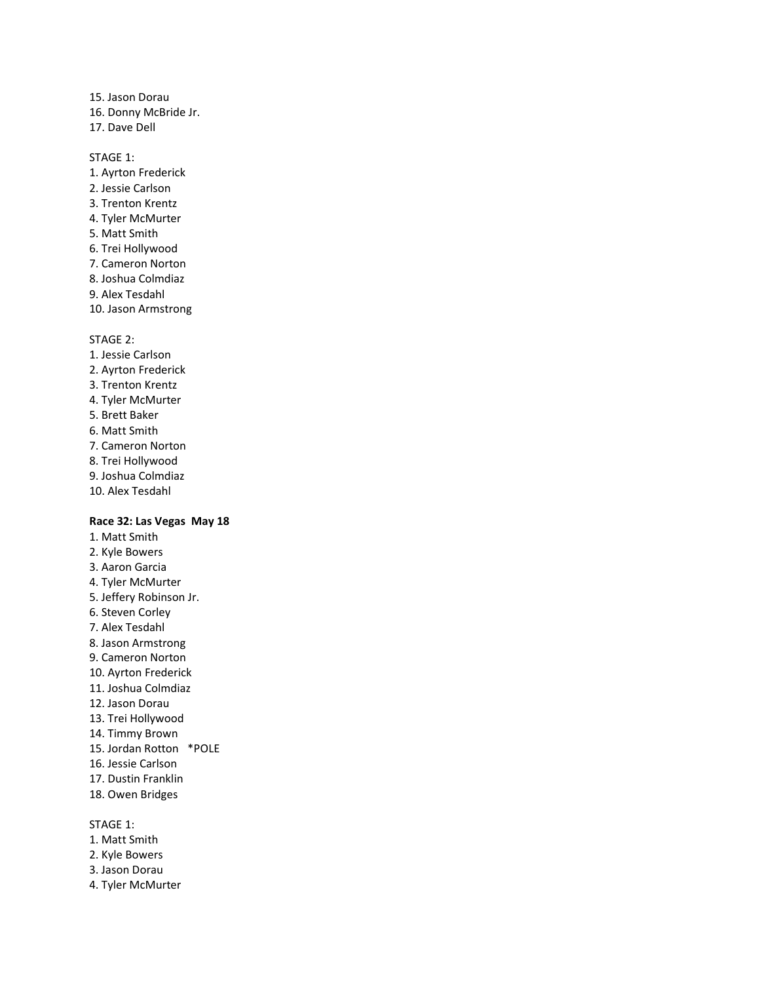15. Jason Dorau 16. Donny McBride Jr. 17. Dave Dell

#### STAGE 1:

- 1. Ayrton Frederick 2. Jessie Carlson 3. Trenton Krentz 4. Tyler McMurter 5. Matt Smith 6. Trei Hollywood 7. Cameron Norton 8. Joshua Colmdiaz 9. Alex Tesdahl
- 10. Jason Armstrong

#### STAGE 2:

- 1. Jessie Carlson
- 2. Ayrton Frederick
- 3. Trenton Krentz
- 4. Tyler McMurter
- 5. Brett Baker
- 6. Matt Smith
- 7. Cameron Norton
- 8. Trei Hollywood
- 9. Joshua Colmdiaz
- 10. Alex Tesdahl

#### **Race 32: Las Vegas May 18**

1. Matt Smith 2. Kyle Bowers 3. Aaron Garcia 4. Tyler McMurter 5. Jeffery Robinson Jr. 6. Steven Corley 7. Alex Tesdahl 8. Jason Armstrong 9. Cameron Norton 10. Ayrton Frederick 11. Joshua Colmdiaz 12. Jason Dorau 13. Trei Hollywood 14. Timmy Brown 15. Jordan Rotton \*POLE 16. Jessie Carlson 17. Dustin Franklin 18. Owen Bridges

### STAGE 1:

- 1. Matt Smith
- 2. Kyle Bowers
- 3. Jason Dorau
- 4. Tyler McMurter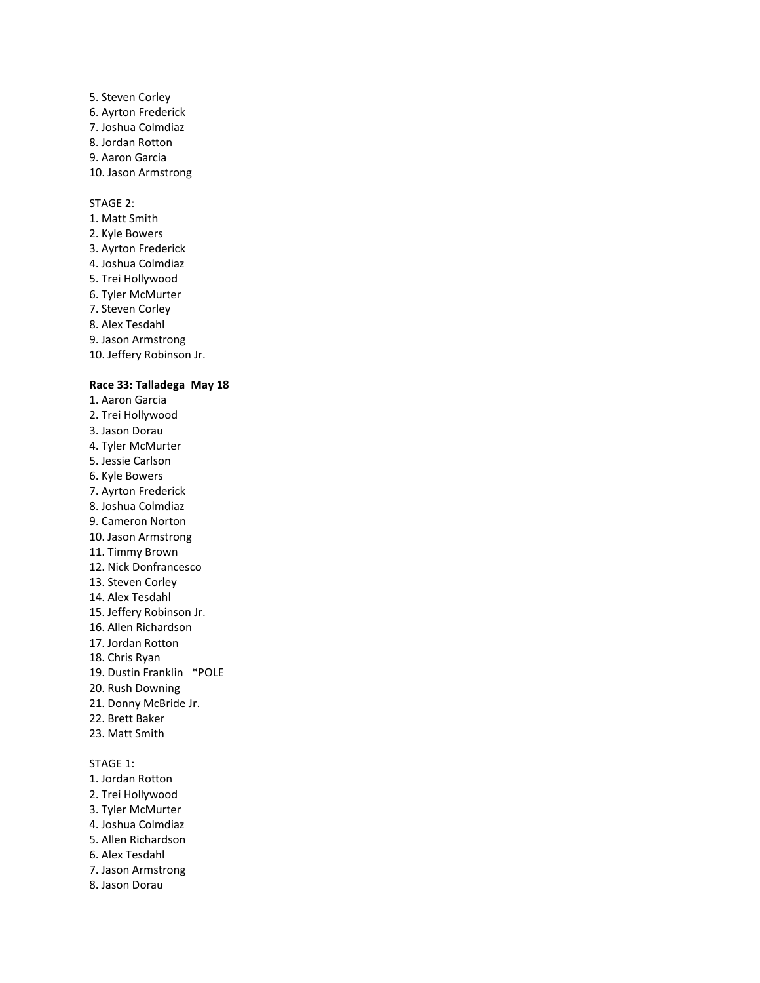5. Steven Corley 6. Ayrton Frederick 7. Joshua Colmdiaz 8. Jordan Rotton 9. Aaron Garcia 10. Jason Armstrong

### STAGE 2:

1. Matt Smith 2. Kyle Bowers 3. Ayrton Frederick 4. Joshua Colmdiaz 5. Trei Hollywood 6. Tyler McMurter 7. Steven Corley 8. Alex Tesdahl 9. Jason Armstrong 10. Jeffery Robinson Jr.

#### **Race 33: Talladega May 18**

- 1. Aaron Garcia 2. Trei Hollywood 3. Jason Dorau 4. Tyler McMurter 5. Jessie Carlson 6. Kyle Bowers 7. Ayrton Frederick 8. Joshua Colmdiaz 9. Cameron Norton 10. Jason Armstrong 11. Timmy Brown 12. Nick Donfrancesco 13. Steven Corley 14. Alex Tesdahl 15. Jeffery Robinson Jr. 16. Allen Richardson 17. Jordan Rotton 18. Chris Ryan 19. Dustin Franklin \*POLE 20. Rush Downing 21. Donny McBride Jr. 22. Brett Baker 23. Matt Smith STAGE 1: 1. Jordan Rotton 2. Trei Hollywood 3. Tyler McMurter 4. Joshua Colmdiaz
- 5. Allen Richardson
- 
- 6. Alex Tesdahl
- 7. Jason Armstrong
- 8. Jason Dorau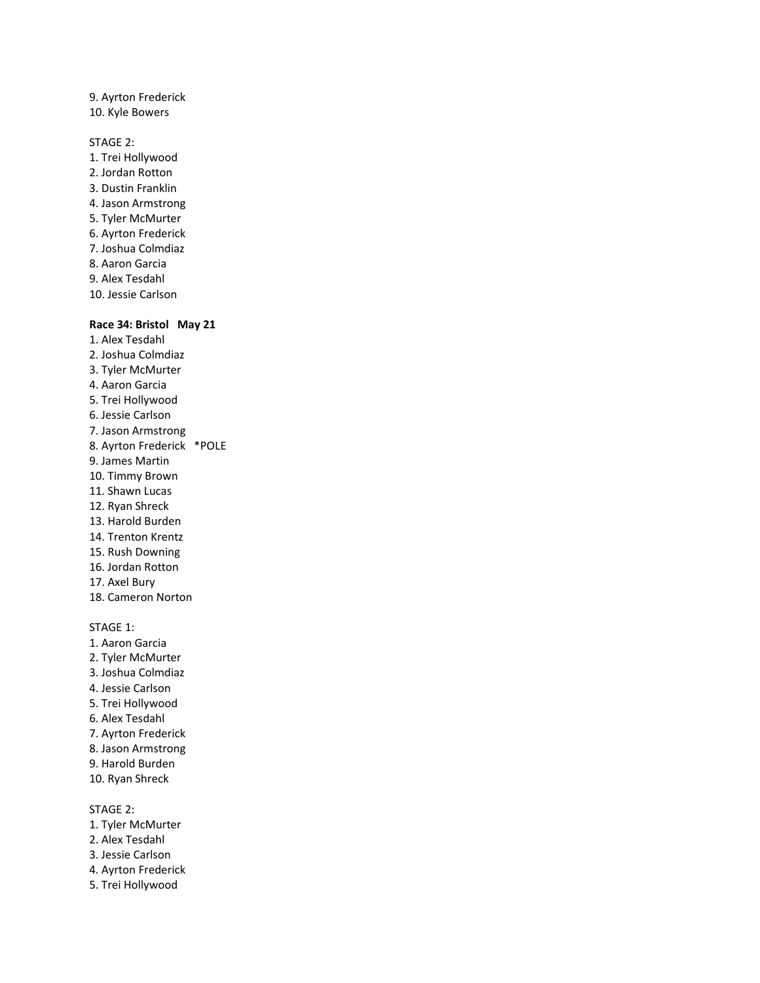9. Ayrton Frederick 10. Kyle Bowers

STAGE 2:

1. Trei Hollywood 2. Jordan Rotton 3. Dustin Franklin 4. Jason Armstrong 5. Tyler McMurter 6. Ayrton Frederick 7. Joshua Colmdiaz 8. Aaron Garcia 9. Alex Tesdahl 10. Jessie Carlson

#### **Race 34: Bristol May 21**

- 1. Alex Tesdahl 2. Joshua Colmdiaz 3. Tyler McMurter 4. Aaron Garcia 5. Trei Hollywood 6. Jessie Carlson 7. Jason Armstrong 8. Ayrton Frederick \*POLE 9. James Martin 10. Timmy Brown 11. Shawn Lucas 12. Ryan Shreck 13. Harold Burden 14. Trenton Krentz 15. Rush Downing 16. Jordan Rotton 17. Axel Bury 18. Cameron Norton STAGE 1:
- 1. Aaron Garcia 2. Tyler McMurter 3. Joshua Colmdiaz 4. Jessie Carlson 5. Trei Hollywood 6. Alex Tesdahl 7. Ayrton Frederick 8. Jason Armstrong 9. Harold Burden 10. Ryan Shreck

STAGE 2: 1. Tyler McMurter 2. Alex Tesdahl 3. Jessie Carlson 4. Ayrton Frederick 5. Trei Hollywood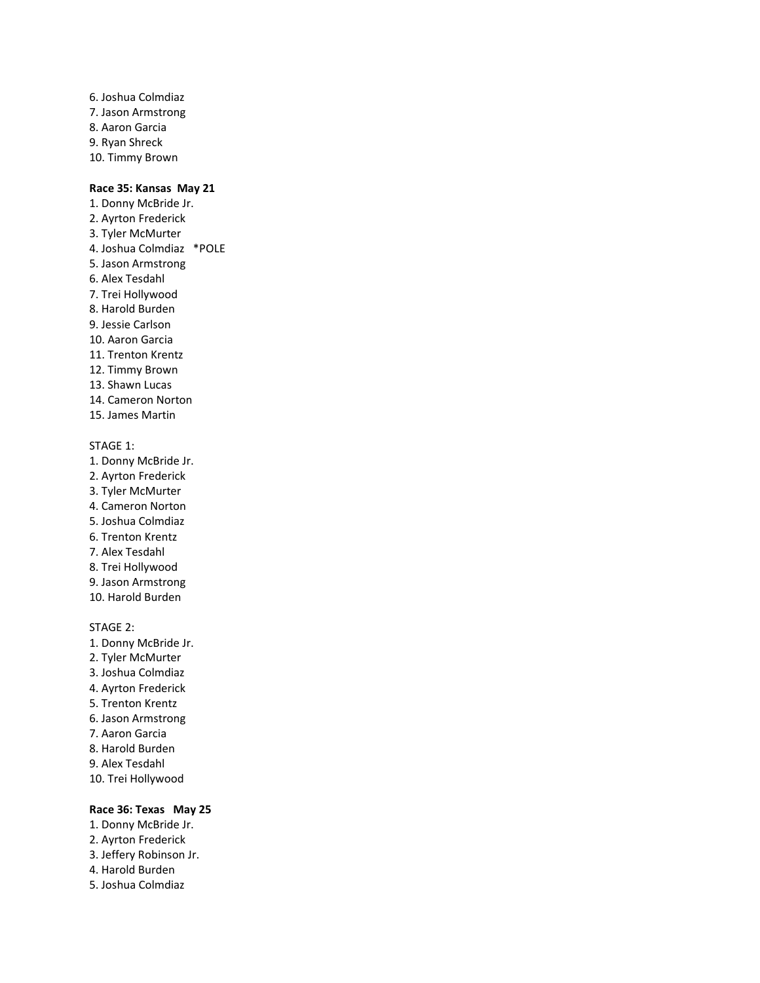6. Joshua Colmdiaz 7. Jason Armstrong 8. Aaron Garcia 9. Ryan Shreck 10. Timmy Brown

### **Race 35: Kansas May 21**

- 1. Donny McBride Jr. 2. Ayrton Frederick 3. Tyler McMurter 4. Joshua Colmdiaz \*POLE 5. Jason Armstrong 6. Alex Tesdahl 7. Trei Hollywood 8. Harold Burden 9. Jessie Carlson 10. Aaron Garcia 11. Trenton Krentz 12. Timmy Brown 13. Shawn Lucas 14. Cameron Norton
- 15. James Martin

#### STAGE 1:

- 1. Donny McBride Jr.
- 2. Ayrton Frederick
- 3. Tyler McMurter
- 4. Cameron Norton
- 5. Joshua Colmdiaz
- 6. Trenton Krentz
- 7. Alex Tesdahl
- 8. Trei Hollywood
- 9. Jason Armstrong 10. Harold Burden
- 

#### STAGE 2:

- 1. Donny McBride Jr. 2. Tyler McMurter 3. Joshua Colmdiaz 4. Ayrton Frederick 5. Trenton Krentz 6. Jason Armstrong 7. Aaron Garcia 8. Harold Burden 9. Alex Tesdahl
- 10. Trei Hollywood

### **Race 36: Texas May 25**

- 1. Donny McBride Jr.
- 2. Ayrton Frederick
- 3. Jeffery Robinson Jr.
- 4. Harold Burden
- 5. Joshua Colmdiaz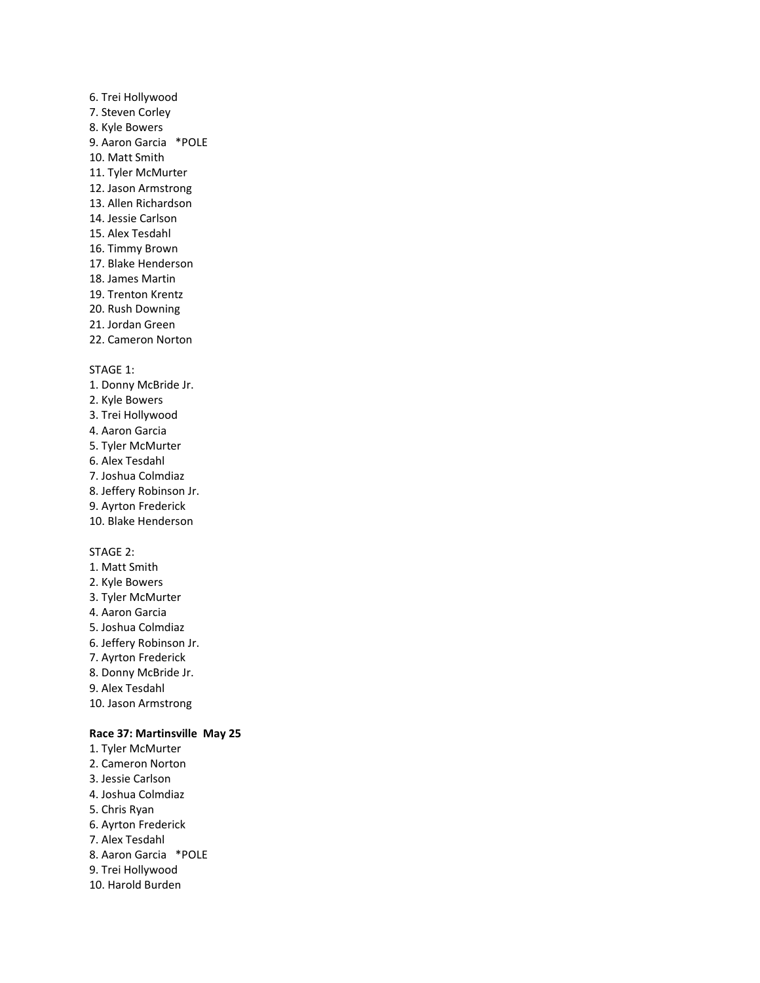# 6. Trei Hollywood 7. Steven Corley 8. Kyle Bowers 9. Aaron Garcia \*POLE 10. Matt Smith 11. Tyler McMurter 12. Jason Armstrong 13. Allen Richardson 14. Jessie Carlson 15. Alex Tesdahl 16. Timmy Brown 17. Blake Henderson 18. James Martin 19. Trenton Krentz 20. Rush Downing 21. Jordan Green 22. Cameron Norton

#### STAGE 1:

- 1. Donny McBride Jr.
- 2. Kyle Bowers
- 3. Trei Hollywood
- 4. Aaron Garcia
- 5. Tyler McMurter
- 6. Alex Tesdahl
- 7. Joshua Colmdiaz
- 8. Jeffery Robinson Jr.
- 9. Ayrton Frederick
- 10. Blake Henderson

### STAGE 2:

- 1. Matt Smith 2. Kyle Bowers 3. Tyler McMurter 4. Aaron Garcia 5. Joshua Colmdiaz 6. Jeffery Robinson Jr. 7. Ayrton Frederick 8. Donny McBride Jr. 9. Alex Tesdahl
- 10. Jason Armstrong

### **Race 37: Martinsville May 25**

1. Tyler McMurter 2. Cameron Norton 3. Jessie Carlson 4. Joshua Colmdiaz 5. Chris Ryan 6. Ayrton Frederick 7. Alex Tesdahl 8. Aaron Garcia \*POLE 9. Trei Hollywood 10. Harold Burden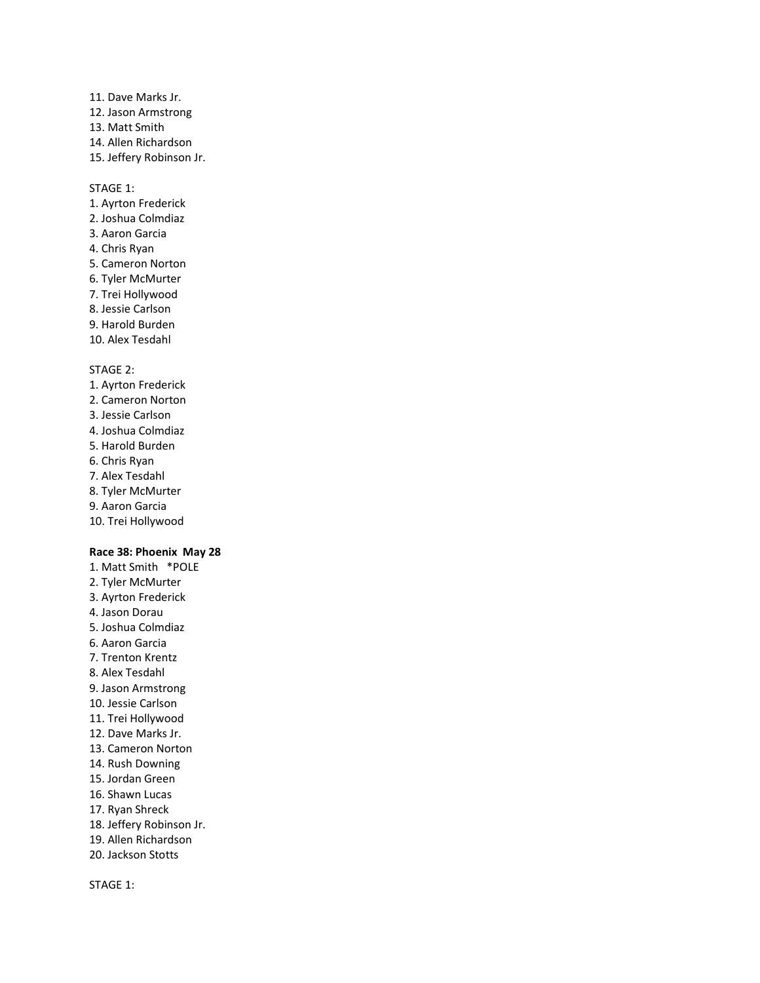### 11. Dave Marks Jr. 12. Jason Armstrong 13. Matt Smith 14. Allen Richardson 15. Jeffery Robinson Jr.

#### STAGE 1:

1. Ayrton Frederick 2. Joshua Colmdiaz 3. Aaron Garcia 4. Chris Ryan 5. Cameron Norton 6. Tyler McMurter 7. Trei Hollywood 8. Jessie Carlson 9. Harold Burden 10. Alex Tesdahl

#### STAGE 2:

- 1. Ayrton Frederick 2. Cameron Norton 3. Jessie Carlson 4. Joshua Colmdiaz 5. Harold Burden 6. Chris Ryan 7. Alex Tesdahl 8. Tyler McMurter 9. Aaron Garcia
- 10. Trei Hollywood

### **Race 38: Phoenix May 28**

1. Matt Smith \*POLE 2. Tyler McMurter 3. Ayrton Frederick 4. Jason Dorau 5. Joshua Colmdiaz 6. Aaron Garcia 7. Trenton Krentz 8. Alex Tesdahl 9. Jason Armstrong 10. Jessie Carlson 11. Trei Hollywood 12. Dave Marks Jr. 13. Cameron Norton 14. Rush Downing 15. Jordan Green 16. Shawn Lucas 17. Ryan Shreck 18. Jeffery Robinson Jr. 19. Allen Richardson 20. Jackson Stotts

STAGE 1: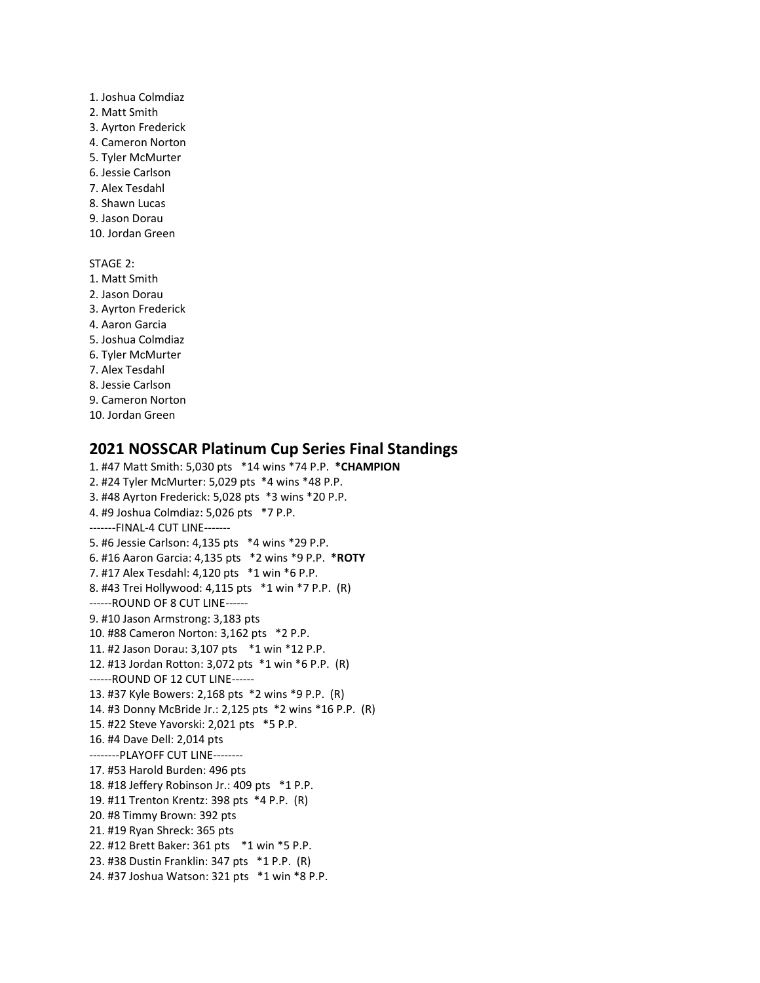1. Joshua Colmdiaz 2. Matt Smith 3. Ayrton Frederick 4. Cameron Norton 5. Tyler McMurter 6. Jessie Carlson 7. Alex Tesdahl 8. Shawn Lucas 9. Jason Dorau 10. Jordan Green STAGE 2: 1. Matt Smith 2. Jason Dorau 3. Ayrton Frederick 4. Aaron Garcia 5. Joshua Colmdiaz 6. Tyler McMurter 7. Alex Tesdahl 8. Jessie Carlson 9. Cameron Norton 10. Jordan Green

# **2021 NOSSCAR Platinum Cup Series Final Standings**

1. #47 Matt Smith: 5,030 pts \*14 wins \*74 P.P. **\*CHAMPION** 2. #24 Tyler McMurter: 5,029 pts \*4 wins \*48 P.P. 3. #48 Ayrton Frederick: 5,028 pts \*3 wins \*20 P.P. 4. #9 Joshua Colmdiaz: 5,026 pts \*7 P.P. -------FINAL-4 CUT LINE------- 5. #6 Jessie Carlson: 4,135 pts \*4 wins \*29 P.P. 6. #16 Aaron Garcia: 4,135 pts \*2 wins \*9 P.P. **\*ROTY** 7. #17 Alex Tesdahl: 4,120 pts \*1 win \*6 P.P. 8. #43 Trei Hollywood: 4,115 pts \*1 win \*7 P.P. (R) ------ROUND OF 8 CUT LINE------ 9. #10 Jason Armstrong: 3,183 pts 10. #88 Cameron Norton: 3,162 pts \*2 P.P. 11. #2 Jason Dorau: 3,107 pts \*1 win \*12 P.P. 12. #13 Jordan Rotton: 3,072 pts \*1 win \*6 P.P. (R) ------ROUND OF 12 CUT LINE------ 13. #37 Kyle Bowers: 2,168 pts \*2 wins \*9 P.P. (R) 14. #3 Donny McBride Jr.: 2,125 pts \*2 wins \*16 P.P. (R) 15. #22 Steve Yavorski: 2,021 pts \*5 P.P. 16. #4 Dave Dell: 2,014 pts --------PLAYOFF CUT LINE-------- 17. #53 Harold Burden: 496 pts 18. #18 Jeffery Robinson Jr.: 409 pts \*1 P.P. 19. #11 Trenton Krentz: 398 pts \*4 P.P. (R) 20. #8 Timmy Brown: 392 pts 21. #19 Ryan Shreck: 365 pts 22. #12 Brett Baker: 361 pts \*1 win \*5 P.P. 23. #38 Dustin Franklin: 347 pts \*1 P.P. (R) 24. #37 Joshua Watson: 321 pts \*1 win \*8 P.P.